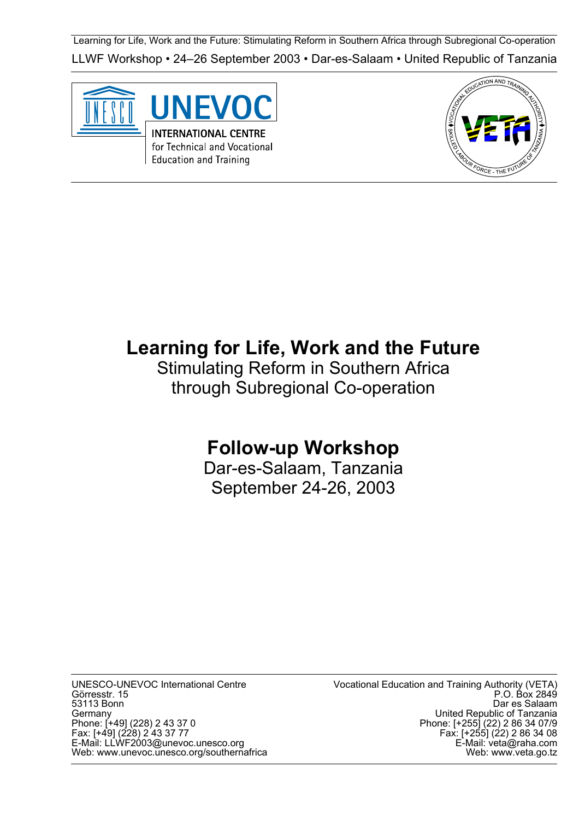Learning for Life, Work and the Future: Stimulating Reform in Southern Africa through Subregional Co-operation LLWF Workshop • 24–26 September 2003 • Dar-es-Salaam • United Republic of Tanzania





# **Learning for Life, Work and the Future**

Stimulating Reform in Southern Africa through Subregional Co-operation

# **Follow-up Workshop**

Dar-es-Salaam, Tanzania September 24-26, 2003

UNESCO-UNEVOC International Centre Görresstr. 15 53113 Bonn Germany Phone: [+49] (228) 2 43 37 0 Fax: [+49] (228) 2 43 37 77 E-Mail: LLWF2003@unevoc.unesco.org Web: www.unevoc.unesco.org/southernafrica Vocational Education and Training Authority (VETA) P.O. Box 2849 Dar es Salaam United Republic of Tanzania Phone: [+255] (22) 2 86 34 07/9 Fax: [+255] (22) 2 86 34 08 E-Mail: veta@raha.com Web: www.veta.go.tz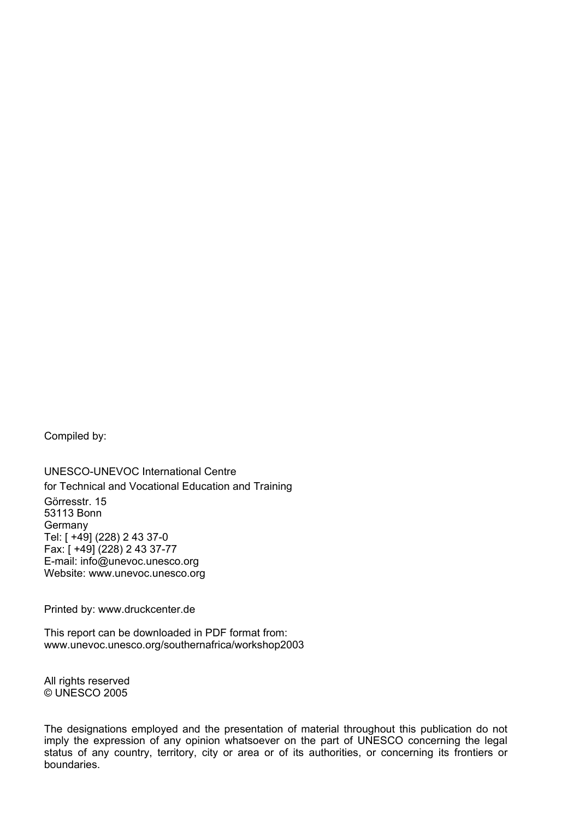Compiled by:

UNESCO-UNEVOC International Centre for Technical and Vocational Education and Training Görresstr. 15 53113 Bonn **Germany** Tel: [ +49] (228) 2 43 37-0 Fax: [ +49] (228) 2 43 37-77 E-mail: info@unevoc.unesco.org Website: www.unevoc.unesco.org

Printed by: www.druckcenter.de

This report can be downloaded in PDF format from: www.unevoc.unesco.org/southernafrica/workshop2003

All rights reserved © UNESCO 2005

The designations employed and the presentation of material throughout this publication do not imply the expression of any opinion whatsoever on the part of UNESCO concerning the legal status of any country, territory, city or area or of its authorities, or concerning its frontiers or boundaries.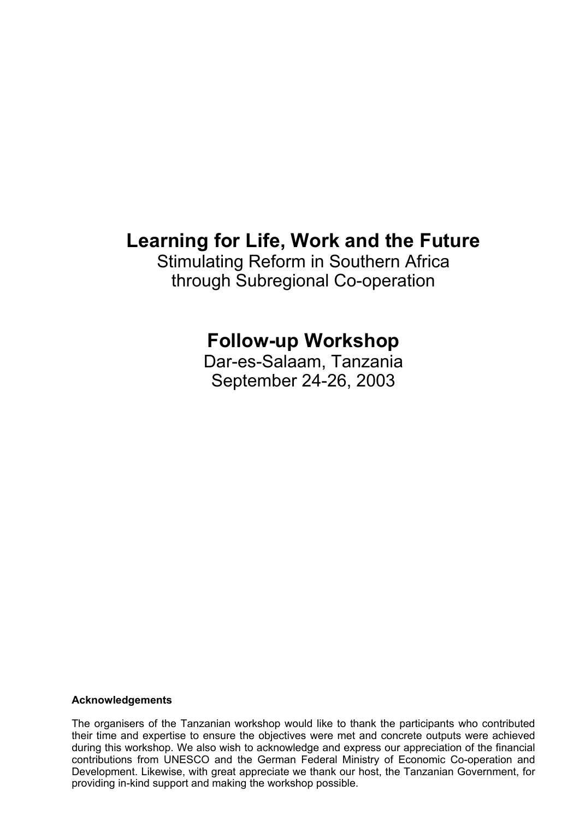# **Learning for Life, Work and the Future**

Stimulating Reform in Southern Africa through Subregional Co-operation

# **Follow-up Workshop**

Dar-es-Salaam, Tanzania September 24-26, 2003

#### **Acknowledgements**

The organisers of the Tanzanian workshop would like to thank the participants who contributed their time and expertise to ensure the objectives were met and concrete outputs were achieved during this workshop. We also wish to acknowledge and express our appreciation of the financial contributions from UNESCO and the German Federal Ministry of Economic Co-operation and Development. Likewise, with great appreciate we thank our host, the Tanzanian Government, for providing in-kind support and making the workshop possible.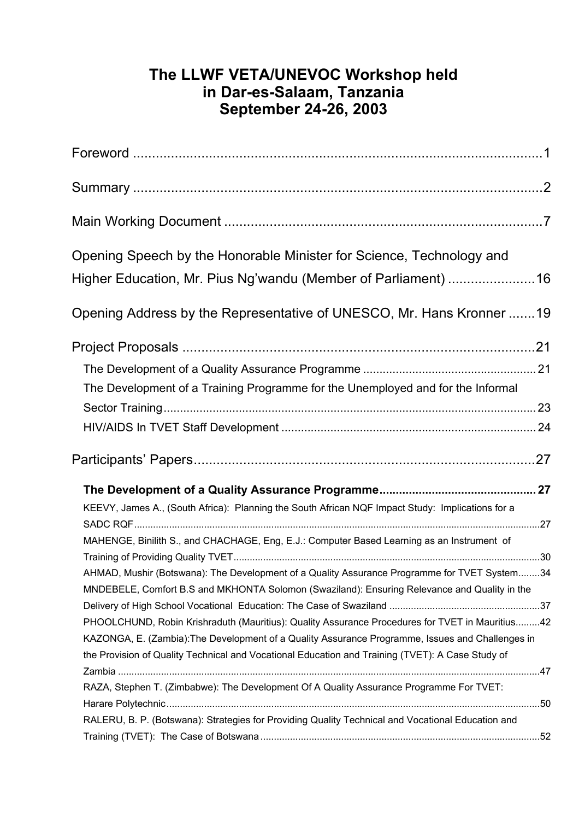## **The LLWF VETA/UNEVOC Workshop held in Dar-es-Salaam, Tanzania September 24-26, 2003**

| Opening Speech by the Honorable Minister for Science, Technology and                                                                                                                         |  |
|----------------------------------------------------------------------------------------------------------------------------------------------------------------------------------------------|--|
| Higher Education, Mr. Pius Ng'wandu (Member of Parliament) 16                                                                                                                                |  |
| Opening Address by the Representative of UNESCO, Mr. Hans Kronner 19                                                                                                                         |  |
|                                                                                                                                                                                              |  |
|                                                                                                                                                                                              |  |
| The Development of a Training Programme for the Unemployed and for the Informal                                                                                                              |  |
|                                                                                                                                                                                              |  |
|                                                                                                                                                                                              |  |
|                                                                                                                                                                                              |  |
|                                                                                                                                                                                              |  |
| KEEVY, James A., (South Africa): Planning the South African NQF Impact Study: Implications for a                                                                                             |  |
| MAHENGE, Binilith S., and CHACHAGE, Eng, E.J.: Computer Based Learning as an Instrument of                                                                                                   |  |
|                                                                                                                                                                                              |  |
| AHMAD, Mushir (Botswana): The Development of a Quality Assurance Programme for TVET System34<br>MNDEBELE, Comfort B.S and MKHONTA Solomon (Swaziland): Ensuring Relevance and Quality in the |  |
| PHOOLCHUND, Robin Krishraduth (Mauritius): Quality Assurance Procedures for TVET in Mauritius42                                                                                              |  |
| KAZONGA, E. (Zambia): The Development of a Quality Assurance Programme, Issues and Challenges in                                                                                             |  |
| the Provision of Quality Technical and Vocational Education and Training (TVET): A Case Study of                                                                                             |  |
|                                                                                                                                                                                              |  |
| RAZA, Stephen T. (Zimbabwe): The Development Of A Quality Assurance Programme For TVET:                                                                                                      |  |
|                                                                                                                                                                                              |  |
| RALERU, B. P. (Botswana): Strategies for Providing Quality Technical and Vocational Education and                                                                                            |  |
|                                                                                                                                                                                              |  |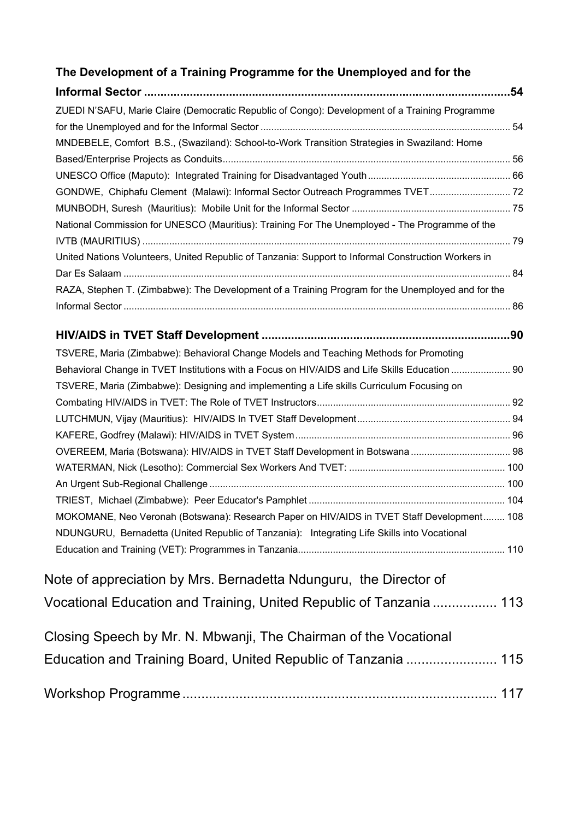## **The Development of a Training Programme for the Unemployed and for the**

| .54                                                                                                 |  |
|-----------------------------------------------------------------------------------------------------|--|
| ZUEDI N'SAFU, Marie Claire (Democratic Republic of Congo): Development of a Training Programme      |  |
|                                                                                                     |  |
| MNDEBELE, Comfort B.S., (Swaziland): School-to-Work Transition Strategies in Swaziland: Home        |  |
|                                                                                                     |  |
|                                                                                                     |  |
| GONDWE, Chiphafu Clement (Malawi): Informal Sector Outreach Programmes TVET 72                      |  |
|                                                                                                     |  |
| National Commission for UNESCO (Mauritius): Training For The Unemployed - The Programme of the      |  |
|                                                                                                     |  |
| United Nations Volunteers, United Republic of Tanzania: Support to Informal Construction Workers in |  |
| RAZA, Stephen T. (Zimbabwe): The Development of a Training Program for the Unemployed and for the   |  |
|                                                                                                     |  |
|                                                                                                     |  |
|                                                                                                     |  |
| TSVERE, Maria (Zimbabwe): Behavioral Change Models and Teaching Methods for Promoting               |  |
| Behavioral Change in TVET Institutions with a Focus on HIV/AIDS and Life Skills Education  90       |  |
| TSVERE, Maria (Zimbabwe): Designing and implementing a Life skills Curriculum Focusing on           |  |
|                                                                                                     |  |
|                                                                                                     |  |
|                                                                                                     |  |
|                                                                                                     |  |
|                                                                                                     |  |
|                                                                                                     |  |
|                                                                                                     |  |
| MOKOMANE, Neo Veronah (Botswana): Research Paper on HIV/AIDS in TVET Staff Development 108          |  |
| NDUNGURU, Bernadetta (United Republic of Tanzania): Integrating Life Skills into Vocational         |  |
|                                                                                                     |  |
|                                                                                                     |  |
| Note of appreciation by Mrs. Bernadetta Ndunguru, the Director of                                   |  |
| Vocational Education and Training, United Republic of Tanzania  113                                 |  |
| Closing Speech by Mr. N. Mbwanji, The Chairman of the Vocational                                    |  |
| Education and Training Board, United Republic of Tanzania  115                                      |  |
|                                                                                                     |  |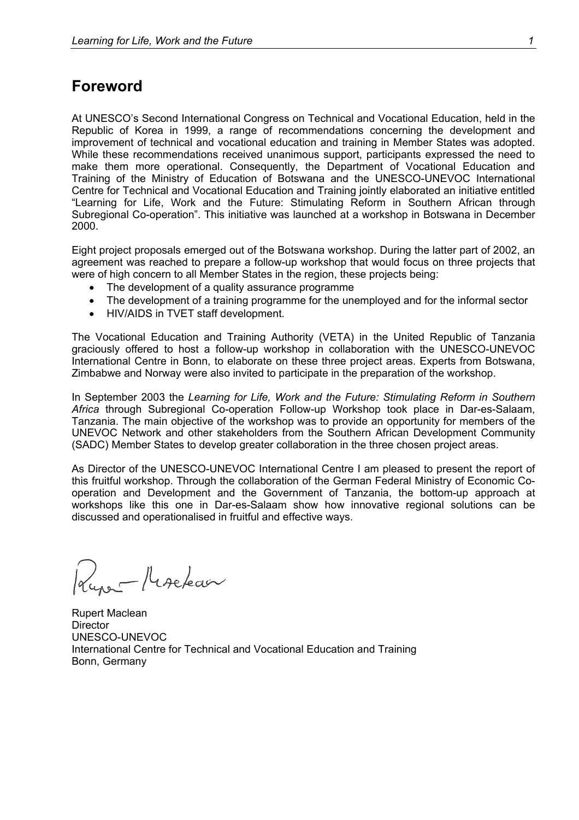### <span id="page-6-0"></span>**Foreword**

At UNESCO's Second International Congress on Technical and Vocational Education, held in the Republic of Korea in 1999, a range of recommendations concerning the development and improvement of technical and vocational education and training in Member States was adopted. While these recommendations received unanimous support, participants expressed the need to make them more operational. Consequently, the Department of Vocational Education and Training of the Ministry of Education of Botswana and the UNESCO-UNEVOC International Centre for Technical and Vocational Education and Training jointly elaborated an initiative entitled "Learning for Life, Work and the Future: Stimulating Reform in Southern African through Subregional Co-operation". This initiative was launched at a workshop in Botswana in December 2000.

Eight project proposals emerged out of the Botswana workshop. During the latter part of 2002, an agreement was reached to prepare a follow-up workshop that would focus on three projects that were of high concern to all Member States in the region, these projects being:

- The development of a quality assurance programme
- The development of a training programme for the unemployed and for the informal sector
- HIV/AIDS in TVET staff development.

The Vocational Education and Training Authority (VETA) in the United Republic of Tanzania graciously offered to host a follow-up workshop in collaboration with the UNESCO-UNEVOC International Centre in Bonn, to elaborate on these three project areas. Experts from Botswana, Zimbabwe and Norway were also invited to participate in the preparation of the workshop.

In September 2003 the Learning for Life, Work and the Future: Stimulating Reform in Southern *Africa* through Subregional Co-operation Follow-up Workshop took place in Dar-es-Salaam, Tanzania. The main objective of the workshop was to provide an opportunity for members of the UNEVOC Network and other stakeholders from the Southern African Development Community (SADC) Member States to develop greater collaboration in the three chosen project areas.

As Director of the UNESCO-UNEVOC International Centre I am pleased to present the report of this fruitful workshop. Through the collaboration of the German Federal Ministry of Economic Cooperation and Development and the Government of Tanzania, the bottom-up approach at workshops like this one in Dar-es-Salaam show how innovative regional solutions can be discussed and operationalised in fruitful and effective ways.

Luna Procéder

Rupert Maclean **Director** UNESCO-UNEVOC International Centre for Technical and Vocational Education and Training Bonn, Germany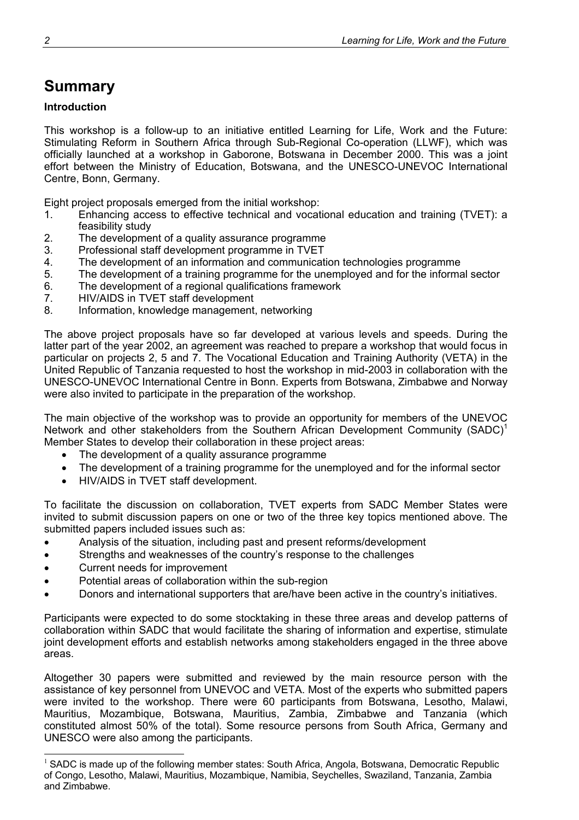# <span id="page-7-0"></span>**Summary**

### **Introduction**

This workshop is a follow-up to an initiative entitled Learning for Life, Work and the Future: Stimulating Reform in Southern Africa through Sub-Regional Co-operation (LLWF), which was officially launched at a workshop in Gaborone, Botswana in December 2000. This was a joint effort between the Ministry of Education, Botswana, and the UNESCO-UNEVOC International Centre, Bonn, Germany.

Eight project proposals emerged from the initial workshop:

- 1. Enhancing access to effective technical and vocational education and training (TVET): a feasibility study
- 2. The development of a quality assurance programme
- 3. Professional staff development programme in TVET
- 4. The development of an information and communication technologies programme
- 5. The development of a training programme for the unemployed and for the informal sector
- 6. The development of a regional qualifications framework
- 7. HIV/AIDS in TVET staff development
- 8. Information, knowledge management, networking

The above project proposals have so far developed at various levels and speeds. During the latter part of the year 2002, an agreement was reached to prepare a workshop that would focus in particular on projects 2, 5 and 7. The Vocational Education and Training Authority (VETA) in the United Republic of Tanzania requested to host the workshop in mid-2003 in collaboration with the UNESCO-UNEVOC International Centre in Bonn. Experts from Botswana, Zimbabwe and Norway were also invited to participate in the preparation of the workshop.

The main objective of the workshop was to provide an opportunity for members of the UNEVOC Network and other stakeholders from the Southern African Development Community (SADC)<sup>1</sup> Member States to develop their collaboration in these project areas:

- The development of a quality assurance programme
- The development of a training programme for the unemployed and for the informal sector
- HIV/AIDS in TVET staff development.

To facilitate the discussion on collaboration, TVET experts from SADC Member States were invited to submit discussion papers on one or two of the three key topics mentioned above. The submitted papers included issues such as:

- Analysis of the situation, including past and present reforms/development
- Strengths and weaknesses of the country's response to the challenges
- Current needs for improvement

1

- Potential areas of collaboration within the sub-region
- Donors and international supporters that are/have been active in the country's initiatives.

Participants were expected to do some stocktaking in these three areas and develop patterns of collaboration within SADC that would facilitate the sharing of information and expertise, stimulate joint development efforts and establish networks among stakeholders engaged in the three above areas.

Altogether 30 papers were submitted and reviewed by the main resource person with the assistance of key personnel from UNEVOC and VETA. Most of the experts who submitted papers were invited to the workshop. There were 60 participants from Botswana, Lesotho, Malawi, Mauritius, Mozambique, Botswana, Mauritius, Zambia, Zimbabwe and Tanzania (which constituted almost 50% of the total). Some resource persons from South Africa, Germany and UNESCO were also among the participants.

 $<sup>1</sup>$  SADC is made up of the following member states: South Africa, Angola, Botswana, Democratic Republic</sup> of Congo, Lesotho, Malawi, Mauritius, Mozambique, Namibia, Seychelles, Swaziland, Tanzania, Zambia and Zimbabwe.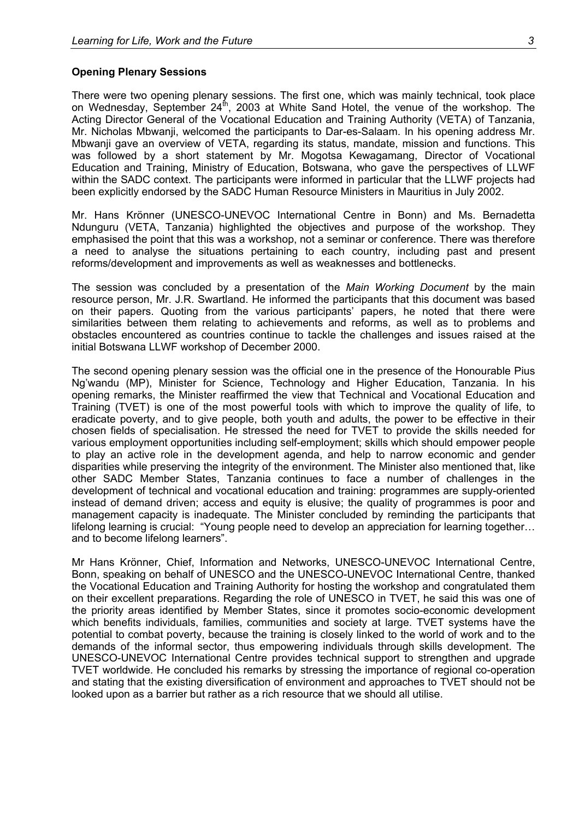#### **Opening Plenary Sessions**

There were two opening plenary sessions. The first one, which was mainly technical, took place on Wednesday, September 24<sup>th</sup>, 2003 at White Sand Hotel, the venue of the workshop. The Acting Director General of the Vocational Education and Training Authority (VETA) of Tanzania, Mr. Nicholas Mbwanji, welcomed the participants to Dar-es-Salaam. In his opening address Mr. Mbwanji gave an overview of VETA, regarding its status, mandate, mission and functions. This was followed by a short statement by Mr. Mogotsa Kewagamang, Director of Vocational Education and Training, Ministry of Education, Botswana, who gave the perspectives of LLWF within the SADC context. The participants were informed in particular that the LLWF projects had been explicitly endorsed by the SADC Human Resource Ministers in Mauritius in July 2002.

Mr. Hans Krönner (UNESCO-UNEVOC International Centre in Bonn) and Ms. Bernadetta Ndunguru (VETA, Tanzania) highlighted the objectives and purpose of the workshop. They emphasised the point that this was a workshop, not a seminar or conference. There was therefore a need to analyse the situations pertaining to each country, including past and present reforms/development and improvements as well as weaknesses and bottlenecks.

The session was concluded by a presentation of the *Main Working Document* by the main resource person, Mr. J.R. Swartland. He informed the participants that this document was based on their papers. Quoting from the various participants' papers, he noted that there were similarities between them relating to achievements and reforms, as well as to problems and obstacles encountered as countries continue to tackle the challenges and issues raised at the initial Botswana LLWF workshop of December 2000.

The second opening plenary session was the official one in the presence of the Honourable Pius Ng'wandu (MP), Minister for Science, Technology and Higher Education, Tanzania. In his opening remarks, the Minister reaffirmed the view that Technical and Vocational Education and Training (TVET) is one of the most powerful tools with which to improve the quality of life, to eradicate poverty, and to give people, both youth and adults, the power to be effective in their chosen fields of specialisation. He stressed the need for TVET to provide the skills needed for various employment opportunities including self-employment; skills which should empower people to play an active role in the development agenda, and help to narrow economic and gender disparities while preserving the integrity of the environment. The Minister also mentioned that, like other SADC Member States, Tanzania continues to face a number of challenges in the development of technical and vocational education and training: programmes are supply-oriented instead of demand driven; access and equity is elusive; the quality of programmes is poor and management capacity is inadequate. The Minister concluded by reminding the participants that lifelong learning is crucial: "Young people need to develop an appreciation for learning together… and to become lifelong learners".

Mr Hans Krönner, Chief, Information and Networks, UNESCO-UNEVOC International Centre, Bonn, speaking on behalf of UNESCO and the UNESCO-UNEVOC International Centre, thanked the Vocational Education and Training Authority for hosting the workshop and congratulated them on their excellent preparations. Regarding the role of UNESCO in TVET, he said this was one of the priority areas identified by Member States, since it promotes socio-economic development which benefits individuals, families, communities and society at large. TVET systems have the potential to combat poverty, because the training is closely linked to the world of work and to the demands of the informal sector, thus empowering individuals through skills development. The UNESCO-UNEVOC International Centre provides technical support to strengthen and upgrade TVET worldwide. He concluded his remarks by stressing the importance of regional co-operation and stating that the existing diversification of environment and approaches to TVET should not be looked upon as a barrier but rather as a rich resource that we should all utilise.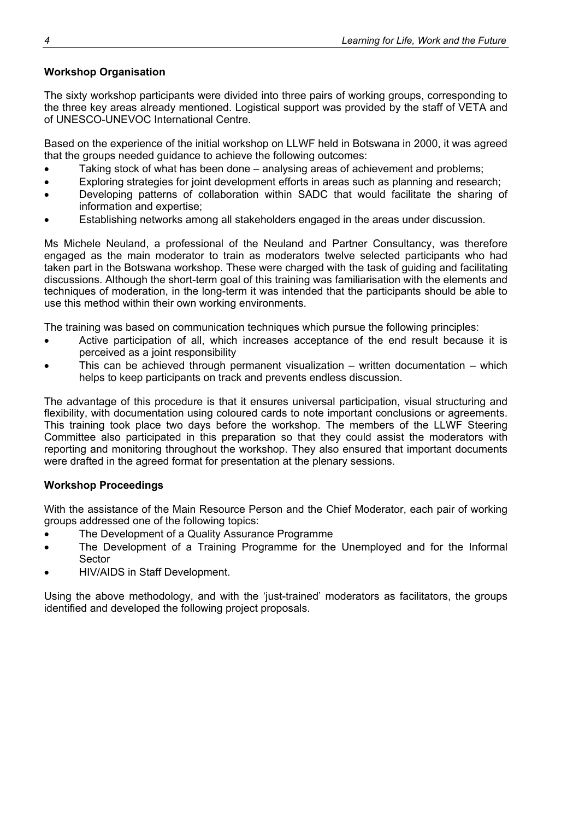### **Workshop Organisation**

The sixty workshop participants were divided into three pairs of working groups, corresponding to the three key areas already mentioned. Logistical support was provided by the staff of VETA and of UNESCO-UNEVOC International Centre.

Based on the experience of the initial workshop on LLWF held in Botswana in 2000, it was agreed that the groups needed guidance to achieve the following outcomes:

- Taking stock of what has been done analysing areas of achievement and problems;
- Exploring strategies for joint development efforts in areas such as planning and research;
- Developing patterns of collaboration within SADC that would facilitate the sharing of information and expertise;
- Establishing networks among all stakeholders engaged in the areas under discussion.

Ms Michele Neuland, a professional of the Neuland and Partner Consultancy, was therefore engaged as the main moderator to train as moderators twelve selected participants who had taken part in the Botswana workshop. These were charged with the task of guiding and facilitating discussions. Although the short-term goal of this training was familiarisation with the elements and techniques of moderation, in the long-term it was intended that the participants should be able to use this method within their own working environments.

The training was based on communication techniques which pursue the following principles:

- Active participation of all, which increases acceptance of the end result because it is perceived as a joint responsibility
- This can be achieved through permanent visualization written documentation which helps to keep participants on track and prevents endless discussion.

The advantage of this procedure is that it ensures universal participation, visual structuring and flexibility, with documentation using coloured cards to note important conclusions or agreements. This training took place two days before the workshop. The members of the LLWF Steering Committee also participated in this preparation so that they could assist the moderators with reporting and monitoring throughout the workshop. They also ensured that important documents were drafted in the agreed format for presentation at the plenary sessions.

### **Workshop Proceedings**

With the assistance of the Main Resource Person and the Chief Moderator, each pair of working groups addressed one of the following topics:

- The Development of a Quality Assurance Programme
- The Development of a Training Programme for the Unemployed and for the Informal Sector
- HIV/AIDS in Staff Development.

Using the above methodology, and with the 'just-trained' moderators as facilitators, the groups identified and developed the following project proposals.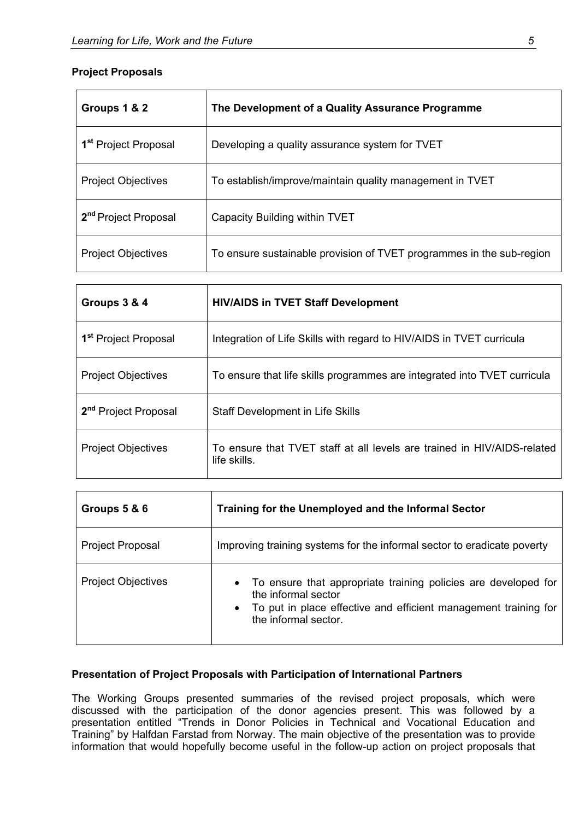### **Project Proposals**

| Groups 1 & 2                     | The Development of a Quality Assurance Programme                     |
|----------------------------------|----------------------------------------------------------------------|
| 1 <sup>st</sup> Project Proposal | Developing a quality assurance system for TVET                       |
| <b>Project Objectives</b>        | To establish/improve/maintain quality management in TVET             |
| 2 <sup>nd</sup> Project Proposal | Capacity Building within TVET                                        |
| <b>Project Objectives</b>        | To ensure sustainable provision of TVET programmes in the sub-region |

| Groups 3 & 4                     | <b>HIV/AIDS in TVET Staff Development</b>                                               |
|----------------------------------|-----------------------------------------------------------------------------------------|
| 1 <sup>st</sup> Project Proposal | Integration of Life Skills with regard to HIV/AIDS in TVET curricula                    |
| <b>Project Objectives</b>        | To ensure that life skills programmes are integrated into TVET curricula                |
| 2 <sup>nd</sup> Project Proposal | <b>Staff Development in Life Skills</b>                                                 |
| <b>Project Objectives</b>        | To ensure that TVET staff at all levels are trained in HIV/AIDS-related<br>life skills. |

| Groups 5 & 6              | Training for the Unemployed and the Informal Sector                                                                                                                                |  |  |  |
|---------------------------|------------------------------------------------------------------------------------------------------------------------------------------------------------------------------------|--|--|--|
| <b>Project Proposal</b>   | Improving training systems for the informal sector to eradicate poverty                                                                                                            |  |  |  |
| <b>Project Objectives</b> | • To ensure that appropriate training policies are developed for<br>the informal sector<br>To put in place effective and efficient management training for<br>the informal sector. |  |  |  |

### **Presentation of Project Proposals with Participation of International Partners**

The Working Groups presented summaries of the revised project proposals, which were discussed with the participation of the donor agencies present. This was followed by a presentation entitled "Trends in Donor Policies in Technical and Vocational Education and Training" by Halfdan Farstad from Norway. The main objective of the presentation was to provide information that would hopefully become useful in the follow-up action on project proposals that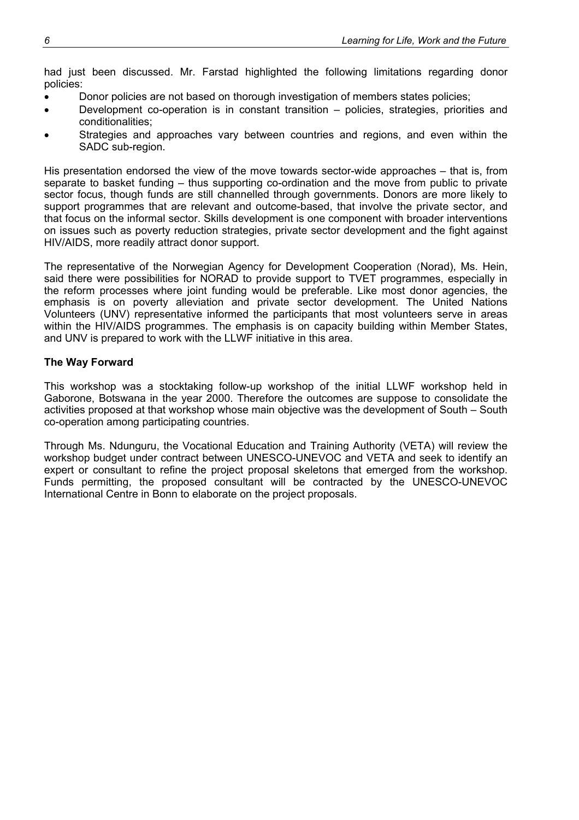had just been discussed. Mr. Farstad highlighted the following limitations regarding donor policies:

- Donor policies are not based on thorough investigation of members states policies;
- Development co-operation is in constant transition policies, strategies, priorities and conditionalities;
- Strategies and approaches vary between countries and regions, and even within the SADC sub-region.

His presentation endorsed the view of the move towards sector-wide approaches – that is, from separate to basket funding – thus supporting co-ordination and the move from public to private sector focus, though funds are still channelled through governments. Donors are more likely to support programmes that are relevant and outcome-based, that involve the private sector, and that focus on the informal sector. Skills development is one component with broader interventions on issues such as poverty reduction strategies, private sector development and the fight against HIV/AIDS, more readily attract donor support.

The representative of the Norwegian Agency for Development Cooperation (Norad), Ms. Hein, said there were possibilities for NORAD to provide support to TVET programmes, especially in the reform processes where joint funding would be preferable. Like most donor agencies, the emphasis is on poverty alleviation and private sector development. The United Nations Volunteers (UNV) representative informed the participants that most volunteers serve in areas within the HIV/AIDS programmes. The emphasis is on capacity building within Member States, and UNV is prepared to work with the LLWF initiative in this area.

### **The Way Forward**

This workshop was a stocktaking follow-up workshop of the initial LLWF workshop held in Gaborone, Botswana in the year 2000. Therefore the outcomes are suppose to consolidate the activities proposed at that workshop whose main objective was the development of South – South co-operation among participating countries.

Through Ms. Ndunguru, the Vocational Education and Training Authority (VETA) will review the workshop budget under contract between UNESCO-UNEVOC and VETA and seek to identify an expert or consultant to refine the project proposal skeletons that emerged from the workshop. Funds permitting, the proposed consultant will be contracted by the UNESCO-UNEVOC International Centre in Bonn to elaborate on the project proposals.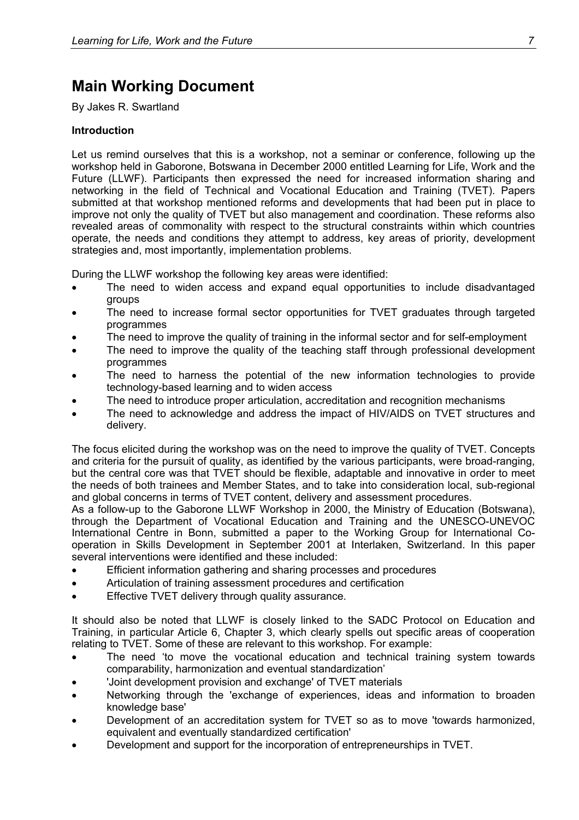# <span id="page-12-0"></span>**Main Working Document**

By Jakes R. Swartland

### **Introduction**

Let us remind ourselves that this is a workshop, not a seminar or conference, following up the workshop held in Gaborone, Botswana in December 2000 entitled Learning for Life, Work and the Future (LLWF). Participants then expressed the need for increased information sharing and networking in the field of Technical and Vocational Education and Training (TVET). Papers submitted at that workshop mentioned reforms and developments that had been put in place to improve not only the quality of TVET but also management and coordination. These reforms also revealed areas of commonality with respect to the structural constraints within which countries operate, the needs and conditions they attempt to address, key areas of priority, development strategies and, most importantly, implementation problems.

During the LLWF workshop the following key areas were identified:

- The need to widen access and expand equal opportunities to include disadvantaged groups
- The need to increase formal sector opportunities for TVET graduates through targeted programmes
- The need to improve the quality of training in the informal sector and for self-employment
- The need to improve the quality of the teaching staff through professional development programmes
- The need to harness the potential of the new information technologies to provide technology-based learning and to widen access
- The need to introduce proper articulation, accreditation and recognition mechanisms
- The need to acknowledge and address the impact of HIV/AIDS on TVET structures and delivery.

The focus elicited during the workshop was on the need to improve the quality of TVET. Concepts and criteria for the pursuit of quality, as identified by the various participants, were broad-ranging, but the central core was that TVET should be flexible, adaptable and innovative in order to meet the needs of both trainees and Member States, and to take into consideration local, sub-regional and global concerns in terms of TVET content, delivery and assessment procedures.

As a follow-up to the Gaborone LLWF Workshop in 2000, the Ministry of Education (Botswana), through the Department of Vocational Education and Training and the UNESCO-UNEVOC International Centre in Bonn, submitted a paper to the Working Group for International Cooperation in Skills Development in September 2001 at Interlaken, Switzerland. In this paper several interventions were identified and these included:

- Efficient information gathering and sharing processes and procedures
- Articulation of training assessment procedures and certification
- Effective TVET delivery through quality assurance.

It should also be noted that LLWF is closely linked to the SADC Protocol on Education and Training, in particular Article 6, Chapter 3, which clearly spells out specific areas of cooperation relating to TVET. Some of these are relevant to this workshop. For example:

- The need 'to move the vocational education and technical training system towards comparability, harmonization and eventual standardization'
- 'Joint development provision and exchange' of TVET materials
- Networking through the 'exchange of experiences, ideas and information to broaden knowledge base'
- Development of an accreditation system for TVET so as to move 'towards harmonized, equivalent and eventually standardized certification'
- Development and support for the incorporation of entrepreneurships in TVET.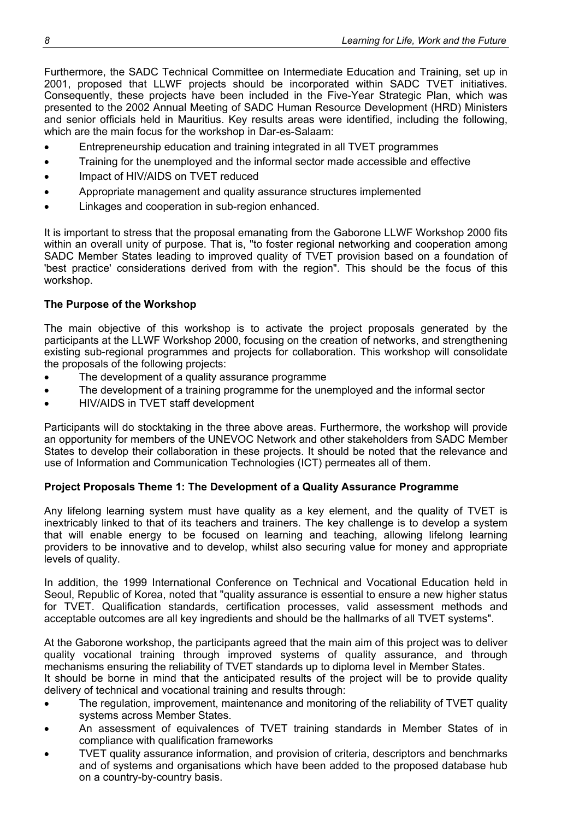Furthermore, the SADC Technical Committee on Intermediate Education and Training, set up in 2001, proposed that LLWF projects should be incorporated within SADC TVET initiatives. Consequently, these projects have been included in the Five-Year Strategic Plan, which was presented to the 2002 Annual Meeting of SADC Human Resource Development (HRD) Ministers and senior officials held in Mauritius. Key results areas were identified, including the following, which are the main focus for the workshop in Dar-es-Salaam:

- Entrepreneurship education and training integrated in all TVET programmes
- Training for the unemployed and the informal sector made accessible and effective
- Impact of HIV/AIDS on TVET reduced
- Appropriate management and quality assurance structures implemented
- Linkages and cooperation in sub-region enhanced.

It is important to stress that the proposal emanating from the Gaborone LLWF Workshop 2000 fits within an overall unity of purpose. That is, "to foster regional networking and cooperation among SADC Member States leading to improved quality of TVET provision based on a foundation of 'best practice' considerations derived from with the region". This should be the focus of this workshop.

### **The Purpose of the Workshop**

The main objective of this workshop is to activate the project proposals generated by the participants at the LLWF Workshop 2000, focusing on the creation of networks, and strengthening existing sub-regional programmes and projects for collaboration. This workshop will consolidate the proposals of the following projects:

- The development of a quality assurance programme
- The development of a training programme for the unemployed and the informal sector
- HIV/AIDS in TVET staff development

Participants will do stocktaking in the three above areas. Furthermore, the workshop will provide an opportunity for members of the UNEVOC Network and other stakeholders from SADC Member States to develop their collaboration in these projects. It should be noted that the relevance and use of Information and Communication Technologies (ICT) permeates all of them.

### **Project Proposals Theme 1: The Development of a Quality Assurance Programme**

Any lifelong learning system must have quality as a key element, and the quality of TVET is inextricably linked to that of its teachers and trainers. The key challenge is to develop a system that will enable energy to be focused on learning and teaching, allowing lifelong learning providers to be innovative and to develop, whilst also securing value for money and appropriate levels of quality.

In addition, the 1999 International Conference on Technical and Vocational Education held in Seoul, Republic of Korea, noted that "quality assurance is essential to ensure a new higher status for TVET. Qualification standards, certification processes, valid assessment methods and acceptable outcomes are all key ingredients and should be the hallmarks of all TVET systems".

At the Gaborone workshop, the participants agreed that the main aim of this project was to deliver quality vocational training through improved systems of quality assurance, and through mechanisms ensuring the reliability of TVET standards up to diploma level in Member States. It should be borne in mind that the anticipated results of the project will be to provide quality

delivery of technical and vocational training and results through:

- The regulation, improvement, maintenance and monitoring of the reliability of TVET quality systems across Member States.
- An assessment of equivalences of TVET training standards in Member States of in compliance with qualification frameworks
- TVET quality assurance information, and provision of criteria, descriptors and benchmarks and of systems and organisations which have been added to the proposed database hub on a country-by-country basis.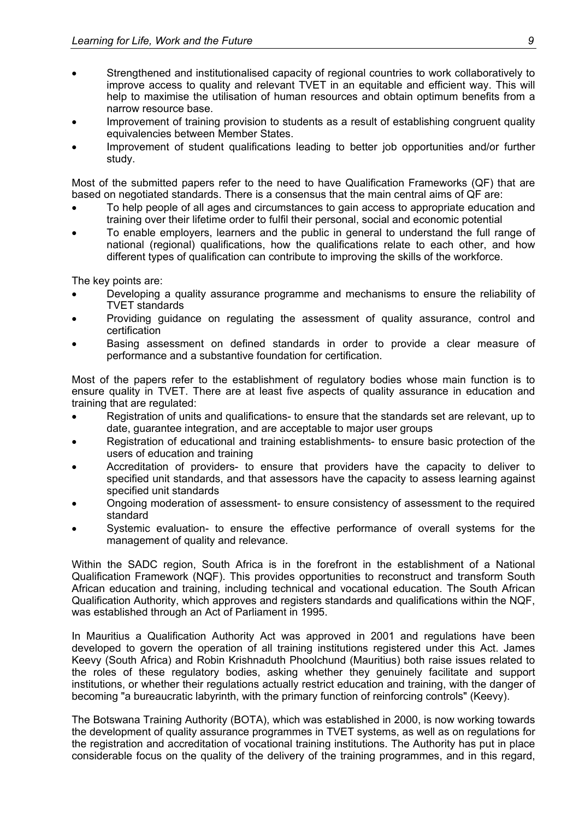- Strengthened and institutionalised capacity of regional countries to work collaboratively to improve access to quality and relevant TVET in an equitable and efficient way. This will help to maximise the utilisation of human resources and obtain optimum benefits from a narrow resource base.
- Improvement of training provision to students as a result of establishing congruent quality equivalencies between Member States.
- Improvement of student qualifications leading to better job opportunities and/or further study.

Most of the submitted papers refer to the need to have Qualification Frameworks (QF) that are based on negotiated standards. There is a consensus that the main central aims of QF are:

- To help people of all ages and circumstances to gain access to appropriate education and training over their lifetime order to fulfil their personal, social and economic potential
- To enable employers, learners and the public in general to understand the full range of national (regional) qualifications, how the qualifications relate to each other, and how different types of qualification can contribute to improving the skills of the workforce.

The key points are:

- Developing a quality assurance programme and mechanisms to ensure the reliability of TVET standards
- Providing guidance on regulating the assessment of quality assurance, control and certification
- Basing assessment on defined standards in order to provide a clear measure of performance and a substantive foundation for certification.

Most of the papers refer to the establishment of regulatory bodies whose main function is to ensure quality in TVET. There are at least five aspects of quality assurance in education and training that are regulated:

- Registration of units and qualifications- to ensure that the standards set are relevant, up to date, guarantee integration, and are acceptable to major user groups
- Registration of educational and training establishments- to ensure basic protection of the users of education and training
- Accreditation of providers- to ensure that providers have the capacity to deliver to specified unit standards, and that assessors have the capacity to assess learning against specified unit standards
- Ongoing moderation of assessment- to ensure consistency of assessment to the required standard
- Systemic evaluation- to ensure the effective performance of overall systems for the management of quality and relevance.

Within the SADC region, South Africa is in the forefront in the establishment of a National Qualification Framework (NQF). This provides opportunities to reconstruct and transform South African education and training, including technical and vocational education. The South African Qualification Authority, which approves and registers standards and qualifications within the NQF, was established through an Act of Parliament in 1995.

In Mauritius a Qualification Authority Act was approved in 2001 and regulations have been developed to govern the operation of all training institutions registered under this Act. James Keevy (South Africa) and Robin Krishnaduth Phoolchund (Mauritius) both raise issues related to the roles of these regulatory bodies, asking whether they genuinely facilitate and support institutions, or whether their regulations actually restrict education and training, with the danger of becoming "a bureaucratic labyrinth, with the primary function of reinforcing controls" (Keevy).

The Botswana Training Authority (BOTA), which was established in 2000, is now working towards the development of quality assurance programmes in TVET systems, as well as on regulations for the registration and accreditation of vocational training institutions. The Authority has put in place considerable focus on the quality of the delivery of the training programmes, and in this regard,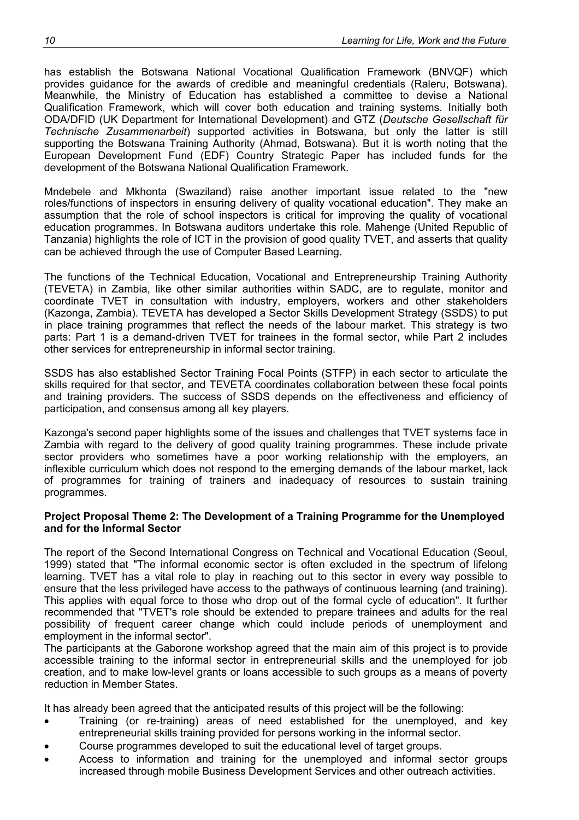has establish the Botswana National Vocational Qualification Framework (BNVQF) which provides guidance for the awards of credible and meaningful credentials (Raleru, Botswana). Meanwhile, the Ministry of Education has established a committee to devise a National Qualification Framework, which will cover both education and training systems. Initially both ODA/DFID (UK Department for International Development) and GTZ (*Deutsche Gesellschaft für Technische Zusammenarbeit*) supported activities in Botswana, but only the latter is still supporting the Botswana Training Authority (Ahmad, Botswana). But it is worth noting that the European Development Fund (EDF) Country Strategic Paper has included funds for the development of the Botswana National Qualification Framework.

Mndebele and Mkhonta (Swaziland) raise another important issue related to the "new roles/functions of inspectors in ensuring delivery of quality vocational education". They make an assumption that the role of school inspectors is critical for improving the quality of vocational education programmes. In Botswana auditors undertake this role. Mahenge (United Republic of Tanzania) highlights the role of ICT in the provision of good quality TVET, and asserts that quality can be achieved through the use of Computer Based Learning.

The functions of the Technical Education, Vocational and Entrepreneurship Training Authority (TEVETA) in Zambia, like other similar authorities within SADC, are to regulate, monitor and coordinate TVET in consultation with industry, employers, workers and other stakeholders (Kazonga, Zambia). TEVETA has developed a Sector Skills Development Strategy (SSDS) to put in place training programmes that reflect the needs of the labour market. This strategy is two parts: Part 1 is a demand-driven TVET for trainees in the formal sector, while Part 2 includes other services for entrepreneurship in informal sector training.

SSDS has also established Sector Training Focal Points (STFP) in each sector to articulate the skills required for that sector, and TEVETA coordinates collaboration between these focal points and training providers. The success of SSDS depends on the effectiveness and efficiency of participation, and consensus among all key players.

Kazonga's second paper highlights some of the issues and challenges that TVET systems face in Zambia with regard to the delivery of good quality training programmes. These include private sector providers who sometimes have a poor working relationship with the employers, an inflexible curriculum which does not respond to the emerging demands of the labour market, lack of programmes for training of trainers and inadequacy of resources to sustain training programmes.

#### **Project Proposal Theme 2: The Development of a Training Programme for the Unemployed and for the Informal Sector**

The report of the Second International Congress on Technical and Vocational Education (Seoul, 1999) stated that "The informal economic sector is often excluded in the spectrum of lifelong learning. TVET has a vital role to play in reaching out to this sector in every way possible to ensure that the less privileged have access to the pathways of continuous learning (and training). This applies with equal force to those who drop out of the formal cycle of education". It further recommended that "TVET's role should be extended to prepare trainees and adults for the real possibility of frequent career change which could include periods of unemployment and employment in the informal sector".

The participants at the Gaborone workshop agreed that the main aim of this project is to provide accessible training to the informal sector in entrepreneurial skills and the unemployed for job creation, and to make low-level grants or loans accessible to such groups as a means of poverty reduction in Member States.

It has already been agreed that the anticipated results of this project will be the following:

- Training (or re-training) areas of need established for the unemployed, and key entrepreneurial skills training provided for persons working in the informal sector.
- Course programmes developed to suit the educational level of target groups.
- Access to information and training for the unemployed and informal sector groups increased through mobile Business Development Services and other outreach activities.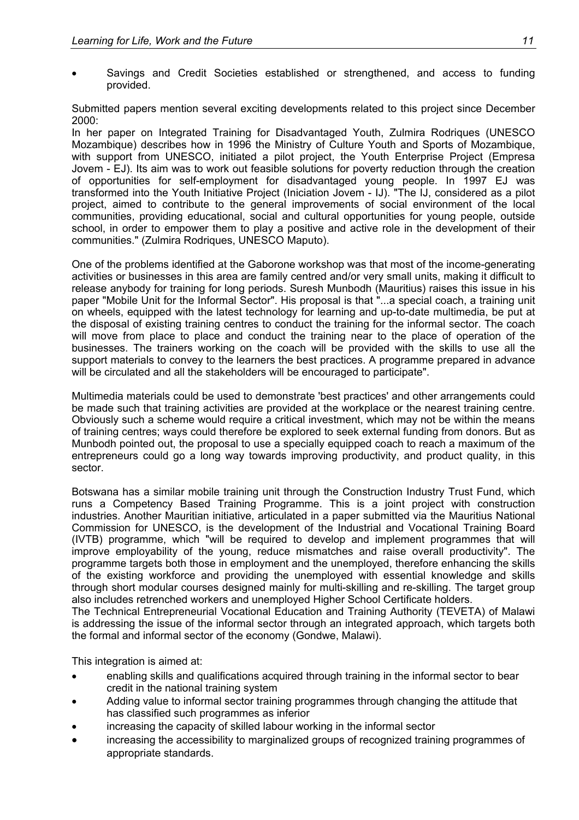• Savings and Credit Societies established or strengthened, and access to funding provided.

Submitted papers mention several exciting developments related to this project since December 2000:

In her paper on Integrated Training for Disadvantaged Youth, Zulmira Rodriques (UNESCO Mozambique) describes how in 1996 the Ministry of Culture Youth and Sports of Mozambique, with support from UNESCO, initiated a pilot project, the Youth Enterprise Project (Empresa Jovem - EJ). Its aim was to work out feasible solutions for poverty reduction through the creation of opportunities for self-employment for disadvantaged young people. In 1997 EJ was transformed into the Youth Initiative Project (Iniciation Jovem - IJ). "The IJ, considered as a pilot project, aimed to contribute to the general improvements of social environment of the local communities, providing educational, social and cultural opportunities for young people, outside school, in order to empower them to play a positive and active role in the development of their communities." (Zulmira Rodriques, UNESCO Maputo).

One of the problems identified at the Gaborone workshop was that most of the income-generating activities or businesses in this area are family centred and/or very small units, making it difficult to release anybody for training for long periods. Suresh Munbodh (Mauritius) raises this issue in his paper "Mobile Unit for the Informal Sector". His proposal is that "...a special coach, a training unit on wheels, equipped with the latest technology for learning and up-to-date multimedia, be put at the disposal of existing training centres to conduct the training for the informal sector. The coach will move from place to place and conduct the training near to the place of operation of the businesses. The trainers working on the coach will be provided with the skills to use all the support materials to convey to the learners the best practices. A programme prepared in advance will be circulated and all the stakeholders will be encouraged to participate".

Multimedia materials could be used to demonstrate 'best practices' and other arrangements could be made such that training activities are provided at the workplace or the nearest training centre. Obviously such a scheme would require a critical investment, which may not be within the means of training centres; ways could therefore be explored to seek external funding from donors. But as Munbodh pointed out, the proposal to use a specially equipped coach to reach a maximum of the entrepreneurs could go a long way towards improving productivity, and product quality, in this sector.

Botswana has a similar mobile training unit through the Construction Industry Trust Fund, which runs a Competency Based Training Programme. This is a joint project with construction industries. Another Mauritian initiative, articulated in a paper submitted via the Mauritius National Commission for UNESCO, is the development of the Industrial and Vocational Training Board (IVTB) programme, which "will be required to develop and implement programmes that will improve employability of the young, reduce mismatches and raise overall productivity". The programme targets both those in employment and the unemployed, therefore enhancing the skills of the existing workforce and providing the unemployed with essential knowledge and skills through short modular courses designed mainly for multi-skilling and re-skilling. The target group also includes retrenched workers and unemployed Higher School Certificate holders.

The Technical Entrepreneurial Vocational Education and Training Authority (TEVETA) of Malawi is addressing the issue of the informal sector through an integrated approach, which targets both the formal and informal sector of the economy (Gondwe, Malawi).

This integration is aimed at:

- enabling skills and qualifications acquired through training in the informal sector to bear credit in the national training system
- Adding value to informal sector training programmes through changing the attitude that has classified such programmes as inferior
- increasing the capacity of skilled labour working in the informal sector
- increasing the accessibility to marginalized groups of recognized training programmes of appropriate standards.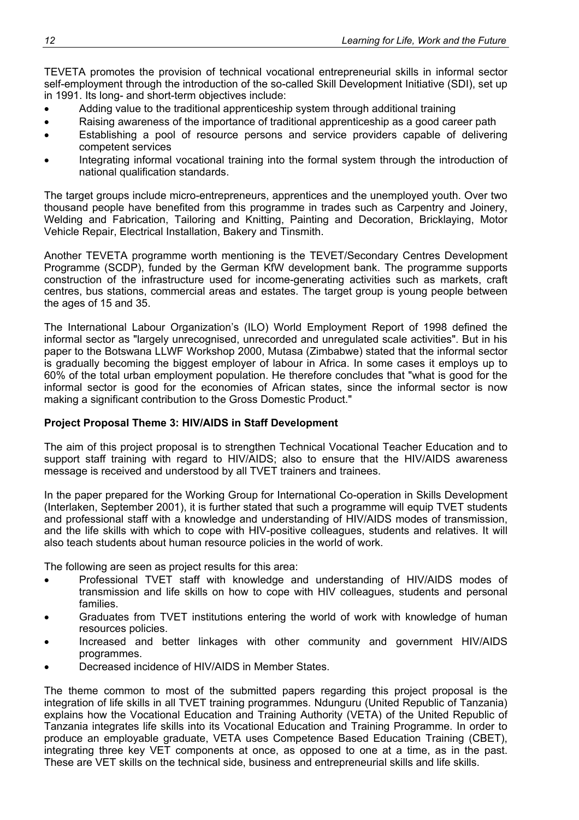TEVETA promotes the provision of technical vocational entrepreneurial skills in informal sector self-employment through the introduction of the so-called Skill Development Initiative (SDI), set up in 1991. Its long- and short-term objectives include:

- Adding value to the traditional apprenticeship system through additional training
- Raising awareness of the importance of traditional apprenticeship as a good career path
- Establishing a pool of resource persons and service providers capable of delivering competent services
- Integrating informal vocational training into the formal system through the introduction of national qualification standards.

The target groups include micro-entrepreneurs, apprentices and the unemployed youth. Over two thousand people have benefited from this programme in trades such as Carpentry and Joinery, Welding and Fabrication, Tailoring and Knitting, Painting and Decoration, Bricklaying, Motor Vehicle Repair, Electrical Installation, Bakery and Tinsmith.

Another TEVETA programme worth mentioning is the TEVET/Secondary Centres Development Programme (SCDP), funded by the German KfW development bank. The programme supports construction of the infrastructure used for income-generating activities such as markets, craft centres, bus stations, commercial areas and estates. The target group is young people between the ages of 15 and 35.

The International Labour Organization's (ILO) World Employment Report of 1998 defined the informal sector as "largely unrecognised, unrecorded and unregulated scale activities". But in his paper to the Botswana LLWF Workshop 2000, Mutasa (Zimbabwe) stated that the informal sector is gradually becoming the biggest employer of labour in Africa. In some cases it employs up to 60% of the total urban employment population. He therefore concludes that "what is good for the informal sector is good for the economies of African states, since the informal sector is now making a significant contribution to the Gross Domestic Product."

### **Project Proposal Theme 3: HIV/AIDS in Staff Development**

The aim of this project proposal is to strengthen Technical Vocational Teacher Education and to support staff training with regard to HIV/AIDS; also to ensure that the HIV/AIDS awareness message is received and understood by all TVET trainers and trainees.

In the paper prepared for the Working Group for International Co-operation in Skills Development (Interlaken, September 2001), it is further stated that such a programme will equip TVET students and professional staff with a knowledge and understanding of HIV/AIDS modes of transmission, and the life skills with which to cope with HIV-positive colleagues, students and relatives. It will also teach students about human resource policies in the world of work.

The following are seen as project results for this area:

- Professional TVET staff with knowledge and understanding of HIV/AIDS modes of transmission and life skills on how to cope with HIV colleagues, students and personal families.
- Graduates from TVET institutions entering the world of work with knowledge of human resources policies.
- Increased and better linkages with other community and government HIV/AIDS programmes.
- Decreased incidence of HIV/AIDS in Member States.

The theme common to most of the submitted papers regarding this project proposal is the integration of life skills in all TVET training programmes. Ndunguru (United Republic of Tanzania) explains how the Vocational Education and Training Authority (VETA) of the United Republic of Tanzania integrates life skills into its Vocational Education and Training Programme. In order to produce an employable graduate, VETA uses Competence Based Education Training (CBET), integrating three key VET components at once, as opposed to one at a time, as in the past. These are VET skills on the technical side, business and entrepreneurial skills and life skills.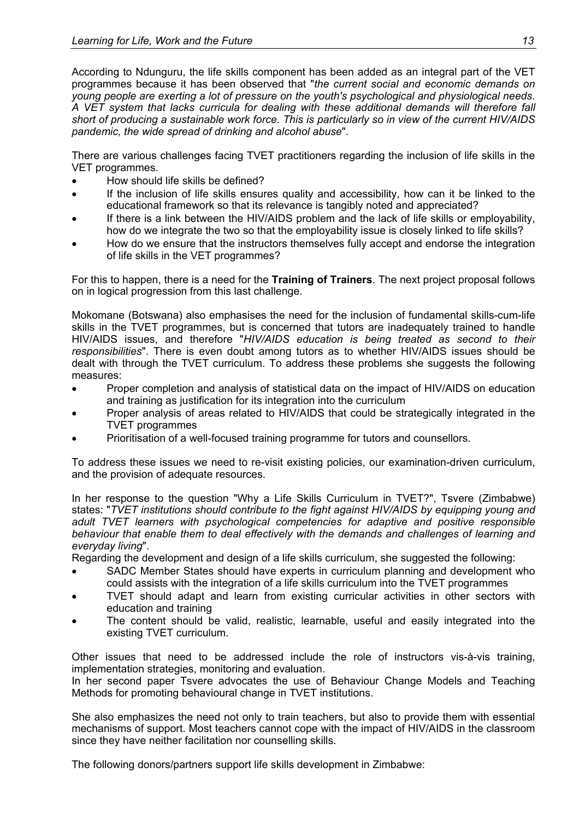According to Ndunguru, the life skills component has been added as an integral part of the VET programmes because it has been observed that "*the current social and economic demands on young people are exerting a lot of pressure on the youth's psychological and physiological needs. A VET system that lacks curricula for dealing with these additional demands will therefore fall short of producing a sustainable work force. This is particularly so in view of the current HIV/AIDS pandemic, the wide spread of drinking and alcohol abuse*".

There are various challenges facing TVET practitioners regarding the inclusion of life skills in the VET programmes.

- How should life skills be defined?
- If the inclusion of life skills ensures quality and accessibility, how can it be linked to the educational framework so that its relevance is tangibly noted and appreciated?
- If there is a link between the HIV/AIDS problem and the lack of life skills or employability, how do we integrate the two so that the employability issue is closely linked to life skills?
- How do we ensure that the instructors themselves fully accept and endorse the integration of life skills in the VET programmes?

For this to happen, there is a need for the **Training of Trainers**. The next project proposal follows on in logical progression from this last challenge.

Mokomane (Botswana) also emphasises the need for the inclusion of fundamental skills-cum-life skills in the TVET programmes, but is concerned that tutors are inadequately trained to handle HIV/AIDS issues, and therefore "*HIV/AIDS education is being treated as second to their responsibilities*". There is even doubt among tutors as to whether HIV/AIDS issues should be dealt with through the TVET curriculum. To address these problems she suggests the following measures:

- Proper completion and analysis of statistical data on the impact of HIV/AIDS on education and training as justification for its integration into the curriculum
- Proper analysis of areas related to HIV/AIDS that could be strategically integrated in the TVET programmes
- Prioritisation of a well-focused training programme for tutors and counsellors.

To address these issues we need to re-visit existing policies, our examination-driven curriculum, and the provision of adequate resources.

In her response to the question "Why a Life Skills Curriculum in TVET?", Tsvere (Zimbabwe) states: "*TVET institutions should contribute to the fight against HIV/AIDS by equipping young and adult TVET learners with psychological competencies for adaptive and positive responsible behaviour that enable them to deal effectively with the demands and challenges of learning and everyday living*".

Regarding the development and design of a life skills curriculum, she suggested the following:

- SADC Member States should have experts in curriculum planning and development who could assists with the integration of a life skills curriculum into the TVET programmes
- TVET should adapt and learn from existing curricular activities in other sectors with education and training
- The content should be valid, realistic, learnable, useful and easily integrated into the existing TVET curriculum.

Other issues that need to be addressed include the role of instructors vis-à-vis training, implementation strategies, monitoring and evaluation.

In her second paper Tsvere advocates the use of Behaviour Change Models and Teaching Methods for promoting behavioural change in TVET institutions.

She also emphasizes the need not only to train teachers, but also to provide them with essential mechanisms of support. Most teachers cannot cope with the impact of HIV/AIDS in the classroom since they have neither facilitation nor counselling skills.

The following donors/partners support life skills development in Zimbabwe: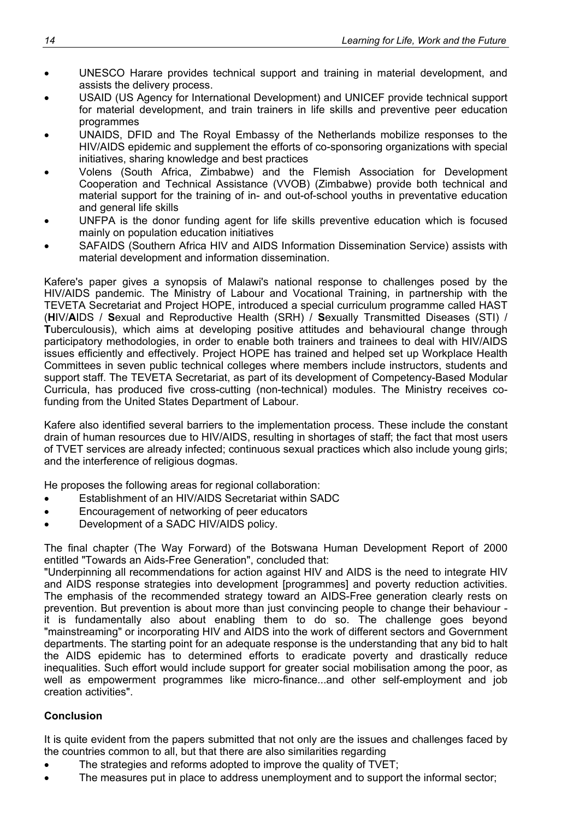- UNESCO Harare provides technical support and training in material development, and assists the delivery process.
- USAID (US Agency for International Development) and UNICEF provide technical support for material development, and train trainers in life skills and preventive peer education programmes
- UNAIDS, DFID and The Royal Embassy of the Netherlands mobilize responses to the HIV/AIDS epidemic and supplement the efforts of co-sponsoring organizations with special initiatives, sharing knowledge and best practices
- Volens (South Africa, Zimbabwe) and the Flemish Association for Development Cooperation and Technical Assistance (VVOB) (Zimbabwe) provide both technical and material support for the training of in- and out-of-school youths in preventative education and general life skills
- UNFPA is the donor funding agent for life skills preventive education which is focused mainly on population education initiatives
- SAFAIDS (Southern Africa HIV and AIDS Information Dissemination Service) assists with material development and information dissemination.

Kafere's paper gives a synopsis of Malawi's national response to challenges posed by the HIV/AIDS pandemic. The Ministry of Labour and Vocational Training, in partnership with the TEVETA Secretariat and Project HOPE, introduced a special curriculum programme called HAST (**H**IV/**A**IDS / **S**exual and Reproductive Health (SRH) / **S**exually Transmitted Diseases (STI) / **T**uberculousis), which aims at developing positive attitudes and behavioural change through participatory methodologies, in order to enable both trainers and trainees to deal with HIV/AIDS issues efficiently and effectively. Project HOPE has trained and helped set up Workplace Health Committees in seven public technical colleges where members include instructors, students and support staff. The TEVETA Secretariat, as part of its development of Competency-Based Modular Curricula, has produced five cross-cutting (non-technical) modules. The Ministry receives cofunding from the United States Department of Labour.

Kafere also identified several barriers to the implementation process. These include the constant drain of human resources due to HIV/AIDS, resulting in shortages of staff; the fact that most users of TVET services are already infected; continuous sexual practices which also include young girls; and the interference of religious dogmas.

He proposes the following areas for regional collaboration:

- Establishment of an HIV/AIDS Secretariat within SADC
- Encouragement of networking of peer educators
- Development of a SADC HIV/AIDS policy.

The final chapter (The Way Forward) of the Botswana Human Development Report of 2000 entitled "Towards an Aids-Free Generation", concluded that:

"Underpinning all recommendations for action against HIV and AIDS is the need to integrate HIV and AIDS response strategies into development [programmes] and poverty reduction activities. The emphasis of the recommended strategy toward an AIDS-Free generation clearly rests on prevention. But prevention is about more than just convincing people to change their behaviour it is fundamentally also about enabling them to do so. The challenge goes beyond "mainstreaming" or incorporating HIV and AIDS into the work of different sectors and Government departments. The starting point for an adequate response is the understanding that any bid to halt the AIDS epidemic has to determined efforts to eradicate poverty and drastically reduce inequalities. Such effort would include support for greater social mobilisation among the poor, as well as empowerment programmes like micro-finance...and other self-employment and job creation activities".

### **Conclusion**

It is quite evident from the papers submitted that not only are the issues and challenges faced by the countries common to all, but that there are also similarities regarding

- The strategies and reforms adopted to improve the quality of TVET:
- The measures put in place to address unemployment and to support the informal sector;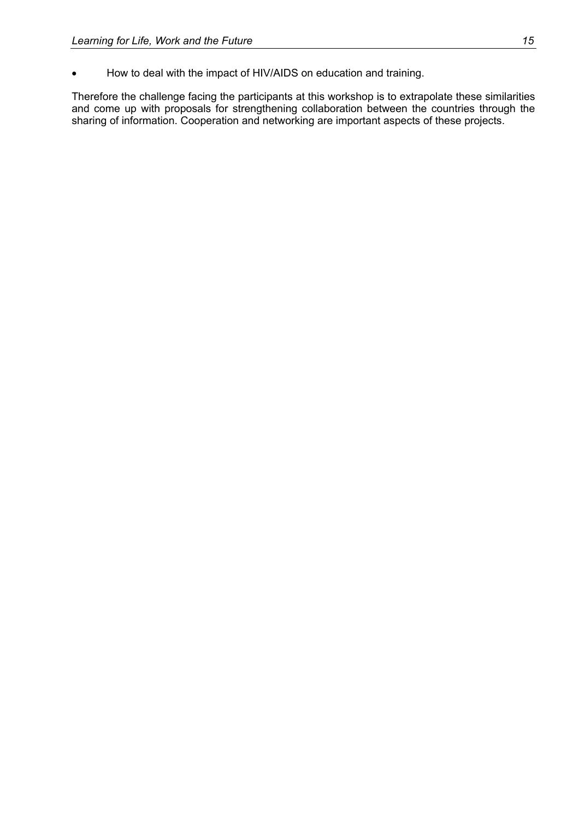• How to deal with the impact of HIV/AIDS on education and training.

Therefore the challenge facing the participants at this workshop is to extrapolate these similarities and come up with proposals for strengthening collaboration between the countries through the sharing of information. Cooperation and networking are important aspects of these projects.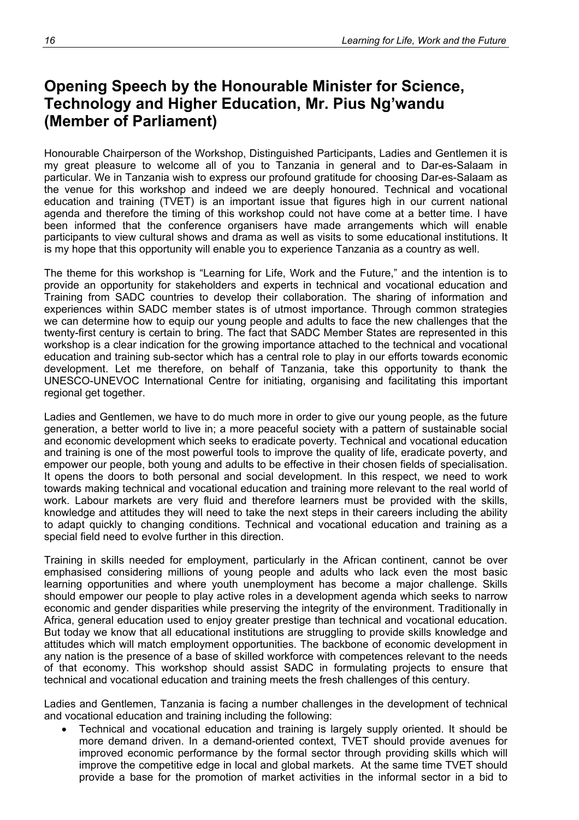## <span id="page-21-0"></span>**Opening Speech by the Honourable Minister for Science, Technology and Higher Education, Mr. Pius Ng'wandu (Member of Parliament)**

Honourable Chairperson of the Workshop, Distinguished Participants, Ladies and Gentlemen it is my great pleasure to welcome all of you to Tanzania in general and to Dar-es-Salaam in particular. We in Tanzania wish to express our profound gratitude for choosing Dar-es-Salaam as the venue for this workshop and indeed we are deeply honoured. Technical and vocational education and training (TVET) is an important issue that figures high in our current national agenda and therefore the timing of this workshop could not have come at a better time. I have been informed that the conference organisers have made arrangements which will enable participants to view cultural shows and drama as well as visits to some educational institutions. It is my hope that this opportunity will enable you to experience Tanzania as a country as well.

The theme for this workshop is "Learning for Life, Work and the Future," and the intention is to provide an opportunity for stakeholders and experts in technical and vocational education and Training from SADC countries to develop their collaboration. The sharing of information and experiences within SADC member states is of utmost importance. Through common strategies we can determine how to equip our young people and adults to face the new challenges that the twenty-first century is certain to bring. The fact that SADC Member States are represented in this workshop is a clear indication for the growing importance attached to the technical and vocational education and training sub-sector which has a central role to play in our efforts towards economic development. Let me therefore, on behalf of Tanzania, take this opportunity to thank the UNESCO-UNEVOC International Centre for initiating, organising and facilitating this important regional get together.

Ladies and Gentlemen, we have to do much more in order to give our young people, as the future generation, a better world to live in; a more peaceful society with a pattern of sustainable social and economic development which seeks to eradicate poverty. Technical and vocational education and training is one of the most powerful tools to improve the quality of life, eradicate poverty, and empower our people, both young and adults to be effective in their chosen fields of specialisation. It opens the doors to both personal and social development. In this respect, we need to work towards making technical and vocational education and training more relevant to the real world of work. Labour markets are very fluid and therefore learners must be provided with the skills, knowledge and attitudes they will need to take the next steps in their careers including the ability to adapt quickly to changing conditions. Technical and vocational education and training as a special field need to evolve further in this direction.

Training in skills needed for employment, particularly in the African continent, cannot be over emphasised considering millions of young people and adults who lack even the most basic learning opportunities and where youth unemployment has become a major challenge. Skills should empower our people to play active roles in a development agenda which seeks to narrow economic and gender disparities while preserving the integrity of the environment. Traditionally in Africa, general education used to enjoy greater prestige than technical and vocational education. But today we know that all educational institutions are struggling to provide skills knowledge and attitudes which will match employment opportunities. The backbone of economic development in any nation is the presence of a base of skilled workforce with competences relevant to the needs of that economy. This workshop should assist SADC in formulating projects to ensure that technical and vocational education and training meets the fresh challenges of this century.

Ladies and Gentlemen, Tanzania is facing a number challenges in the development of technical and vocational education and training including the following:

• Technical and vocational education and training is largely supply oriented. It should be more demand driven. In a demand-oriented context, TVET should provide avenues for improved economic performance by the formal sector through providing skills which will improve the competitive edge in local and global markets. At the same time TVET should provide a base for the promotion of market activities in the informal sector in a bid to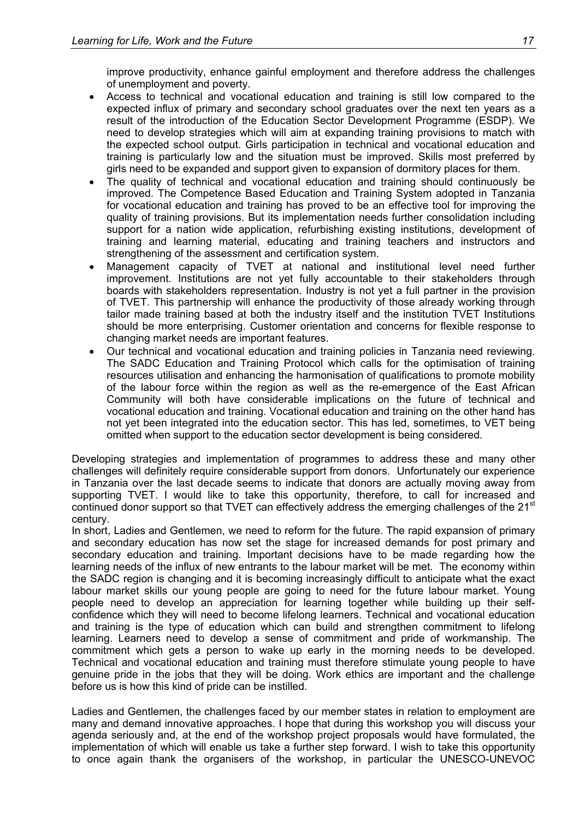improve productivity, enhance gainful employment and therefore address the challenges of unemployment and poverty.

- Access to technical and vocational education and training is still low compared to the expected influx of primary and secondary school graduates over the next ten years as a result of the introduction of the Education Sector Development Programme (ESDP). We need to develop strategies which will aim at expanding training provisions to match with the expected school output. Girls participation in technical and vocational education and training is particularly low and the situation must be improved. Skills most preferred by girls need to be expanded and support given to expansion of dormitory places for them.
- The quality of technical and vocational education and training should continuously be improved. The Competence Based Education and Training System adopted in Tanzania for vocational education and training has proved to be an effective tool for improving the quality of training provisions. But its implementation needs further consolidation including support for a nation wide application, refurbishing existing institutions, development of training and learning material, educating and training teachers and instructors and strengthening of the assessment and certification system.
- Management capacity of TVET at national and institutional level need further improvement. Institutions are not yet fully accountable to their stakeholders through boards with stakeholders representation. Industry is not yet a full partner in the provision of TVET. This partnership will enhance the productivity of those already working through tailor made training based at both the industry itself and the institution TVET Institutions should be more enterprising. Customer orientation and concerns for flexible response to changing market needs are important features.
- Our technical and vocational education and training policies in Tanzania need reviewing. The SADC Education and Training Protocol which calls for the optimisation of training resources utilisation and enhancing the harmonisation of qualifications to promote mobility of the labour force within the region as well as the re-emergence of the East African Community will both have considerable implications on the future of technical and vocational education and training. Vocational education and training on the other hand has not yet been integrated into the education sector. This has led, sometimes, to VET being omitted when support to the education sector development is being considered.

Developing strategies and implementation of programmes to address these and many other challenges will definitely require considerable support from donors. Unfortunately our experience in Tanzania over the last decade seems to indicate that donors are actually moving away from supporting TVET. I would like to take this opportunity, therefore, to call for increased and continued donor support so that TVET can effectively address the emerging challenges of the 21<sup>st</sup> century.

In short, Ladies and Gentlemen, we need to reform for the future. The rapid expansion of primary and secondary education has now set the stage for increased demands for post primary and secondary education and training. Important decisions have to be made regarding how the learning needs of the influx of new entrants to the labour market will be met. The economy within the SADC region is changing and it is becoming increasingly difficult to anticipate what the exact labour market skills our young people are going to need for the future labour market. Young people need to develop an appreciation for learning together while building up their selfconfidence which they will need to become lifelong learners. Technical and vocational education and training is the type of education which can build and strengthen commitment to lifelong learning. Learners need to develop a sense of commitment and pride of workmanship. The commitment which gets a person to wake up early in the morning needs to be developed. Technical and vocational education and training must therefore stimulate young people to have genuine pride in the jobs that they will be doing. Work ethics are important and the challenge before us is how this kind of pride can be instilled.

Ladies and Gentlemen, the challenges faced by our member states in relation to employment are many and demand innovative approaches. I hope that during this workshop you will discuss your agenda seriously and, at the end of the workshop project proposals would have formulated, the implementation of which will enable us take a further step forward. I wish to take this opportunity to once again thank the organisers of the workshop, in particular the UNESCO-UNEVOC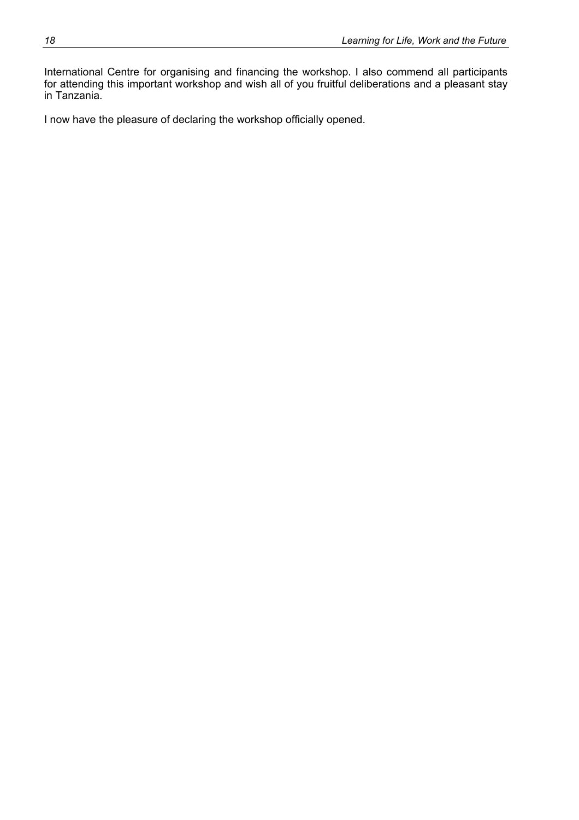International Centre for organising and financing the workshop. I also commend all participants for attending this important workshop and wish all of you fruitful deliberations and a pleasant stay in Tanzania.

I now have the pleasure of declaring the workshop officially opened.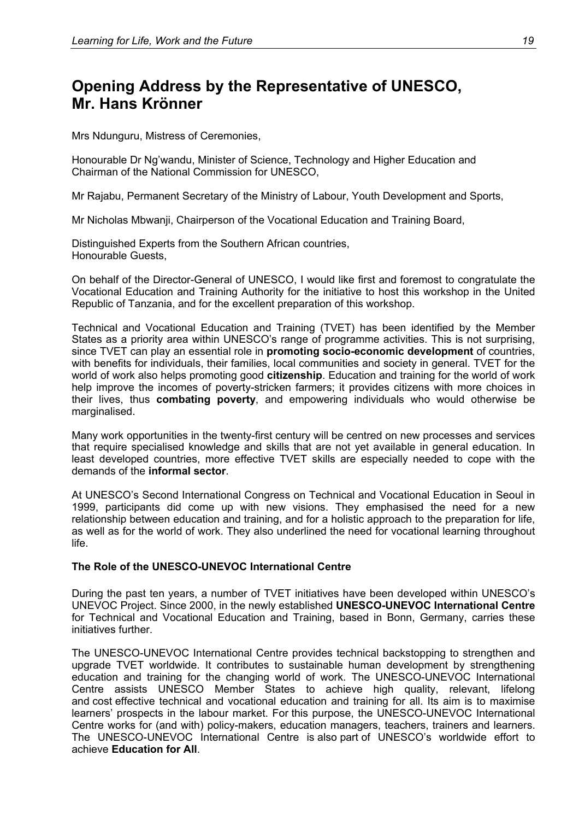### <span id="page-24-0"></span>**Opening Address by the Representative of UNESCO, Mr. Hans Krönner**

Mrs Ndunguru, Mistress of Ceremonies,

Honourable Dr Ng'wandu, Minister of Science, Technology and Higher Education and Chairman of the National Commission for UNESCO,

Mr Rajabu, Permanent Secretary of the Ministry of Labour, Youth Development and Sports,

Mr Nicholas Mbwanji, Chairperson of the Vocational Education and Training Board,

Distinguished Experts from the Southern African countries, Honourable Guests,

On behalf of the Director-General of UNESCO, I would like first and foremost to congratulate the Vocational Education and Training Authority for the initiative to host this workshop in the United Republic of Tanzania, and for the excellent preparation of this workshop.

Technical and Vocational Education and Training (TVET) has been identified by the Member States as a priority area within UNESCO's range of programme activities. This is not surprising, since TVET can play an essential role in **promoting socio-economic development** of countries, with benefits for individuals, their families, local communities and society in general. TVET for the world of work also helps promoting good **citizenship**. Education and training for the world of work help improve the incomes of poverty-stricken farmers; it provides citizens with more choices in their lives, thus **combating poverty**, and empowering individuals who would otherwise be marginalised.

Many work opportunities in the twenty-first century will be centred on new processes and services that require specialised knowledge and skills that are not yet available in general education. In least developed countries, more effective TVET skills are especially needed to cope with the demands of the **informal sector**.

At UNESCO's Second International Congress on Technical and Vocational Education in Seoul in 1999, participants did come up with new visions. They emphasised the need for a new relationship between education and training, and for a holistic approach to the preparation for life, as well as for the world of work. They also underlined the need for vocational learning throughout life.

### **The Role of the UNESCO-UNEVOC International Centre**

During the past ten years, a number of TVET initiatives have been developed within UNESCO's UNEVOC Project. Since 2000, in the newly established **UNESCO-UNEVOC International Centre** for Technical and Vocational Education and Training, based in Bonn, Germany, carries these initiatives further.

The UNESCO-UNEVOC International Centre provides technical backstopping to strengthen and upgrade TVET worldwide. It contributes to sustainable human development by strengthening education and training for the changing world of work. The UNESCO-UNEVOC International Centre assists UNESCO Member States to achieve high quality, relevant, lifelong and cost effective technical and vocational education and training for all. Its aim is to maximise learners' prospects in the labour market. For this purpose, the UNESCO-UNEVOC International Centre works for (and with) policy-makers, education managers, teachers, trainers and learners. The UNESCO-UNEVOC International Centre is also part of UNESCO's worldwide effort to achieve **Education for All**.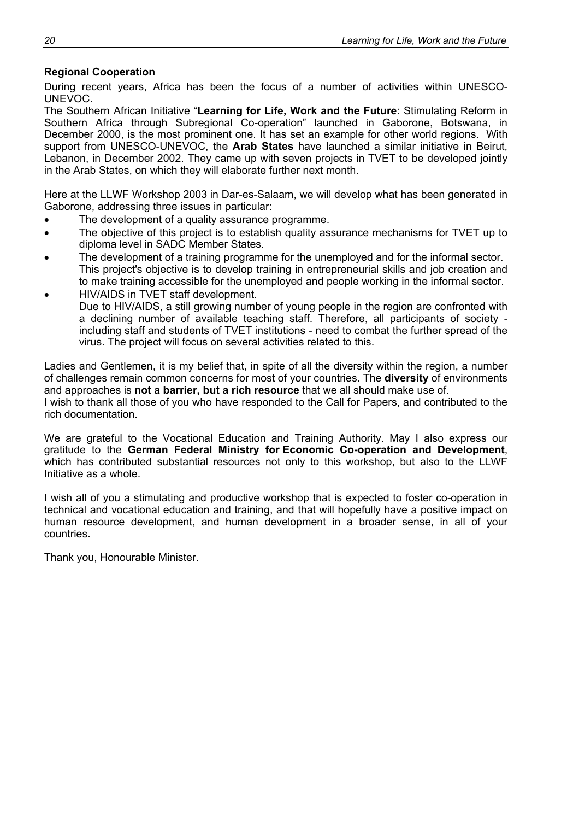### **Regional Cooperation**

During recent years, Africa has been the focus of a number of activities within UNESCO-UNEVOC.

The Southern African Initiative "**Learning for Life, Work and the Future**: Stimulating Reform in Southern Africa through Subregional Co-operation" launched in Gaborone, Botswana, in December 2000, is the most prominent one. It has set an example for other world regions. With support from UNESCO-UNEVOC, the **Arab States** have launched a similar initiative in Beirut, Lebanon, in December 2002. They came up with seven projects in TVET to be developed jointly in the Arab States, on which they will elaborate further next month.

Here at the LLWF Workshop 2003 in Dar-es-Salaam, we will develop what has been generated in Gaborone, addressing three issues in particular:

- The development of a quality assurance programme.
- The objective of this project is to establish quality assurance mechanisms for TVET up to diploma level in SADC Member States.
- The development of a training programme for the unemployed and for the informal sector. This project's objective is to develop training in entrepreneurial skills and job creation and to make training accessible for the unemployed and people working in the informal sector.
- HIV/AIDS in TVET staff development. Due to HIV/AIDS, a still growing number of young people in the region are confronted with a declining number of available teaching staff. Therefore, all participants of society including staff and students of TVET institutions - need to combat the further spread of the virus. The project will focus on several activities related to this.

Ladies and Gentlemen, it is my belief that, in spite of all the diversity within the region, a number of challenges remain common concerns for most of your countries. The **diversity** of environments and approaches is **not a barrier, but a rich resource** that we all should make use of. I wish to thank all those of you who have responded to the Call for Papers, and contributed to the rich documentation.

We are grateful to the Vocational Education and Training Authority. May I also express our gratitude to the **German Federal Ministry for Economic Co-operation and Development**, which has contributed substantial resources not only to this workshop, but also to the LLWF Initiative as a whole.

I wish all of you a stimulating and productive workshop that is expected to foster co-operation in technical and vocational education and training, and that will hopefully have a positive impact on human resource development, and human development in a broader sense, in all of your countries.

Thank you, Honourable Minister.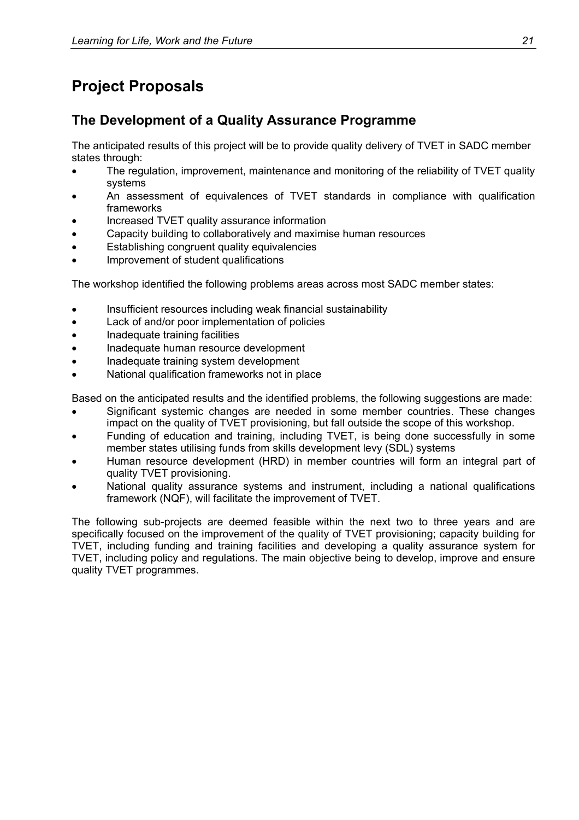# <span id="page-26-0"></span>**Project Proposals**

### <span id="page-26-1"></span>**The Development of a Quality Assurance Programme**

The anticipated results of this project will be to provide quality delivery of TVET in SADC member states through:

- The regulation, improvement, maintenance and monitoring of the reliability of TVET quality systems
- An assessment of equivalences of TVET standards in compliance with qualification frameworks
- Increased TVET quality assurance information
- Capacity building to collaboratively and maximise human resources
- Establishing congruent quality equivalencies
- Improvement of student qualifications

The workshop identified the following problems areas across most SADC member states:

- Insufficient resources including weak financial sustainability
- Lack of and/or poor implementation of policies
- Inadequate training facilities
- Inadequate human resource development
- Inadequate training system development
- National qualification frameworks not in place

Based on the anticipated results and the identified problems, the following suggestions are made:

- Significant systemic changes are needed in some member countries. These changes impact on the quality of TVET provisioning, but fall outside the scope of this workshop.
- Funding of education and training, including TVET, is being done successfully in some member states utilising funds from skills development levy (SDL) systems
- Human resource development (HRD) in member countries will form an integral part of quality TVET provisioning.
- National quality assurance systems and instrument, including a national qualifications framework (NQF), will facilitate the improvement of TVET.

The following sub-projects are deemed feasible within the next two to three years and are specifically focused on the improvement of the quality of TVET provisioning; capacity building for TVET, including funding and training facilities and developing a quality assurance system for TVET, including policy and regulations. The main objective being to develop, improve and ensure quality TVET programmes.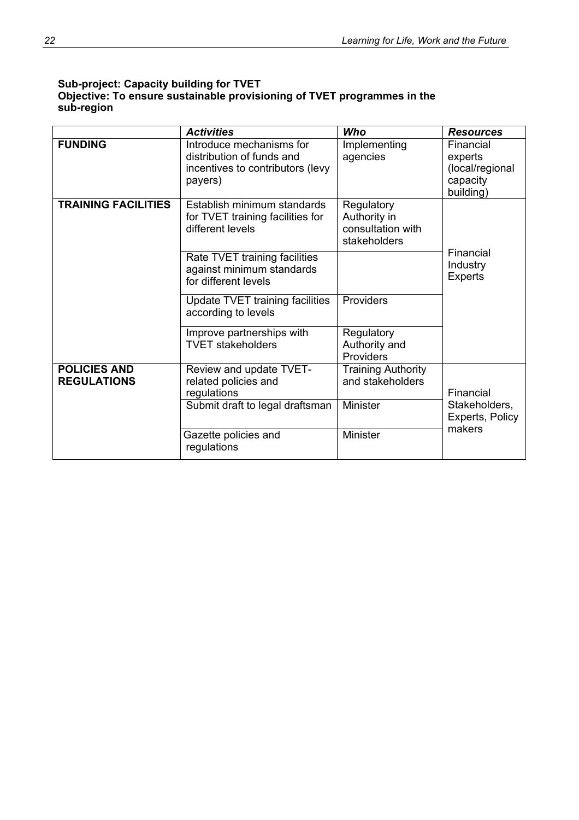### **Sub-project: Capacity building for TVET Objective: To ensure sustainable provisioning of TVET programmes in the sub-region**

|                                           | <b>Activities</b>                                                                                    | Who                                                             | <b>Resources</b>                                                 |
|-------------------------------------------|------------------------------------------------------------------------------------------------------|-----------------------------------------------------------------|------------------------------------------------------------------|
| <b>FUNDING</b>                            | Introduce mechanisms for<br>distribution of funds and<br>incentives to contributors (levy<br>payers) | Implementing<br>agencies                                        | Financial<br>experts<br>(local/regional<br>capacity<br>building) |
| <b>TRAINING FACILITIES</b>                | Establish minimum standards<br>for TVET training facilities for<br>different levels                  | Regulatory<br>Authority in<br>consultation with<br>stakeholders |                                                                  |
|                                           | Rate TVET training facilities<br>against minimum standards<br>for different levels                   |                                                                 | Financial<br>Industry<br><b>Experts</b>                          |
|                                           | Update TVET training facilities<br>according to levels                                               | Providers                                                       |                                                                  |
|                                           | Improve partnerships with<br><b>TVET stakeholders</b>                                                | Regulatory<br>Authority and<br>Providers                        |                                                                  |
| <b>POLICIES AND</b><br><b>REGULATIONS</b> | Review and update TVET-<br>related policies and<br>regulations                                       | <b>Training Authority</b><br>and stakeholders                   | Financial                                                        |
|                                           | Submit draft to legal draftsman                                                                      | Minister                                                        | Stakeholders,<br>Experts, Policy<br>makers                       |
|                                           | Gazette policies and<br>regulations                                                                  | Minister                                                        |                                                                  |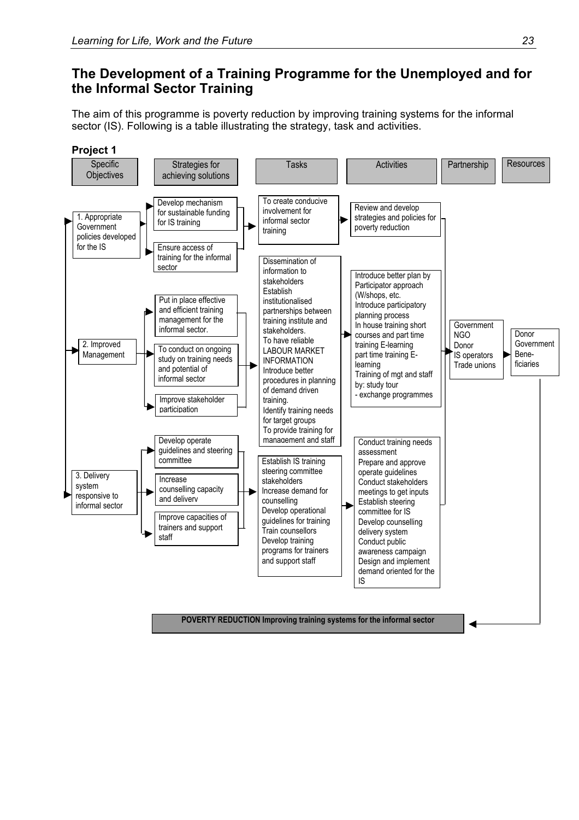### <span id="page-28-0"></span>**The Development of a Training Programme for the Unemployed and for the Informal Sector Training**

The aim of this programme is poverty reduction by improving training systems for the informal sector (IS). Following is a table illustrating the strategy, task and activities.

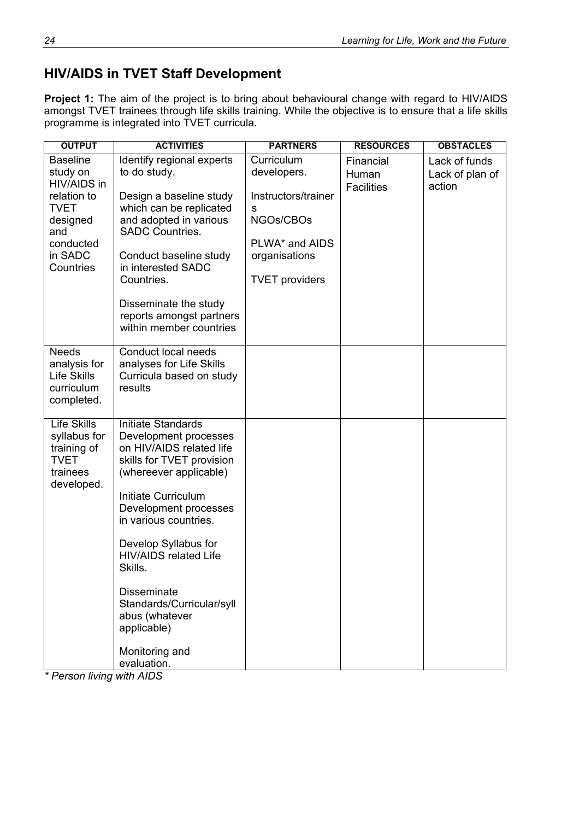### <span id="page-29-0"></span>**HIV/AIDS in TVET Staff Development**

**Project 1:** The aim of the project is to bring about behavioural change with regard to HIV/AIDS amongst TVET trainees through life skills training. While the objective is to ensure that a life skills programme is integrated into TVET curricula.

| <b>OUTPUT</b>                                                                                                                    | <b>ACTIVITIES</b>                                                                                                                                                                                                                                                                                                                                                                               | <b>PARTNERS</b>                                                                                                                | <b>RESOURCES</b>                        | <b>OBSTACLES</b>                           |
|----------------------------------------------------------------------------------------------------------------------------------|-------------------------------------------------------------------------------------------------------------------------------------------------------------------------------------------------------------------------------------------------------------------------------------------------------------------------------------------------------------------------------------------------|--------------------------------------------------------------------------------------------------------------------------------|-----------------------------------------|--------------------------------------------|
| <b>Baseline</b><br>study on<br>HIV/AIDS in<br>relation to<br><b>TVET</b><br>designed<br>and<br>conducted<br>in SADC<br>Countries | Identify regional experts<br>to do study.<br>Design a baseline study<br>which can be replicated<br>and adopted in various<br><b>SADC Countries.</b><br>Conduct baseline study<br>in interested SADC<br>Countries.<br>Disseminate the study<br>reports amongst partners<br>within member countries                                                                                               | Curriculum<br>developers.<br>Instructors/trainer<br>s<br>NGOs/CBOs<br>PLWA* and AIDS<br>organisations<br><b>TVET</b> providers | Financial<br>Human<br><b>Facilities</b> | Lack of funds<br>Lack of plan of<br>action |
| <b>Needs</b><br>analysis for<br>Life Skills<br>curriculum<br>completed.                                                          | Conduct local needs<br>analyses for Life Skills<br>Curricula based on study<br>results                                                                                                                                                                                                                                                                                                          |                                                                                                                                |                                         |                                            |
| <b>Life Skills</b><br>syllabus for<br>training of<br><b>TVET</b><br>trainees<br>developed.                                       | Initiate Standards<br>Development processes<br>on HIV/AIDS related life<br>skills for TVET provision<br>(whereever applicable)<br>Initiate Curriculum<br>Development processes<br>in various countries.<br>Develop Syllabus for<br><b>HIV/AIDS related Life</b><br>Skills.<br><b>Disseminate</b><br>Standards/Curricular/syll<br>abus (whatever<br>applicable)<br>Monitoring and<br>evaluation. |                                                                                                                                |                                         |                                            |

*\* Person living with AIDS*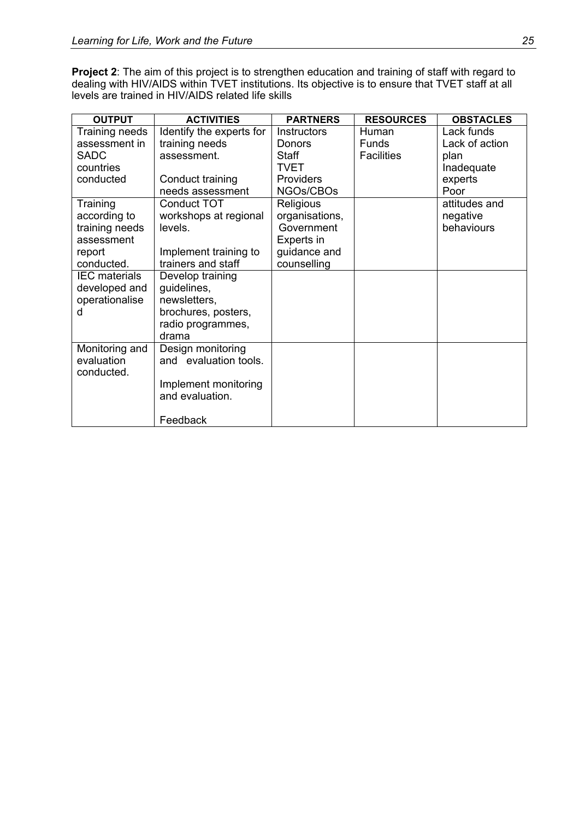**Project 2**: The aim of this project is to strengthen education and training of staff with regard to dealing with HIV/AIDS within TVET institutions. Its objective is to ensure that TVET staff at all levels are trained in HIV/AIDS related life skills

| <b>OUTPUT</b>        | <b>ACTIVITIES</b>        | <b>PARTNERS</b>    | <b>RESOURCES</b>  | <b>OBSTACLES</b> |
|----------------------|--------------------------|--------------------|-------------------|------------------|
| Training needs       | Identify the experts for | <b>Instructors</b> | Human             | Lack funds       |
| assessment in        | training needs           | Donors             | Funds             | Lack of action   |
| <b>SADC</b>          | assessment.              | Staff              | <b>Facilities</b> | plan             |
| countries            |                          | <b>TVET</b>        |                   | Inadequate       |
| conducted            | Conduct training         | Providers          |                   | experts          |
|                      | needs assessment         | NGOs/CBOs          |                   | Poor             |
| Training             | Conduct TOT              | <b>Religious</b>   |                   | attitudes and    |
| according to         | workshops at regional    | organisations,     |                   | negative         |
| training needs       | levels.                  | Government         |                   | behaviours       |
| assessment           |                          | Experts in         |                   |                  |
| report               | Implement training to    | guidance and       |                   |                  |
| conducted.           | trainers and staff       | counselling        |                   |                  |
| <b>IEC</b> materials | Develop training         |                    |                   |                  |
| developed and        | guidelines,              |                    |                   |                  |
| operationalise       | newsletters,             |                    |                   |                  |
| d                    | brochures, posters,      |                    |                   |                  |
|                      | radio programmes,        |                    |                   |                  |
|                      | drama                    |                    |                   |                  |
| Monitoring and       | Design monitoring        |                    |                   |                  |
| evaluation           | and evaluation tools.    |                    |                   |                  |
| conducted.           |                          |                    |                   |                  |
|                      | Implement monitoring     |                    |                   |                  |
|                      | and evaluation.          |                    |                   |                  |
|                      |                          |                    |                   |                  |
|                      | Feedback                 |                    |                   |                  |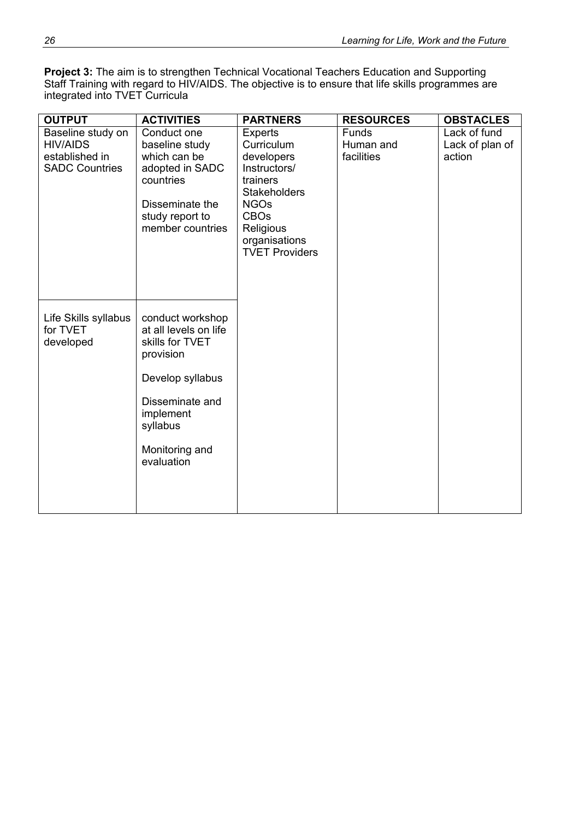**Project 3:** The aim is to strengthen Technical Vocational Teachers Education and Supporting Staff Training with regard to HIV/AIDS. The objective is to ensure that life skills programmes are integrated into TVET Curricula

| <b>OUTPUT</b>                                                                   | <b>ACTIVITIES</b>                                                                                                                                                         | <b>PARTNERS</b>                                                                                                                                                                    | <b>RESOURCES</b>                        | <b>OBSTACLES</b>                          |
|---------------------------------------------------------------------------------|---------------------------------------------------------------------------------------------------------------------------------------------------------------------------|------------------------------------------------------------------------------------------------------------------------------------------------------------------------------------|-----------------------------------------|-------------------------------------------|
| Baseline study on<br><b>HIV/AIDS</b><br>established in<br><b>SADC Countries</b> | Conduct one<br>baseline study<br>which can be<br>adopted in SADC<br>countries<br>Disseminate the<br>study report to<br>member countries                                   | <b>Experts</b><br>Curriculum<br>developers<br>Instructors/<br>trainers<br><b>Stakeholders</b><br><b>NGOs</b><br><b>CBOs</b><br>Religious<br>organisations<br><b>TVET Providers</b> | <b>Funds</b><br>Human and<br>facilities | Lack of fund<br>Lack of plan of<br>action |
| Life Skills syllabus<br>for TVET<br>developed                                   | conduct workshop<br>at all levels on life<br>skills for TVET<br>provision<br>Develop syllabus<br>Disseminate and<br>implement<br>syllabus<br>Monitoring and<br>evaluation |                                                                                                                                                                                    |                                         |                                           |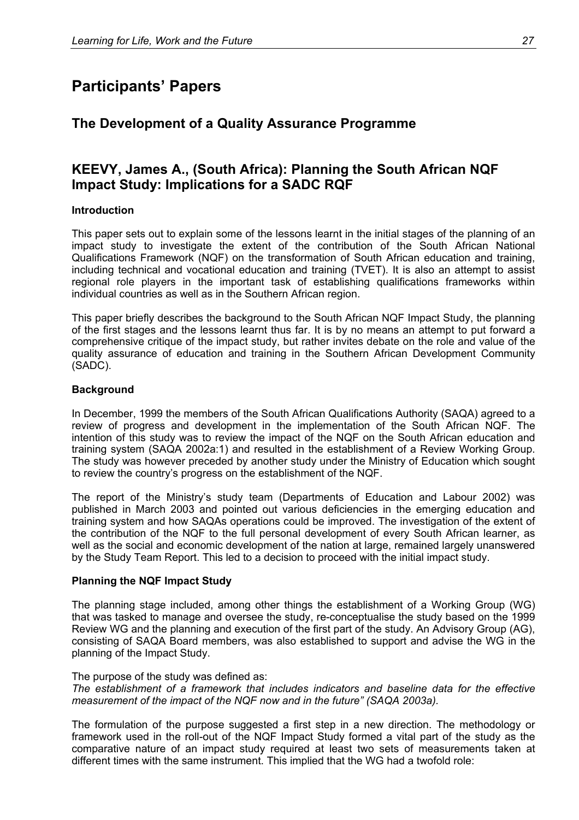## <span id="page-32-0"></span>**Participants' Papers**

### <span id="page-32-1"></span>**The Development of a Quality Assurance Programme**

### <span id="page-32-2"></span>**KEEVY, James A., (South Africa): Planning the South African NQF Impact Study: Implications for a SADC RQF**

### **Introduction**

This paper sets out to explain some of the lessons learnt in the initial stages of the planning of an impact study to investigate the extent of the contribution of the South African National Qualifications Framework (NQF) on the transformation of South African education and training, including technical and vocational education and training (TVET). It is also an attempt to assist regional role players in the important task of establishing qualifications frameworks within individual countries as well as in the Southern African region.

This paper briefly describes the background to the South African NQF Impact Study, the planning of the first stages and the lessons learnt thus far. It is by no means an attempt to put forward a comprehensive critique of the impact study, but rather invites debate on the role and value of the quality assurance of education and training in the Southern African Development Community (SADC).

### **Background**

In December, 1999 the members of the South African Qualifications Authority (SAQA) agreed to a review of progress and development in the implementation of the South African NQF. The intention of this study was to review the impact of the NQF on the South African education and training system (SAQA 2002a:1) and resulted in the establishment of a Review Working Group. The study was however preceded by another study under the Ministry of Education which sought to review the country's progress on the establishment of the NQF.

The report of the Ministry's study team (Departments of Education and Labour 2002) was published in March 2003 and pointed out various deficiencies in the emerging education and training system and how SAQAs operations could be improved. The investigation of the extent of the contribution of the NQF to the full personal development of every South African learner, as well as the social and economic development of the nation at large, remained largely unanswered by the Study Team Report. This led to a decision to proceed with the initial impact study.

### **Planning the NQF Impact Study**

The planning stage included, among other things the establishment of a Working Group (WG) that was tasked to manage and oversee the study, re-conceptualise the study based on the 1999 Review WG and the planning and execution of the first part of the study. An Advisory Group (AG), consisting of SAQA Board members, was also established to support and advise the WG in the planning of the Impact Study.

The purpose of the study was defined as:

*The establishment of a framework that includes indicators and baseline data for the effective measurement of the impact of the NQF now and in the future" (SAQA 2003a).* 

The formulation of the purpose suggested a first step in a new direction. The methodology or framework used in the roll-out of the NQF Impact Study formed a vital part of the study as the comparative nature of an impact study required at least two sets of measurements taken at different times with the same instrument. This implied that the WG had a twofold role: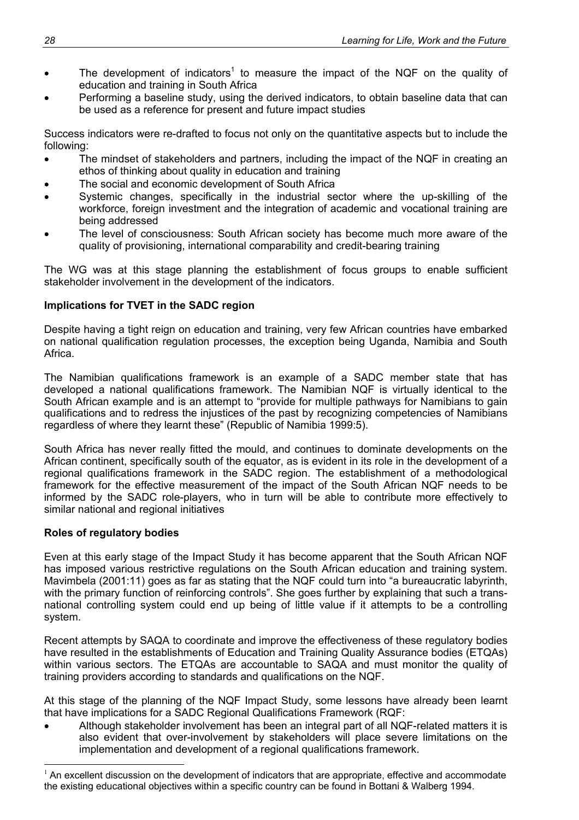- The development of indicators<sup>1</sup> to measure the impact of the NQF on the quality of education and training in South Africa
- Performing a baseline study, using the derived indicators, to obtain baseline data that can be used as a reference for present and future impact studies

Success indicators were re-drafted to focus not only on the quantitative aspects but to include the following:

- The mindset of stakeholders and partners, including the impact of the NQF in creating an ethos of thinking about quality in education and training
- The social and economic development of South Africa
- Systemic changes, specifically in the industrial sector where the up-skilling of the workforce, foreign investment and the integration of academic and vocational training are being addressed
- The level of consciousness: South African society has become much more aware of the quality of provisioning, international comparability and credit-bearing training

The WG was at this stage planning the establishment of focus groups to enable sufficient stakeholder involvement in the development of the indicators.

### **Implications for TVET in the SADC region**

Despite having a tight reign on education and training, very few African countries have embarked on national qualification regulation processes, the exception being Uganda, Namibia and South Africa.

The Namibian qualifications framework is an example of a SADC member state that has developed a national qualifications framework. The Namibian NQF is virtually identical to the South African example and is an attempt to "provide for multiple pathways for Namibians to gain qualifications and to redress the injustices of the past by recognizing competencies of Namibians regardless of where they learnt these" (Republic of Namibia 1999:5).

South Africa has never really fitted the mould, and continues to dominate developments on the African continent, specifically south of the equator, as is evident in its role in the development of a regional qualifications framework in the SADC region. The establishment of a methodological framework for the effective measurement of the impact of the South African NQF needs to be informed by the SADC role-players, who in turn will be able to contribute more effectively to similar national and regional initiatives

### **Roles of regulatory bodies**

1

Even at this early stage of the Impact Study it has become apparent that the South African NQF has imposed various restrictive regulations on the South African education and training system. Mavimbela (2001:11) goes as far as stating that the NQF could turn into "a bureaucratic labyrinth, with the primary function of reinforcing controls". She goes further by explaining that such a transnational controlling system could end up being of little value if it attempts to be a controlling system.

Recent attempts by SAQA to coordinate and improve the effectiveness of these regulatory bodies have resulted in the establishments of Education and Training Quality Assurance bodies (ETQAs) within various sectors. The ETQAs are accountable to SAQA and must monitor the quality of training providers according to standards and qualifications on the NQF.

At this stage of the planning of the NQF Impact Study, some lessons have already been learnt that have implications for a SADC Regional Qualifications Framework (RQF:

• Although stakeholder involvement has been an integral part of all NQF-related matters it is also evident that over-involvement by stakeholders will place severe limitations on the implementation and development of a regional qualifications framework.

 $1$  An excellent discussion on the development of indicators that are appropriate, effective and accommodate the existing educational objectives within a specific country can be found in Bottani & Walberg 1994.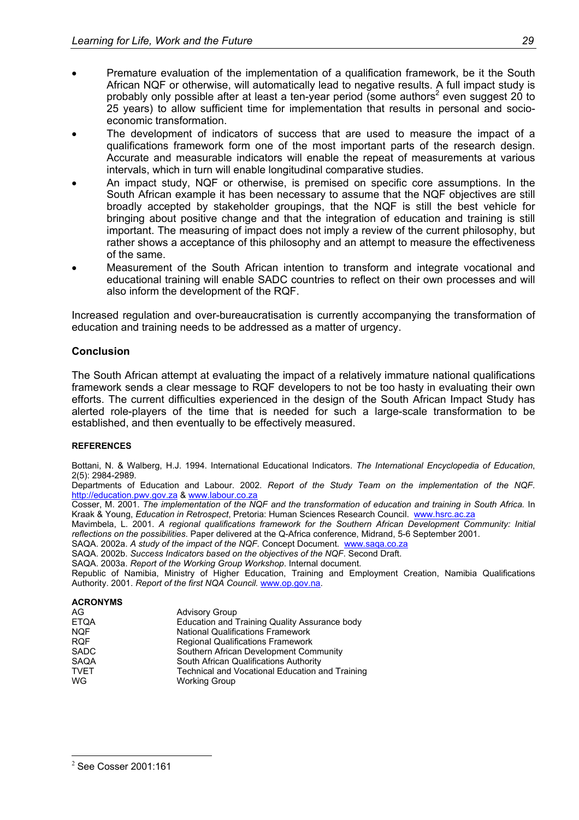- Premature evaluation of the implementation of a qualification framework, be it the South African NQF or otherwise, will automatically lead to negative results. A full impact study is probably only possible after at least a ten-year period (some authors<sup>2</sup> even suggest 20 to 25 years) to allow sufficient time for implementation that results in personal and socioeconomic transformation.
- The development of indicators of success that are used to measure the impact of a qualifications framework form one of the most important parts of the research design. Accurate and measurable indicators will enable the repeat of measurements at various intervals, which in turn will enable longitudinal comparative studies.
- An impact study, NQF or otherwise, is premised on specific core assumptions. In the South African example it has been necessary to assume that the NQF objectives are still broadly accepted by stakeholder groupings, that the NQF is still the best vehicle for bringing about positive change and that the integration of education and training is still important. The measuring of impact does not imply a review of the current philosophy, but rather shows a acceptance of this philosophy and an attempt to measure the effectiveness of the same.
- Measurement of the South African intention to transform and integrate vocational and educational training will enable SADC countries to reflect on their own processes and will also inform the development of the RQF.

Increased regulation and over-bureaucratisation is currently accompanying the transformation of education and training needs to be addressed as a matter of urgency.

### **Conclusion**

The South African attempt at evaluating the impact of a relatively immature national qualifications framework sends a clear message to RQF developers to not be too hasty in evaluating their own efforts. The current difficulties experienced in the design of the South African Impact Study has alerted role-players of the time that is needed for such a large-scale transformation to be established, and then eventually to be effectively measured.

#### **REFERENCES**

Bottani, N. & Walberg, H.J. 1994. International Educational Indicators. *The International Encyclopedia of Education*, 2(5): 2984-2989.

Departments of Education and Labour. 2002. *Report of the Study Team on the implementation of the NQF.* http://education.pwv.gov.za & www.labour.co.za

Cosser, M. 2001. *The implementation of the NQF and the transformation of education and training in South Africa.* In Kraak & Young, *Education in Retrospect*, Pretoria: Human Sciences Research Council. www.hsrc.ac.za

Mavimbela, L. 2001. *A regional qualifications framework for the Southern African Development Community: Initial reflections on the possibilities*. Paper delivered at the Q-Africa conference, Midrand, 5-6 September 2001.

SAQA. 2002a. *A study of the impact of the NQF.* Concept Document. www.saqa.co.za SAQA. 2002b. *Success Indicators based on the objectives of the NQF*. Second Draft.

SAQA. 2003a. *Report of the Working Group Workshop*. Internal document.

Republic of Namibia, Ministry of Higher Education, Training and Employment Creation, Namibia Qualifications Authority. 2001. *Report of the first NQA Council.* www.op.gov.na.

#### **ACRONYMS**

| AG          | <b>Advisory Group</b>                           |
|-------------|-------------------------------------------------|
| <b>ETQA</b> | Education and Training Quality Assurance body   |
| <b>NQF</b>  | <b>National Qualifications Framework</b>        |
| <b>RQF</b>  | <b>Regional Qualifications Framework</b>        |
| <b>SADC</b> | Southern African Development Community          |
| <b>SAQA</b> | South African Qualifications Authority          |
| <b>TVET</b> | Technical and Vocational Education and Training |
| WG          | <b>Working Group</b>                            |
|             |                                                 |

 $\overline{a}$ 

 $2$  See Cosser 2001:161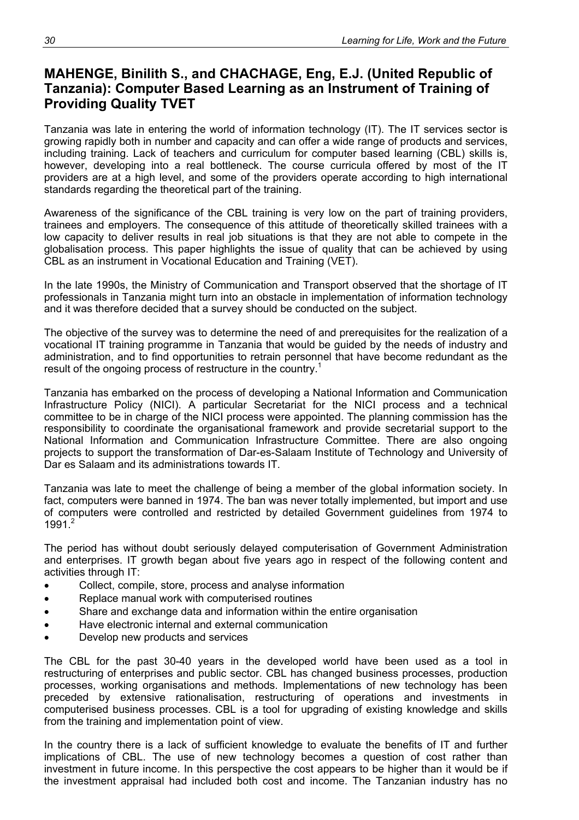### <span id="page-35-0"></span>**MAHENGE, Binilith S., and CHACHAGE, Eng, E.J. (United Republic of Tanzania): Computer Based Learning as an Instrument of Training of Providing Quality TVET**

Tanzania was late in entering the world of information technology (IT). The IT services sector is growing rapidly both in number and capacity and can offer a wide range of products and services, including training. Lack of teachers and curriculum for computer based learning (CBL) skills is, however, developing into a real bottleneck. The course curricula offered by most of the IT providers are at a high level, and some of the providers operate according to high international standards regarding the theoretical part of the training.

Awareness of the significance of the CBL training is very low on the part of training providers, trainees and employers. The consequence of this attitude of theoretically skilled trainees with a low capacity to deliver results in real job situations is that they are not able to compete in the globalisation process. This paper highlights the issue of quality that can be achieved by using CBL as an instrument in Vocational Education and Training (VET).

In the late 1990s, the Ministry of Communication and Transport observed that the shortage of IT professionals in Tanzania might turn into an obstacle in implementation of information technology and it was therefore decided that a survey should be conducted on the subject.

The objective of the survey was to determine the need of and prerequisites for the realization of a vocational IT training programme in Tanzania that would be guided by the needs of industry and administration, and to find opportunities to retrain personnel that have become redundant as the result of the ongoing process of restructure in the country.<sup>1</sup>

Tanzania has embarked on the process of developing a National Information and Communication Infrastructure Policy (NICI). A particular Secretariat for the NICI process and a technical committee to be in charge of the NICI process were appointed. The planning commission has the responsibility to coordinate the organisational framework and provide secretarial support to the National Information and Communication Infrastructure Committee. There are also ongoing projects to support the transformation of Dar-es-Salaam Institute of Technology and University of Dar es Salaam and its administrations towards IT.

Tanzania was late to meet the challenge of being a member of the global information society. In fact, computers were banned in 1974. The ban was never totally implemented, but import and use of computers were controlled and restricted by detailed Government guidelines from 1974 to 1991. $^{2}$ 

The period has without doubt seriously delayed computerisation of Government Administration and enterprises. IT growth began about five years ago in respect of the following content and activities through IT:

- Collect, compile, store, process and analyse information
- Replace manual work with computerised routines
- Share and exchange data and information within the entire organisation
- Have electronic internal and external communication
- Develop new products and services

The CBL for the past 30-40 years in the developed world have been used as a tool in restructuring of enterprises and public sector. CBL has changed business processes, production processes, working organisations and methods. Implementations of new technology has been preceded by extensive rationalisation, restructuring of operations and investments in computerised business processes. CBL is a tool for upgrading of existing knowledge and skills from the training and implementation point of view.

In the country there is a lack of sufficient knowledge to evaluate the benefits of IT and further implications of CBL. The use of new technology becomes a question of cost rather than investment in future income. In this perspective the cost appears to be higher than it would be if the investment appraisal had included both cost and income. The Tanzanian industry has no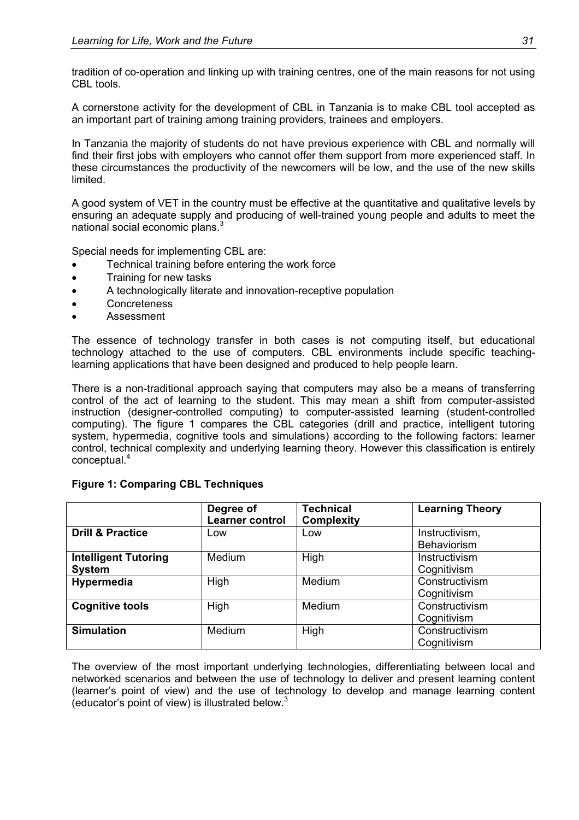tradition of co-operation and linking up with training centres, one of the main reasons for not using CBL tools.

A cornerstone activity for the development of CBL in Tanzania is to make CBL tool accepted as an important part of training among training providers, trainees and employers.

In Tanzania the majority of students do not have previous experience with CBL and normally will find their first jobs with employers who cannot offer them support from more experienced staff. In these circumstances the productivity of the newcomers will be low, and the use of the new skills limited.

A good system of VET in the country must be effective at the quantitative and qualitative levels by ensuring an adequate supply and producing of well-trained young people and adults to meet the national social economic plans.<sup>3</sup>

Special needs for implementing CBL are:

- Technical training before entering the work force
- Training for new tasks
- A technologically literate and innovation-receptive population
- **Concreteness**
- Assessment

The essence of technology transfer in both cases is not computing itself, but educational technology attached to the use of computers. CBL environments include specific teachinglearning applications that have been designed and produced to help people learn.

There is a non-traditional approach saying that computers may also be a means of transferring control of the act of learning to the student. This may mean a shift from computer-assisted instruction (designer-controlled computing) to computer-assisted learning (student-controlled computing). The figure 1 compares the CBL categories (drill and practice, intelligent tutoring system, hypermedia, cognitive tools and simulations) according to the following factors: learner control, technical complexity and underlying learning theory. However this classification is entirely conceptual.<sup>4</sup>

|                             | Degree of<br><b>Learner control</b> | <b>Technical</b><br><b>Complexity</b> | <b>Learning Theory</b> |
|-----------------------------|-------------------------------------|---------------------------------------|------------------------|
| <b>Drill &amp; Practice</b> | Low                                 | Low                                   | Instructivism,         |
|                             |                                     |                                       | Behaviorism            |
| <b>Intelligent Tutoring</b> | Medium                              | High                                  | Instructivism          |
| <b>System</b>               |                                     |                                       | Cognitivism            |
| Hypermedia                  | High                                | Medium                                | Constructivism         |
|                             |                                     |                                       | Cognitivism            |
| <b>Cognitive tools</b>      | High                                | Medium                                | Constructivism         |
|                             |                                     |                                       | Cognitivism            |
| <b>Simulation</b>           | Medium                              | High                                  | Constructivism         |
|                             |                                     |                                       | Cognitivism            |

### **Figure 1: Comparing CBL Techniques**

The overview of the most important underlying technologies, differentiating between local and networked scenarios and between the use of technology to deliver and present learning content (learner's point of view) and the use of technology to develop and manage learning content (educator's point of view) is illustrated below. $3$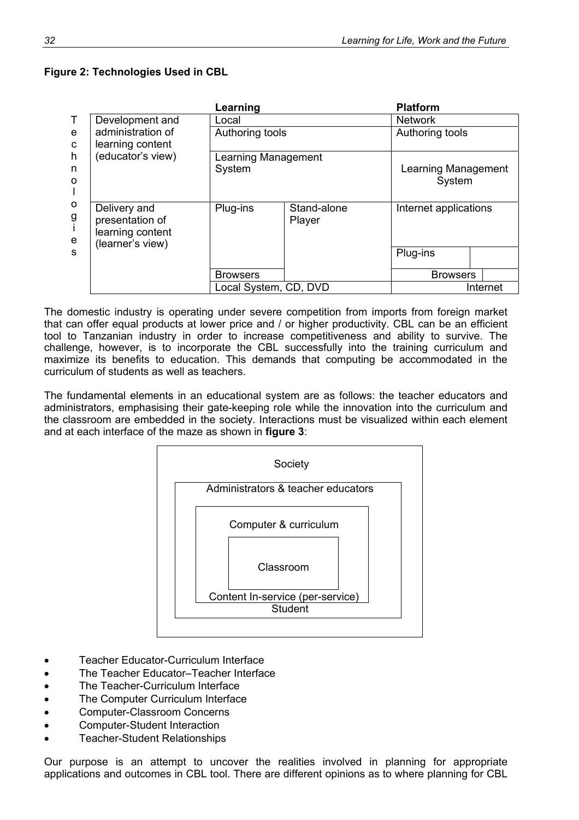|              | I<br>I<br>۰. |
|--------------|--------------|
| I            |              |
| I<br>×<br>۰. |              |

|                             |                                                                         | Learning                      |                       | <b>Platform</b>               |          |  |
|-----------------------------|-------------------------------------------------------------------------|-------------------------------|-----------------------|-------------------------------|----------|--|
| $\top$                      | Development and                                                         | Local                         |                       | <b>Network</b>                |          |  |
| e<br>C<br>h<br>n<br>$\circ$ | administration of<br>learning content                                   | Authoring tools               |                       | Authoring tools               |          |  |
|                             | (educator's view)                                                       | Learning Management<br>System |                       | Learning Management<br>System |          |  |
| $\circ$<br>g<br>i<br>e      | Delivery and<br>presentation of<br>learning content<br>(learner's view) | Plug-ins                      | Stand-alone<br>Player | Internet applications         |          |  |
| <sub>S</sub>                |                                                                         |                               |                       | Plug-ins                      |          |  |
|                             |                                                                         | <b>Browsers</b>               |                       | <b>Browsers</b>               |          |  |
|                             |                                                                         | Local System, CD, DVD         |                       |                               | Internet |  |

The domestic industry is operating under severe competition from imports from foreign market that can offer equal products at lower price and / or higher productivity. CBL can be an efficient tool to Tanzanian industry in order to increase competitiveness and ability to survive. The challenge, however, is to incorporate the CBL successfully into the training curriculum and maximize its benefits to education. This demands that computing be accommodated in the curriculum of students as well as teachers.

The fundamental elements in an educational system are as follows: the teacher educators and administrators, emphasising their gate-keeping role while the innovation into the curriculum and the classroom are embedded in the society. Interactions must be visualized within each element and at each interface of the maze as shown in **figure 3**:



- Teacher Educator-Curriculum Interface
- The Teacher Educator–Teacher Interface
- The Teacher-Curriculum Interface
- The Computer Curriculum Interface
- Computer-Classroom Concerns
- Computer-Student Interaction
- Teacher-Student Relationships

Our purpose is an attempt to uncover the realities involved in planning for appropriate applications and outcomes in CBL tool. There are different opinions as to where planning for CBL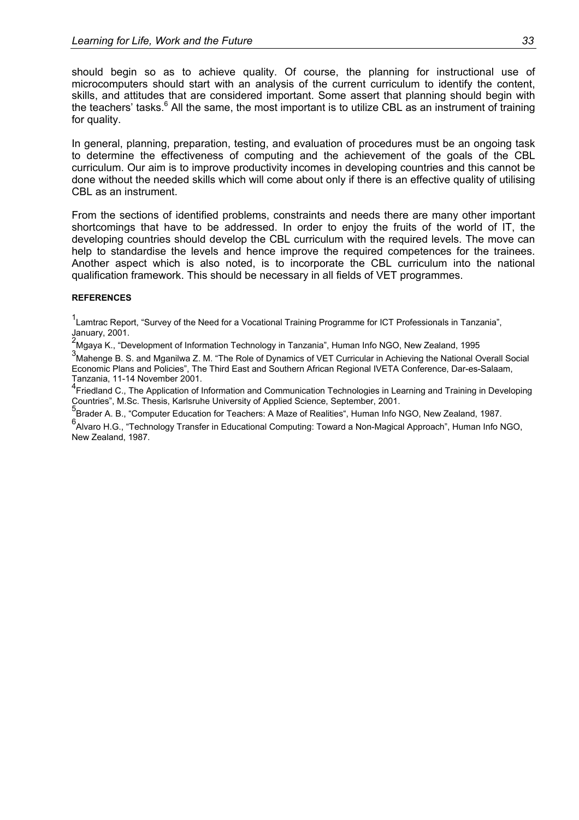should begin so as to achieve quality. Of course, the planning for instructional use of microcomputers should start with an analysis of the current curriculum to identify the content, skills, and attitudes that are considered important. Some assert that planning should begin with the teachers' tasks.<sup>6</sup> All the same, the most important is to utilize CBL as an instrument of training for quality.

In general, planning, preparation, testing, and evaluation of procedures must be an ongoing task to determine the effectiveness of computing and the achievement of the goals of the CBL curriculum. Our aim is to improve productivity incomes in developing countries and this cannot be done without the needed skills which will come about only if there is an effective quality of utilising CBL as an instrument.

From the sections of identified problems, constraints and needs there are many other important shortcomings that have to be addressed. In order to enjoy the fruits of the world of IT, the developing countries should develop the CBL curriculum with the required levels. The move can help to standardise the levels and hence improve the required competences for the trainees. Another aspect which is also noted, is to incorporate the CBL curriculum into the national qualification framework. This should be necessary in all fields of VET programmes.

#### **REFERENCES**

<sup>1</sup> Lamtrac Report, "Survey of the Need for a Vocational Training Programme for ICT Professionals in Tanzania",

January, 2001.<br><sup>2</sup>Mgaya K., "Development of Information Technology in Tanzania", Human Info NGO, New Zealand, 1995

3<br>Mahenge B. S. and Mganilwa Z. M. "The Role of Dynamics of VET Curricular in Achieving the National Overall Social Economic Plans and Policies", The Third East and Southern African Regional IVETA Conference, Dar-es-Salaam, Tanzania, 11-14 November 2001.

<sup>4</sup> Friedland C., The Application of Information and Communication Technologies in Learning and Training in Developing

Countries", M.Sc. Thesis, Karlsruhe University of Applied Science, September, 2001.<br><sup>5</sup>Brader A. B., "Computer Education for Teachers: A Maze of Realities", Human Info NGO, New Zealand, 1987.

6 Alvaro H.G., "Technology Transfer in Educational Computing: Toward a Non-Magical Approach", Human Info NGO, New Zealand, 1987.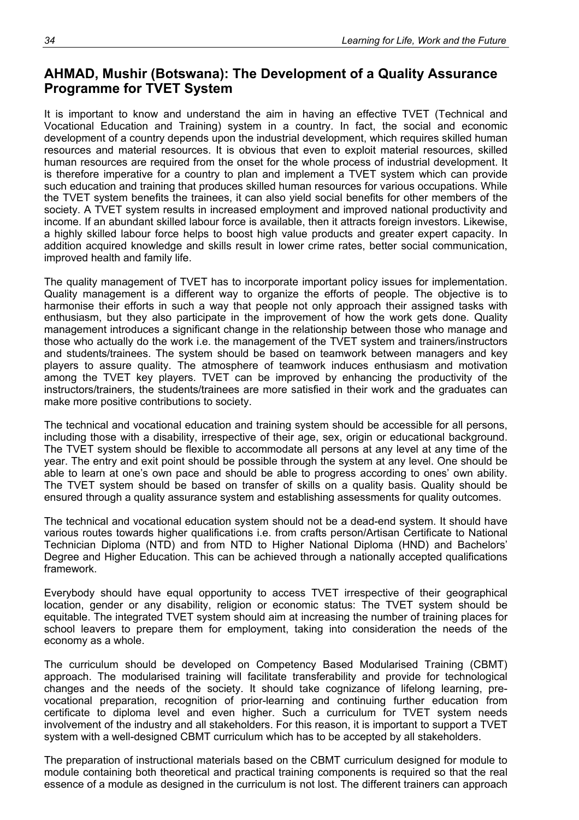# **AHMAD, Mushir (Botswana): The Development of a Quality Assurance Programme for TVET System**

It is important to know and understand the aim in having an effective TVET (Technical and Vocational Education and Training) system in a country. In fact, the social and economic development of a country depends upon the industrial development, which requires skilled human resources and material resources. It is obvious that even to exploit material resources, skilled human resources are required from the onset for the whole process of industrial development. It is therefore imperative for a country to plan and implement a TVET system which can provide such education and training that produces skilled human resources for various occupations. While the TVET system benefits the trainees, it can also yield social benefits for other members of the society. A TVET system results in increased employment and improved national productivity and income. If an abundant skilled labour force is available, then it attracts foreign investors. Likewise, a highly skilled labour force helps to boost high value products and greater expert capacity. In addition acquired knowledge and skills result in lower crime rates, better social communication, improved health and family life.

The quality management of TVET has to incorporate important policy issues for implementation. Quality management is a different way to organize the efforts of people. The objective is to harmonise their efforts in such a way that people not only approach their assigned tasks with enthusiasm, but they also participate in the improvement of how the work gets done. Quality management introduces a significant change in the relationship between those who manage and those who actually do the work i.e. the management of the TVET system and trainers/instructors and students/trainees. The system should be based on teamwork between managers and key players to assure quality. The atmosphere of teamwork induces enthusiasm and motivation among the TVET key players. TVET can be improved by enhancing the productivity of the instructors/trainers, the students/trainees are more satisfied in their work and the graduates can make more positive contributions to society.

The technical and vocational education and training system should be accessible for all persons, including those with a disability, irrespective of their age, sex, origin or educational background. The TVET system should be flexible to accommodate all persons at any level at any time of the year. The entry and exit point should be possible through the system at any level. One should be able to learn at one's own pace and should be able to progress according to ones' own ability. The TVET system should be based on transfer of skills on a quality basis. Quality should be ensured through a quality assurance system and establishing assessments for quality outcomes.

The technical and vocational education system should not be a dead-end system. It should have various routes towards higher qualifications i.e. from crafts person/Artisan Certificate to National Technician Diploma (NTD) and from NTD to Higher National Diploma (HND) and Bachelors' Degree and Higher Education. This can be achieved through a nationally accepted qualifications framework.

Everybody should have equal opportunity to access TVET irrespective of their geographical location, gender or any disability, religion or economic status: The TVET system should be equitable. The integrated TVET system should aim at increasing the number of training places for school leavers to prepare them for employment, taking into consideration the needs of the economy as a whole.

The curriculum should be developed on Competency Based Modularised Training (CBMT) approach. The modularised training will facilitate transferability and provide for technological changes and the needs of the society. It should take cognizance of lifelong learning, prevocational preparation, recognition of prior-learning and continuing further education from certificate to diploma level and even higher. Such a curriculum for TVET system needs involvement of the industry and all stakeholders. For this reason, it is important to support a TVET system with a well-designed CBMT curriculum which has to be accepted by all stakeholders.

The preparation of instructional materials based on the CBMT curriculum designed for module to module containing both theoretical and practical training components is required so that the real essence of a module as designed in the curriculum is not lost. The different trainers can approach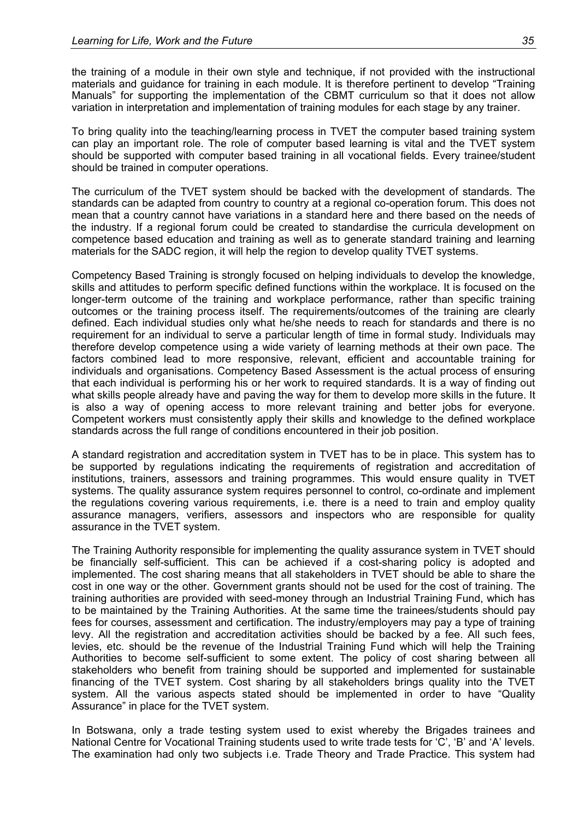the training of a module in their own style and technique, if not provided with the instructional materials and guidance for training in each module. It is therefore pertinent to develop "Training Manuals" for supporting the implementation of the CBMT curriculum so that it does not allow variation in interpretation and implementation of training modules for each stage by any trainer.

To bring quality into the teaching/learning process in TVET the computer based training system can play an important role. The role of computer based learning is vital and the TVET system should be supported with computer based training in all vocational fields. Every trainee/student should be trained in computer operations.

The curriculum of the TVET system should be backed with the development of standards. The standards can be adapted from country to country at a regional co-operation forum. This does not mean that a country cannot have variations in a standard here and there based on the needs of the industry. If a regional forum could be created to standardise the curricula development on competence based education and training as well as to generate standard training and learning materials for the SADC region, it will help the region to develop quality TVET systems.

Competency Based Training is strongly focused on helping individuals to develop the knowledge, skills and attitudes to perform specific defined functions within the workplace. It is focused on the longer-term outcome of the training and workplace performance, rather than specific training outcomes or the training process itself. The requirements/outcomes of the training are clearly defined. Each individual studies only what he/she needs to reach for standards and there is no requirement for an individual to serve a particular length of time in formal study. Individuals may therefore develop competence using a wide variety of learning methods at their own pace. The factors combined lead to more responsive, relevant, efficient and accountable training for individuals and organisations. Competency Based Assessment is the actual process of ensuring that each individual is performing his or her work to required standards. It is a way of finding out what skills people already have and paving the way for them to develop more skills in the future. It is also a way of opening access to more relevant training and better jobs for everyone. Competent workers must consistently apply their skills and knowledge to the defined workplace standards across the full range of conditions encountered in their job position.

A standard registration and accreditation system in TVET has to be in place. This system has to be supported by regulations indicating the requirements of registration and accreditation of institutions, trainers, assessors and training programmes. This would ensure quality in TVET systems. The quality assurance system requires personnel to control, co-ordinate and implement the regulations covering various requirements, i.e. there is a need to train and employ quality assurance managers, verifiers, assessors and inspectors who are responsible for quality assurance in the TVET system.

The Training Authority responsible for implementing the quality assurance system in TVET should be financially self-sufficient. This can be achieved if a cost-sharing policy is adopted and implemented. The cost sharing means that all stakeholders in TVET should be able to share the cost in one way or the other. Government grants should not be used for the cost of training. The training authorities are provided with seed-money through an Industrial Training Fund, which has to be maintained by the Training Authorities. At the same time the trainees/students should pay fees for courses, assessment and certification. The industry/employers may pay a type of training levy. All the registration and accreditation activities should be backed by a fee. All such fees, levies, etc. should be the revenue of the Industrial Training Fund which will help the Training Authorities to become self-sufficient to some extent. The policy of cost sharing between all stakeholders who benefit from training should be supported and implemented for sustainable financing of the TVET system. Cost sharing by all stakeholders brings quality into the TVET system. All the various aspects stated should be implemented in order to have "Quality Assurance" in place for the TVET system.

In Botswana, only a trade testing system used to exist whereby the Brigades trainees and National Centre for Vocational Training students used to write trade tests for 'C', 'B' and 'A' levels. The examination had only two subjects i.e. Trade Theory and Trade Practice. This system had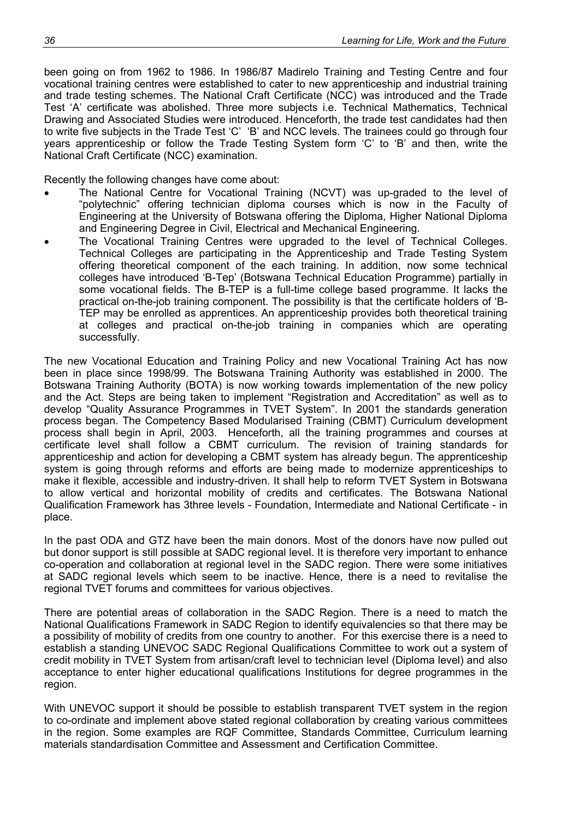been going on from 1962 to 1986. In 1986/87 Madirelo Training and Testing Centre and four vocational training centres were established to cater to new apprenticeship and industrial training and trade testing schemes. The National Craft Certificate (NCC) was introduced and the Trade Test 'A' certificate was abolished. Three more subjects i.e. Technical Mathematics, Technical Drawing and Associated Studies were introduced. Henceforth, the trade test candidates had then to write five subjects in the Trade Test 'C' 'B' and NCC levels. The trainees could go through four years apprenticeship or follow the Trade Testing System form 'C' to 'B' and then, write the National Craft Certificate (NCC) examination.

Recently the following changes have come about:

- The National Centre for Vocational Training (NCVT) was up-graded to the level of "polytechnic" offering technician diploma courses which is now in the Faculty of Engineering at the University of Botswana offering the Diploma, Higher National Diploma and Engineering Degree in Civil, Electrical and Mechanical Engineering.
- The Vocational Training Centres were upgraded to the level of Technical Colleges. Technical Colleges are participating in the Apprenticeship and Trade Testing System offering theoretical component of the each training. In addition, now some technical colleges have introduced 'B-Tep' (Botswana Technical Education Programme) partially in some vocational fields. The B-TEP is a full-time college based programme. It lacks the practical on-the-job training component. The possibility is that the certificate holders of 'B-TEP may be enrolled as apprentices. An apprenticeship provides both theoretical training at colleges and practical on-the-job training in companies which are operating successfully.

The new Vocational Education and Training Policy and new Vocational Training Act has now been in place since 1998/99. The Botswana Training Authority was established in 2000. The Botswana Training Authority (BOTA) is now working towards implementation of the new policy and the Act. Steps are being taken to implement "Registration and Accreditation" as well as to develop "Quality Assurance Programmes in TVET System". In 2001 the standards generation process began. The Competency Based Modularised Training (CBMT) Curriculum development process shall begin in April, 2003. Henceforth, all the training programmes and courses at certificate level shall follow a CBMT curriculum. The revision of training standards for apprenticeship and action for developing a CBMT system has already begun. The apprenticeship system is going through reforms and efforts are being made to modernize apprenticeships to make it flexible, accessible and industry-driven. It shall help to reform TVET System in Botswana to allow vertical and horizontal mobility of credits and certificates. The Botswana National Qualification Framework has 3three levels - Foundation, Intermediate and National Certificate - in place.

In the past ODA and GTZ have been the main donors. Most of the donors have now pulled out but donor support is still possible at SADC regional level. It is therefore very important to enhance co-operation and collaboration at regional level in the SADC region. There were some initiatives at SADC regional levels which seem to be inactive. Hence, there is a need to revitalise the regional TVET forums and committees for various objectives.

There are potential areas of collaboration in the SADC Region. There is a need to match the National Qualifications Framework in SADC Region to identify equivalencies so that there may be a possibility of mobility of credits from one country to another. For this exercise there is a need to establish a standing UNEVOC SADC Regional Qualifications Committee to work out a system of credit mobility in TVET System from artisan/craft level to technician level (Diploma level) and also acceptance to enter higher educational qualifications Institutions for degree programmes in the region.

With UNEVOC support it should be possible to establish transparent TVET system in the region to co-ordinate and implement above stated regional collaboration by creating various committees in the region. Some examples are RQF Committee, Standards Committee, Curriculum learning materials standardisation Committee and Assessment and Certification Committee.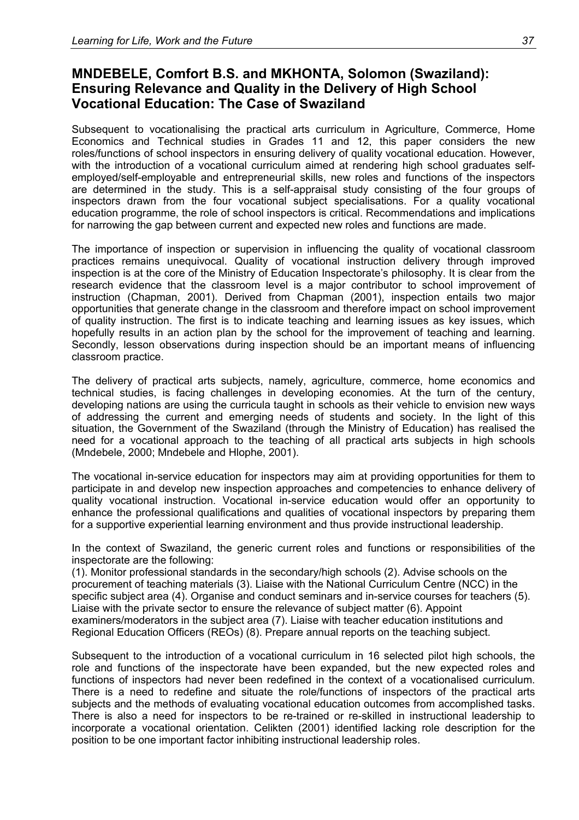# **MNDEBELE, Comfort B.S. and MKHONTA, Solomon (Swaziland): Ensuring Relevance and Quality in the Delivery of High School Vocational Education: The Case of Swaziland**

Subsequent to vocationalising the practical arts curriculum in Agriculture, Commerce, Home Economics and Technical studies in Grades 11 and 12, this paper considers the new roles/functions of school inspectors in ensuring delivery of quality vocational education. However, with the introduction of a vocational curriculum aimed at rendering high school graduates selfemployed/self-employable and entrepreneurial skills, new roles and functions of the inspectors are determined in the study. This is a self-appraisal study consisting of the four groups of inspectors drawn from the four vocational subject specialisations. For a quality vocational education programme, the role of school inspectors is critical. Recommendations and implications for narrowing the gap between current and expected new roles and functions are made.

The importance of inspection or supervision in influencing the quality of vocational classroom practices remains unequivocal. Quality of vocational instruction delivery through improved inspection is at the core of the Ministry of Education Inspectorate's philosophy. It is clear from the research evidence that the classroom level is a major contributor to school improvement of instruction (Chapman, 2001). Derived from Chapman (2001), inspection entails two major opportunities that generate change in the classroom and therefore impact on school improvement of quality instruction. The first is to indicate teaching and learning issues as key issues, which hopefully results in an action plan by the school for the improvement of teaching and learning. Secondly, lesson observations during inspection should be an important means of influencing classroom practice.

The delivery of practical arts subjects, namely, agriculture, commerce, home economics and technical studies, is facing challenges in developing economies. At the turn of the century, developing nations are using the curricula taught in schools as their vehicle to envision new ways of addressing the current and emerging needs of students and society. In the light of this situation, the Government of the Swaziland (through the Ministry of Education) has realised the need for a vocational approach to the teaching of all practical arts subjects in high schools (Mndebele, 2000; Mndebele and Hlophe, 2001).

The vocational in-service education for inspectors may aim at providing opportunities for them to participate in and develop new inspection approaches and competencies to enhance delivery of quality vocational instruction. Vocational in-service education would offer an opportunity to enhance the professional qualifications and qualities of vocational inspectors by preparing them for a supportive experiential learning environment and thus provide instructional leadership.

In the context of Swaziland, the generic current roles and functions or responsibilities of the inspectorate are the following:

(1). Monitor professional standards in the secondary/high schools (2). Advise schools on the procurement of teaching materials (3). Liaise with the National Curriculum Centre (NCC) in the specific subject area (4). Organise and conduct seminars and in-service courses for teachers (5). Liaise with the private sector to ensure the relevance of subject matter (6). Appoint examiners/moderators in the subject area (7). Liaise with teacher education institutions and Regional Education Officers (REOs) (8). Prepare annual reports on the teaching subject.

Subsequent to the introduction of a vocational curriculum in 16 selected pilot high schools, the role and functions of the inspectorate have been expanded, but the new expected roles and functions of inspectors had never been redefined in the context of a vocationalised curriculum. There is a need to redefine and situate the role/functions of inspectors of the practical arts subjects and the methods of evaluating vocational education outcomes from accomplished tasks. There is also a need for inspectors to be re-trained or re-skilled in instructional leadership to incorporate a vocational orientation. Celikten (2001) identified lacking role description for the position to be one important factor inhibiting instructional leadership roles.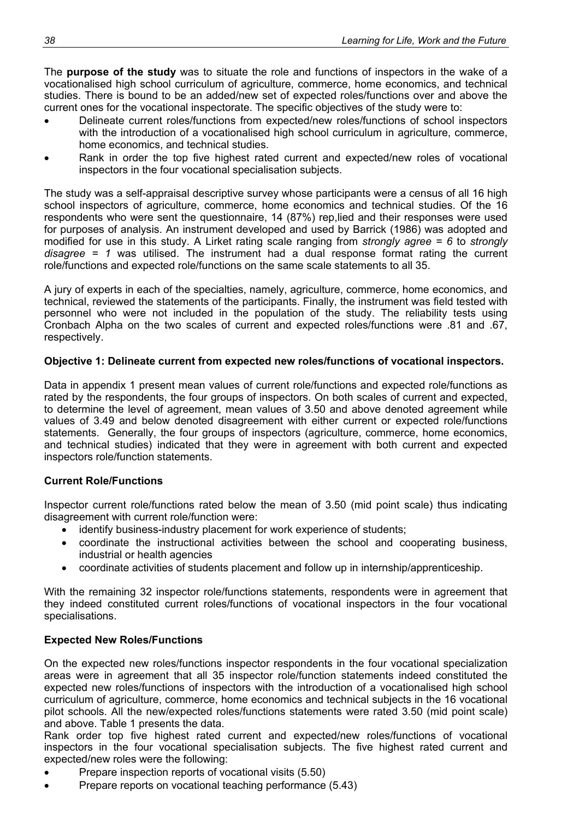The **purpose of the study** was to situate the role and functions of inspectors in the wake of a vocationalised high school curriculum of agriculture, commerce, home economics, and technical studies. There is bound to be an added/new set of expected roles/functions over and above the current ones for the vocational inspectorate. The specific objectives of the study were to:

- Delineate current roles/functions from expected/new roles/functions of school inspectors with the introduction of a vocationalised high school curriculum in agriculture, commerce, home economics, and technical studies.
- Rank in order the top five highest rated current and expected/new roles of vocational inspectors in the four vocational specialisation subjects.

The study was a self-appraisal descriptive survey whose participants were a census of all 16 high school inspectors of agriculture, commerce, home economics and technical studies. Of the 16 respondents who were sent the questionnaire, 14 (87%) rep,lied and their responses were used for purposes of analysis. An instrument developed and used by Barrick (1986) was adopted and modified for use in this study. A Lirket rating scale ranging from *strongly agree = 6* to *strongly disagree = 1* was utilised. The instrument had a dual response format rating the current role/functions and expected role/functions on the same scale statements to all 35.

A jury of experts in each of the specialties, namely, agriculture, commerce, home economics, and technical, reviewed the statements of the participants. Finally, the instrument was field tested with personnel who were not included in the population of the study. The reliability tests using Cronbach Alpha on the two scales of current and expected roles/functions were .81 and .67, respectively.

### **Objective 1: Delineate current from expected new roles/functions of vocational inspectors.**

Data in appendix 1 present mean values of current role/functions and expected role/functions as rated by the respondents, the four groups of inspectors. On both scales of current and expected, to determine the level of agreement, mean values of 3.50 and above denoted agreement while values of 3.49 and below denoted disagreement with either current or expected role/functions statements. Generally, the four groups of inspectors (agriculture, commerce, home economics, and technical studies) indicated that they were in agreement with both current and expected inspectors role/function statements.

### **Current Role/Functions**

Inspector current role/functions rated below the mean of 3.50 (mid point scale) thus indicating disagreement with current role/function were:

- identify business-industry placement for work experience of students;
- coordinate the instructional activities between the school and cooperating business, industrial or health agencies
- coordinate activities of students placement and follow up in internship/apprenticeship.

With the remaining 32 inspector role/functions statements, respondents were in agreement that they indeed constituted current roles/functions of vocational inspectors in the four vocational specialisations.

### **Expected New Roles/Functions**

On the expected new roles/functions inspector respondents in the four vocational specialization areas were in agreement that all 35 inspector role/function statements indeed constituted the expected new roles/functions of inspectors with the introduction of a vocationalised high school curriculum of agriculture, commerce, home economics and technical subjects in the 16 vocational pilot schools. All the new/expected roles/functions statements were rated 3.50 (mid point scale) and above. Table 1 presents the data.

Rank order top five highest rated current and expected/new roles/functions of vocational inspectors in the four vocational specialisation subjects. The five highest rated current and expected/new roles were the following:

- Prepare inspection reports of vocational visits (5.50)
- Prepare reports on vocational teaching performance (5.43)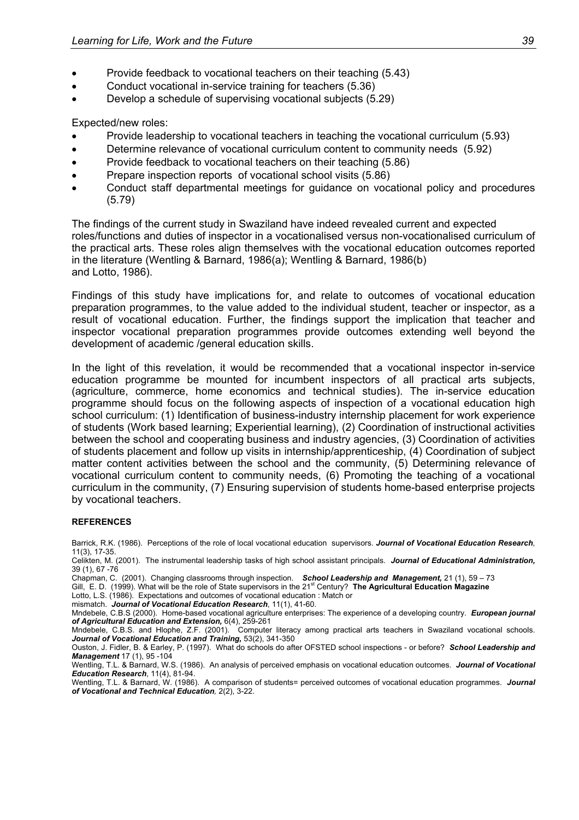- Provide feedback to vocational teachers on their teaching (5.43)
- Conduct vocational in-service training for teachers (5.36)
- Develop a schedule of supervising vocational subjects (5.29)

Expected/new roles:

- Provide leadership to vocational teachers in teaching the vocational curriculum (5.93)
- Determine relevance of vocational curriculum content to community needs (5.92)
- Provide feedback to vocational teachers on their teaching (5.86)
- Prepare inspection reports of vocational school visits (5.86)
- Conduct staff departmental meetings for guidance on vocational policy and procedures (5.79)

The findings of the current study in Swaziland have indeed revealed current and expected roles/functions and duties of inspector in a vocationalised versus non-vocationalised curriculum of the practical arts. These roles align themselves with the vocational education outcomes reported in the literature (Wentling & Barnard, 1986(a); Wentling & Barnard, 1986(b) and Lotto, 1986).

Findings of this study have implications for, and relate to outcomes of vocational education preparation programmes, to the value added to the individual student, teacher or inspector, as a result of vocational education. Further, the findings support the implication that teacher and inspector vocational preparation programmes provide outcomes extending well beyond the development of academic /general education skills.

In the light of this revelation, it would be recommended that a vocational inspector in-service education programme be mounted for incumbent inspectors of all practical arts subjects, (agriculture, commerce, home economics and technical studies). The in-service education programme should focus on the following aspects of inspection of a vocational education high school curriculum: (1) Identification of business-industry internship placement for work experience of students (Work based learning; Experiential learning), (2) Coordination of instructional activities between the school and cooperating business and industry agencies, (3) Coordination of activities of students placement and follow up visits in internship/apprenticeship, (4) Coordination of subject matter content activities between the school and the community, (5) Determining relevance of vocational curriculum content to community needs, (6) Promoting the teaching of a vocational curriculum in the community, (7) Ensuring supervision of students home-based enterprise projects by vocational teachers.

#### **REFERENCES**

Barrick, R.K. (1986). Perceptions of the role of local vocational education supervisors. *Journal of Vocational Education Research,* 11(3), 17-35.

Celikten, M. (2001). The instrumental leadership tasks of high school assistant principals. *Journal of Educational Administration,*  39 (1), 67 -76

Chapman, C. (2001). Changing classrooms through inspection. *School Leadership and Management,* 21 (1), 59 – 73

Gill, E. D. (1999). What will be the role of State supervisors in the 21<sup>st</sup> Century? **The Agricultural Education Magazine** 

Lotto, L.S. (1986). Expectations and outcomes of vocational education : Match or mismatch. *Journal of Vocational Education Research*, 11(1), 41-60.

Mndebele, C.B.S (2000). Home-based vocational agriculture enterprises: The experience of a developing country. *European journal of Agricultural Education and Extension,* 6(4), 259-261

Mndebele, C.B.S. and Hlophe, Z.F. (2001). Computer literacy among practical arts teachers in Swaziland vocational schools. *Journal of Vocational Education and Training,* 53(2), 341-350

Ouston, J. Fidler, B. & Earley, P. (1997). What do schools do after OFSTED school inspections - or before? *School Leadership and Management* 17 (1), 95 -104

Wentling, T.L. & Barnard, W.S. (1986). An analysis of perceived emphasis on vocational education outcomes. *Journal of Vocational Education Research*, 11(4), 81-94.

Wentling, T.L. & Barnard, W. (1986). A comparison of students= perceived outcomes of vocational education programmes. *Journal of Vocational and Technical Education,* 2(2), 3-22.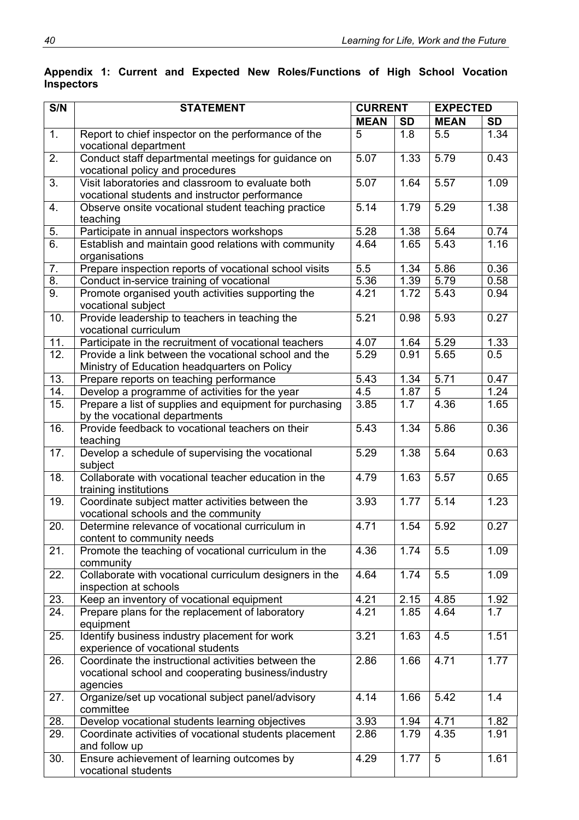| S/N               | <b>STATEMENT</b>                                                                                                       | <b>CURRENT</b>    |                  | <b>EXPECTED</b> |           |  |
|-------------------|------------------------------------------------------------------------------------------------------------------------|-------------------|------------------|-----------------|-----------|--|
|                   |                                                                                                                        | <b>MEAN</b>       | <b>SD</b>        | <b>MEAN</b>     | <b>SD</b> |  |
| $\overline{1}$ .  | Report to chief inspector on the performance of the<br>vocational department                                           | $\overline{5}$    | 1.8              | 5.5             | 1.34      |  |
| 2.                | Conduct staff departmental meetings for guidance on<br>vocational policy and procedures                                | 5.07              | 1.33             | 5.79            | 0.43      |  |
| 3.                | Visit laboratories and classroom to evaluate both<br>vocational students and instructor performance                    | 5.07              | 1.64             | 5.57            | 1.09      |  |
| 4.                | Observe onsite vocational student teaching practice<br>teaching                                                        | 5.14              | 1.79             | 5.29            | 1.38      |  |
| 5.                | Participate in annual inspectors workshops                                                                             | 5.28              | 1.38             | 5.64            | 0.74      |  |
| $\overline{6}$ .  | Establish and maintain good relations with community<br>organisations                                                  | 4.64              | 1.65             | 5.43            | 1.16      |  |
| 7.                | Prepare inspection reports of vocational school visits                                                                 | 5.5               | 1.34             | 5.86            | 0.36      |  |
| $\overline{8}$ .  | Conduct in-service training of vocational                                                                              | 5.36              | 1.39             | 5.79            | 0.58      |  |
| $\overline{9}$ .  | Promote organised youth activities supporting the<br>vocational subject                                                | 4.21              | 1.72             | 5.43            | 0.94      |  |
| 10.               | Provide leadership to teachers in teaching the<br>vocational curriculum                                                | 5.21              | 0.98             | 5.93            | 0.27      |  |
| 11.               | Participate in the recruitment of vocational teachers                                                                  | 4.07              | 1.64             | 5.29            | 1.33      |  |
| 12.               | Provide a link between the vocational school and the<br>Ministry of Education headquarters on Policy                   | 5.29              | 0.91             | 5.65            | 0.5       |  |
| 13.               | Prepare reports on teaching performance                                                                                | $\overline{5.43}$ | 1.34             | 5.71            | 0.47      |  |
| 14.               | Develop a programme of activities for the year                                                                         | 4.5               | 1.87             | $\overline{5}$  | 1.24      |  |
| 15.               | Prepare a list of supplies and equipment for purchasing<br>by the vocational departments                               | 3.85              | $\overline{1.7}$ | 4.36            | 1.65      |  |
| 16.               | Provide feedback to vocational teachers on their<br>teaching                                                           | 5.43              | 1.34             | 5.86            | 0.36      |  |
| 17.               | Develop a schedule of supervising the vocational<br>subject                                                            | 5.29              | 1.38             | 5.64            | 0.63      |  |
| 18.               | Collaborate with vocational teacher education in the<br>training institutions                                          | 4.79              | 1.63             | 5.57            | 0.65      |  |
| 19.               | Coordinate subject matter activities between the<br>vocational schools and the community                               | 3.93              | 1.77             | 5.14            | 1.23      |  |
| 20.               | Determine relevance of vocational curriculum in<br>content to community needs                                          | 4.71              | 1.54             | 5.92            | 0.27      |  |
| 21.               | Promote the teaching of vocational curriculum in the<br>community                                                      | 4.36              | 1.74             | 5.5             | 1.09      |  |
| 22.               | Collaborate with vocational curriculum designers in the<br>inspection at schools                                       | 4.64              | 1.74             | 5.5             | 1.09      |  |
| 23.               | Keep an inventory of vocational equipment                                                                              | 4.21              | 2.15             | 4.85            | 1.92      |  |
| $\overline{24}$ . | Prepare plans for the replacement of laboratory<br>equipment                                                           | 4.21              | 1.85             | 4.64            | 1.7       |  |
| 25.               | Identify business industry placement for work<br>experience of vocational students                                     | 3.21              | 1.63             | 4.5             | 1.51      |  |
| 26.               | Coordinate the instructional activities between the<br>vocational school and cooperating business/industry<br>agencies | 2.86              | 1.66             | 4.71            | 1.77      |  |
| 27.               | Organize/set up vocational subject panel/advisory<br>committee                                                         | 4.14              | 1.66             | 5.42            | 1.4       |  |
| 28.               | Develop vocational students learning objectives                                                                        | 3.93              | 1.94             | 4.71            | 1.82      |  |
| 29.               | Coordinate activities of vocational students placement<br>and follow up                                                | 2.86              | 1.79             | 4.35            | 1.91      |  |
| 30.               | Ensure achievement of learning outcomes by<br>vocational students                                                      | 4.29              | 1.77             | 5               | 1.61      |  |

### **Appendix 1: Current and Expected New Roles/Functions of High School Vocation Inspectors**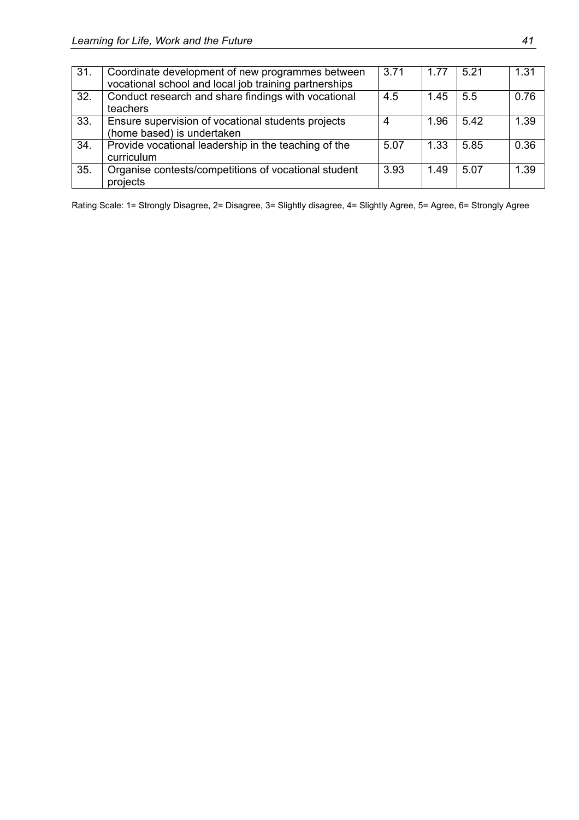| 31. | Coordinate development of new programmes between<br>vocational school and local job training partnerships | 3.71 | 1.77 | 5.21 | 1.31 |
|-----|-----------------------------------------------------------------------------------------------------------|------|------|------|------|
| 32. | Conduct research and share findings with vocational<br>teachers                                           | 4.5  | 1.45 | 5.5  | 0.76 |
| 33. | Ensure supervision of vocational students projects<br>(home based) is undertaken                          | 4    | 1.96 | 5.42 | 1.39 |
| 34. | Provide vocational leadership in the teaching of the<br>curriculum                                        | 5.07 | 1.33 | 5.85 | 0.36 |
| 35. | Organise contests/competitions of vocational student<br>projects                                          | 3.93 | 1.49 | 5.07 | 1.39 |

Rating Scale: 1= Strongly Disagree, 2= Disagree, 3= Slightly disagree, 4= Slightly Agree, 5= Agree, 6= Strongly Agree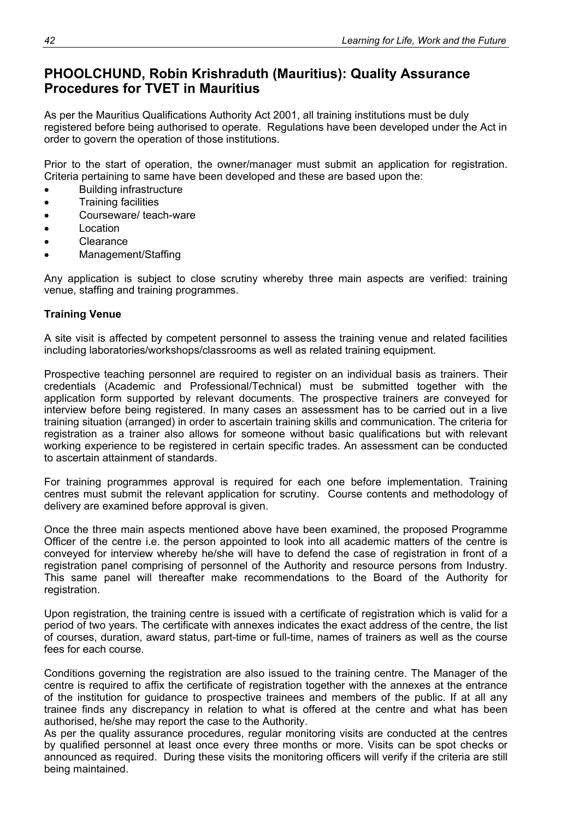# **PHOOLCHUND, Robin Krishraduth (Mauritius): Quality Assurance Procedures for TVET in Mauritius**

As per the Mauritius Qualifications Authority Act 2001, all training institutions must be duly registered before being authorised to operate. Regulations have been developed under the Act in order to govern the operation of those institutions.

Prior to the start of operation, the owner/manager must submit an application for registration. Criteria pertaining to same have been developed and these are based upon the:

- Building infrastructure
- Training facilities
- Courseware/ teach-ware
- Location
- Clearance
- Management/Staffing

Any application is subject to close scrutiny whereby three main aspects are verified: training venue, staffing and training programmes.

### **Training Venue**

A site visit is affected by competent personnel to assess the training venue and related facilities including laboratories/workshops/classrooms as well as related training equipment.

Prospective teaching personnel are required to register on an individual basis as trainers. Their credentials (Academic and Professional/Technical) must be submitted together with the application form supported by relevant documents. The prospective trainers are conveyed for interview before being registered. In many cases an assessment has to be carried out in a live training situation (arranged) in order to ascertain training skills and communication. The criteria for registration as a trainer also allows for someone without basic qualifications but with relevant working experience to be registered in certain specific trades. An assessment can be conducted to ascertain attainment of standards.

For training programmes approval is required for each one before implementation. Training centres must submit the relevant application for scrutiny. Course contents and methodology of delivery are examined before approval is given.

Once the three main aspects mentioned above have been examined, the proposed Programme Officer of the centre i.e. the person appointed to look into all academic matters of the centre is conveyed for interview whereby he/she will have to defend the case of registration in front of a registration panel comprising of personnel of the Authority and resource persons from Industry. This same panel will thereafter make recommendations to the Board of the Authority for registration.

Upon registration, the training centre is issued with a certificate of registration which is valid for a period of two years. The certificate with annexes indicates the exact address of the centre, the list of courses, duration, award status, part-time or full-time, names of trainers as well as the course fees for each course.

Conditions governing the registration are also issued to the training centre. The Manager of the centre is required to affix the certificate of registration together with the annexes at the entrance of the institution for guidance to prospective trainees and members of the public. If at all any trainee finds any discrepancy in relation to what is offered at the centre and what has been authorised, he/she may report the case to the Authority.

As per the quality assurance procedures, regular monitoring visits are conducted at the centres by qualified personnel at least once every three months or more. Visits can be spot checks or announced as required. During these visits the monitoring officers will verify if the criteria are still being maintained.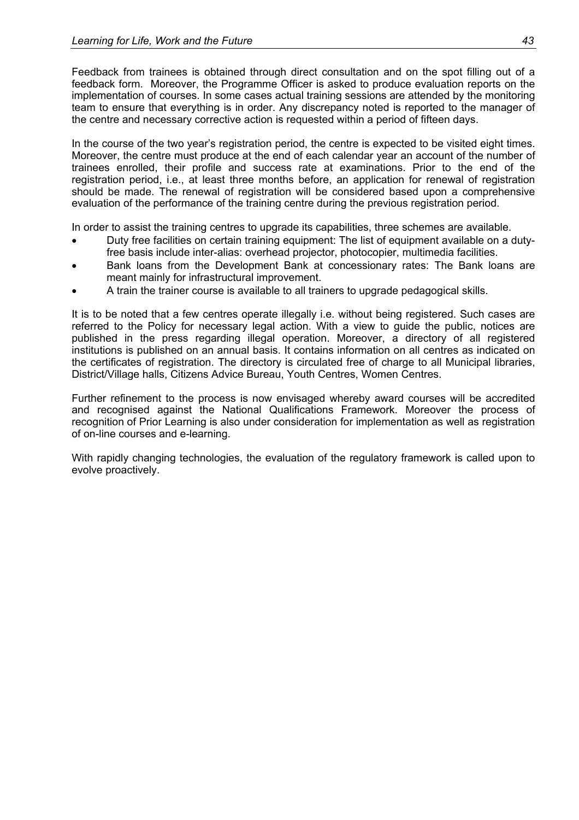Feedback from trainees is obtained through direct consultation and on the spot filling out of a feedback form. Moreover, the Programme Officer is asked to produce evaluation reports on the implementation of courses. In some cases actual training sessions are attended by the monitoring team to ensure that everything is in order. Any discrepancy noted is reported to the manager of the centre and necessary corrective action is requested within a period of fifteen days.

In the course of the two year's registration period, the centre is expected to be visited eight times. Moreover, the centre must produce at the end of each calendar year an account of the number of trainees enrolled, their profile and success rate at examinations. Prior to the end of the registration period, i.e., at least three months before, an application for renewal of registration should be made. The renewal of registration will be considered based upon a comprehensive evaluation of the performance of the training centre during the previous registration period.

In order to assist the training centres to upgrade its capabilities, three schemes are available.

- Duty free facilities on certain training equipment: The list of equipment available on a dutyfree basis include inter-alias: overhead projector, photocopier, multimedia facilities.
- Bank loans from the Development Bank at concessionary rates: The Bank loans are meant mainly for infrastructural improvement.
- A train the trainer course is available to all trainers to upgrade pedagogical skills.

It is to be noted that a few centres operate illegally i.e. without being registered. Such cases are referred to the Policy for necessary legal action. With a view to guide the public, notices are published in the press regarding illegal operation. Moreover, a directory of all registered institutions is published on an annual basis. It contains information on all centres as indicated on the certificates of registration. The directory is circulated free of charge to all Municipal libraries, District/Village halls, Citizens Advice Bureau, Youth Centres, Women Centres.

Further refinement to the process is now envisaged whereby award courses will be accredited and recognised against the National Qualifications Framework. Moreover the process of recognition of Prior Learning is also under consideration for implementation as well as registration of on-line courses and e-learning.

With rapidly changing technologies, the evaluation of the regulatory framework is called upon to evolve proactively.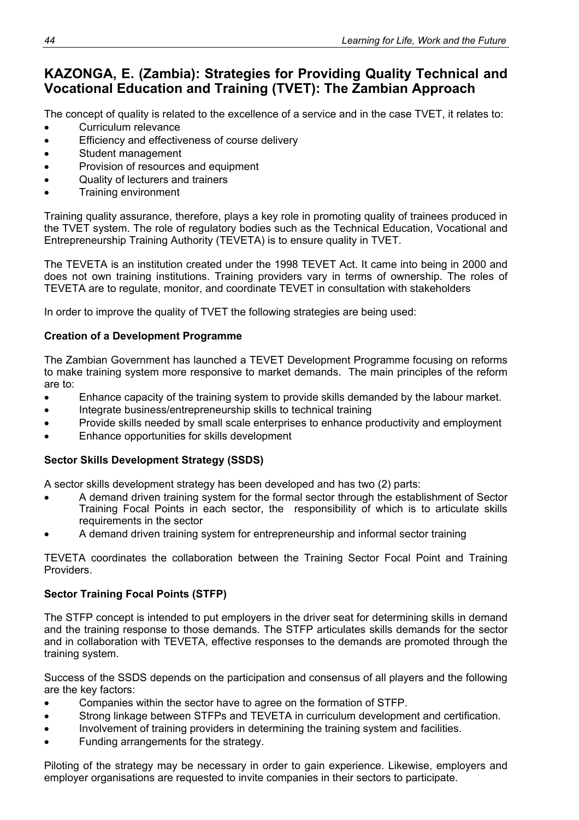# **KAZONGA, E. (Zambia): Strategies for Providing Quality Technical and Vocational Education and Training (TVET): The Zambian Approach**

The concept of quality is related to the excellence of a service and in the case TVET, it relates to:

- Curriculum relevance
- Efficiency and effectiveness of course delivery
- Student management
- Provision of resources and equipment
- Quality of lecturers and trainers
- Training environment

Training quality assurance, therefore, plays a key role in promoting quality of trainees produced in the TVET system. The role of regulatory bodies such as the Technical Education, Vocational and Entrepreneurship Training Authority (TEVETA) is to ensure quality in TVET.

The TEVETA is an institution created under the 1998 TEVET Act. It came into being in 2000 and does not own training institutions. Training providers vary in terms of ownership. The roles of TEVETA are to regulate, monitor, and coordinate TEVET in consultation with stakeholders

In order to improve the quality of TVET the following strategies are being used:

### **Creation of a Development Programme**

The Zambian Government has launched a TEVET Development Programme focusing on reforms to make training system more responsive to market demands. The main principles of the reform are to:

- Enhance capacity of the training system to provide skills demanded by the labour market.
- Integrate business/entrepreneurship skills to technical training
- Provide skills needed by small scale enterprises to enhance productivity and employment
- Enhance opportunities for skills development

### **Sector Skills Development Strategy (SSDS)**

A sector skills development strategy has been developed and has two (2) parts:

- A demand driven training system for the formal sector through the establishment of Sector Training Focal Points in each sector, the responsibility of which is to articulate skills requirements in the sector
- A demand driven training system for entrepreneurship and informal sector training

TEVETA coordinates the collaboration between the Training Sector Focal Point and Training Providers.

### **Sector Training Focal Points (STFP)**

The STFP concept is intended to put employers in the driver seat for determining skills in demand and the training response to those demands. The STFP articulates skills demands for the sector and in collaboration with TEVETA, effective responses to the demands are promoted through the training system.

Success of the SSDS depends on the participation and consensus of all players and the following are the key factors:

- Companies within the sector have to agree on the formation of STFP.
- Strong linkage between STFPs and TEVETA in curriculum development and certification.
- Involvement of training providers in determining the training system and facilities.
- Funding arrangements for the strategy.

Piloting of the strategy may be necessary in order to gain experience. Likewise, employers and employer organisations are requested to invite companies in their sectors to participate.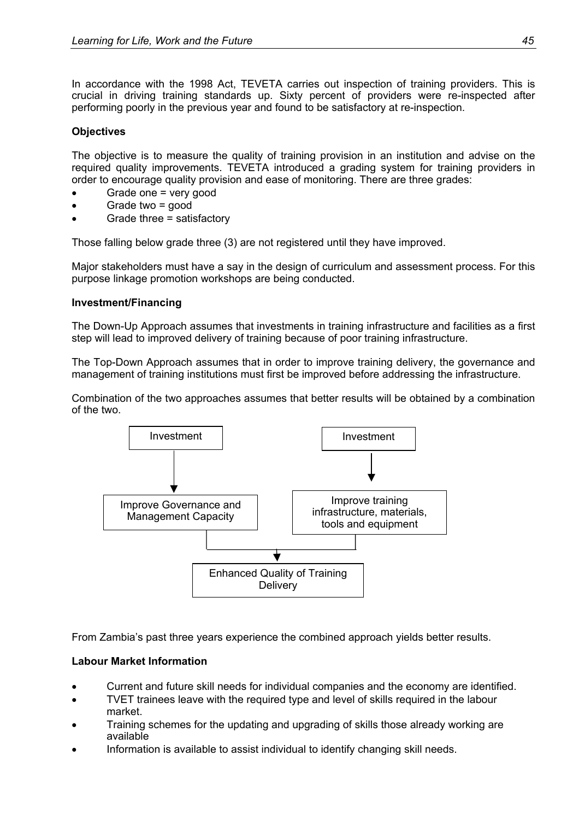In accordance with the 1998 Act, TEVETA carries out inspection of training providers. This is crucial in driving training standards up. Sixty percent of providers were re-inspected after performing poorly in the previous year and found to be satisfactory at re-inspection.

### **Objectives**

The objective is to measure the quality of training provision in an institution and advise on the required quality improvements. TEVETA introduced a grading system for training providers in order to encourage quality provision and ease of monitoring. There are three grades:

- Grade one = very good
- Grade two = good
- Grade three = satisfactory

Those falling below grade three (3) are not registered until they have improved.

Major stakeholders must have a say in the design of curriculum and assessment process. For this purpose linkage promotion workshops are being conducted.

### **Investment/Financing**

The Down-Up Approach assumes that investments in training infrastructure and facilities as a first step will lead to improved delivery of training because of poor training infrastructure.

The Top-Down Approach assumes that in order to improve training delivery, the governance and management of training institutions must first be improved before addressing the infrastructure.

Combination of the two approaches assumes that better results will be obtained by a combination of the two.



From Zambia's past three years experience the combined approach yields better results.

### **Labour Market Information**

- Current and future skill needs for individual companies and the economy are identified.
- TVET trainees leave with the required type and level of skills required in the labour market.
- Training schemes for the updating and upgrading of skills those already working are available
- Information is available to assist individual to identify changing skill needs.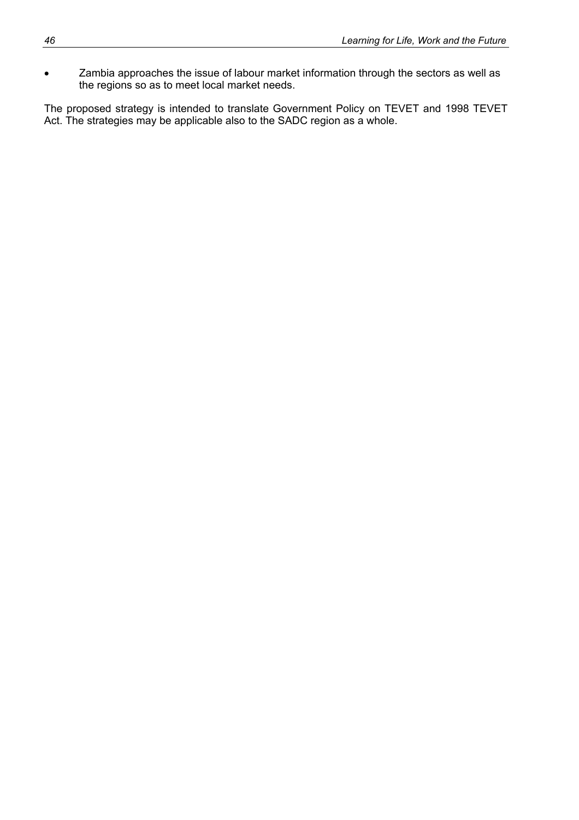• Zambia approaches the issue of labour market information through the sectors as well as the regions so as to meet local market needs.

The proposed strategy is intended to translate Government Policy on TEVET and 1998 TEVET Act. The strategies may be applicable also to the SADC region as a whole.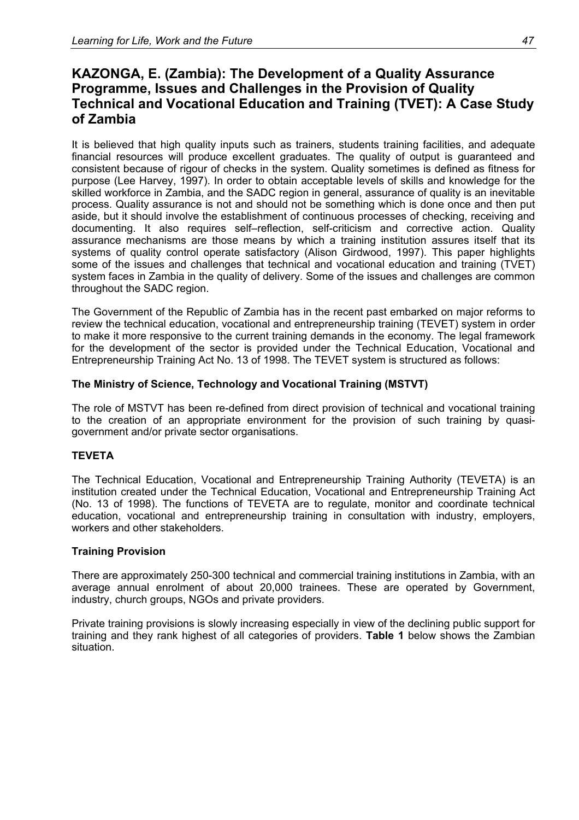## **KAZONGA, E. (Zambia): The Development of a Quality Assurance Programme, Issues and Challenges in the Provision of Quality Technical and Vocational Education and Training (TVET): A Case Study of Zambia**

It is believed that high quality inputs such as trainers, students training facilities, and adequate financial resources will produce excellent graduates. The quality of output is guaranteed and consistent because of rigour of checks in the system. Quality sometimes is defined as fitness for purpose (Lee Harvey, 1997). In order to obtain acceptable levels of skills and knowledge for the skilled workforce in Zambia, and the SADC region in general, assurance of quality is an inevitable process. Quality assurance is not and should not be something which is done once and then put aside, but it should involve the establishment of continuous processes of checking, receiving and documenting. It also requires self–reflection, self-criticism and corrective action. Quality assurance mechanisms are those means by which a training institution assures itself that its systems of quality control operate satisfactory (Alison Girdwood, 1997). This paper highlights some of the issues and challenges that technical and vocational education and training (TVET) system faces in Zambia in the quality of delivery. Some of the issues and challenges are common throughout the SADC region.

The Government of the Republic of Zambia has in the recent past embarked on major reforms to review the technical education, vocational and entrepreneurship training (TEVET) system in order to make it more responsive to the current training demands in the economy. The legal framework for the development of the sector is provided under the Technical Education, Vocational and Entrepreneurship Training Act No. 13 of 1998. The TEVET system is structured as follows:

### **The Ministry of Science, Technology and Vocational Training (MSTVT)**

The role of MSTVT has been re-defined from direct provision of technical and vocational training to the creation of an appropriate environment for the provision of such training by quasigovernment and/or private sector organisations.

### **TEVETA**

The Technical Education, Vocational and Entrepreneurship Training Authority (TEVETA) is an institution created under the Technical Education, Vocational and Entrepreneurship Training Act (No. 13 of 1998). The functions of TEVETA are to regulate, monitor and coordinate technical education, vocational and entrepreneurship training in consultation with industry, employers, workers and other stakeholders.

### **Training Provision**

There are approximately 250-300 technical and commercial training institutions in Zambia, with an average annual enrolment of about 20,000 trainees. These are operated by Government, industry, church groups, NGOs and private providers.

Private training provisions is slowly increasing especially in view of the declining public support for training and they rank highest of all categories of providers. **Table 1** below shows the Zambian situation.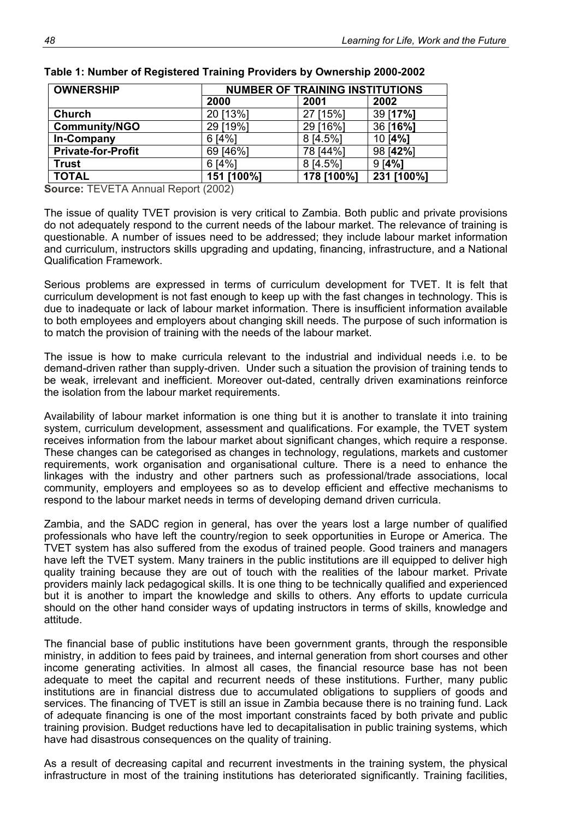| <b>OWNERSHIP</b>          |            | <b>NUMBER OF TRAINING INSTITUTIONS</b> |            |  |  |  |  |  |
|---------------------------|------------|----------------------------------------|------------|--|--|--|--|--|
|                           | 2000       | 2001                                   | 2002       |  |  |  |  |  |
| <b>Church</b>             | 20 [13%]   | 27 [15%]                               | 39 [17%]   |  |  |  |  |  |
| <b>Community/NGO</b>      | 29 [19%]   | 29 [16%]                               | 36 [16%]   |  |  |  |  |  |
| In-Company                | 6[4%]      | 8 [4.5%]                               | 10 [4%]    |  |  |  |  |  |
| <b>Private-for-Profit</b> | 69 [46%]   | 78 [44%]                               | 98 [42%]   |  |  |  |  |  |
| <b>Trust</b>              | 6[4%]      | 8 [4.5%]                               | 9[4%]      |  |  |  |  |  |
| <b>TOTAL</b>              | 151 [100%] | 178 [100%]                             | 231 [100%] |  |  |  |  |  |

|  | Table 1: Number of Registered Training Providers by Ownership 2000-2002 |  |  |
|--|-------------------------------------------------------------------------|--|--|
|  |                                                                         |  |  |

**Source:** TEVETA Annual Report (2002)

The issue of quality TVET provision is very critical to Zambia. Both public and private provisions do not adequately respond to the current needs of the labour market. The relevance of training is questionable. A number of issues need to be addressed; they include labour market information and curriculum, instructors skills upgrading and updating, financing, infrastructure, and a National Qualification Framework.

Serious problems are expressed in terms of curriculum development for TVET. It is felt that curriculum development is not fast enough to keep up with the fast changes in technology. This is due to inadequate or lack of labour market information. There is insufficient information available to both employees and employers about changing skill needs. The purpose of such information is to match the provision of training with the needs of the labour market.

The issue is how to make curricula relevant to the industrial and individual needs i.e. to be demand-driven rather than supply-driven. Under such a situation the provision of training tends to be weak, irrelevant and inefficient. Moreover out-dated, centrally driven examinations reinforce the isolation from the labour market requirements.

Availability of labour market information is one thing but it is another to translate it into training system, curriculum development, assessment and qualifications. For example, the TVET system receives information from the labour market about significant changes, which require a response. These changes can be categorised as changes in technology, regulations, markets and customer requirements, work organisation and organisational culture. There is a need to enhance the linkages with the industry and other partners such as professional/trade associations, local community, employers and employees so as to develop efficient and effective mechanisms to respond to the labour market needs in terms of developing demand driven curricula.

Zambia, and the SADC region in general, has over the years lost a large number of qualified professionals who have left the country/region to seek opportunities in Europe or America. The TVET system has also suffered from the exodus of trained people. Good trainers and managers have left the TVET system. Many trainers in the public institutions are ill equipped to deliver high quality training because they are out of touch with the realities of the labour market. Private providers mainly lack pedagogical skills. It is one thing to be technically qualified and experienced but it is another to impart the knowledge and skills to others. Any efforts to update curricula should on the other hand consider ways of updating instructors in terms of skills, knowledge and attitude.

The financial base of public institutions have been government grants, through the responsible ministry, in addition to fees paid by trainees, and internal generation from short courses and other income generating activities. In almost all cases, the financial resource base has not been adequate to meet the capital and recurrent needs of these institutions. Further, many public institutions are in financial distress due to accumulated obligations to suppliers of goods and services. The financing of TVET is still an issue in Zambia because there is no training fund. Lack of adequate financing is one of the most important constraints faced by both private and public training provision. Budget reductions have led to decapitalisation in public training systems, which have had disastrous consequences on the quality of training.

As a result of decreasing capital and recurrent investments in the training system, the physical infrastructure in most of the training institutions has deteriorated significantly. Training facilities,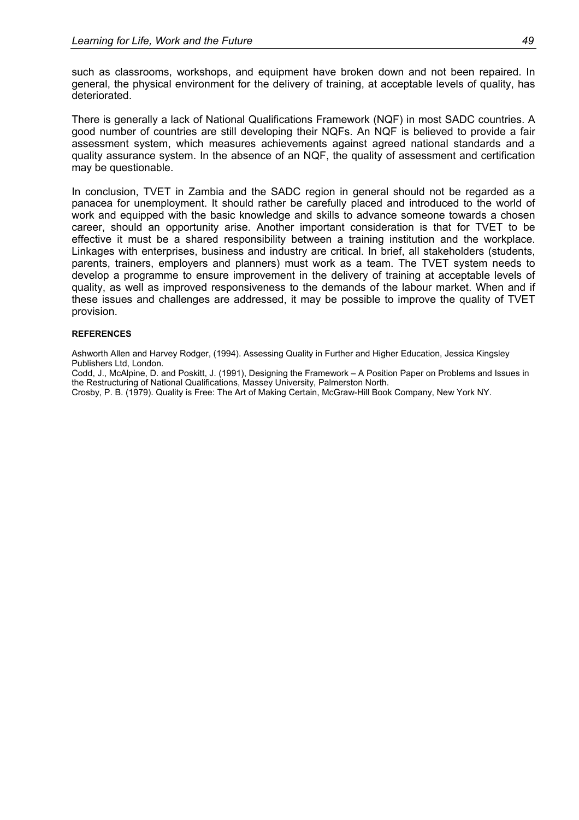such as classrooms, workshops, and equipment have broken down and not been repaired. In general, the physical environment for the delivery of training, at acceptable levels of quality, has deteriorated.

There is generally a lack of National Qualifications Framework (NQF) in most SADC countries. A good number of countries are still developing their NQFs. An NQF is believed to provide a fair assessment system, which measures achievements against agreed national standards and a quality assurance system. In the absence of an NQF, the quality of assessment and certification may be questionable.

In conclusion, TVET in Zambia and the SADC region in general should not be regarded as a panacea for unemployment. It should rather be carefully placed and introduced to the world of work and equipped with the basic knowledge and skills to advance someone towards a chosen career, should an opportunity arise. Another important consideration is that for TVET to be effective it must be a shared responsibility between a training institution and the workplace. Linkages with enterprises, business and industry are critical. In brief, all stakeholders (students, parents, trainers, employers and planners) must work as a team. The TVET system needs to develop a programme to ensure improvement in the delivery of training at acceptable levels of quality, as well as improved responsiveness to the demands of the labour market. When and if these issues and challenges are addressed, it may be possible to improve the quality of TVET provision.

#### **REFERENCES**

Ashworth Allen and Harvey Rodger, (1994). Assessing Quality in Further and Higher Education, Jessica Kingsley Publishers Ltd, London.

Codd, J., McAlpine, D. and Poskitt, J. (1991), Designing the Framework – A Position Paper on Problems and Issues in the Restructuring of National Qualifications, Massey University, Palmerston North.

Crosby, P. B. (1979). Quality is Free: The Art of Making Certain, McGraw-Hill Book Company, New York NY.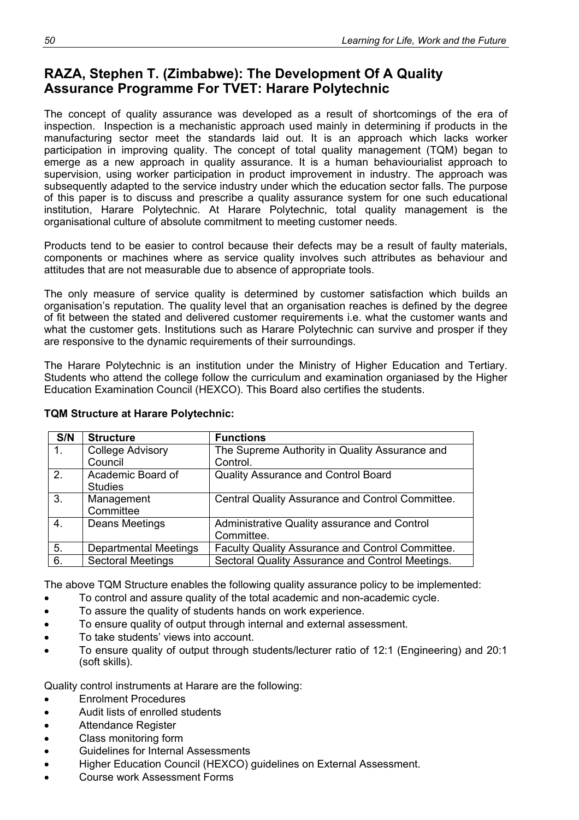# **RAZA, Stephen T. (Zimbabwe): The Development Of A Quality Assurance Programme For TVET: Harare Polytechnic**

The concept of quality assurance was developed as a result of shortcomings of the era of inspection. Inspection is a mechanistic approach used mainly in determining if products in the manufacturing sector meet the standards laid out. It is an approach which lacks worker participation in improving quality. The concept of total quality management (TQM) began to emerge as a new approach in quality assurance. It is a human behaviourialist approach to supervision, using worker participation in product improvement in industry. The approach was subsequently adapted to the service industry under which the education sector falls. The purpose of this paper is to discuss and prescribe a quality assurance system for one such educational institution, Harare Polytechnic. At Harare Polytechnic, total quality management is the organisational culture of absolute commitment to meeting customer needs.

Products tend to be easier to control because their defects may be a result of faulty materials, components or machines where as service quality involves such attributes as behaviour and attitudes that are not measurable due to absence of appropriate tools.

The only measure of service quality is determined by customer satisfaction which builds an organisation's reputation. The quality level that an organisation reaches is defined by the degree of fit between the stated and delivered customer requirements i.e. what the customer wants and what the customer gets. Institutions such as Harare Polytechnic can survive and prosper if they are responsive to the dynamic requirements of their surroundings.

The Harare Polytechnic is an institution under the Ministry of Higher Education and Tertiary. Students who attend the college follow the curriculum and examination organiased by the Higher Education Examination Council (HEXCO). This Board also certifies the students.

| S/N            | <b>Structure</b>             | <b>Functions</b>                                 |
|----------------|------------------------------|--------------------------------------------------|
| $\mathbf{1}$ . | <b>College Advisory</b>      | The Supreme Authority in Quality Assurance and   |
|                | Council                      | Control.                                         |
| 2.             | Academic Board of            | Quality Assurance and Control Board              |
|                | <b>Studies</b>               |                                                  |
| 3.             | Management                   | Central Quality Assurance and Control Committee. |
|                | Committee                    |                                                  |
| 4.             | Deans Meetings               | Administrative Quality assurance and Control     |
|                |                              | Committee.                                       |
| 5.             | <b>Departmental Meetings</b> | Faculty Quality Assurance and Control Committee. |
| 6.             | <b>Sectoral Meetings</b>     | Sectoral Quality Assurance and Control Meetings. |

### **TQM Structure at Harare Polytechnic:**

The above TQM Structure enables the following quality assurance policy to be implemented:

- To control and assure quality of the total academic and non-academic cycle.
- To assure the quality of students hands on work experience.
- To ensure quality of output through internal and external assessment.
- To take students' views into account.
- To ensure quality of output through students/lecturer ratio of 12:1 (Engineering) and 20:1 (soft skills).

Quality control instruments at Harare are the following:

- Enrolment Procedures
- Audit lists of enrolled students
- Attendance Register
- Class monitoring form
- Guidelines for Internal Assessments
- Higher Education Council (HEXCO) guidelines on External Assessment.
- Course work Assessment Forms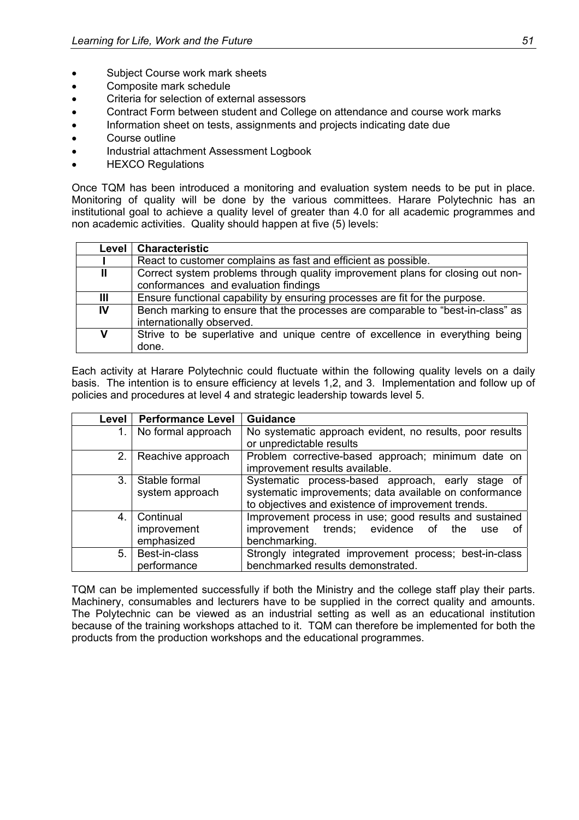- Subject Course work mark sheets
- Composite mark schedule
- Criteria for selection of external assessors
- Contract Form between student and College on attendance and course work marks
- Information sheet on tests, assignments and projects indicating date due
- Course outline
- Industrial attachment Assessment Logbook
- HEXCO Regulations

Once TQM has been introduced a monitoring and evaluation system needs to be put in place. Monitoring of quality will be done by the various committees. Harare Polytechnic has an institutional goal to achieve a quality level of greater than 4.0 for all academic programmes and non academic activities. Quality should happen at five (5) levels:

| Level | <b>Characteristic</b>                                                           |
|-------|---------------------------------------------------------------------------------|
|       | React to customer complains as fast and efficient as possible.                  |
| Ш     | Correct system problems through quality improvement plans for closing out non-  |
|       | conformances and evaluation findings                                            |
| Ш     | Ensure functional capability by ensuring processes are fit for the purpose.     |
| IV    | Bench marking to ensure that the processes are comparable to "best-in-class" as |
|       | internationally observed.                                                       |
| V     | Strive to be superlative and unique centre of excellence in everything being    |
|       | done.                                                                           |

Each activity at Harare Polytechnic could fluctuate within the following quality levels on a daily basis. The intention is to ensure efficiency at levels 1,2, and 3. Implementation and follow up of policies and procedures at level 4 and strategic leadership towards level 5.

| Level | <b>Performance Level</b> | <b>Guidance</b>                                          |  |  |  |  |  |  |  |
|-------|--------------------------|----------------------------------------------------------|--|--|--|--|--|--|--|
| 1.    | No formal approach       | No systematic approach evident, no results, poor results |  |  |  |  |  |  |  |
|       |                          | or unpredictable results                                 |  |  |  |  |  |  |  |
| 2.1   | Reachive approach        | Problem corrective-based approach; minimum date on       |  |  |  |  |  |  |  |
|       |                          | improvement results available.                           |  |  |  |  |  |  |  |
| 3.    | Stable formal            | Systematic process-based approach, early stage of        |  |  |  |  |  |  |  |
|       | system approach          | systematic improvements; data available on conformance   |  |  |  |  |  |  |  |
|       |                          | to objectives and existence of improvement trends.       |  |  |  |  |  |  |  |
| 4.    | Continual                | Improvement process in use; good results and sustained   |  |  |  |  |  |  |  |
|       | improvement              | improvement trends; evidence<br>0f<br>the<br>ot<br>use   |  |  |  |  |  |  |  |
|       | emphasized               | benchmarking.                                            |  |  |  |  |  |  |  |
| 5.    | Best-in-class            | Strongly integrated improvement process; best-in-class   |  |  |  |  |  |  |  |
|       | performance              | benchmarked results demonstrated.                        |  |  |  |  |  |  |  |

TQM can be implemented successfully if both the Ministry and the college staff play their parts. Machinery, consumables and lecturers have to be supplied in the correct quality and amounts. The Polytechnic can be viewed as an industrial setting as well as an educational institution because of the training workshops attached to it. TQM can therefore be implemented for both the products from the production workshops and the educational programmes.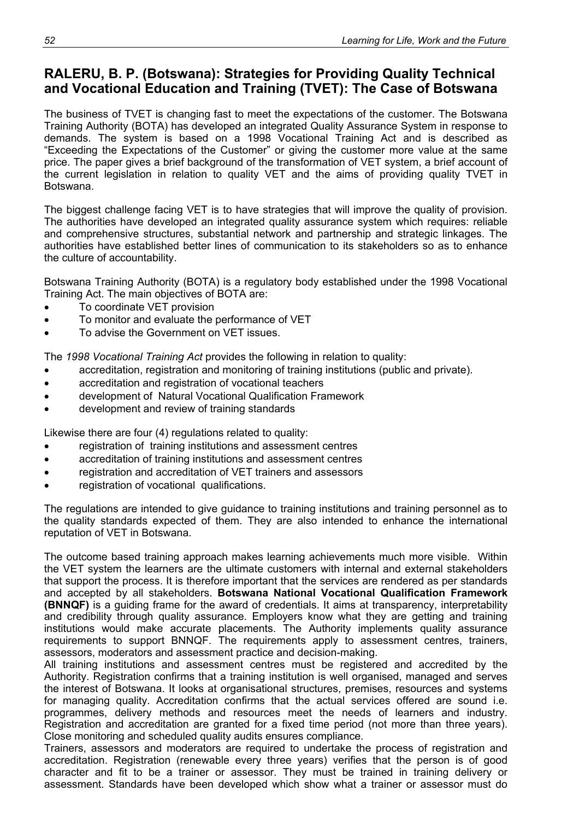# **RALERU, B. P. (Botswana): Strategies for Providing Quality Technical and Vocational Education and Training (TVET): The Case of Botswana**

The business of TVET is changing fast to meet the expectations of the customer. The Botswana Training Authority (BOTA) has developed an integrated Quality Assurance System in response to demands. The system is based on a 1998 Vocational Training Act and is described as "Exceeding the Expectations of the Customer" or giving the customer more value at the same price. The paper gives a brief background of the transformation of VET system, a brief account of the current legislation in relation to quality VET and the aims of providing quality TVET in Botswana.

The biggest challenge facing VET is to have strategies that will improve the quality of provision. The authorities have developed an integrated quality assurance system which requires: reliable and comprehensive structures, substantial network and partnership and strategic linkages. The authorities have established better lines of communication to its stakeholders so as to enhance the culture of accountability.

Botswana Training Authority (BOTA) is a regulatory body established under the 1998 Vocational Training Act. The main objectives of BOTA are:

- To coordinate VET provision
- To monitor and evaluate the performance of VET
- To advise the Government on VET issues.

The *1998 Vocational Training Act* provides the following in relation to quality:

- accreditation, registration and monitoring of training institutions (public and private).
- accreditation and registration of vocational teachers
- development of Natural Vocational Qualification Framework
- development and review of training standards

Likewise there are four (4) regulations related to quality:

- registration of training institutions and assessment centres
- accreditation of training institutions and assessment centres
- registration and accreditation of VET trainers and assessors
- registration of vocational qualifications.

The regulations are intended to give guidance to training institutions and training personnel as to the quality standards expected of them. They are also intended to enhance the international reputation of VET in Botswana.

The outcome based training approach makes learning achievements much more visible. Within the VET system the learners are the ultimate customers with internal and external stakeholders that support the process. It is therefore important that the services are rendered as per standards and accepted by all stakeholders. **Botswana National Vocational Qualification Framework (BNNQF)** is a guiding frame for the award of credentials. It aims at transparency, interpretability and credibility through quality assurance. Employers know what they are getting and training institutions would make accurate placements. The Authority implements quality assurance requirements to support BNNQF. The requirements apply to assessment centres, trainers, assessors, moderators and assessment practice and decision-making.

All training institutions and assessment centres must be registered and accredited by the Authority. Registration confirms that a training institution is well organised, managed and serves the interest of Botswana. It looks at organisational structures, premises, resources and systems for managing quality. Accreditation confirms that the actual services offered are sound i.e. programmes, delivery methods and resources meet the needs of learners and industry. Registration and accreditation are granted for a fixed time period (not more than three years). Close monitoring and scheduled quality audits ensures compliance.

Trainers, assessors and moderators are required to undertake the process of registration and accreditation. Registration (renewable every three years) verifies that the person is of good character and fit to be a trainer or assessor. They must be trained in training delivery or assessment. Standards have been developed which show what a trainer or assessor must do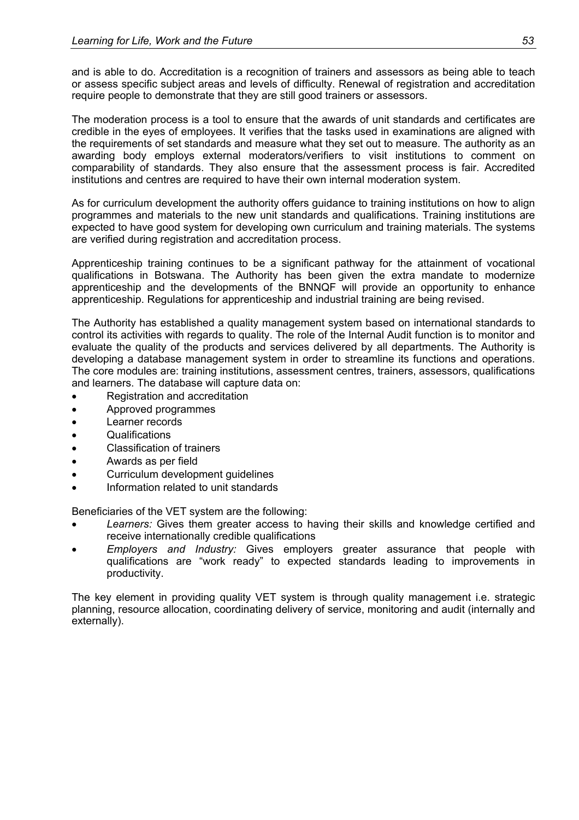and is able to do. Accreditation is a recognition of trainers and assessors as being able to teach or assess specific subject areas and levels of difficulty. Renewal of registration and accreditation require people to demonstrate that they are still good trainers or assessors.

The moderation process is a tool to ensure that the awards of unit standards and certificates are credible in the eyes of employees. It verifies that the tasks used in examinations are aligned with the requirements of set standards and measure what they set out to measure. The authority as an awarding body employs external moderators/verifiers to visit institutions to comment on comparability of standards. They also ensure that the assessment process is fair. Accredited institutions and centres are required to have their own internal moderation system.

As for curriculum development the authority offers guidance to training institutions on how to align programmes and materials to the new unit standards and qualifications. Training institutions are expected to have good system for developing own curriculum and training materials. The systems are verified during registration and accreditation process.

Apprenticeship training continues to be a significant pathway for the attainment of vocational qualifications in Botswana. The Authority has been given the extra mandate to modernize apprenticeship and the developments of the BNNQF will provide an opportunity to enhance apprenticeship. Regulations for apprenticeship and industrial training are being revised.

The Authority has established a quality management system based on international standards to control its activities with regards to quality. The role of the Internal Audit function is to monitor and evaluate the quality of the products and services delivered by all departments. The Authority is developing a database management system in order to streamline its functions and operations. The core modules are: training institutions, assessment centres, trainers, assessors, qualifications and learners. The database will capture data on:

- Registration and accreditation
- Approved programmes
- Learner records
- Qualifications
- Classification of trainers
- Awards as per field
- Curriculum development guidelines
- Information related to unit standards

Beneficiaries of the VET system are the following:

- *Learners:* Gives them greater access to having their skills and knowledge certified and receive internationally credible qualifications
- *Employers and Industry:* Gives employers greater assurance that people with qualifications are "work ready" to expected standards leading to improvements in productivity.

The key element in providing quality VET system is through quality management i.e. strategic planning, resource allocation, coordinating delivery of service, monitoring and audit (internally and externally).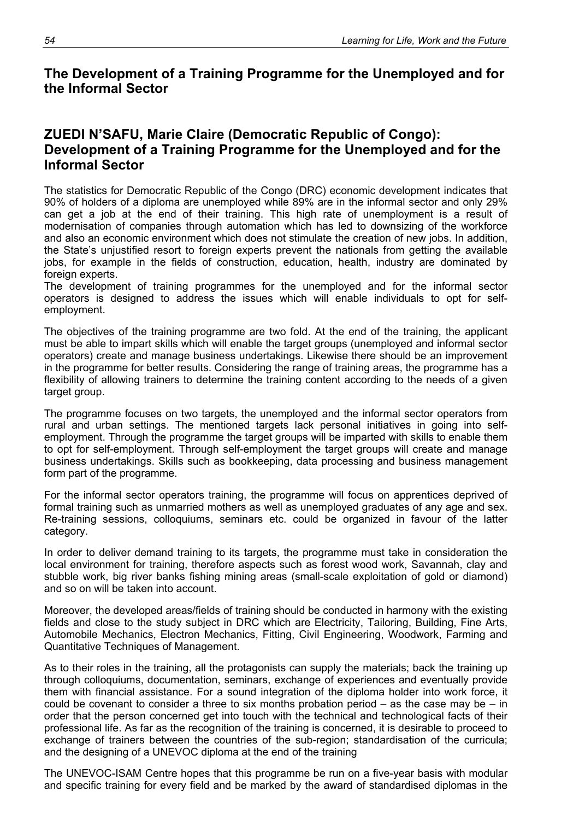## **The Development of a Training Programme for the Unemployed and for the Informal Sector**

## **ZUEDI N'SAFU, Marie Claire (Democratic Republic of Congo): Development of a Training Programme for the Unemployed and for the Informal Sector**

The statistics for Democratic Republic of the Congo (DRC) economic development indicates that 90% of holders of a diploma are unemployed while 89% are in the informal sector and only 29% can get a job at the end of their training. This high rate of unemployment is a result of modernisation of companies through automation which has led to downsizing of the workforce and also an economic environment which does not stimulate the creation of new jobs. In addition, the State's unjustified resort to foreign experts prevent the nationals from getting the available jobs, for example in the fields of construction, education, health, industry are dominated by foreign experts.

The development of training programmes for the unemployed and for the informal sector operators is designed to address the issues which will enable individuals to opt for selfemployment.

The objectives of the training programme are two fold. At the end of the training, the applicant must be able to impart skills which will enable the target groups (unemployed and informal sector operators) create and manage business undertakings. Likewise there should be an improvement in the programme for better results. Considering the range of training areas, the programme has a flexibility of allowing trainers to determine the training content according to the needs of a given target group.

The programme focuses on two targets, the unemployed and the informal sector operators from rural and urban settings. The mentioned targets lack personal initiatives in going into selfemployment. Through the programme the target groups will be imparted with skills to enable them to opt for self-employment. Through self-employment the target groups will create and manage business undertakings. Skills such as bookkeeping, data processing and business management form part of the programme.

For the informal sector operators training, the programme will focus on apprentices deprived of formal training such as unmarried mothers as well as unemployed graduates of any age and sex. Re-training sessions, colloquiums, seminars etc. could be organized in favour of the latter category.

In order to deliver demand training to its targets, the programme must take in consideration the local environment for training, therefore aspects such as forest wood work, Savannah, clay and stubble work, big river banks fishing mining areas (small-scale exploitation of gold or diamond) and so on will be taken into account.

Moreover, the developed areas/fields of training should be conducted in harmony with the existing fields and close to the study subject in DRC which are Electricity, Tailoring, Building, Fine Arts, Automobile Mechanics, Electron Mechanics, Fitting, Civil Engineering, Woodwork, Farming and Quantitative Techniques of Management.

As to their roles in the training, all the protagonists can supply the materials; back the training up through colloquiums, documentation, seminars, exchange of experiences and eventually provide them with financial assistance. For a sound integration of the diploma holder into work force, it could be covenant to consider a three to six months probation period – as the case may be – in order that the person concerned get into touch with the technical and technological facts of their professional life. As far as the recognition of the training is concerned, it is desirable to proceed to exchange of trainers between the countries of the sub-region; standardisation of the curricula; and the designing of a UNEVOC diploma at the end of the training

The UNEVOC-ISAM Centre hopes that this programme be run on a five-year basis with modular and specific training for every field and be marked by the award of standardised diplomas in the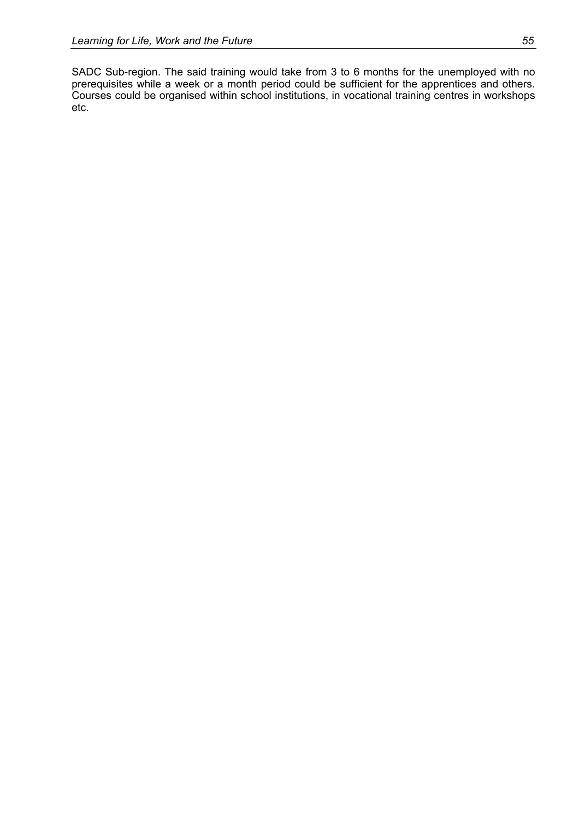SADC Sub-region. The said training would take from 3 to 6 months for the unemployed with no prerequisites while a week or a month period could be sufficient for the apprentices and others. Courses could be organised within school institutions, in vocational training centres in workshops etc.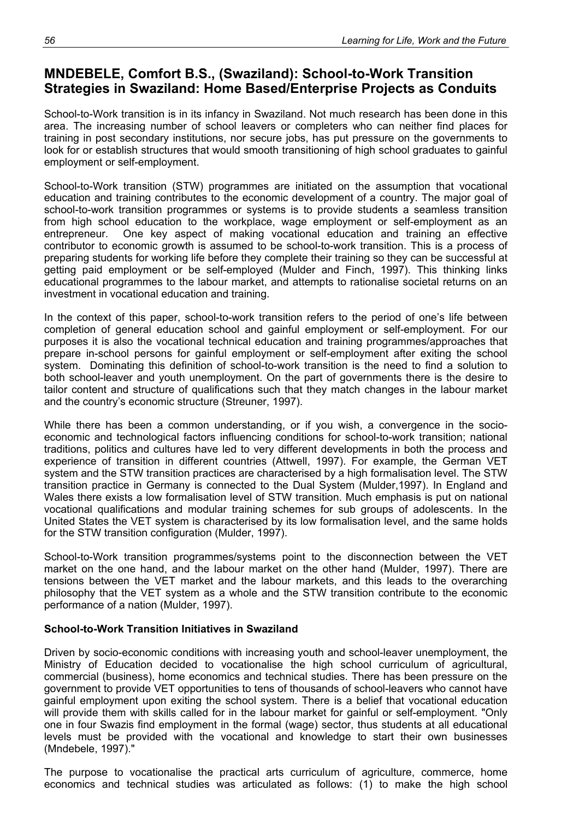# **MNDEBELE, Comfort B.S., (Swaziland): School-to-Work Transition Strategies in Swaziland: Home Based/Enterprise Projects as Conduits**

School-to-Work transition is in its infancy in Swaziland. Not much research has been done in this area. The increasing number of school leavers or completers who can neither find places for training in post secondary institutions, nor secure jobs, has put pressure on the governments to look for or establish structures that would smooth transitioning of high school graduates to gainful employment or self-employment.

School-to-Work transition (STW) programmes are initiated on the assumption that vocational education and training contributes to the economic development of a country. The major goal of school-to-work transition programmes or systems is to provide students a seamless transition from high school education to the workplace, wage employment or self-employment as an entrepreneur. One key aspect of making vocational education and training an effective contributor to economic growth is assumed to be school-to-work transition. This is a process of preparing students for working life before they complete their training so they can be successful at getting paid employment or be self-employed (Mulder and Finch, 1997). This thinking links educational programmes to the labour market, and attempts to rationalise societal returns on an investment in vocational education and training.

In the context of this paper, school-to-work transition refers to the period of one's life between completion of general education school and gainful employment or self-employment. For our purposes it is also the vocational technical education and training programmes/approaches that prepare in-school persons for gainful employment or self-employment after exiting the school system. Dominating this definition of school-to-work transition is the need to find a solution to both school-leaver and youth unemployment. On the part of governments there is the desire to tailor content and structure of qualifications such that they match changes in the labour market and the country's economic structure (Streuner, 1997).

While there has been a common understanding, or if you wish, a convergence in the socioeconomic and technological factors influencing conditions for school-to-work transition; national traditions, politics and cultures have led to very different developments in both the process and experience of transition in different countries (Attwell, 1997). For example, the German VET system and the STW transition practices are characterised by a high formalisation level. The STW transition practice in Germany is connected to the Dual System (Mulder,1997). In England and Wales there exists a low formalisation level of STW transition. Much emphasis is put on national vocational qualifications and modular training schemes for sub groups of adolescents. In the United States the VET system is characterised by its low formalisation level, and the same holds for the STW transition configuration (Mulder, 1997).

School-to-Work transition programmes/systems point to the disconnection between the VET market on the one hand, and the labour market on the other hand (Mulder, 1997). There are tensions between the VET market and the labour markets, and this leads to the overarching philosophy that the VET system as a whole and the STW transition contribute to the economic performance of a nation (Mulder, 1997).

### **School-to-Work Transition Initiatives in Swaziland**

Driven by socio-economic conditions with increasing youth and school-leaver unemployment, the Ministry of Education decided to vocationalise the high school curriculum of agricultural, commercial (business), home economics and technical studies. There has been pressure on the government to provide VET opportunities to tens of thousands of school-leavers who cannot have gainful employment upon exiting the school system. There is a belief that vocational education will provide them with skills called for in the labour market for gainful or self-employment. "Only one in four Swazis find employment in the formal (wage) sector, thus students at all educational levels must be provided with the vocational and knowledge to start their own businesses (Mndebele, 1997)."

The purpose to vocationalise the practical arts curriculum of agriculture, commerce, home economics and technical studies was articulated as follows: (1) to make the high school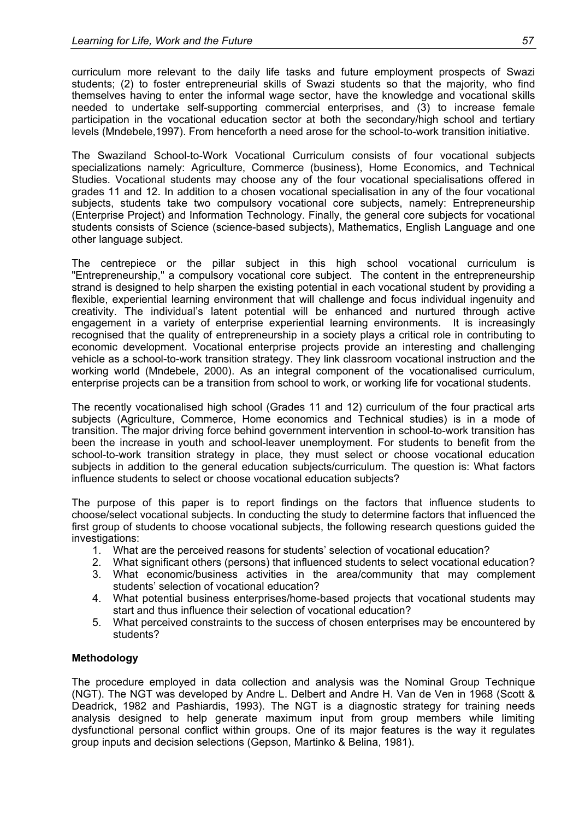curriculum more relevant to the daily life tasks and future employment prospects of Swazi students; (2) to foster entrepreneurial skills of Swazi students so that the majority, who find themselves having to enter the informal wage sector, have the knowledge and vocational skills needed to undertake self-supporting commercial enterprises, and (3) to increase female participation in the vocational education sector at both the secondary/high school and tertiary levels (Mndebele,1997). From henceforth a need arose for the school-to-work transition initiative.

The Swaziland School-to-Work Vocational Curriculum consists of four vocational subjects specializations namely: Agriculture, Commerce (business), Home Economics, and Technical Studies. Vocational students may choose any of the four vocational specialisations offered in grades 11 and 12. In addition to a chosen vocational specialisation in any of the four vocational subjects, students take two compulsory vocational core subjects, namely: Entrepreneurship (Enterprise Project) and Information Technology. Finally, the general core subjects for vocational students consists of Science (science-based subjects), Mathematics, English Language and one other language subject.

The centrepiece or the pillar subject in this high school vocational curriculum is "Entrepreneurship," a compulsory vocational core subject. The content in the entrepreneurship strand is designed to help sharpen the existing potential in each vocational student by providing a flexible, experiential learning environment that will challenge and focus individual ingenuity and creativity. The individual's latent potential will be enhanced and nurtured through active engagement in a variety of enterprise experiential learning environments. It is increasingly recognised that the quality of entrepreneurship in a society plays a critical role in contributing to economic development. Vocational enterprise projects provide an interesting and challenging vehicle as a school-to-work transition strategy. They link classroom vocational instruction and the working world (Mndebele, 2000). As an integral component of the vocationalised curriculum, enterprise projects can be a transition from school to work, or working life for vocational students.

The recently vocationalised high school (Grades 11 and 12) curriculum of the four practical arts subjects (Agriculture, Commerce, Home economics and Technical studies) is in a mode of transition. The major driving force behind government intervention in school-to-work transition has been the increase in youth and school-leaver unemployment. For students to benefit from the school-to-work transition strategy in place, they must select or choose vocational education subjects in addition to the general education subjects/curriculum. The question is: What factors influence students to select or choose vocational education subjects?

The purpose of this paper is to report findings on the factors that influence students to choose/select vocational subjects. In conducting the study to determine factors that influenced the first group of students to choose vocational subjects, the following research questions guided the investigations:

- 1. What are the perceived reasons for students' selection of vocational education?
- 2. What significant others (persons) that influenced students to select vocational education?
- 3. What economic/business activities in the area/community that may complement students' selection of vocational education?
- 4. What potential business enterprises/home-based projects that vocational students may start and thus influence their selection of vocational education?
- 5. What perceived constraints to the success of chosen enterprises may be encountered by students?

### **Methodology**

The procedure employed in data collection and analysis was the Nominal Group Technique (NGT). The NGT was developed by Andre L. Delbert and Andre H. Van de Ven in 1968 (Scott & Deadrick, 1982 and Pashiardis, 1993). The NGT is a diagnostic strategy for training needs analysis designed to help generate maximum input from group members while limiting dysfunctional personal conflict within groups. One of its major features is the way it regulates group inputs and decision selections (Gepson, Martinko & Belina, 1981).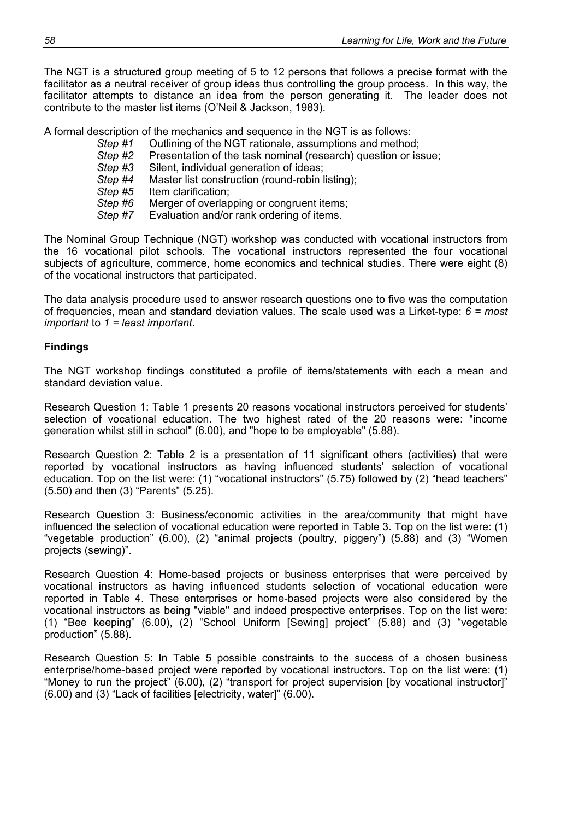The NGT is a structured group meeting of 5 to 12 persons that follows a precise format with the facilitator as a neutral receiver of group ideas thus controlling the group process. In this way, the facilitator attempts to distance an idea from the person generating it. The leader does not contribute to the master list items (O'Neil & Jackson, 1983).

A formal description of the mechanics and sequence in the NGT is as follows:<br>Step #1 Outlining of the NGT rationale, assumptions and method

- Outlining of the NGT rationale, assumptions and method;
- *Step #2* Presentation of the task nominal (research) question or issue;
- *Step #3* Silent, individual generation of ideas;
- *Step #4* Master list construction (round-robin listing);
- *Step #5* Item clarification;
- *Step #6* Merger of overlapping or congruent items;
- *Step #7* Evaluation and/or rank ordering of items.

The Nominal Group Technique (NGT) workshop was conducted with vocational instructors from the 16 vocational pilot schools. The vocational instructors represented the four vocational subjects of agriculture, commerce, home economics and technical studies. There were eight (8) of the vocational instructors that participated.

The data analysis procedure used to answer research questions one to five was the computation of frequencies, mean and standard deviation values. The scale used was a Lirket-type: *6 = most important* to *1 = least important*.

#### **Findings**

The NGT workshop findings constituted a profile of items/statements with each a mean and standard deviation value.

Research Question 1: Table 1 presents 20 reasons vocational instructors perceived for students' selection of vocational education. The two highest rated of the 20 reasons were: "income generation whilst still in school" (6.00), and "hope to be employable" (5.88).

Research Question 2: Table 2 is a presentation of 11 significant others (activities) that were reported by vocational instructors as having influenced students' selection of vocational education. Top on the list were: (1) "vocational instructors" (5.75) followed by (2) "head teachers" (5.50) and then (3) "Parents" (5.25).

Research Question 3: Business/economic activities in the area/community that might have influenced the selection of vocational education were reported in Table 3. Top on the list were: (1) "vegetable production" (6.00), (2) "animal projects (poultry, piggery") (5.88) and (3) "Women projects (sewing)".

Research Question 4: Home-based projects or business enterprises that were perceived by vocational instructors as having influenced students selection of vocational education were reported in Table 4. These enterprises or home-based projects were also considered by the vocational instructors as being "viable" and indeed prospective enterprises. Top on the list were: (1) "Bee keeping" (6.00), (2) "School Uniform [Sewing] project" (5.88) and (3) "vegetable production" (5.88).

Research Question 5: In Table 5 possible constraints to the success of a chosen business enterprise/home-based project were reported by vocational instructors. Top on the list were: (1) "Money to run the project" (6.00), (2) "transport for project supervision [by vocational instructor]" (6.00) and (3) "Lack of facilities [electricity, water]" (6.00).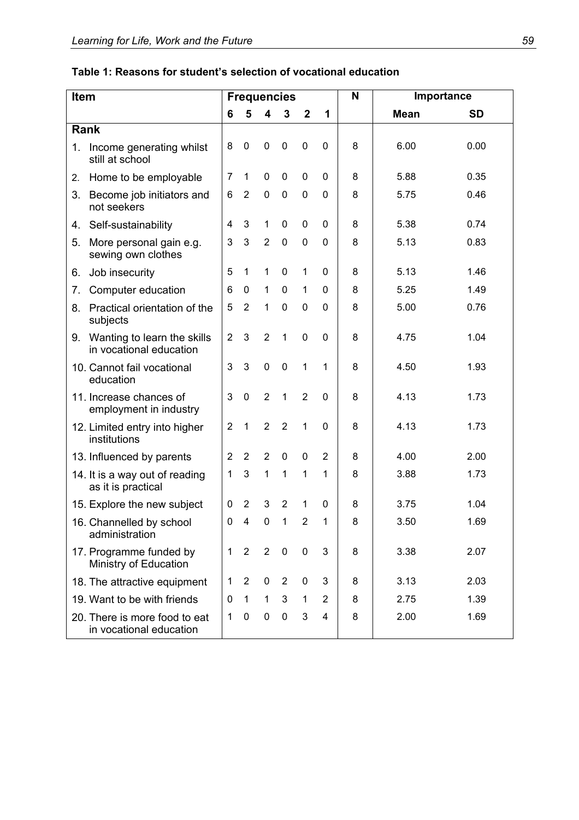| Item |                                                          | <b>Frequencies</b> |                |                |                |                |              | N | Importance  |           |  |
|------|----------------------------------------------------------|--------------------|----------------|----------------|----------------|----------------|--------------|---|-------------|-----------|--|
|      |                                                          | 6                  | 5              | 4              | $\mathbf{3}$   | $\overline{2}$ | 1            |   | <b>Mean</b> | <b>SD</b> |  |
|      | Rank                                                     |                    |                |                |                |                |              |   |             |           |  |
| 1.   | Income generating whilst<br>still at school              | 8                  | $\mathbf 0$    | 0              | $\pmb{0}$      | $\mathbf 0$    | $\mathbf 0$  | 8 | 6.00        | 0.00      |  |
| 2.   | Home to be employable                                    | 7                  | $\mathbf{1}$   | $\mathbf 0$    | $\mathbf 0$    | $\mathbf 0$    | $\mathbf{0}$ | 8 | 5.88        | 0.35      |  |
| 3.   | Become job initiators and<br>not seekers                 | 6                  | $\overline{2}$ | $\pmb{0}$      | $\pmb{0}$      | $\mathbf 0$    | $\mathbf{0}$ | 8 | 5.75        | 0.46      |  |
| 4.   | Self-sustainability                                      | 4                  | 3              | 1              | $\mathbf 0$    | 0              | $\mathbf{0}$ | 8 | 5.38        | 0.74      |  |
| 5.   | More personal gain e.g.<br>sewing own clothes            | 3                  | $\mathfrak{S}$ | $\overline{2}$ | $\pmb{0}$      | $\mathbf 0$    | $\mathbf 0$  | 8 | 5.13        | 0.83      |  |
| 6.   | Job insecurity                                           | 5                  | $\mathbf 1$    | 1              | $\mathbf 0$    | $\mathbf{1}$   | $\mathbf{0}$ | 8 | 5.13        | 1.46      |  |
| 7.   | Computer education                                       | 6                  | 0              | 1              | $\mathbf 0$    | $\mathbf{1}$   | $\Omega$     | 8 | 5.25        | 1.49      |  |
| 8.   | Practical orientation of the<br>subjects                 | 5                  | $\overline{2}$ | $\mathbf{1}$   | $\mathbf 0$    | 0              | $\mathbf{0}$ | 8 | 5.00        | 0.76      |  |
| 9.   | Wanting to learn the skills<br>in vocational education   | $\overline{2}$     | 3              | $\overline{2}$ | $\mathbf{1}$   | $\mathbf 0$    | $\mathbf{0}$ | 8 | 4.75        | 1.04      |  |
|      | 10. Cannot fail vocational<br>education                  | 3                  | 3              | $\mathbf 0$    | $\mathbf 0$    | $\mathbf{1}$   | 1            | 8 | 4.50        | 1.93      |  |
|      | 11. Increase chances of<br>employment in industry        | 3                  | $\mathbf 0$    | $\overline{2}$ | $\mathbf{1}$   | $\overline{2}$ | $\Omega$     | 8 | 4.13        | 1.73      |  |
|      | 12. Limited entry into higher<br>institutions            | $\overline{2}$     | $\mathbf{1}$   | $\overline{2}$ | $\overline{2}$ | $\mathbf{1}$   | $\mathbf{0}$ | 8 | 4.13        | 1.73      |  |
|      | 13. Influenced by parents                                | $\overline{2}$     | $\overline{2}$ | $\overline{2}$ | $\mathbf 0$    | 0              | 2            | 8 | 4.00        | 2.00      |  |
|      | 14. It is a way out of reading<br>as it is practical     | 1                  | 3              | 1              | 1              | 1              | 1            | 8 | 3.88        | 1.73      |  |
|      | 15. Explore the new subject                              | 0                  | $\overline{2}$ | 3              | $\overline{2}$ | 1              | $\Omega$     | 8 | 3.75        | 1.04      |  |
|      | 16. Channelled by school<br>administration               | 0                  | 4              | 0              | 1              | 2              | 1            | 8 | 3.50        | 1.69      |  |
|      | 17. Programme funded by<br>Ministry of Education         | 1                  | $\overline{2}$ | $\overline{2}$ | $\mathbf 0$    | $\mathbf 0$    | 3            | 8 | 3.38        | 2.07      |  |
|      | 18. The attractive equipment                             | 1                  | 2              | 0              | $\overline{2}$ | 0              | 3            | 8 | 3.13        | 2.03      |  |
|      | 19. Want to be with friends                              | 0                  | 1              | $\mathbf{1}$   | $\mathbf{3}$   | 1              | 2            | 8 | 2.75        | 1.39      |  |
|      | 20. There is more food to eat<br>in vocational education | 1                  | 0              | 0              | $\pmb{0}$      | 3              | 4            | 8 | 2.00        | 1.69      |  |

# **Table 1: Reasons for student's selection of vocational education**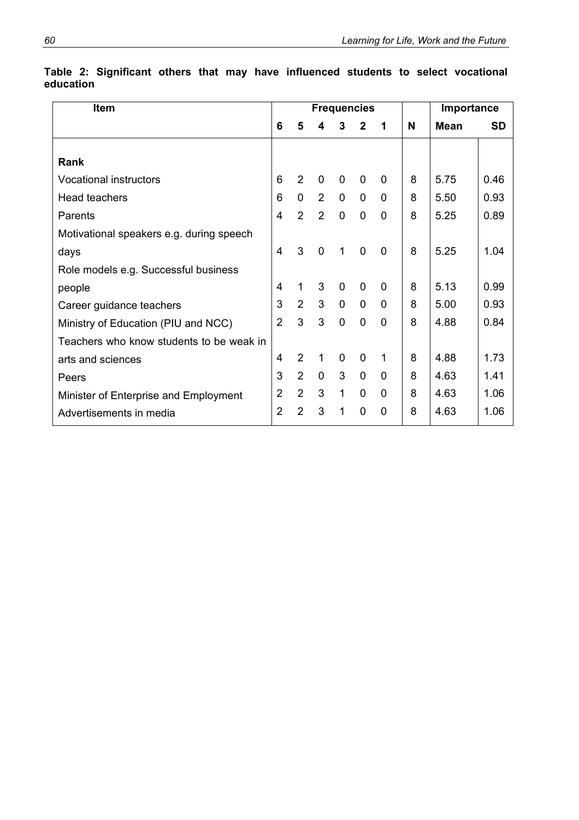| <b>Item</b>                              |                |                | <b>Frequencies</b> | Importance   |                |             |   |      |      |
|------------------------------------------|----------------|----------------|--------------------|--------------|----------------|-------------|---|------|------|
|                                          | 6              | 5              | 4                  | 3            | $\mathbf{2}$   | 1           | N | Mean | SD   |
|                                          |                |                |                    |              |                |             |   |      |      |
| <b>Rank</b>                              |                |                |                    |              |                |             |   |      |      |
| <b>Vocational instructors</b>            | 6              | 2              | $\mathbf 0$        | 0            | 0              | $\Omega$    | 8 | 5.75 | 0.46 |
| <b>Head teachers</b>                     | 6              | 0              | 2                  | $\mathbf 0$  | $\mathbf 0$    | 0           | 8 | 5.50 | 0.93 |
| Parents                                  | 4              | $\overline{2}$ | $\overline{2}$     | $\mathbf 0$  | $\overline{0}$ | $\mathbf 0$ | 8 | 5.25 | 0.89 |
| Motivational speakers e.g. during speech |                |                |                    |              |                |             |   |      |      |
| days                                     | 4              | 3              | $\mathbf 0$        | 1            | $\mathbf 0$    | 0           | 8 | 5.25 | 1.04 |
| Role models e.g. Successful business     |                |                |                    |              |                |             |   |      |      |
| people                                   | 4              | 1              | 3                  | $\mathbf{0}$ | $\mathbf 0$    | $\Omega$    | 8 | 5.13 | 0.99 |
| Career guidance teachers                 | 3              | $\overline{2}$ | 3                  | $\mathbf 0$  | $\mathbf 0$    | $\mathbf 0$ | 8 | 5.00 | 0.93 |
| Ministry of Education (PIU and NCC)      | $\overline{2}$ | 3              | 3                  | $\mathbf 0$  | $\overline{0}$ | $\mathbf 0$ | 8 | 4.88 | 0.84 |
| Teachers who know students to be weak in |                |                |                    |              |                |             |   |      |      |
| arts and sciences                        | 4              | $\overline{2}$ | 1                  | $\mathbf{0}$ | $\mathbf 0$    | 1           | 8 | 4.88 | 1.73 |
| Peers                                    | 3              | $\overline{2}$ | $\mathbf 0$        | 3            | $\overline{0}$ | $\Omega$    | 8 | 4.63 | 1.41 |
| Minister of Enterprise and Employment    | $\overline{2}$ | $\overline{2}$ | 3                  | 1            | $\overline{0}$ | $\Omega$    | 8 | 4.63 | 1.06 |
| Advertisements in media                  | $\overline{2}$ | $\overline{2}$ | 3                  | 1            | $\overline{0}$ | $\Omega$    | 8 | 4.63 | 1.06 |

**Table 2: Significant others that may have influenced students to select vocational education**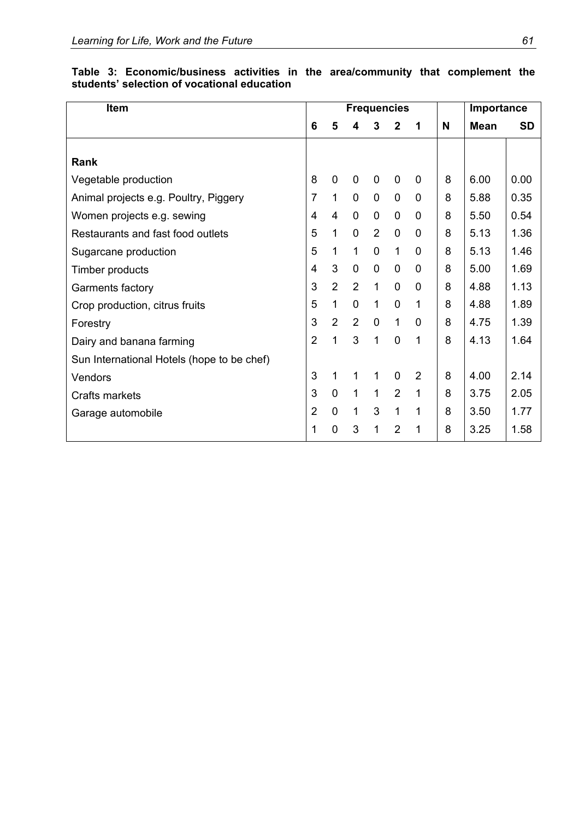| <b>Item</b>                                |                |                | <b>Frequencies</b> |                | Importance     |              |   |             |      |
|--------------------------------------------|----------------|----------------|--------------------|----------------|----------------|--------------|---|-------------|------|
|                                            | 6              | 5              | 4                  | 3              | $\mathbf{2}$   | 1            | N | <b>Mean</b> | SD   |
| Rank                                       |                |                |                    |                |                |              |   |             |      |
| Vegetable production                       | 8              | $\mathbf 0$    | $\mathbf 0$        | 0              | $\mathbf 0$    | $\mathbf{0}$ | 8 | 6.00        | 0.00 |
| Animal projects e.g. Poultry, Piggery      | 7              | $\mathbf{1}$   | $\mathbf 0$        | $\mathbf 0$    | $\mathbf 0$    | 0            | 8 | 5.88        | 0.35 |
| Women projects e.g. sewing                 | 4              | 4              | $\mathbf 0$        | $\mathbf 0$    | $\mathbf 0$    | 0            | 8 | 5.50        | 0.54 |
| Restaurants and fast food outlets          | 5              | $\mathbf{1}$   | $\overline{0}$     | 2              | $\mathbf 0$    | 0            | 8 | 5.13        | 1.36 |
| Sugarcane production                       | 5              | 1              | $\mathbf{1}$       | $\overline{0}$ | $\mathbf{1}$   | $\mathbf 0$  | 8 | 5.13        | 1.46 |
| Timber products                            | 4              | 3              | $\mathbf 0$        | $\overline{0}$ | $\mathbf 0$    | 0            | 8 | 5.00        | 1.69 |
| Garments factory                           | 3              | $\overline{2}$ | $\overline{2}$     | $\mathbf{1}$   | $\overline{0}$ | $\mathbf 0$  | 8 | 4.88        | 1.13 |
| Crop production, citrus fruits             | 5              | $\mathbf{1}$   | $\overline{0}$     | 1              | $\overline{0}$ | 1            | 8 | 4.88        | 1.89 |
| Forestry                                   | 3              | $\overline{2}$ | $\overline{2}$     | $\mathbf 0$    | $\mathbf{1}$   | $\mathbf{0}$ | 8 | 4.75        | 1.39 |
| Dairy and banana farming                   | $\overline{2}$ | 1              | 3                  | 1              | $\overline{0}$ | 1            | 8 | 4.13        | 1.64 |
| Sun International Hotels (hope to be chef) |                |                |                    |                |                |              |   |             |      |
| Vendors                                    | 3              | 1              | 1                  | 1              | $\mathbf 0$    | 2            | 8 | 4.00        | 2.14 |
| Crafts markets                             | 3              | $\mathbf 0$    | $\mathbf{1}$       | 1              | $\overline{2}$ | 1            | 8 | 3.75        | 2.05 |
| Garage automobile                          | $\overline{2}$ | $\overline{0}$ | $\mathbf{1}$       | 3              | $\mathbf{1}$   | 1            | 8 | 3.50        | 1.77 |
|                                            | 1              | $\overline{0}$ | 3                  | 1              | $\overline{2}$ | 1            | 8 | 3.25        | 1.58 |

**Table 3: Economic/business activities in the area/community that complement the students' selection of vocational education**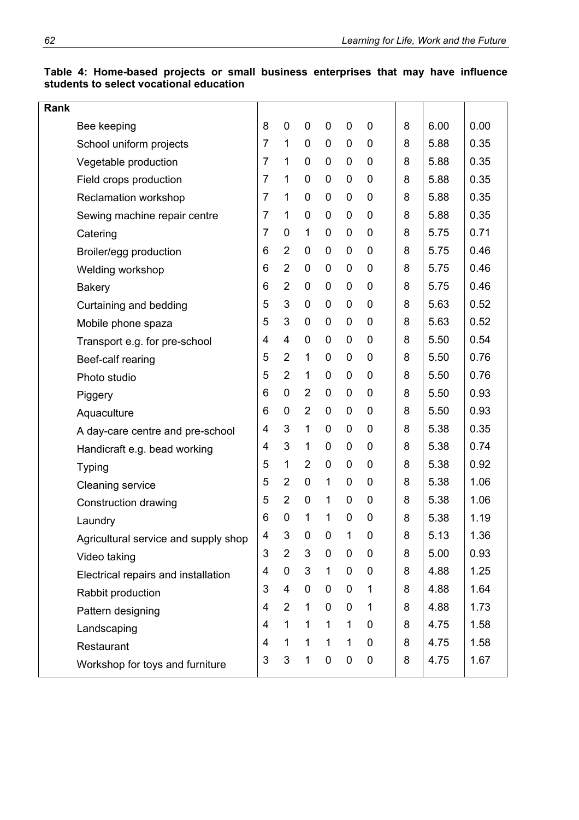| Table 4: Home-based projects or small business enterprises that may have influence |  |  |  |  |  |
|------------------------------------------------------------------------------------|--|--|--|--|--|
| students to select vocational education                                            |  |  |  |  |  |

| Rank |                                      |                |                |                |                  |              |             |   |      |      |
|------|--------------------------------------|----------------|----------------|----------------|------------------|--------------|-------------|---|------|------|
|      | Bee keeping                          | 8              | 0              | 0              | $\mathbf 0$      | 0            | 0           | 8 | 6.00 | 0.00 |
|      | School uniform projects              | $\overline{7}$ | 1              | 0              | $\mathbf 0$      | 0            | 0           | 8 | 5.88 | 0.35 |
|      | Vegetable production                 | $\overline{7}$ | 1              | 0              | $\mathbf 0$      | 0            | 0           | 8 | 5.88 | 0.35 |
|      | Field crops production               | $\overline{7}$ | 1              | 0              | $\mathbf 0$      | 0            | 0           | 8 | 5.88 | 0.35 |
|      | Reclamation workshop                 | $\overline{7}$ | 1              | 0              | $\mathbf 0$      | 0            | 0           | 8 | 5.88 | 0.35 |
|      | Sewing machine repair centre         | 7              | 1              | 0              | $\mathbf 0$      | 0            | 0           | 8 | 5.88 | 0.35 |
|      | Catering                             | $\overline{7}$ | 0              | 1              | $\mathbf 0$      | 0            | $\mathbf 0$ | 8 | 5.75 | 0.71 |
|      | Broiler/egg production               | 6              | $\overline{2}$ | 0              | $\mathbf 0$      | 0            | $\mathbf 0$ | 8 | 5.75 | 0.46 |
|      | Welding workshop                     | 6              | $\overline{2}$ | $\mathbf 0$    | $\mathbf 0$      | 0            | $\mathbf 0$ | 8 | 5.75 | 0.46 |
|      | <b>Bakery</b>                        | 6              | $\overline{2}$ | $\mathbf 0$    | $\pmb{0}$        | 0            | $\mathbf 0$ | 8 | 5.75 | 0.46 |
|      | Curtaining and bedding               | 5              | 3              | $\mathbf 0$    | $\mathbf 0$      | $\mathbf 0$  | 0           | 8 | 5.63 | 0.52 |
|      | Mobile phone spaza                   | 5              | 3              | $\pmb{0}$      | $\pmb{0}$        | 0            | $\mathbf 0$ | 8 | 5.63 | 0.52 |
|      | Transport e.g. for pre-school        | $\overline{4}$ | 4              | 0              | $\boldsymbol{0}$ | 0            | $\mathbf 0$ | 8 | 5.50 | 0.54 |
|      | Beef-calf rearing                    | 5              | $\overline{2}$ | 1              | $\mathbf 0$      | 0            | $\mathbf 0$ | 8 | 5.50 | 0.76 |
|      | Photo studio                         | 5              | $\overline{2}$ | 1              | $\mathbf 0$      | 0            | 0           | 8 | 5.50 | 0.76 |
|      | Piggery                              | 6              | 0              | $\overline{2}$ | $\mathbf 0$      | 0            | 0           | 8 | 5.50 | 0.93 |
|      | Aquaculture                          | 6              | 0              | $\overline{2}$ | 0                | 0            | 0           | 8 | 5.50 | 0.93 |
|      | A day-care centre and pre-school     | 4              | 3              | 1              | $\mathbf 0$      | 0            | $\mathbf 0$ | 8 | 5.38 | 0.35 |
|      | Handicraft e.g. bead working         | 4              | 3              | 1              | $\mathbf 0$      | 0            | 0           | 8 | 5.38 | 0.74 |
|      | <b>Typing</b>                        | 5              | 1              | $\overline{2}$ | $\mathbf 0$      | 0            | $\mathbf 0$ | 8 | 5.38 | 0.92 |
|      | <b>Cleaning service</b>              | 5              | $\overline{2}$ | 0              | 1                | 0            | 0           | 8 | 5.38 | 1.06 |
|      | Construction drawing                 | 5              | $\overline{2}$ | 0              | 1                | 0            | $\mathbf 0$ | 8 | 5.38 | 1.06 |
|      | Laundry                              | 6              | 0              | 1              | 1                | 0            | 0           | 8 | 5.38 | 1.19 |
|      | Agricultural service and supply shop | 4              | 3              | 0              | 0                | 1            | 0           | 8 | 5.13 | 1.36 |
|      | Video taking                         | 3              | $\overline{2}$ | 3              | $\mathbf 0$      | 0            | 0           | 8 | 5.00 | 0.93 |
|      | Electrical repairs and installation  | 4              | 0              | 3              | $\mathbf{1}$     | $\mathbf 0$  | 0           | 8 | 4.88 | 1.25 |
|      | Rabbit production                    | 3              | 4              | $\pmb{0}$      | $\mathbf 0$      | $\mathbf 0$  | $\mathbf 1$ | 8 | 4.88 | 1.64 |
|      | Pattern designing                    | 4              | $\overline{2}$ | $\mathbf 1$    | $\mathbf 0$      | $\mathbf 0$  | 1           | 8 | 4.88 | 1.73 |
|      | Landscaping                          | 4              | 1              | $\mathbf{1}$   | $\mathbf{1}$     | $\mathbf{1}$ | 0           | 8 | 4.75 | 1.58 |
|      | Restaurant                           | 4              | 1              | $\mathbf{1}$   | 1                | $\mathbf 1$  | 0           | 8 | 4.75 | 1.58 |
|      | Workshop for toys and furniture      | 3              | 3              | $\mathbf 1$    | $\pmb{0}$        | $\mathbf 0$  | $\mathbf 0$ | 8 | 4.75 | 1.67 |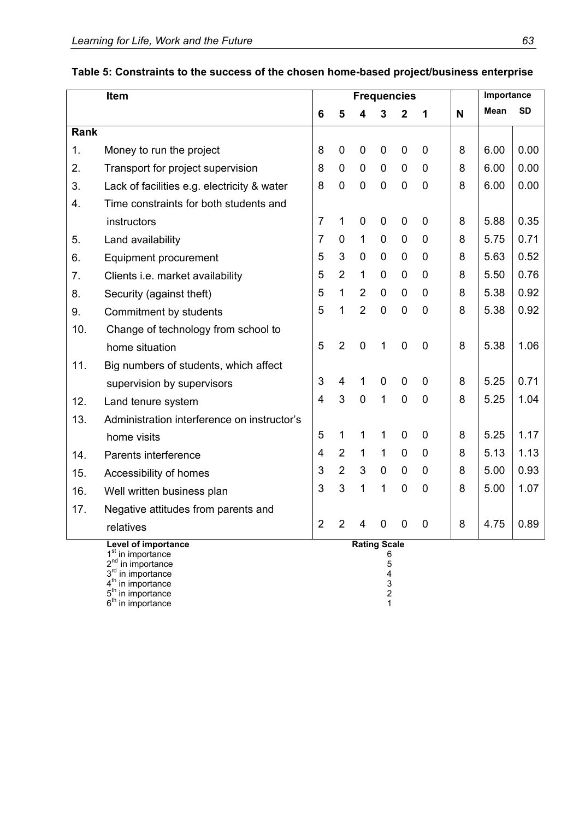|      | Item                                                           |                |                |                     |             | <b>Frequencies</b> |                  |   | Importance  |           |  |
|------|----------------------------------------------------------------|----------------|----------------|---------------------|-------------|--------------------|------------------|---|-------------|-----------|--|
|      |                                                                | 6              | 5              | 4                   | 3           | $\mathbf 2$        | 1                | N | <b>Mean</b> | <b>SD</b> |  |
| Rank |                                                                |                |                |                     |             |                    |                  |   |             |           |  |
| 1.   | Money to run the project                                       | 8              | 0              | $\mathbf 0$         | 0           | 0                  | $\mathbf 0$      | 8 | 6.00        | 0.00      |  |
| 2.   | Transport for project supervision                              | 8              | $\mathbf 0$    | $\mathbf 0$         | $\mathbf 0$ | $\mathbf 0$        | $\mathbf 0$      | 8 | 6.00        | 0.00      |  |
| 3.   | Lack of facilities e.g. electricity & water                    | 8              | 0              | $\mathbf 0$         | $\mathbf 0$ | 0                  | $\mathbf 0$      | 8 | 6.00        | 0.00      |  |
| 4.   | Time constraints for both students and                         |                |                |                     |             |                    |                  |   |             |           |  |
|      | instructors                                                    | $\overline{7}$ | 1              | $\mathbf 0$         | 0           | 0                  | $\mathbf 0$      | 8 | 5.88        | 0.35      |  |
| 5.   | Land availability                                              | $\overline{7}$ | 0              | 1                   | 0           | 0                  | $\mathbf 0$      | 8 | 5.75        | 0.71      |  |
| 6.   | <b>Equipment procurement</b>                                   | 5              | 3              | 0                   | 0           | 0                  | $\mathbf 0$      | 8 | 5.63        | 0.52      |  |
| 7.   | Clients i.e. market availability                               | 5              | $\overline{2}$ | 1                   | $\mathbf 0$ | $\mathbf 0$        | $\mathbf 0$      | 8 | 5.50        | 0.76      |  |
| 8.   | Security (against theft)                                       | 5              | 1              | $\overline{2}$      | 0           | 0                  | 0                | 8 | 5.38        | 0.92      |  |
| 9.   | Commitment by students                                         | 5              | 1              | $\overline{2}$      | 0           | $\mathbf 0$        | $\mathbf 0$      | 8 | 5.38        | 0.92      |  |
| 10.  | Change of technology from school to                            |                |                |                     |             |                    |                  |   |             |           |  |
|      | home situation                                                 | 5              | $\overline{2}$ | $\mathbf 0$         | 1           | $\mathbf 0$        | $\mathbf 0$      | 8 | 5.38        | 1.06      |  |
| 11.  | Big numbers of students, which affect                          |                |                |                     |             |                    |                  |   |             |           |  |
|      | supervision by supervisors                                     | 3              | $\overline{4}$ | 1                   | $\mathbf 0$ | 0                  | $\mathbf 0$      | 8 | 5.25        | 0.71      |  |
| 12.  | Land tenure system                                             | $\overline{4}$ | 3              | $\mathbf 0$         | 1           | $\overline{0}$     | $\boldsymbol{0}$ | 8 | 5.25        | 1.04      |  |
| 13.  | Administration interference on instructor's                    |                |                |                     |             |                    |                  |   |             |           |  |
|      | home visits                                                    | 5              | 1              | 1                   | 1           | 0                  | $\Omega$         | 8 | 5.25        | 1.17      |  |
| 14.  | Parents interference                                           | $\overline{4}$ | $\overline{2}$ | 1                   | 1           | $\mathbf 0$        | $\mathbf 0$      | 8 | 5.13        | 1.13      |  |
| 15.  | Accessibility of homes                                         | 3              | $\overline{2}$ | 3                   | $\mathbf 0$ | $\mathbf 0$        | $\mathbf 0$      | 8 | 5.00        | 0.93      |  |
| 16.  | Well written business plan                                     | 3              | 3              | 1                   | 1           | 0                  | $\mathbf 0$      | 8 | 5.00        | 1.07      |  |
| 17.  | Negative attitudes from parents and                            |                |                |                     |             |                    |                  |   |             |           |  |
|      | relatives                                                      | $\overline{2}$ | $\overline{2}$ | $\overline{4}$      | 0           | $\overline{0}$     | $\overline{0}$   | 8 | 4.75        | 0.89      |  |
|      | Level of importance                                            |                |                | <b>Rating Scale</b> |             |                    |                  |   |             |           |  |
|      | 1 <sup>st</sup> in importance<br>2 <sup>nd</sup> in importance |                |                |                     | 6<br>5      |                    |                  |   |             |           |  |
|      | 3 <sup>rd</sup> in importance                                  |                |                |                     | 4           |                    |                  |   |             |           |  |

 $4<sup>th</sup>$  in importance 3  $5<sup>th</sup>$  in importance 2  $6<sup>th</sup>$  in importance 1

# **Table 5: Constraints to the success of the chosen home-based project/business enterprise**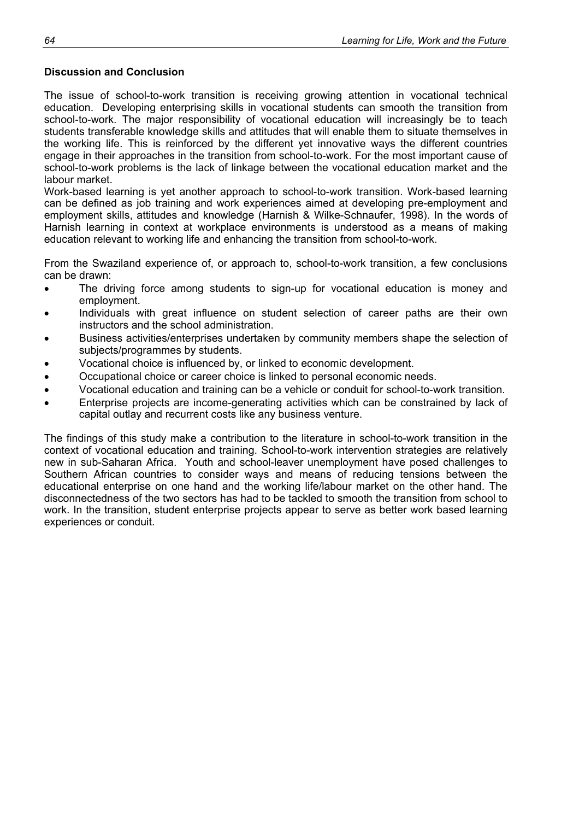### **Discussion and Conclusion**

The issue of school-to-work transition is receiving growing attention in vocational technical education. Developing enterprising skills in vocational students can smooth the transition from school-to-work. The major responsibility of vocational education will increasingly be to teach students transferable knowledge skills and attitudes that will enable them to situate themselves in the working life. This is reinforced by the different yet innovative ways the different countries engage in their approaches in the transition from school-to-work. For the most important cause of school-to-work problems is the lack of linkage between the vocational education market and the labour market.

Work-based learning is yet another approach to school-to-work transition. Work-based learning can be defined as job training and work experiences aimed at developing pre-employment and employment skills, attitudes and knowledge (Harnish & Wilke-Schnaufer, 1998). In the words of Harnish learning in context at workplace environments is understood as a means of making education relevant to working life and enhancing the transition from school-to-work.

From the Swaziland experience of, or approach to, school-to-work transition, a few conclusions can be drawn:

- The driving force among students to sign-up for vocational education is money and employment.
- Individuals with great influence on student selection of career paths are their own instructors and the school administration.
- Business activities/enterprises undertaken by community members shape the selection of subjects/programmes by students.
- Vocational choice is influenced by, or linked to economic development.
- Occupational choice or career choice is linked to personal economic needs.
- Vocational education and training can be a vehicle or conduit for school-to-work transition.
- Enterprise projects are income-generating activities which can be constrained by lack of capital outlay and recurrent costs like any business venture.

The findings of this study make a contribution to the literature in school-to-work transition in the context of vocational education and training. School-to-work intervention strategies are relatively new in sub-Saharan Africa. Youth and school-leaver unemployment have posed challenges to Southern African countries to consider ways and means of reducing tensions between the educational enterprise on one hand and the working life/labour market on the other hand. The disconnectedness of the two sectors has had to be tackled to smooth the transition from school to work. In the transition, student enterprise projects appear to serve as better work based learning experiences or conduit.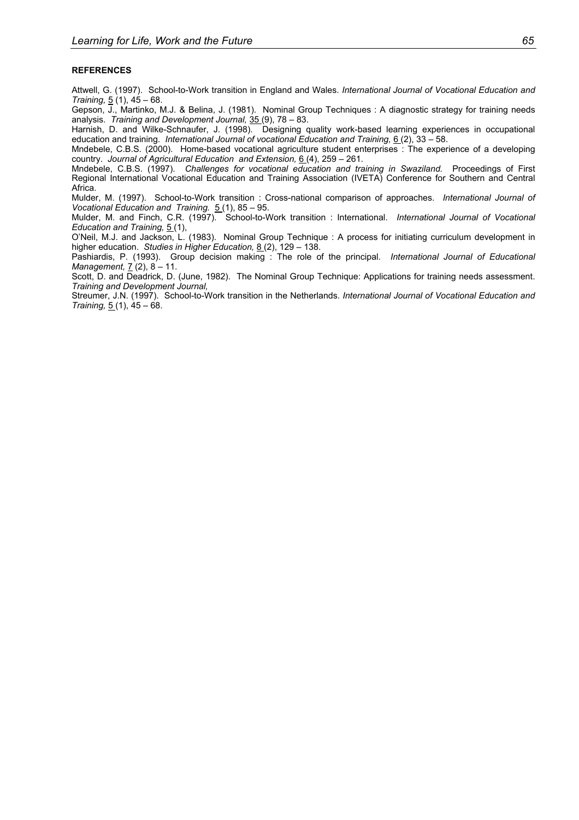#### **REFERENCES**

Attwell, G. (1997). School-to-Work transition in England and Wales. *International Journal of Vocational Education and Training,* 5 (1), 45 – 68.

Gepson, J., Martinko, M.J. & Belina, J. (1981). Nominal Group Techniques : A diagnostic strategy for training needs analysis. *Training and Development Journal,* 35 (9), 78 – 83.

Harnish, D. and Wilke-Schnaufer, J. (1998). Designing quality work-based learning experiences in occupational education and training. *International Journal of vocational Education and Training,* 6(2), 33 - 58.

Mndebele, C.B.S. (2000). Home-based vocational agriculture student enterprises : The experience of a developing country. *Journal of Agricultural Education and Extension,* 6 (4), 259 – 261.

Mndebele, C.B.S. (1997). *Challenges for vocational education and training in Swaziland.* Proceedings of First Regional International Vocational Education and Training Association (IVETA) Conference for Southern and Central Africa.

Mulder, M. (1997). School-to-Work transition : Cross-national comparison of approaches. *International Journal of Vocational Education and Training.* 5 (1), 85 – 95.

Mulder, M. and Finch, C.R. (1997). School-to-Work transition : International. *International Journal of Vocational Education and Training,* 5 (1),

O'Neil, M.J. and Jackson, L. (1983). Nominal Group Technique : A process for initiating curriculum development in higher education. *Studies in Higher Education,* 8 (2), 129 – 138.

Pashiardis, P. (1993). Group decision making : The role of the principal. *International Journal of Educational Management,* 7 (2), 8 – 11.

Scott, D. and Deadrick, D. (June, 1982). The Nominal Group Technique: Applications for training needs assessment. *Training and Development Journal,* 

Streumer, J.N. (1997). School-to-Work transition in the Netherlands. *International Journal of Vocational Education and Training,* 5 (1), 45 – 68.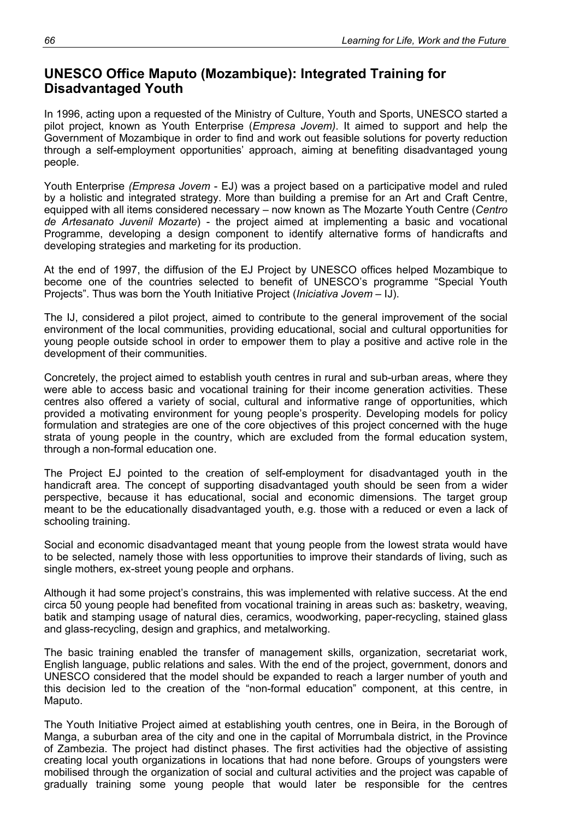# **UNESCO Office Maputo (Mozambique): Integrated Training for Disadvantaged Youth**

In 1996, acting upon a requested of the Ministry of Culture, Youth and Sports, UNESCO started a pilot project, known as Youth Enterprise (*Empresa Jovem)*. It aimed to support and help the Government of Mozambique in order to find and work out feasible solutions for poverty reduction through a self-employment opportunities' approach, aiming at benefiting disadvantaged young people.

Youth Enterprise *(Empresa Jovem* - EJ) was a project based on a participative model and ruled by a holistic and integrated strategy. More than building a premise for an Art and Craft Centre, equipped with all items considered necessary – now known as The Mozarte Youth Centre (*Centro de Artesanato Juvenil Mozarte*) - the project aimed at implementing a basic and vocational Programme, developing a design component to identify alternative forms of handicrafts and developing strategies and marketing for its production.

At the end of 1997, the diffusion of the EJ Project by UNESCO offices helped Mozambique to become one of the countries selected to benefit of UNESCO's programme "Special Youth Projects". Thus was born the Youth Initiative Project (*Iniciativa Jovem* – IJ).

The IJ, considered a pilot project, aimed to contribute to the general improvement of the social environment of the local communities, providing educational, social and cultural opportunities for young people outside school in order to empower them to play a positive and active role in the development of their communities.

Concretely, the project aimed to establish youth centres in rural and sub-urban areas, where they were able to access basic and vocational training for their income generation activities. These centres also offered a variety of social, cultural and informative range of opportunities, which provided a motivating environment for young people's prosperity. Developing models for policy formulation and strategies are one of the core objectives of this project concerned with the huge strata of young people in the country, which are excluded from the formal education system, through a non-formal education one.

The Project EJ pointed to the creation of self-employment for disadvantaged youth in the handicraft area. The concept of supporting disadvantaged youth should be seen from a wider perspective, because it has educational, social and economic dimensions. The target group meant to be the educationally disadvantaged youth, e.g. those with a reduced or even a lack of schooling training.

Social and economic disadvantaged meant that young people from the lowest strata would have to be selected, namely those with less opportunities to improve their standards of living, such as single mothers, ex-street young people and orphans.

Although it had some project's constrains, this was implemented with relative success. At the end circa 50 young people had benefited from vocational training in areas such as: basketry, weaving, batik and stamping usage of natural dies, ceramics, woodworking, paper-recycling, stained glass and glass-recycling, design and graphics, and metalworking.

The basic training enabled the transfer of management skills, organization, secretariat work, English language, public relations and sales. With the end of the project, government, donors and UNESCO considered that the model should be expanded to reach a larger number of youth and this decision led to the creation of the "non-formal education" component, at this centre, in Maputo.

The Youth Initiative Project aimed at establishing youth centres, one in Beira, in the Borough of Manga, a suburban area of the city and one in the capital of Morrumbala district, in the Province of Zambezia. The project had distinct phases. The first activities had the objective of assisting creating local youth organizations in locations that had none before. Groups of youngsters were mobilised through the organization of social and cultural activities and the project was capable of gradually training some young people that would later be responsible for the centres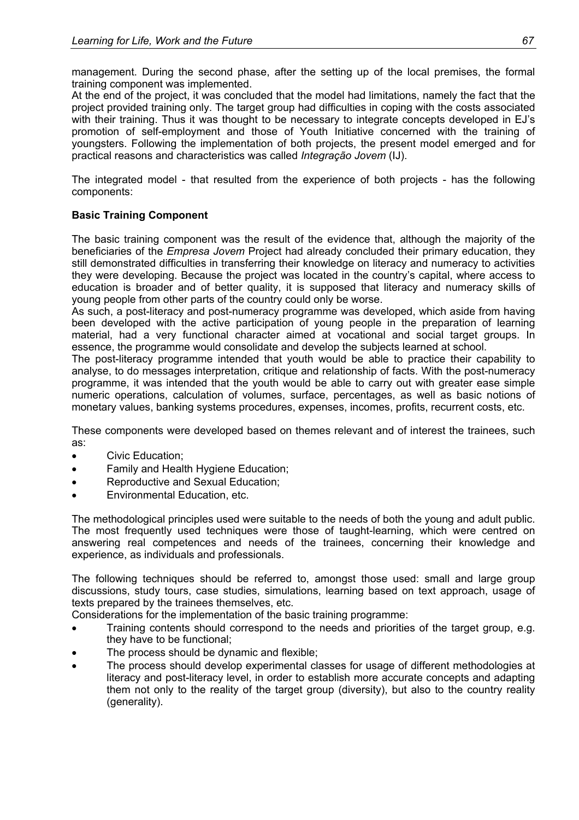management. During the second phase, after the setting up of the local premises, the formal training component was implemented.

At the end of the project, it was concluded that the model had limitations, namely the fact that the project provided training only. The target group had difficulties in coping with the costs associated with their training. Thus it was thought to be necessary to integrate concepts developed in EJ's promotion of self-employment and those of Youth Initiative concerned with the training of youngsters. Following the implementation of both projects, the present model emerged and for practical reasons and characteristics was called *Integração Jovem* (IJ).

The integrated model - that resulted from the experience of both projects - has the following components:

### **Basic Training Component**

The basic training component was the result of the evidence that, although the majority of the beneficiaries of the *Empresa Jovem* Project had already concluded their primary education, they still demonstrated difficulties in transferring their knowledge on literacy and numeracy to activities they were developing. Because the project was located in the country's capital, where access to education is broader and of better quality, it is supposed that literacy and numeracy skills of young people from other parts of the country could only be worse.

As such, a post-literacy and post-numeracy programme was developed, which aside from having been developed with the active participation of young people in the preparation of learning material, had a very functional character aimed at vocational and social target groups. In essence, the programme would consolidate and develop the subjects learned at school.

The post-literacy programme intended that youth would be able to practice their capability to analyse, to do messages interpretation, critique and relationship of facts. With the post-numeracy programme, it was intended that the youth would be able to carry out with greater ease simple numeric operations, calculation of volumes, surface, percentages, as well as basic notions of monetary values, banking systems procedures, expenses, incomes, profits, recurrent costs, etc.

These components were developed based on themes relevant and of interest the trainees, such as:

- Civic Education;
- Family and Health Hygiene Education;
- Reproductive and Sexual Education;
- Environmental Education, etc.

The methodological principles used were suitable to the needs of both the young and adult public. The most frequently used techniques were those of taught-learning, which were centred on answering real competences and needs of the trainees, concerning their knowledge and experience, as individuals and professionals.

The following techniques should be referred to, amongst those used: small and large group discussions, study tours, case studies, simulations, learning based on text approach, usage of texts prepared by the trainees themselves, etc.

Considerations for the implementation of the basic training programme:

- Training contents should correspond to the needs and priorities of the target group, e.g. they have to be functional;
- The process should be dynamic and flexible;
- The process should develop experimental classes for usage of different methodologies at literacy and post-literacy level, in order to establish more accurate concepts and adapting them not only to the reality of the target group (diversity), but also to the country reality (generality).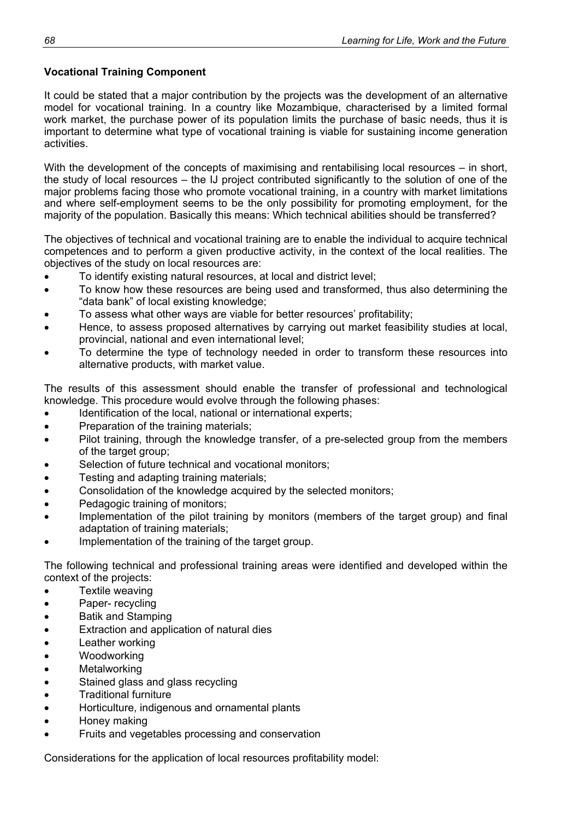# **Vocational Training Component**

It could be stated that a major contribution by the projects was the development of an alternative model for vocational training. In a country like Mozambique, characterised by a limited formal work market, the purchase power of its population limits the purchase of basic needs, thus it is important to determine what type of vocational training is viable for sustaining income generation activities.

With the development of the concepts of maximising and rentabilising local resources – in short, the study of local resources – the IJ project contributed significantly to the solution of one of the major problems facing those who promote vocational training, in a country with market limitations and where self-employment seems to be the only possibility for promoting employment, for the majority of the population. Basically this means: Which technical abilities should be transferred?

The objectives of technical and vocational training are to enable the individual to acquire technical competences and to perform a given productive activity, in the context of the local realities. The objectives of the study on local resources are:

- To identify existing natural resources, at local and district level;
- To know how these resources are being used and transformed, thus also determining the "data bank" of local existing knowledge;
- To assess what other ways are viable for better resources' profitability;
- Hence, to assess proposed alternatives by carrying out market feasibility studies at local, provincial, national and even international level;
- To determine the type of technology needed in order to transform these resources into alternative products, with market value.

The results of this assessment should enable the transfer of professional and technological knowledge. This procedure would evolve through the following phases:

- Identification of the local, national or international experts;
- Preparation of the training materials;
- Pilot training, through the knowledge transfer, of a pre-selected group from the members of the target group;
- Selection of future technical and vocational monitors:
- Testing and adapting training materials;
- Consolidation of the knowledge acquired by the selected monitors;
- Pedagogic training of monitors;
- Implementation of the pilot training by monitors (members of the target group) and final adaptation of training materials;
- Implementation of the training of the target group.

The following technical and professional training areas were identified and developed within the context of the projects:

- Textile weaving
- Paper- recycling
- Batik and Stamping
- Extraction and application of natural dies
- Leather working
- Woodworking
- **Metalworking**
- Stained glass and glass recycling
- Traditional furniture
- Horticulture, indigenous and ornamental plants
- Honey making
- Fruits and vegetables processing and conservation

Considerations for the application of local resources profitability model: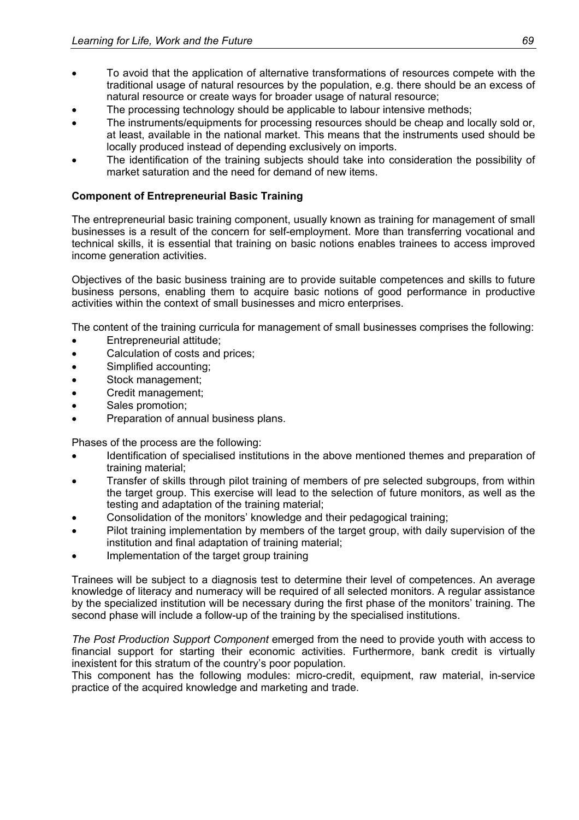- To avoid that the application of alternative transformations of resources compete with the traditional usage of natural resources by the population, e.g. there should be an excess of natural resource or create ways for broader usage of natural resource;
- The processing technology should be applicable to labour intensive methods;
- The instruments/equipments for processing resources should be cheap and locally sold or, at least, available in the national market. This means that the instruments used should be locally produced instead of depending exclusively on imports.
- The identification of the training subjects should take into consideration the possibility of market saturation and the need for demand of new items.

### **Component of Entrepreneurial Basic Training**

The entrepreneurial basic training component, usually known as training for management of small businesses is a result of the concern for self-employment. More than transferring vocational and technical skills, it is essential that training on basic notions enables trainees to access improved income generation activities.

Objectives of the basic business training are to provide suitable competences and skills to future business persons, enabling them to acquire basic notions of good performance in productive activities within the context of small businesses and micro enterprises.

The content of the training curricula for management of small businesses comprises the following:

- Entrepreneurial attitude;
- Calculation of costs and prices:
- Simplified accounting;
- Stock management;
- Credit management;
- Sales promotion;
- Preparation of annual business plans.

Phases of the process are the following:

- Identification of specialised institutions in the above mentioned themes and preparation of training material;
- Transfer of skills through pilot training of members of pre selected subgroups, from within the target group. This exercise will lead to the selection of future monitors, as well as the testing and adaptation of the training material;
- Consolidation of the monitors' knowledge and their pedagogical training;
- Pilot training implementation by members of the target group, with daily supervision of the institution and final adaptation of training material;
- Implementation of the target group training

Trainees will be subject to a diagnosis test to determine their level of competences. An average knowledge of literacy and numeracy will be required of all selected monitors. A regular assistance by the specialized institution will be necessary during the first phase of the monitors' training. The second phase will include a follow-up of the training by the specialised institutions.

*The Post Production Support Component* emerged from the need to provide youth with access to financial support for starting their economic activities. Furthermore, bank credit is virtually inexistent for this stratum of the country's poor population.

This component has the following modules: micro-credit, equipment, raw material, in-service practice of the acquired knowledge and marketing and trade.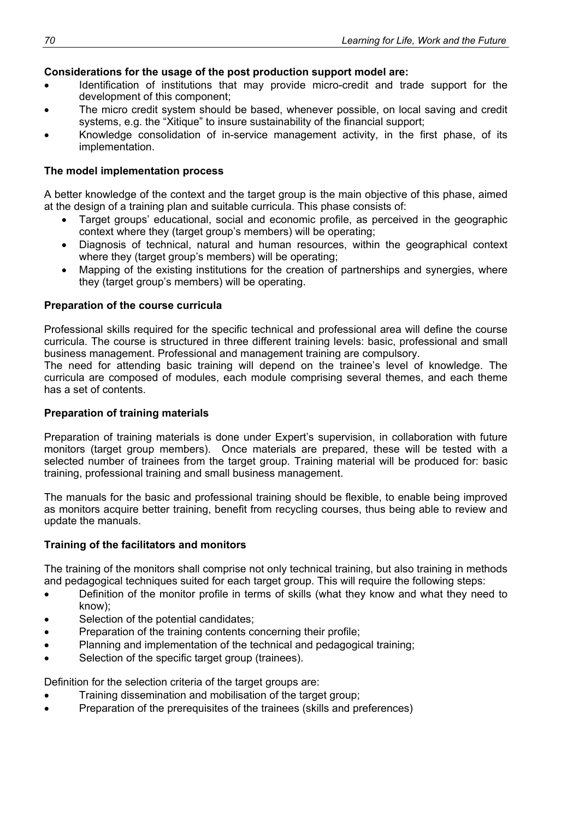# **Considerations for the usage of the post production support model are:**

- Identification of institutions that may provide micro-credit and trade support for the development of this component;
- The micro credit system should be based, whenever possible, on local saving and credit systems, e.g. the "Xitique" to insure sustainability of the financial support;
- Knowledge consolidation of in-service management activity, in the first phase, of its implementation.

### **The model implementation process**

A better knowledge of the context and the target group is the main objective of this phase, aimed at the design of a training plan and suitable curricula. This phase consists of:

- Target groups' educational, social and economic profile, as perceived in the geographic context where they (target group's members) will be operating;
- Diagnosis of technical, natural and human resources, within the geographical context where they (target group's members) will be operating;
- Mapping of the existing institutions for the creation of partnerships and synergies, where they (target group's members) will be operating.

### **Preparation of the course curricula**

Professional skills required for the specific technical and professional area will define the course curricula. The course is structured in three different training levels: basic, professional and small business management. Professional and management training are compulsory.

The need for attending basic training will depend on the trainee's level of knowledge. The curricula are composed of modules, each module comprising several themes, and each theme has a set of contents.

### **Preparation of training materials**

Preparation of training materials is done under Expert's supervision, in collaboration with future monitors (target group members). Once materials are prepared, these will be tested with a selected number of trainees from the target group. Training material will be produced for: basic training, professional training and small business management.

The manuals for the basic and professional training should be flexible, to enable being improved as monitors acquire better training, benefit from recycling courses, thus being able to review and update the manuals.

### **Training of the facilitators and monitors**

The training of the monitors shall comprise not only technical training, but also training in methods and pedagogical techniques suited for each target group. This will require the following steps:

- Definition of the monitor profile in terms of skills (what they know and what they need to know);
- Selection of the potential candidates;
- Preparation of the training contents concerning their profile;
- Planning and implementation of the technical and pedagogical training;
- Selection of the specific target group (trainees).

Definition for the selection criteria of the target groups are:

- Training dissemination and mobilisation of the target group;
- Preparation of the prerequisites of the trainees (skills and preferences)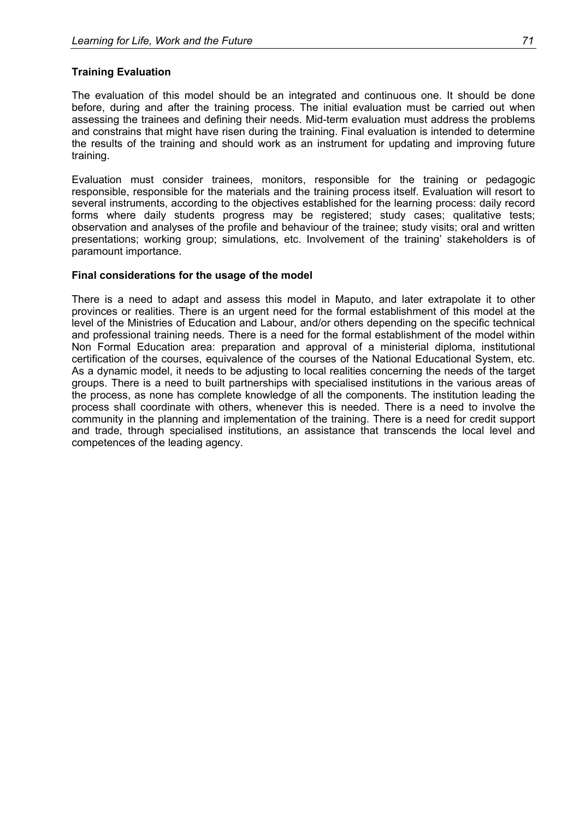### **Training Evaluation**

The evaluation of this model should be an integrated and continuous one. It should be done before, during and after the training process. The initial evaluation must be carried out when assessing the trainees and defining their needs. Mid-term evaluation must address the problems and constrains that might have risen during the training. Final evaluation is intended to determine the results of the training and should work as an instrument for updating and improving future training.

Evaluation must consider trainees, monitors, responsible for the training or pedagogic responsible, responsible for the materials and the training process itself. Evaluation will resort to several instruments, according to the objectives established for the learning process: daily record forms where daily students progress may be registered; study cases; qualitative tests; observation and analyses of the profile and behaviour of the trainee; study visits; oral and written presentations; working group; simulations, etc. Involvement of the training' stakeholders is of paramount importance.

### **Final considerations for the usage of the model**

There is a need to adapt and assess this model in Maputo, and later extrapolate it to other provinces or realities. There is an urgent need for the formal establishment of this model at the level of the Ministries of Education and Labour, and/or others depending on the specific technical and professional training needs. There is a need for the formal establishment of the model within Non Formal Education area: preparation and approval of a ministerial diploma, institutional certification of the courses, equivalence of the courses of the National Educational System, etc. As a dynamic model, it needs to be adjusting to local realities concerning the needs of the target groups. There is a need to built partnerships with specialised institutions in the various areas of the process, as none has complete knowledge of all the components. The institution leading the process shall coordinate with others, whenever this is needed. There is a need to involve the community in the planning and implementation of the training. There is a need for credit support and trade, through specialised institutions, an assistance that transcends the local level and competences of the leading agency.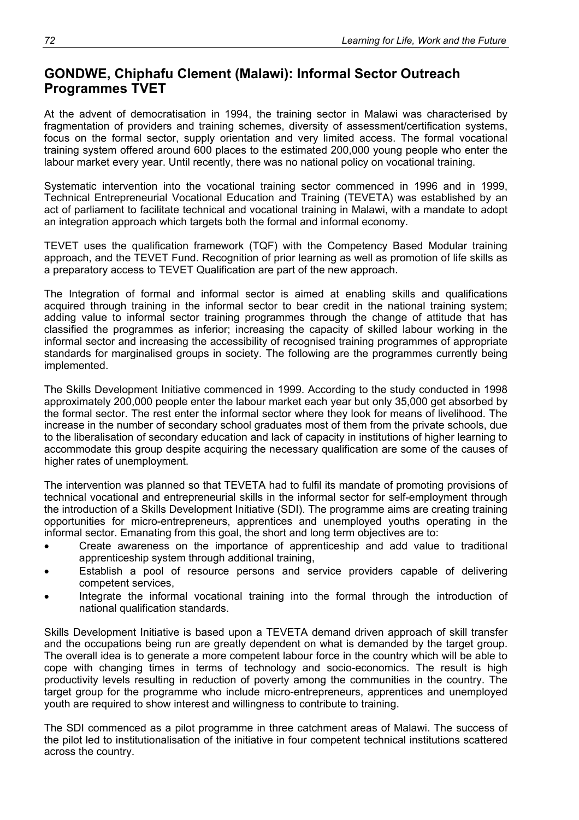# **GONDWE, Chiphafu Clement (Malawi): Informal Sector Outreach Programmes TVET**

At the advent of democratisation in 1994, the training sector in Malawi was characterised by fragmentation of providers and training schemes, diversity of assessment/certification systems, focus on the formal sector, supply orientation and very limited access. The formal vocational training system offered around 600 places to the estimated 200,000 young people who enter the labour market every year. Until recently, there was no national policy on vocational training.

Systematic intervention into the vocational training sector commenced in 1996 and in 1999, Technical Entrepreneurial Vocational Education and Training (TEVETA) was established by an act of parliament to facilitate technical and vocational training in Malawi, with a mandate to adopt an integration approach which targets both the formal and informal economy.

TEVET uses the qualification framework (TQF) with the Competency Based Modular training approach, and the TEVET Fund. Recognition of prior learning as well as promotion of life skills as a preparatory access to TEVET Qualification are part of the new approach.

The Integration of formal and informal sector is aimed at enabling skills and qualifications acquired through training in the informal sector to bear credit in the national training system; adding value to informal sector training programmes through the change of attitude that has classified the programmes as inferior; increasing the capacity of skilled labour working in the informal sector and increasing the accessibility of recognised training programmes of appropriate standards for marginalised groups in society. The following are the programmes currently being implemented.

The Skills Development Initiative commenced in 1999. According to the study conducted in 1998 approximately 200,000 people enter the labour market each year but only 35,000 get absorbed by the formal sector. The rest enter the informal sector where they look for means of livelihood. The increase in the number of secondary school graduates most of them from the private schools, due to the liberalisation of secondary education and lack of capacity in institutions of higher learning to accommodate this group despite acquiring the necessary qualification are some of the causes of higher rates of unemployment.

The intervention was planned so that TEVETA had to fulfil its mandate of promoting provisions of technical vocational and entrepreneurial skills in the informal sector for self-employment through the introduction of a Skills Development Initiative (SDI). The programme aims are creating training opportunities for micro-entrepreneurs, apprentices and unemployed youths operating in the informal sector. Emanating from this goal, the short and long term objectives are to:

- Create awareness on the importance of apprenticeship and add value to traditional apprenticeship system through additional training,
- Establish a pool of resource persons and service providers capable of delivering competent services,
- Integrate the informal vocational training into the formal through the introduction of national qualification standards.

Skills Development Initiative is based upon a TEVETA demand driven approach of skill transfer and the occupations being run are greatly dependent on what is demanded by the target group. The overall idea is to generate a more competent labour force in the country which will be able to cope with changing times in terms of technology and socio-economics. The result is high productivity levels resulting in reduction of poverty among the communities in the country. The target group for the programme who include micro-entrepreneurs, apprentices and unemployed youth are required to show interest and willingness to contribute to training.

The SDI commenced as a pilot programme in three catchment areas of Malawi. The success of the pilot led to institutionalisation of the initiative in four competent technical institutions scattered across the country.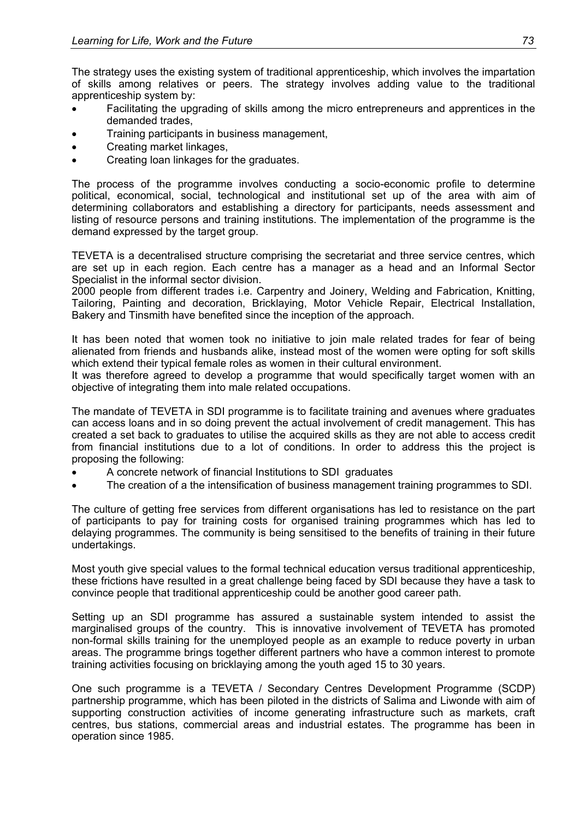The strategy uses the existing system of traditional apprenticeship, which involves the impartation of skills among relatives or peers. The strategy involves adding value to the traditional apprenticeship system by:

- Facilitating the upgrading of skills among the micro entrepreneurs and apprentices in the demanded trades,
- Training participants in business management,
- Creating market linkages,
- Creating loan linkages for the graduates.

The process of the programme involves conducting a socio-economic profile to determine political, economical, social, technological and institutional set up of the area with aim of determining collaborators and establishing a directory for participants, needs assessment and listing of resource persons and training institutions. The implementation of the programme is the demand expressed by the target group.

TEVETA is a decentralised structure comprising the secretariat and three service centres, which are set up in each region. Each centre has a manager as a head and an Informal Sector Specialist in the informal sector division.

2000 people from different trades i.e. Carpentry and Joinery, Welding and Fabrication, Knitting, Tailoring, Painting and decoration, Bricklaying, Motor Vehicle Repair, Electrical Installation, Bakery and Tinsmith have benefited since the inception of the approach.

It has been noted that women took no initiative to join male related trades for fear of being alienated from friends and husbands alike, instead most of the women were opting for soft skills which extend their typical female roles as women in their cultural environment.

It was therefore agreed to develop a programme that would specifically target women with an objective of integrating them into male related occupations.

The mandate of TEVETA in SDI programme is to facilitate training and avenues where graduates can access loans and in so doing prevent the actual involvement of credit management. This has created a set back to graduates to utilise the acquired skills as they are not able to access credit from financial institutions due to a lot of conditions. In order to address this the project is proposing the following:

- A concrete network of financial Institutions to SDI graduates
- The creation of a the intensification of business management training programmes to SDI.

The culture of getting free services from different organisations has led to resistance on the part of participants to pay for training costs for organised training programmes which has led to delaying programmes. The community is being sensitised to the benefits of training in their future undertakings.

Most youth give special values to the formal technical education versus traditional apprenticeship, these frictions have resulted in a great challenge being faced by SDI because they have a task to convince people that traditional apprenticeship could be another good career path.

Setting up an SDI programme has assured a sustainable system intended to assist the marginalised groups of the country. This is innovative involvement of TEVETA has promoted non-formal skills training for the unemployed people as an example to reduce poverty in urban areas. The programme brings together different partners who have a common interest to promote training activities focusing on bricklaying among the youth aged 15 to 30 years.

One such programme is a TEVETA / Secondary Centres Development Programme (SCDP) partnership programme, which has been piloted in the districts of Salima and Liwonde with aim of supporting construction activities of income generating infrastructure such as markets, craft centres, bus stations, commercial areas and industrial estates. The programme has been in operation since 1985.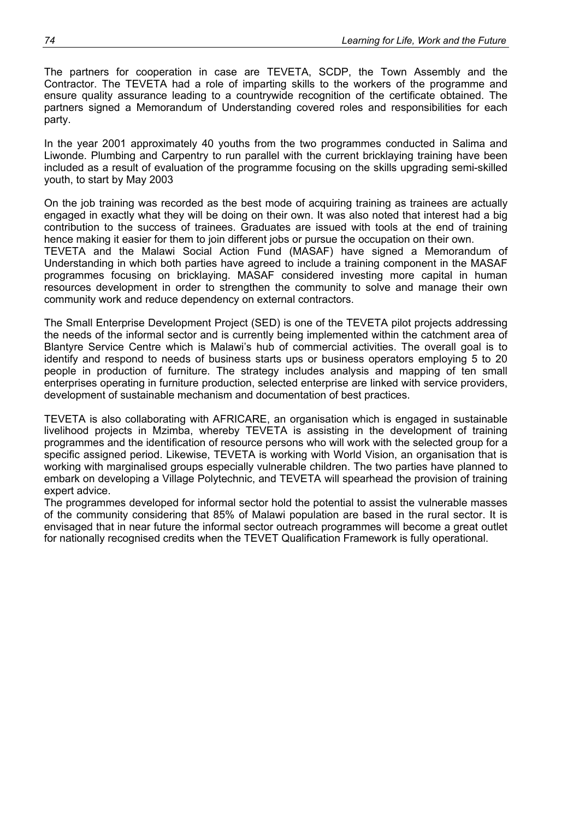The partners for cooperation in case are TEVETA, SCDP, the Town Assembly and the Contractor. The TEVETA had a role of imparting skills to the workers of the programme and ensure quality assurance leading to a countrywide recognition of the certificate obtained. The partners signed a Memorandum of Understanding covered roles and responsibilities for each party.

In the year 2001 approximately 40 youths from the two programmes conducted in Salima and Liwonde. Plumbing and Carpentry to run parallel with the current bricklaying training have been included as a result of evaluation of the programme focusing on the skills upgrading semi-skilled youth, to start by May 2003

On the job training was recorded as the best mode of acquiring training as trainees are actually engaged in exactly what they will be doing on their own. It was also noted that interest had a big contribution to the success of trainees. Graduates are issued with tools at the end of training hence making it easier for them to join different jobs or pursue the occupation on their own. TEVETA and the Malawi Social Action Fund (MASAF) have signed a Memorandum of Understanding in which both parties have agreed to include a training component in the MASAF programmes focusing on bricklaying. MASAF considered investing more capital in human resources development in order to strengthen the community to solve and manage their own community work and reduce dependency on external contractors.

The Small Enterprise Development Project (SED) is one of the TEVETA pilot projects addressing the needs of the informal sector and is currently being implemented within the catchment area of Blantyre Service Centre which is Malawi's hub of commercial activities. The overall goal is to identify and respond to needs of business starts ups or business operators employing 5 to 20 people in production of furniture. The strategy includes analysis and mapping of ten small enterprises operating in furniture production, selected enterprise are linked with service providers, development of sustainable mechanism and documentation of best practices.

TEVETA is also collaborating with AFRICARE, an organisation which is engaged in sustainable livelihood projects in Mzimba, whereby TEVETA is assisting in the development of training programmes and the identification of resource persons who will work with the selected group for a specific assigned period. Likewise, TEVETA is working with World Vision, an organisation that is working with marginalised groups especially vulnerable children. The two parties have planned to embark on developing a Village Polytechnic, and TEVETA will spearhead the provision of training expert advice.

The programmes developed for informal sector hold the potential to assist the vulnerable masses of the community considering that 85% of Malawi population are based in the rural sector. It is envisaged that in near future the informal sector outreach programmes will become a great outlet for nationally recognised credits when the TEVET Qualification Framework is fully operational.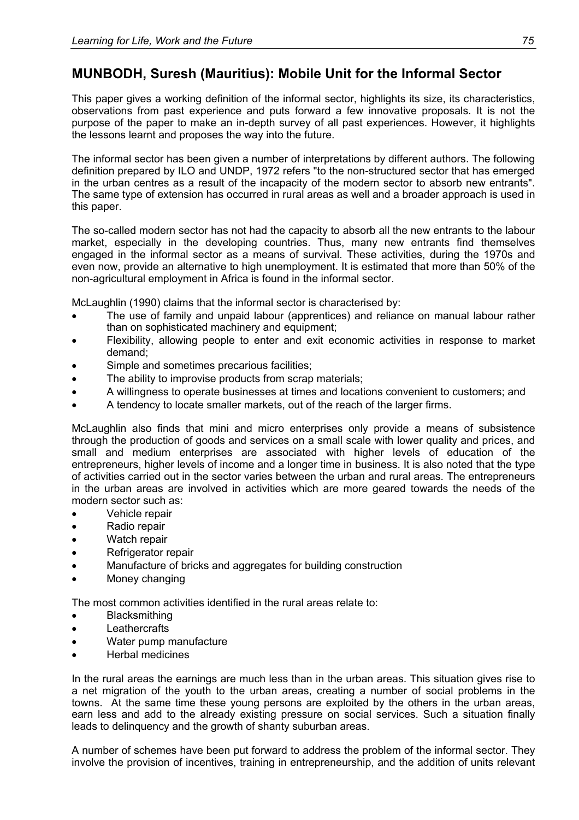# **MUNBODH, Suresh (Mauritius): Mobile Unit for the Informal Sector**

This paper gives a working definition of the informal sector, highlights its size, its characteristics, observations from past experience and puts forward a few innovative proposals. It is not the purpose of the paper to make an in-depth survey of all past experiences. However, it highlights the lessons learnt and proposes the way into the future.

The informal sector has been given a number of interpretations by different authors. The following definition prepared by ILO and UNDP, 1972 refers "to the non-structured sector that has emerged in the urban centres as a result of the incapacity of the modern sector to absorb new entrants". The same type of extension has occurred in rural areas as well and a broader approach is used in this paper.

The so-called modern sector has not had the capacity to absorb all the new entrants to the labour market, especially in the developing countries. Thus, many new entrants find themselves engaged in the informal sector as a means of survival. These activities, during the 1970s and even now, provide an alternative to high unemployment. It is estimated that more than 50% of the non-agricultural employment in Africa is found in the informal sector.

McLaughlin (1990) claims that the informal sector is characterised by:

- The use of family and unpaid labour (apprentices) and reliance on manual labour rather than on sophisticated machinery and equipment;
- Flexibility, allowing people to enter and exit economic activities in response to market demand;
- Simple and sometimes precarious facilities;
- The ability to improvise products from scrap materials;
- A willingness to operate businesses at times and locations convenient to customers; and
- A tendency to locate smaller markets, out of the reach of the larger firms.

McLaughlin also finds that mini and micro enterprises only provide a means of subsistence through the production of goods and services on a small scale with lower quality and prices, and small and medium enterprises are associated with higher levels of education of the entrepreneurs, higher levels of income and a longer time in business. It is also noted that the type of activities carried out in the sector varies between the urban and rural areas. The entrepreneurs in the urban areas are involved in activities which are more geared towards the needs of the modern sector such as:

- Vehicle repair
- Radio repair
- Watch repair
- Refrigerator repair
- Manufacture of bricks and aggregates for building construction
- Money changing

The most common activities identified in the rural areas relate to:

- **Blacksmithing**
- Leathercrafts
- Water pump manufacture
- Herbal medicines

In the rural areas the earnings are much less than in the urban areas. This situation gives rise to a net migration of the youth to the urban areas, creating a number of social problems in the towns. At the same time these young persons are exploited by the others in the urban areas, earn less and add to the already existing pressure on social services. Such a situation finally leads to delinquency and the growth of shanty suburban areas.

A number of schemes have been put forward to address the problem of the informal sector. They involve the provision of incentives, training in entrepreneurship, and the addition of units relevant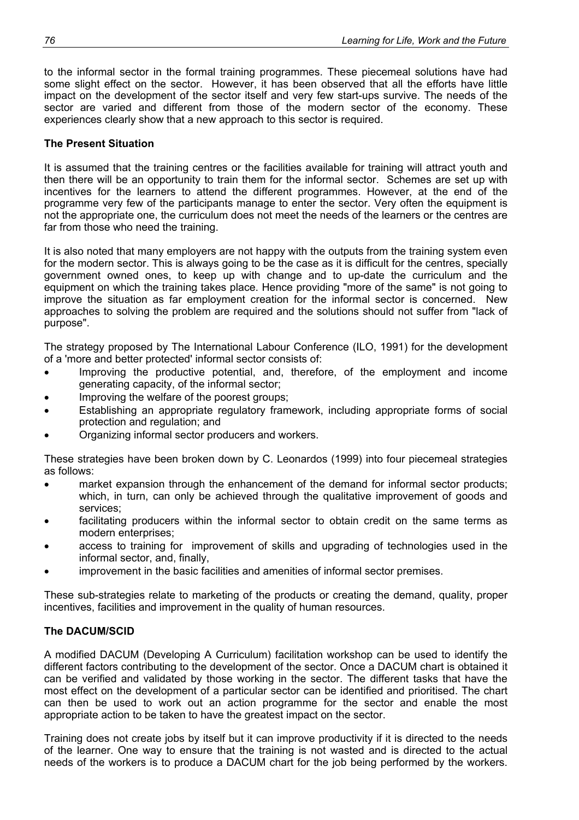to the informal sector in the formal training programmes. These piecemeal solutions have had some slight effect on the sector. However, it has been observed that all the efforts have little impact on the development of the sector itself and very few start-ups survive. The needs of the sector are varied and different from those of the modern sector of the economy. These experiences clearly show that a new approach to this sector is required.

### **The Present Situation**

It is assumed that the training centres or the facilities available for training will attract youth and then there will be an opportunity to train them for the informal sector. Schemes are set up with incentives for the learners to attend the different programmes. However, at the end of the programme very few of the participants manage to enter the sector. Very often the equipment is not the appropriate one, the curriculum does not meet the needs of the learners or the centres are far from those who need the training.

It is also noted that many employers are not happy with the outputs from the training system even for the modern sector. This is always going to be the case as it is difficult for the centres, specially government owned ones, to keep up with change and to up-date the curriculum and the equipment on which the training takes place. Hence providing "more of the same" is not going to improve the situation as far employment creation for the informal sector is concerned. New approaches to solving the problem are required and the solutions should not suffer from "lack of purpose".

The strategy proposed by The International Labour Conference (ILO, 1991) for the development of a 'more and better protected' informal sector consists of:

- Improving the productive potential, and, therefore, of the employment and income generating capacity, of the informal sector;
- Improving the welfare of the poorest groups;
- Establishing an appropriate regulatory framework, including appropriate forms of social protection and regulation; and
- Organizing informal sector producers and workers.

These strategies have been broken down by C. Leonardos (1999) into four piecemeal strategies as follows:

- market expansion through the enhancement of the demand for informal sector products; which, in turn, can only be achieved through the qualitative improvement of goods and services;
- facilitating producers within the informal sector to obtain credit on the same terms as modern enterprises;
- access to training for improvement of skills and upgrading of technologies used in the informal sector, and, finally,
- improvement in the basic facilities and amenities of informal sector premises.

These sub-strategies relate to marketing of the products or creating the demand, quality, proper incentives, facilities and improvement in the quality of human resources.

## **The DACUM/SCID**

A modified DACUM (Developing A Curriculum) facilitation workshop can be used to identify the different factors contributing to the development of the sector. Once a DACUM chart is obtained it can be verified and validated by those working in the sector. The different tasks that have the most effect on the development of a particular sector can be identified and prioritised. The chart can then be used to work out an action programme for the sector and enable the most appropriate action to be taken to have the greatest impact on the sector.

Training does not create jobs by itself but it can improve productivity if it is directed to the needs of the learner. One way to ensure that the training is not wasted and is directed to the actual needs of the workers is to produce a DACUM chart for the job being performed by the workers.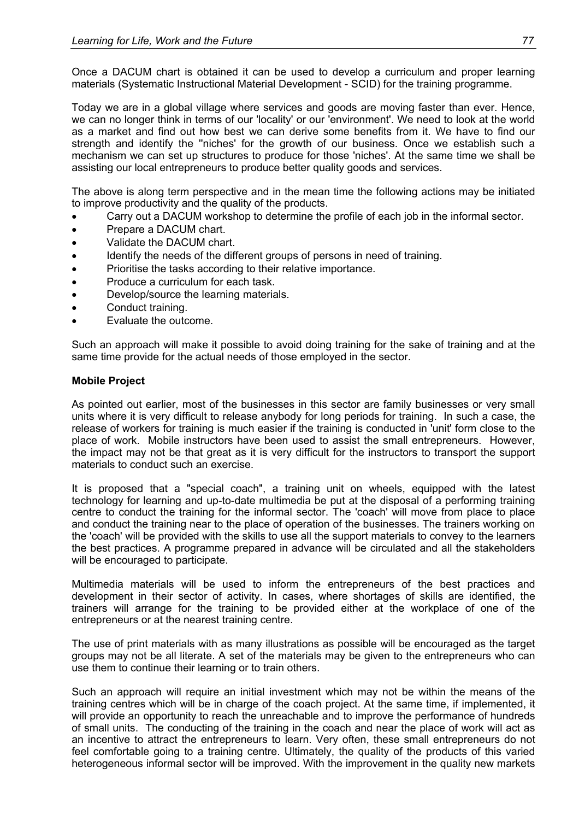Once a DACUM chart is obtained it can be used to develop a curriculum and proper learning materials (Systematic Instructional Material Development - SCID) for the training programme.

Today we are in a global village where services and goods are moving faster than ever. Hence, we can no longer think in terms of our 'locality' or our 'environment'. We need to look at the world as a market and find out how best we can derive some benefits from it. We have to find our strength and identify the ''niches' for the growth of our business. Once we establish such a mechanism we can set up structures to produce for those 'niches'. At the same time we shall be assisting our local entrepreneurs to produce better quality goods and services.

The above is along term perspective and in the mean time the following actions may be initiated to improve productivity and the quality of the products.

- Carry out a DACUM workshop to determine the profile of each job in the informal sector.
- Prepare a DACUM chart.
- Validate the DACUM chart.
- Identify the needs of the different groups of persons in need of training.
- Prioritise the tasks according to their relative importance.
- Produce a curriculum for each task.
- Develop/source the learning materials.
- Conduct training.
- Evaluate the outcome.

Such an approach will make it possible to avoid doing training for the sake of training and at the same time provide for the actual needs of those employed in the sector.

### **Mobile Project**

As pointed out earlier, most of the businesses in this sector are family businesses or very small units where it is very difficult to release anybody for long periods for training. In such a case, the release of workers for training is much easier if the training is conducted in 'unit' form close to the place of work. Mobile instructors have been used to assist the small entrepreneurs. However, the impact may not be that great as it is very difficult for the instructors to transport the support materials to conduct such an exercise.

It is proposed that a "special coach", a training unit on wheels, equipped with the latest technology for learning and up-to-date multimedia be put at the disposal of a performing training centre to conduct the training for the informal sector. The 'coach' will move from place to place and conduct the training near to the place of operation of the businesses. The trainers working on the 'coach' will be provided with the skills to use all the support materials to convey to the learners the best practices. A programme prepared in advance will be circulated and all the stakeholders will be encouraged to participate.

Multimedia materials will be used to inform the entrepreneurs of the best practices and development in their sector of activity. In cases, where shortages of skills are identified, the trainers will arrange for the training to be provided either at the workplace of one of the entrepreneurs or at the nearest training centre.

The use of print materials with as many illustrations as possible will be encouraged as the target groups may not be all literate. A set of the materials may be given to the entrepreneurs who can use them to continue their learning or to train others.

Such an approach will require an initial investment which may not be within the means of the training centres which will be in charge of the coach project. At the same time, if implemented, it will provide an opportunity to reach the unreachable and to improve the performance of hundreds of small units. The conducting of the training in the coach and near the place of work will act as an incentive to attract the entrepreneurs to learn. Very often, these small entrepreneurs do not feel comfortable going to a training centre. Ultimately, the quality of the products of this varied heterogeneous informal sector will be improved. With the improvement in the quality new markets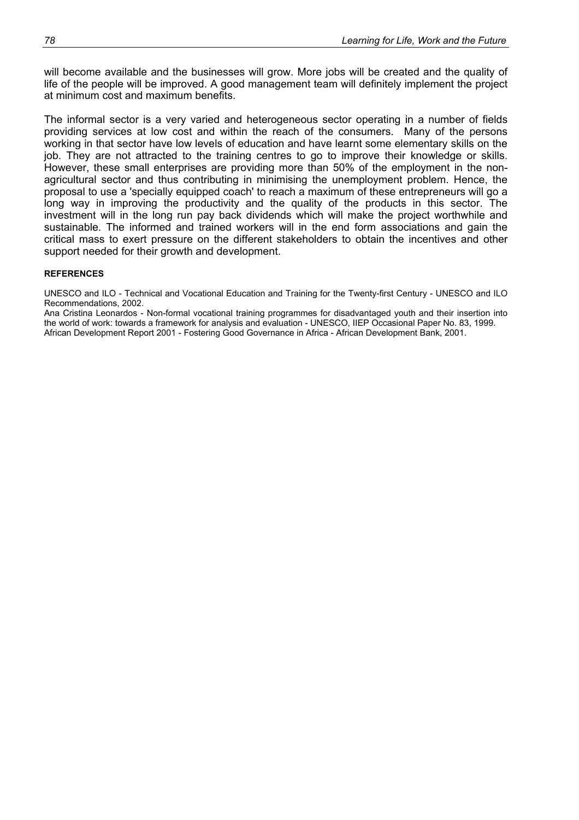will become available and the businesses will grow. More jobs will be created and the quality of life of the people will be improved. A good management team will definitely implement the project at minimum cost and maximum benefits.

The informal sector is a very varied and heterogeneous sector operating in a number of fields providing services at low cost and within the reach of the consumers. Many of the persons working in that sector have low levels of education and have learnt some elementary skills on the job. They are not attracted to the training centres to go to improve their knowledge or skills. However, these small enterprises are providing more than 50% of the employment in the nonagricultural sector and thus contributing in minimising the unemployment problem. Hence, the proposal to use a 'specially equipped coach' to reach a maximum of these entrepreneurs will go a long way in improving the productivity and the quality of the products in this sector. The investment will in the long run pay back dividends which will make the project worthwhile and sustainable. The informed and trained workers will in the end form associations and gain the critical mass to exert pressure on the different stakeholders to obtain the incentives and other support needed for their growth and development.

#### **REFERENCES**

UNESCO and ILO - Technical and Vocational Education and Training for the Twenty-first Century - UNESCO and ILO Recommendations, 2002.

Ana Cristina Leonardos - Non-formal vocational training programmes for disadvantaged youth and their insertion into the world of work: towards a framework for analysis and evaluation - UNESCO, IIEP Occasional Paper No. 83, 1999. African Development Report 2001 - Fostering Good Governance in Africa - African Development Bank, 2001.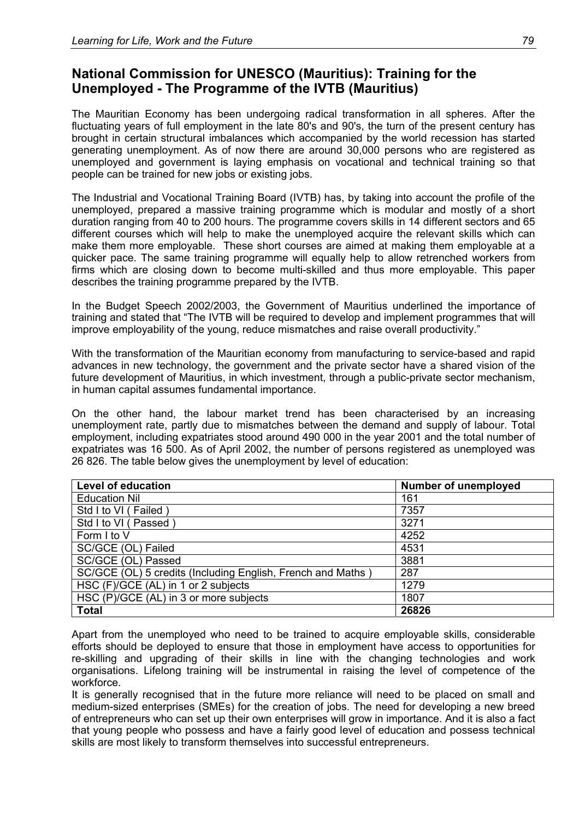# **National Commission for UNESCO (Mauritius): Training for the Unemployed - The Programme of the IVTB (Mauritius)**

The Mauritian Economy has been undergoing radical transformation in all spheres. After the fluctuating years of full employment in the late 80's and 90's, the turn of the present century has brought in certain structural imbalances which accompanied by the world recession has started generating unemployment. As of now there are around 30,000 persons who are registered as unemployed and government is laying emphasis on vocational and technical training so that people can be trained for new jobs or existing jobs.

The Industrial and Vocational Training Board (IVTB) has, by taking into account the profile of the unemployed, prepared a massive training programme which is modular and mostly of a short duration ranging from 40 to 200 hours. The programme covers skills in 14 different sectors and 65 different courses which will help to make the unemployed acquire the relevant skills which can make them more employable. These short courses are aimed at making them employable at a quicker pace. The same training programme will equally help to allow retrenched workers from firms which are closing down to become multi-skilled and thus more employable. This paper describes the training programme prepared by the IVTB.

In the Budget Speech 2002/2003, the Government of Mauritius underlined the importance of training and stated that "The IVTB will be required to develop and implement programmes that will improve employability of the young, reduce mismatches and raise overall productivity."

With the transformation of the Mauritian economy from manufacturing to service-based and rapid advances in new technology, the government and the private sector have a shared vision of the future development of Mauritius, in which investment, through a public-private sector mechanism, in human capital assumes fundamental importance.

On the other hand, the labour market trend has been characterised by an increasing unemployment rate, partly due to mismatches between the demand and supply of labour. Total employment, including expatriates stood around 490 000 in the year 2001 and the total number of expatriates was 16 500. As of April 2002, the number of persons registered as unemployed was 26 826. The table below gives the unemployment by level of education:

| <b>Level of education</b>                                   | <b>Number of unemployed</b> |
|-------------------------------------------------------------|-----------------------------|
| <b>Education Nil</b>                                        | 161                         |
| Std I to VI (Failed)                                        | 7357                        |
| Std I to VI (Passed)                                        | 3271                        |
| Form I to V                                                 | 4252                        |
| SC/GCE (OL) Failed                                          | 4531                        |
| SC/GCE (OL) Passed                                          | 3881                        |
| SC/GCE (OL) 5 credits (Including English, French and Maths) | 287                         |
| HSC (F)/GCE (AL) in 1 or 2 subjects                         | 1279                        |
| HSC (P)/GCE (AL) in 3 or more subjects                      | 1807                        |
| <b>Total</b>                                                | 26826                       |

Apart from the unemployed who need to be trained to acquire employable skills, considerable efforts should be deployed to ensure that those in employment have access to opportunities for re-skilling and upgrading of their skills in line with the changing technologies and work organisations. Lifelong training will be instrumental in raising the level of competence of the workforce.

It is generally recognised that in the future more reliance will need to be placed on small and medium-sized enterprises (SMEs) for the creation of jobs. The need for developing a new breed of entrepreneurs who can set up their own enterprises will grow in importance. And it is also a fact that young people who possess and have a fairly good level of education and possess technical skills are most likely to transform themselves into successful entrepreneurs.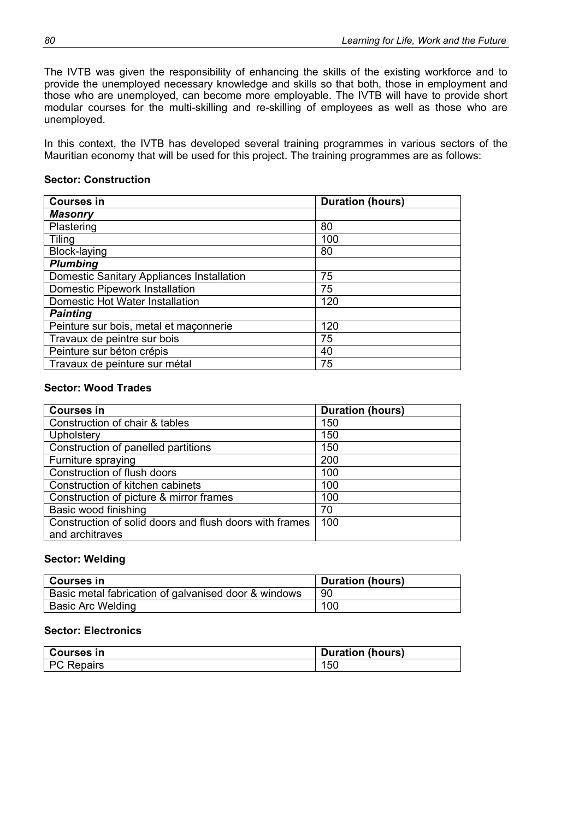The IVTB was given the responsibility of enhancing the skills of the existing workforce and to provide the unemployed necessary knowledge and skills so that both, those in employment and those who are unemployed, can become more employable. The IVTB will have to provide short modular courses for the multi-skilling and re-skilling of employees as well as those who are unemployed.

In this context, the IVTB has developed several training programmes in various sectors of the Mauritian economy that will be used for this project. The training programmes are as follows:

#### **Sector: Construction**

| <b>Courses in</b>                         | <b>Duration (hours)</b> |
|-------------------------------------------|-------------------------|
| <b>Masonry</b>                            |                         |
| Plastering                                | 80                      |
| <b>Tiling</b>                             | 100                     |
| Block-laying                              | 80                      |
| <b>Plumbing</b>                           |                         |
| Domestic Sanitary Appliances Installation | 75                      |
| <b>Domestic Pipework Installation</b>     | 75                      |
| Domestic Hot Water Installation           | 120                     |
| <b>Painting</b>                           |                         |
| Peinture sur bois, metal et maçonnerie    | 120                     |
| Travaux de peintre sur bois               | 75                      |
| Peinture sur béton crépis                 | 40                      |
| Travaux de peinture sur métal             | 75                      |

#### **Sector: Wood Trades**

| <b>Courses in</b>                                       | <b>Duration (hours)</b> |
|---------------------------------------------------------|-------------------------|
| Construction of chair & tables                          | 150                     |
| Upholstery                                              | 150                     |
| Construction of panelled partitions                     | 150                     |
| Furniture spraying                                      | 200                     |
| Construction of flush doors                             | 100                     |
| Construction of kitchen cabinets                        | 100                     |
| Construction of picture & mirror frames                 | 100                     |
| Basic wood finishing                                    | 70                      |
| Construction of solid doors and flush doors with frames | 100                     |
| and architraves                                         |                         |

#### **Sector: Welding**

| <b>Courses in</b>                                    | <b>Duration (hours)</b> |
|------------------------------------------------------|-------------------------|
| Basic metal fabrication of galvanised door & windows | 90                      |
| Basic Arc Welding                                    | 100                     |

#### **Sector: Electronics**

| <b>Courses in</b> | <b>Duration (hours)</b> |
|-------------------|-------------------------|
| <b>PC Repairs</b> | 150                     |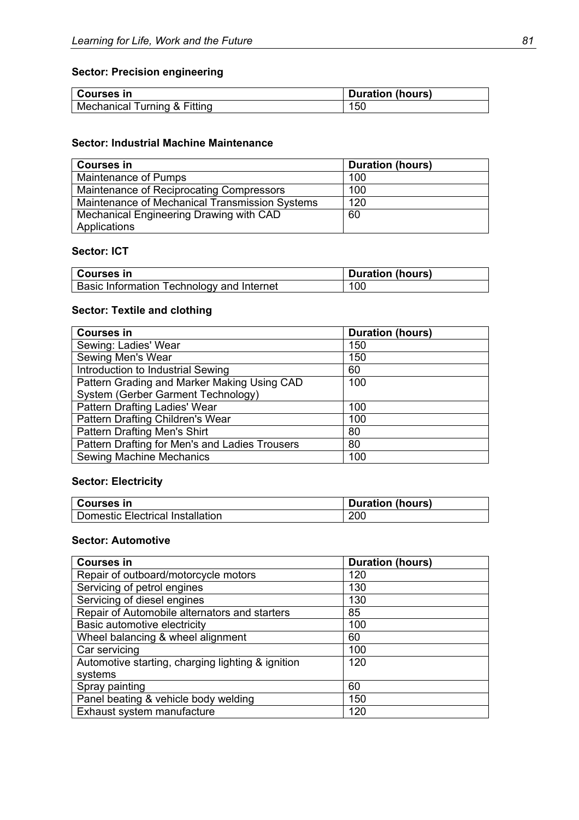# **Sector: Precision engineering**

| ∣ Courses in                 | <b>Duration (hours)</b> |
|------------------------------|-------------------------|
| Mechanical Turning & Fitting | 150                     |

#### **Sector: Industrial Machine Maintenance**

| <b>Courses in</b>                              | <b>Duration (hours)</b> |
|------------------------------------------------|-------------------------|
| Maintenance of Pumps                           | 100                     |
| Maintenance of Reciprocating Compressors       | 100                     |
| Maintenance of Mechanical Transmission Systems | 120                     |
| Mechanical Engineering Drawing with CAD        | 60                      |
| Applications                                   |                         |

### **Sector: ICT**

| ∣ Courses in                                     | <b>Duration (hours)</b> |
|--------------------------------------------------|-------------------------|
| <b>Basic Information Technology and Internet</b> | 100                     |

# **Sector: Textile and clothing**

| <b>Courses in</b>                              | <b>Duration (hours)</b> |
|------------------------------------------------|-------------------------|
| Sewing: Ladies' Wear                           | 150                     |
| Sewing Men's Wear                              | 150                     |
| Introduction to Industrial Sewing              | 60                      |
| Pattern Grading and Marker Making Using CAD    | 100                     |
| System (Gerber Garment Technology)             |                         |
| Pattern Drafting Ladies' Wear                  | 100                     |
| Pattern Drafting Children's Wear               | 100                     |
| <b>Pattern Drafting Men's Shirt</b>            | 80                      |
| Pattern Drafting for Men's and Ladies Trousers | 80                      |
| <b>Sewing Machine Mechanics</b>                | 100                     |

# **Sector: Electricity**

| Courses in                       | <b>Duration (hours)</b> |
|----------------------------------|-------------------------|
| Domestic Electrical Installation | 200                     |

### **Sector: Automotive**

| <b>Courses in</b>                                 | <b>Duration (hours)</b> |
|---------------------------------------------------|-------------------------|
| Repair of outboard/motorcycle motors              | 120                     |
| Servicing of petrol engines                       | 130                     |
| Servicing of diesel engines                       | 130                     |
| Repair of Automobile alternators and starters     | 85                      |
| Basic automotive electricity                      | 100                     |
| Wheel balancing & wheel alignment                 | 60                      |
| Car servicing                                     | 100                     |
| Automotive starting, charging lighting & ignition | 120                     |
| systems                                           |                         |
| Spray painting                                    | 60                      |
| Panel beating & vehicle body welding              | 150                     |
| Exhaust system manufacture                        | 120                     |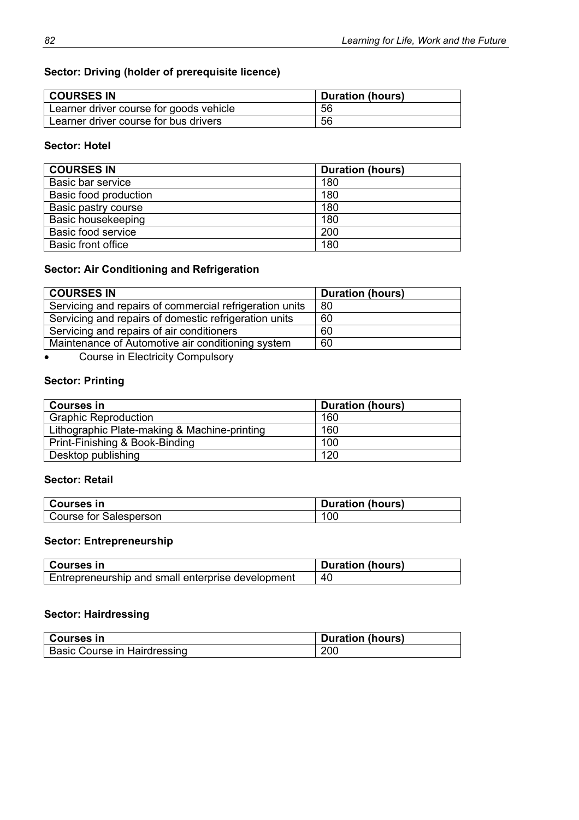# **Sector: Driving (holder of prerequisite licence)**

| <b>COURSES IN</b>                       | <b>Duration (hours)</b> |
|-----------------------------------------|-------------------------|
| Learner driver course for goods vehicle | 56                      |
| Learner driver course for bus drivers   | 56                      |

### **Sector: Hotel**

| <b>COURSES IN</b>         | <b>Duration (hours)</b> |
|---------------------------|-------------------------|
| Basic bar service         | 180                     |
| Basic food production     | 180                     |
| Basic pastry course       | 180                     |
| Basic housekeeping        | 180                     |
| Basic food service        | 200                     |
| <b>Basic front office</b> | 180                     |

# **Sector: Air Conditioning and Refrigeration**

| <b>COURSES IN</b>                                       | <b>Duration (hours)</b> |
|---------------------------------------------------------|-------------------------|
| Servicing and repairs of commercial refrigeration units | 80                      |
| Servicing and repairs of domestic refrigeration units   | 60                      |
| Servicing and repairs of air conditioners               | 60                      |
| Maintenance of Automotive air conditioning system       | 60                      |

• Course in Electricity Compulsory

# **Sector: Printing**

| <b>Courses in</b>                            | <b>Duration (hours)</b> |
|----------------------------------------------|-------------------------|
| <b>Graphic Reproduction</b>                  | 160                     |
| Lithographic Plate-making & Machine-printing | 160                     |
| Print-Finishing & Book-Binding               | 100                     |
| Desktop publishing                           | 120                     |

### **Sector: Retail**

| ∣ Courses in           | <b>Duration (hours)</b> |
|------------------------|-------------------------|
| Course for Salesperson | 100                     |

# **Sector: Entrepreneurship**

| ∣ Courses in                                      | <b>Duration (hours)</b> |
|---------------------------------------------------|-------------------------|
| Entrepreneurship and small enterprise development | -40                     |

# **Sector: Hairdressing**

| <b>Courses in</b>                   | <b>Duration (hours)</b> |
|-------------------------------------|-------------------------|
| <b>Basic Course in Hairdressing</b> | 200                     |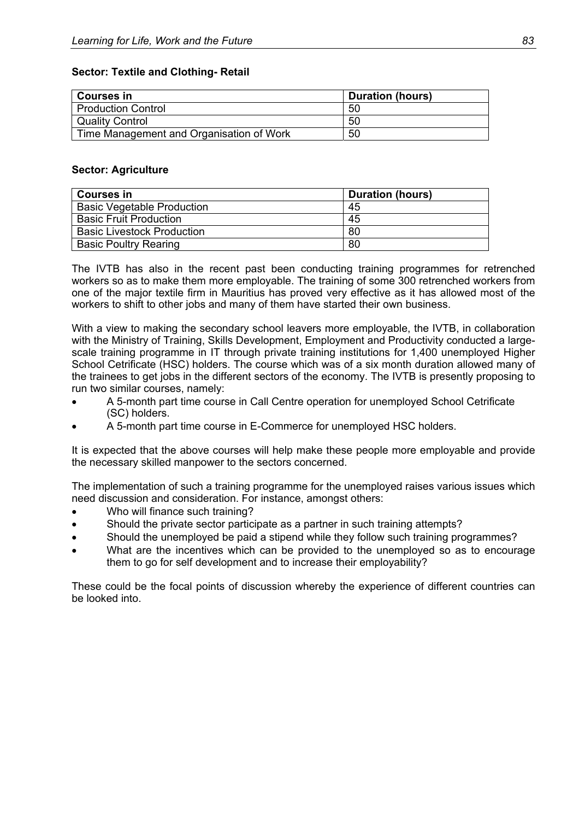| Courses in                               | <b>Duration (hours)</b> |
|------------------------------------------|-------------------------|
| <b>Production Control</b>                | 50                      |
| <sup>I</sup> Quality Control             | 50                      |
| Time Management and Organisation of Work | 50                      |

#### **Sector: Textile and Clothing- Retail**

#### **Sector: Agriculture**

| Courses in                        | <b>Duration (hours)</b> |
|-----------------------------------|-------------------------|
| <b>Basic Vegetable Production</b> | 45                      |
| <b>Basic Fruit Production</b>     | 45                      |
| <b>Basic Livestock Production</b> | 80                      |
| <b>Basic Poultry Rearing</b>      | 80                      |

The IVTB has also in the recent past been conducting training programmes for retrenched workers so as to make them more employable. The training of some 300 retrenched workers from one of the major textile firm in Mauritius has proved very effective as it has allowed most of the workers to shift to other jobs and many of them have started their own business.

With a view to making the secondary school leavers more employable, the IVTB, in collaboration with the Ministry of Training, Skills Development, Employment and Productivity conducted a largescale training programme in IT through private training institutions for 1,400 unemployed Higher School Cetrificate (HSC) holders. The course which was of a six month duration allowed many of the trainees to get jobs in the different sectors of the economy. The IVTB is presently proposing to run two similar courses, namely:

- A 5-month part time course in Call Centre operation for unemployed School Cetrificate (SC) holders.
- A 5-month part time course in E-Commerce for unemployed HSC holders.

It is expected that the above courses will help make these people more employable and provide the necessary skilled manpower to the sectors concerned.

The implementation of such a training programme for the unemployed raises various issues which need discussion and consideration. For instance, amongst others:

- Who will finance such training?
- Should the private sector participate as a partner in such training attempts?
- Should the unemployed be paid a stipend while they follow such training programmes?
- What are the incentives which can be provided to the unemployed so as to encourage them to go for self development and to increase their employability?

These could be the focal points of discussion whereby the experience of different countries can be looked into.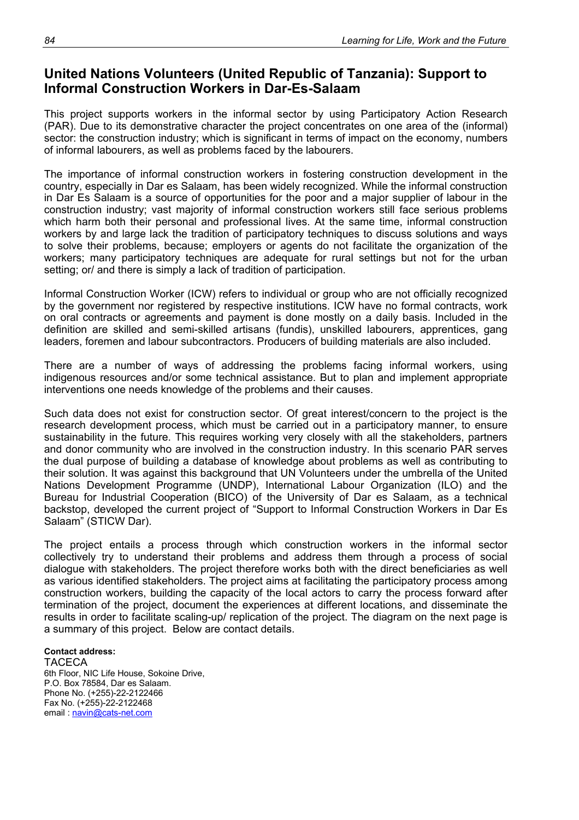# **United Nations Volunteers (United Republic of Tanzania): Support to Informal Construction Workers in Dar-Es-Salaam**

This project supports workers in the informal sector by using Participatory Action Research (PAR). Due to its demonstrative character the project concentrates on one area of the (informal) sector: the construction industry; which is significant in terms of impact on the economy, numbers of informal labourers, as well as problems faced by the labourers.

The importance of informal construction workers in fostering construction development in the country, especially in Dar es Salaam, has been widely recognized. While the informal construction in Dar Es Salaam is a source of opportunities for the poor and a major supplier of labour in the construction industry; vast majority of informal construction workers still face serious problems which harm both their personal and professional lives. At the same time, informal construction workers by and large lack the tradition of participatory techniques to discuss solutions and ways to solve their problems, because; employers or agents do not facilitate the organization of the workers; many participatory techniques are adequate for rural settings but not for the urban setting; or/ and there is simply a lack of tradition of participation.

Informal Construction Worker (ICW) refers to individual or group who are not officially recognized by the government nor registered by respective institutions. ICW have no formal contracts, work on oral contracts or agreements and payment is done mostly on a daily basis. Included in the definition are skilled and semi-skilled artisans (fundis), unskilled labourers, apprentices, gang leaders, foremen and labour subcontractors. Producers of building materials are also included.

There are a number of ways of addressing the problems facing informal workers, using indigenous resources and/or some technical assistance. But to plan and implement appropriate interventions one needs knowledge of the problems and their causes.

Such data does not exist for construction sector. Of great interest/concern to the project is the research development process, which must be carried out in a participatory manner, to ensure sustainability in the future. This requires working very closely with all the stakeholders, partners and donor community who are involved in the construction industry. In this scenario PAR serves the dual purpose of building a database of knowledge about problems as well as contributing to their solution. It was against this background that UN Volunteers under the umbrella of the United Nations Development Programme (UNDP), International Labour Organization (ILO) and the Bureau for Industrial Cooperation (BICO) of the University of Dar es Salaam, as a technical backstop, developed the current project of "Support to Informal Construction Workers in Dar Es Salaam" (STICW Dar).

The project entails a process through which construction workers in the informal sector collectively try to understand their problems and address them through a process of social dialogue with stakeholders. The project therefore works both with the direct beneficiaries as well as various identified stakeholders. The project aims at facilitating the participatory process among construction workers, building the capacity of the local actors to carry the process forward after termination of the project, document the experiences at different locations, and disseminate the results in order to facilitate scaling-up/ replication of the project. The diagram on the next page is a summary of this project. Below are contact details.

#### **Contact address:**

TACECA 6th Floor, NIC Life House, Sokoine Drive, P.O. Box 78584, Dar es Salaam. Phone No. (+255)-22-2122466 Fax No. (+255)-22-2122468 email : navin@cats-net.com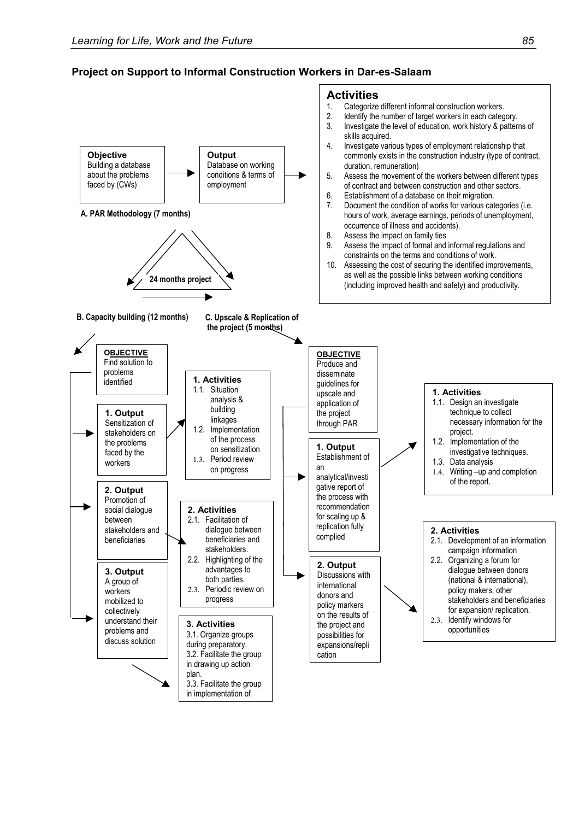### **Project on Support to Informal Construction Workers in Dar-es-Salaam**

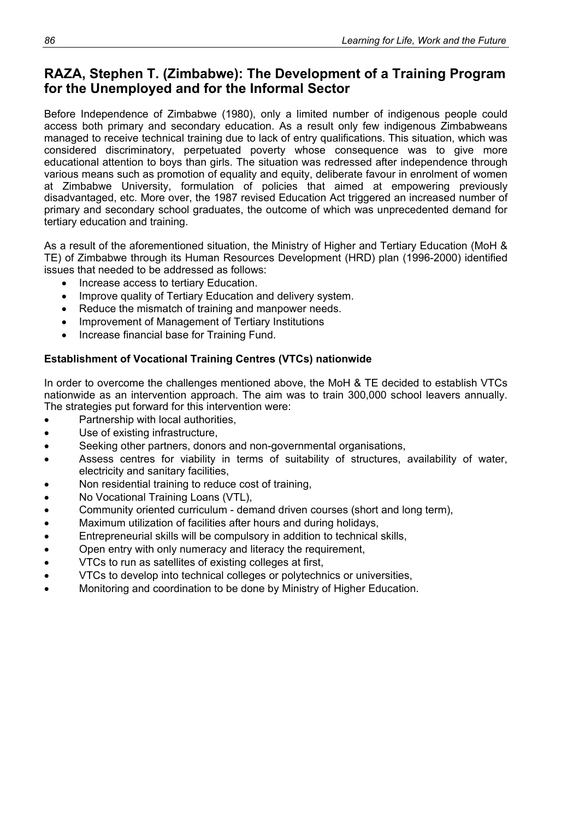# **RAZA, Stephen T. (Zimbabwe): The Development of a Training Program for the Unemployed and for the Informal Sector**

Before Independence of Zimbabwe (1980), only a limited number of indigenous people could access both primary and secondary education. As a result only few indigenous Zimbabweans managed to receive technical training due to lack of entry qualifications. This situation, which was considered discriminatory, perpetuated poverty whose consequence was to give more educational attention to boys than girls. The situation was redressed after independence through various means such as promotion of equality and equity, deliberate favour in enrolment of women at Zimbabwe University, formulation of policies that aimed at empowering previously disadvantaged, etc. More over, the 1987 revised Education Act triggered an increased number of primary and secondary school graduates, the outcome of which was unprecedented demand for tertiary education and training.

As a result of the aforementioned situation, the Ministry of Higher and Tertiary Education (MoH & TE) of Zimbabwe through its Human Resources Development (HRD) plan (1996-2000) identified issues that needed to be addressed as follows:

- Increase access to tertiary Education.
- Improve quality of Tertiary Education and delivery system.
- Reduce the mismatch of training and manpower needs.
- Improvement of Management of Tertiary Institutions
- Increase financial base for Training Fund.

## **Establishment of Vocational Training Centres (VTCs) nationwide**

In order to overcome the challenges mentioned above, the MoH & TE decided to establish VTCs nationwide as an intervention approach. The aim was to train 300,000 school leavers annually. The strategies put forward for this intervention were:

- Partnership with local authorities,
- Use of existing infrastructure,
- Seeking other partners, donors and non-governmental organisations,
- Assess centres for viability in terms of suitability of structures, availability of water, electricity and sanitary facilities,
- Non residential training to reduce cost of training,
- No Vocational Training Loans (VTL),
- Community oriented curriculum demand driven courses (short and long term),
- Maximum utilization of facilities after hours and during holidays,
- Entrepreneurial skills will be compulsory in addition to technical skills,
- Open entry with only numeracy and literacy the requirement,
- VTCs to run as satellites of existing colleges at first,
- VTCs to develop into technical colleges or polytechnics or universities,
- Monitoring and coordination to be done by Ministry of Higher Education.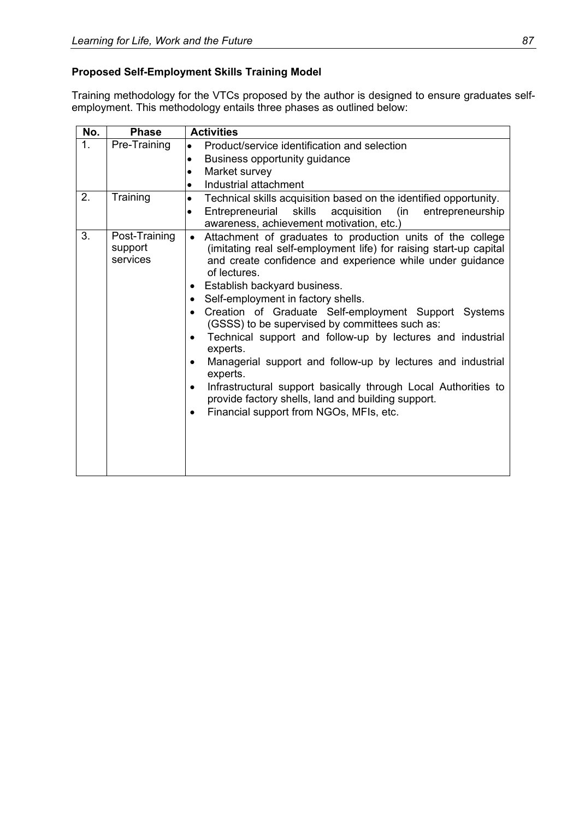# **Proposed Self-Employment Skills Training Model**

Training methodology for the VTCs proposed by the author is designed to ensure graduates selfemployment. This methodology entails three phases as outlined below:

| No. | <b>Phase</b>                         | <b>Activities</b>                                                                                                                                                                                                                                                                                                                                                                                                                                                                                                                                                                                                                                                                                                                                                                                                |
|-----|--------------------------------------|------------------------------------------------------------------------------------------------------------------------------------------------------------------------------------------------------------------------------------------------------------------------------------------------------------------------------------------------------------------------------------------------------------------------------------------------------------------------------------------------------------------------------------------------------------------------------------------------------------------------------------------------------------------------------------------------------------------------------------------------------------------------------------------------------------------|
| 1.  | Pre-Training                         | Product/service identification and selection<br>$\bullet$                                                                                                                                                                                                                                                                                                                                                                                                                                                                                                                                                                                                                                                                                                                                                        |
|     |                                      | Business opportunity guidance<br>$\bullet$                                                                                                                                                                                                                                                                                                                                                                                                                                                                                                                                                                                                                                                                                                                                                                       |
|     |                                      | Market survey<br>$\bullet$                                                                                                                                                                                                                                                                                                                                                                                                                                                                                                                                                                                                                                                                                                                                                                                       |
|     |                                      | Industrial attachment<br>$\bullet$                                                                                                                                                                                                                                                                                                                                                                                                                                                                                                                                                                                                                                                                                                                                                                               |
| 2.  | Training                             | Technical skills acquisition based on the identified opportunity.<br>$\bullet$                                                                                                                                                                                                                                                                                                                                                                                                                                                                                                                                                                                                                                                                                                                                   |
|     |                                      | acquisition<br>Entrepreneurial<br>skills<br>(in<br>entrepreneurship<br>$\bullet$<br>awareness, achievement motivation, etc.)                                                                                                                                                                                                                                                                                                                                                                                                                                                                                                                                                                                                                                                                                     |
| 3.  | Post-Training<br>support<br>services | Attachment of graduates to production units of the college<br>$\bullet$<br>(imitating real self-employment life) for raising start-up capital<br>and create confidence and experience while under guidance<br>of lectures.<br>Establish backyard business.<br>$\bullet$<br>Self-employment in factory shells.<br>$\bullet$<br>Creation of Graduate Self-employment Support Systems<br>(GSSS) to be supervised by committees such as:<br>Technical support and follow-up by lectures and industrial<br>$\bullet$<br>experts.<br>Managerial support and follow-up by lectures and industrial<br>$\bullet$<br>experts.<br>Infrastructural support basically through Local Authorities to<br>$\bullet$<br>provide factory shells, land and building support.<br>Financial support from NGOs, MFIs, etc.<br>$\bullet$ |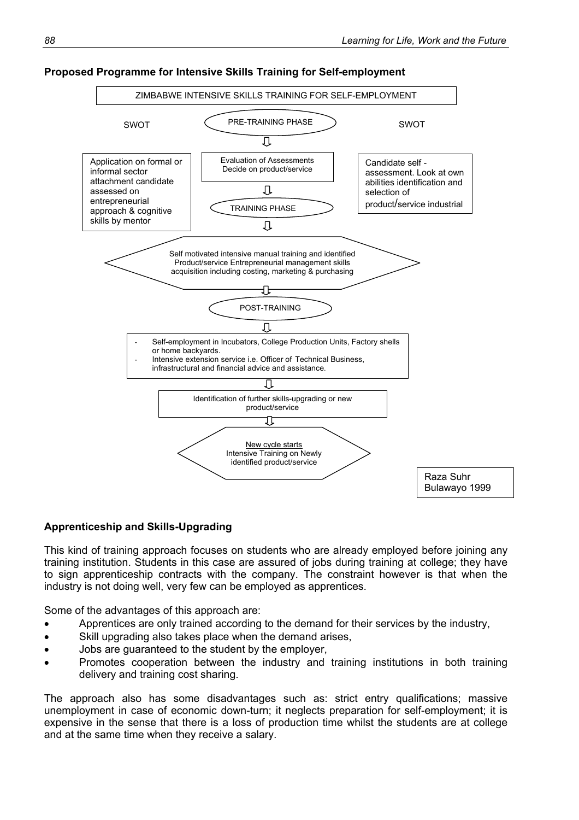

#### **Proposed Programme for Intensive Skills Training for Self-employment**

#### **Apprenticeship and Skills-Upgrading**

This kind of training approach focuses on students who are already employed before joining any training institution. Students in this case are assured of jobs during training at college; they have to sign apprenticeship contracts with the company. The constraint however is that when the industry is not doing well, very few can be employed as apprentices.

Some of the advantages of this approach are:

- Apprentices are only trained according to the demand for their services by the industry,
- Skill upgrading also takes place when the demand arises,
- Jobs are guaranteed to the student by the employer,
- Promotes cooperation between the industry and training institutions in both training delivery and training cost sharing.

The approach also has some disadvantages such as: strict entry qualifications; massive unemployment in case of economic down-turn; it neglects preparation for self-employment; it is expensive in the sense that there is a loss of production time whilst the students are at college and at the same time when they receive a salary.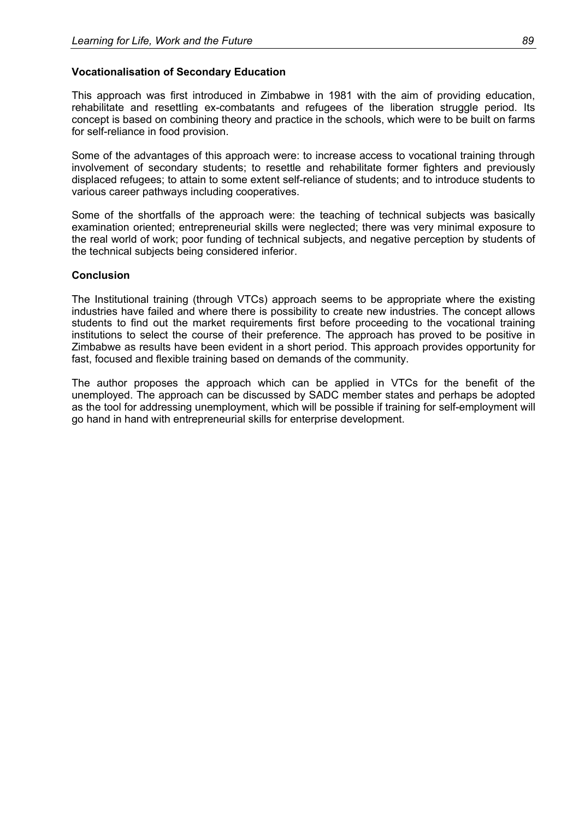### **Vocationalisation of Secondary Education**

This approach was first introduced in Zimbabwe in 1981 with the aim of providing education, rehabilitate and resettling ex-combatants and refugees of the liberation struggle period. Its concept is based on combining theory and practice in the schools, which were to be built on farms for self-reliance in food provision.

Some of the advantages of this approach were: to increase access to vocational training through involvement of secondary students; to resettle and rehabilitate former fighters and previously displaced refugees; to attain to some extent self-reliance of students; and to introduce students to various career pathways including cooperatives.

Some of the shortfalls of the approach were: the teaching of technical subjects was basically examination oriented; entrepreneurial skills were neglected; there was very minimal exposure to the real world of work; poor funding of technical subjects, and negative perception by students of the technical subjects being considered inferior.

### **Conclusion**

The Institutional training (through VTCs) approach seems to be appropriate where the existing industries have failed and where there is possibility to create new industries. The concept allows students to find out the market requirements first before proceeding to the vocational training institutions to select the course of their preference. The approach has proved to be positive in Zimbabwe as results have been evident in a short period. This approach provides opportunity for fast, focused and flexible training based on demands of the community.

The author proposes the approach which can be applied in VTCs for the benefit of the unemployed. The approach can be discussed by SADC member states and perhaps be adopted as the tool for addressing unemployment, which will be possible if training for self-employment will go hand in hand with entrepreneurial skills for enterprise development.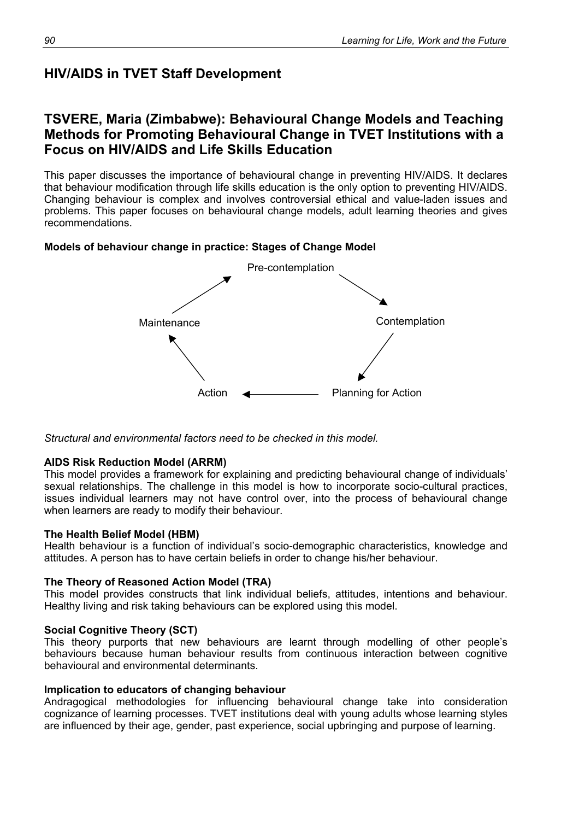# **HIV/AIDS in TVET Staff Development**

# **TSVERE, Maria (Zimbabwe): Behavioural Change Models and Teaching Methods for Promoting Behavioural Change in TVET Institutions with a Focus on HIV/AIDS and Life Skills Education**

This paper discusses the importance of behavioural change in preventing HIV/AIDS. It declares that behaviour modification through life skills education is the only option to preventing HIV/AIDS. Changing behaviour is complex and involves controversial ethical and value-laden issues and problems. This paper focuses on behavioural change models, adult learning theories and gives recommendations.

## **Models of behaviour change in practice: Stages of Change Model**



*Structural and environmental factors need to be checked in this model.* 

## **AIDS Risk Reduction Model (ARRM)**

This model provides a framework for explaining and predicting behavioural change of individuals' sexual relationships. The challenge in this model is how to incorporate socio-cultural practices, issues individual learners may not have control over, into the process of behavioural change when learners are ready to modify their behaviour.

### **The Health Belief Model (HBM)**

Health behaviour is a function of individual's socio-demographic characteristics, knowledge and attitudes. A person has to have certain beliefs in order to change his/her behaviour.

### **The Theory of Reasoned Action Model (TRA)**

This model provides constructs that link individual beliefs, attitudes, intentions and behaviour. Healthy living and risk taking behaviours can be explored using this model.

## **Social Cognitive Theory (SCT)**

This theory purports that new behaviours are learnt through modelling of other people's behaviours because human behaviour results from continuous interaction between cognitive behavioural and environmental determinants.

### **Implication to educators of changing behaviour**

Andragogical methodologies for influencing behavioural change take into consideration cognizance of learning processes. TVET institutions deal with young adults whose learning styles are influenced by their age, gender, past experience, social upbringing and purpose of learning.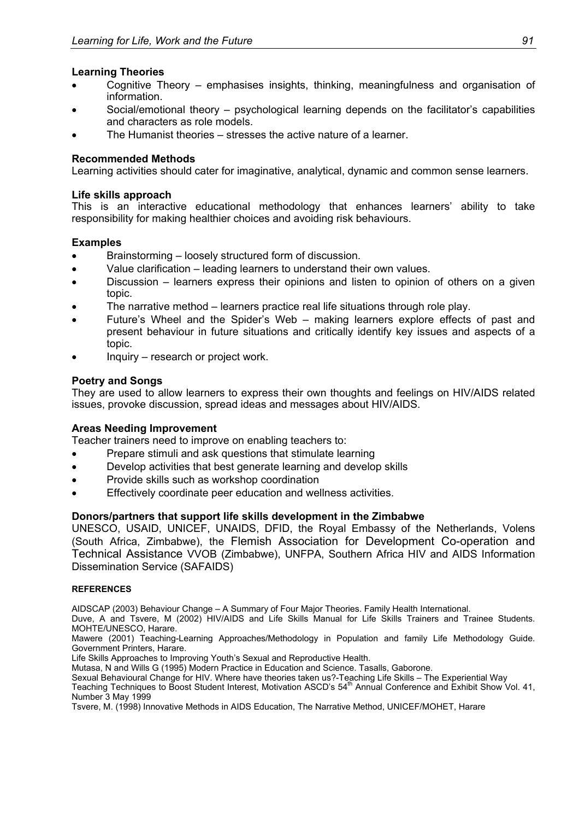### **Learning Theories**

- Cognitive Theory emphasises insights, thinking, meaningfulness and organisation of information.
- Social/emotional theory psychological learning depends on the facilitator's capabilities and characters as role models.
- The Humanist theories stresses the active nature of a learner.

### **Recommended Methods**

Learning activities should cater for imaginative, analytical, dynamic and common sense learners.

### **Life skills approach**

This is an interactive educational methodology that enhances learners' ability to take responsibility for making healthier choices and avoiding risk behaviours.

### **Examples**

- Brainstorming loosely structured form of discussion.
- Value clarification leading learners to understand their own values.
- Discussion learners express their opinions and listen to opinion of others on a given topic.
- The narrative method learners practice real life situations through role play.
- Future's Wheel and the Spider's Web making learners explore effects of past and present behaviour in future situations and critically identify key issues and aspects of a topic.
- Inquiry research or project work.

### **Poetry and Songs**

They are used to allow learners to express their own thoughts and feelings on HIV/AIDS related issues, provoke discussion, spread ideas and messages about HIV/AIDS.

### **Areas Needing Improvement**

Teacher trainers need to improve on enabling teachers to:

- Prepare stimuli and ask questions that stimulate learning
- Develop activities that best generate learning and develop skills
- Provide skills such as workshop coordination
- Effectively coordinate peer education and wellness activities.

### **Donors/partners that support life skills development in the Zimbabwe**

UNESCO, USAID, UNICEF, UNAIDS, DFID, the Royal Embassy of the Netherlands, Volens (South Africa, Zimbabwe), the Flemish Association for Development Co-operation and Technical Assistance VVOB (Zimbabwe), UNFPA, Southern Africa HIV and AIDS Information Dissemination Service (SAFAIDS)

#### **REFERENCES**

AIDSCAP (2003) Behaviour Change – A Summary of Four Major Theories. Family Health International.

Duve, A and Tsvere, M (2002) HIV/AIDS and Life Skills Manual for Life Skills Trainers and Trainee Students. MOHTE/UNESCO, Harare.

Mawere (2001) Teaching-Learning Approaches/Methodology in Population and family Life Methodology Guide. Government Printers, Harare.

Life Skills Approaches to Improving Youth's Sexual and Reproductive Health.

Mutasa, N and Wills G (1995) Modern Practice in Education and Science. Tasalls, Gaborone.

Sexual Behavioural Change for HIV. Where have theories taken us?-Teaching Life Skills – The Experiential Way

Teaching Techniques to Boost Student Interest, Motivation ASCD's 54<sup>th</sup> Annual Conference and Exhibit Show Vol. 41, Number 3 May 1999

Tsvere, M. (1998) Innovative Methods in AIDS Education, The Narrative Method, UNICEF/MOHET, Harare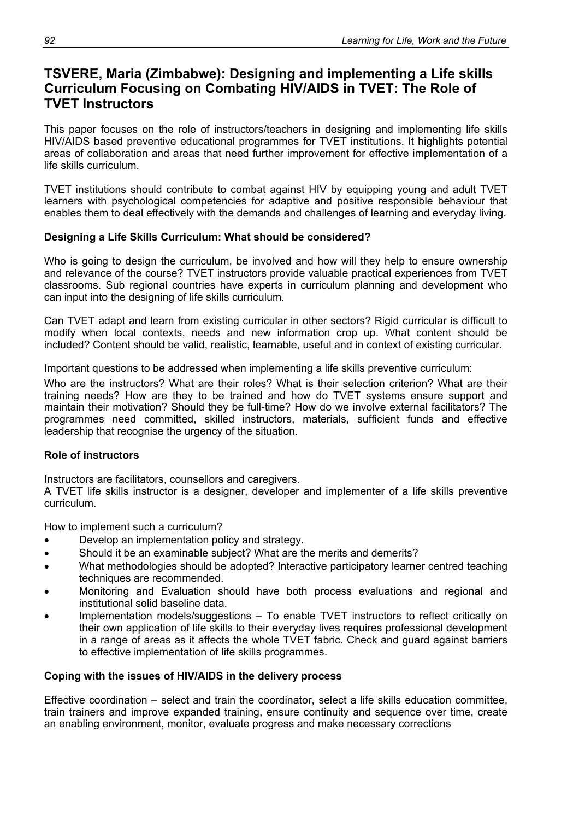# **TSVERE, Maria (Zimbabwe): Designing and implementing a Life skills Curriculum Focusing on Combating HIV/AIDS in TVET: The Role of TVET Instructors**

This paper focuses on the role of instructors/teachers in designing and implementing life skills HIV/AIDS based preventive educational programmes for TVET institutions. It highlights potential areas of collaboration and areas that need further improvement for effective implementation of a life skills curriculum.

TVET institutions should contribute to combat against HIV by equipping young and adult TVET learners with psychological competencies for adaptive and positive responsible behaviour that enables them to deal effectively with the demands and challenges of learning and everyday living.

## **Designing a Life Skills Curriculum: What should be considered?**

Who is going to design the curriculum, be involved and how will they help to ensure ownership and relevance of the course? TVET instructors provide valuable practical experiences from TVET classrooms. Sub regional countries have experts in curriculum planning and development who can input into the designing of life skills curriculum.

Can TVET adapt and learn from existing curricular in other sectors? Rigid curricular is difficult to modify when local contexts, needs and new information crop up. What content should be included? Content should be valid, realistic, learnable, useful and in context of existing curricular.

Important questions to be addressed when implementing a life skills preventive curriculum:

Who are the instructors? What are their roles? What is their selection criterion? What are their training needs? How are they to be trained and how do TVET systems ensure support and maintain their motivation? Should they be full-time? How do we involve external facilitators? The programmes need committed, skilled instructors, materials, sufficient funds and effective leadership that recognise the urgency of the situation.

## **Role of instructors**

Instructors are facilitators, counsellors and caregivers.

A TVET life skills instructor is a designer, developer and implementer of a life skills preventive curriculum.

How to implement such a curriculum?

- Develop an implementation policy and strategy.
- Should it be an examinable subject? What are the merits and demerits?
- What methodologies should be adopted? Interactive participatory learner centred teaching techniques are recommended.
- Monitoring and Evaluation should have both process evaluations and regional and institutional solid baseline data.
- Implementation models/suggestions To enable TVET instructors to reflect critically on their own application of life skills to their everyday lives requires professional development in a range of areas as it affects the whole TVET fabric. Check and guard against barriers to effective implementation of life skills programmes.

## **Coping with the issues of HIV/AIDS in the delivery process**

Effective coordination – select and train the coordinator, select a life skills education committee, train trainers and improve expanded training, ensure continuity and sequence over time, create an enabling environment, monitor, evaluate progress and make necessary corrections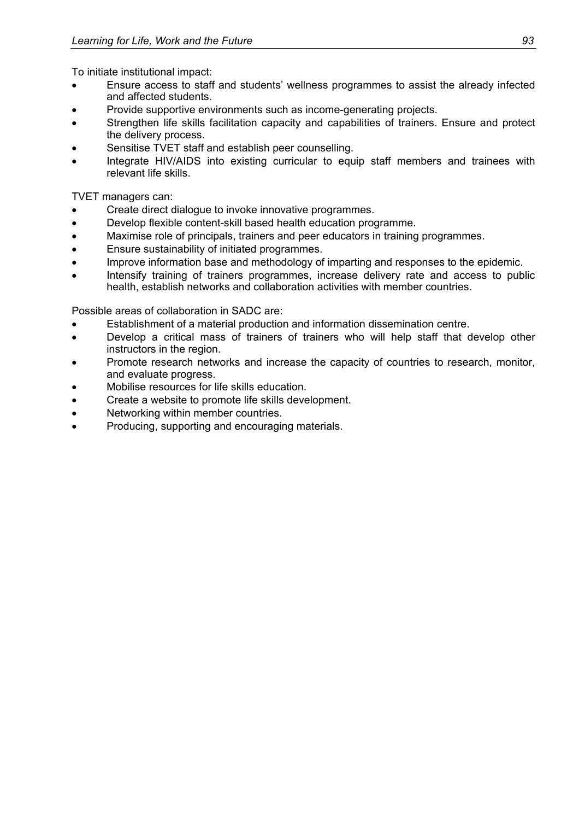To initiate institutional impact:

- Ensure access to staff and students' wellness programmes to assist the already infected and affected students.
- Provide supportive environments such as income-generating projects.
- Strengthen life skills facilitation capacity and capabilities of trainers. Ensure and protect the delivery process.
- Sensitise TVET staff and establish peer counselling.
- Integrate HIV/AIDS into existing curricular to equip staff members and trainees with relevant life skills.

TVET managers can:

- Create direct dialogue to invoke innovative programmes.
- Develop flexible content-skill based health education programme.
- Maximise role of principals, trainers and peer educators in training programmes.
- Ensure sustainability of initiated programmes.
- Improve information base and methodology of imparting and responses to the epidemic.
- Intensify training of trainers programmes, increase delivery rate and access to public health, establish networks and collaboration activities with member countries.

Possible areas of collaboration in SADC are:

- Establishment of a material production and information dissemination centre.
- Develop a critical mass of trainers of trainers who will help staff that develop other instructors in the region.
- Promote research networks and increase the capacity of countries to research, monitor, and evaluate progress.
- Mobilise resources for life skills education.
- Create a website to promote life skills development.
- Networking within member countries.
- Producing, supporting and encouraging materials.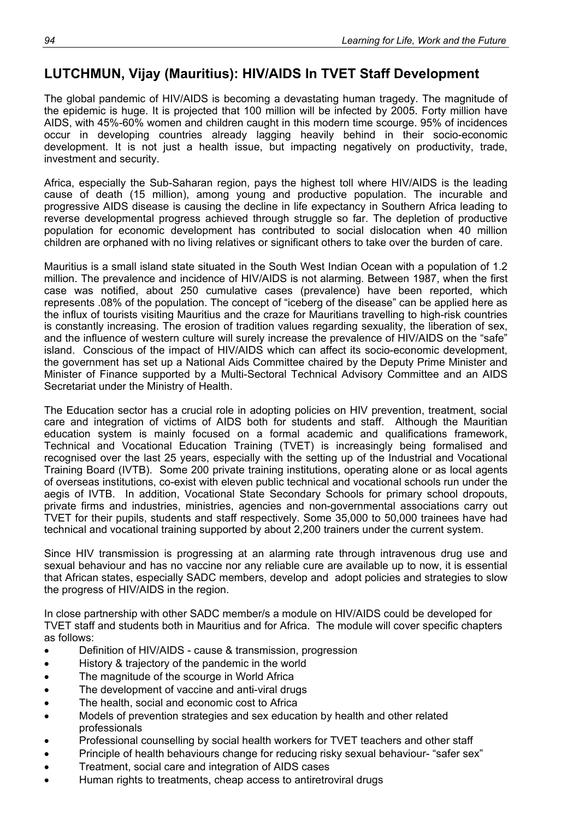# **LUTCHMUN, Vijay (Mauritius): HIV/AIDS In TVET Staff Development**

The global pandemic of HIV/AIDS is becoming a devastating human tragedy. The magnitude of the epidemic is huge. It is projected that 100 million will be infected by 2005. Forty million have AIDS, with 45%-60% women and children caught in this modern time scourge. 95% of incidences occur in developing countries already lagging heavily behind in their socio-economic development. It is not just a health issue, but impacting negatively on productivity, trade, investment and security.

Africa, especially the Sub-Saharan region, pays the highest toll where HIV/AIDS is the leading cause of death (15 million), among young and productive population. The incurable and progressive AIDS disease is causing the decline in life expectancy in Southern Africa leading to reverse developmental progress achieved through struggle so far. The depletion of productive population for economic development has contributed to social dislocation when 40 million children are orphaned with no living relatives or significant others to take over the burden of care.

Mauritius is a small island state situated in the South West Indian Ocean with a population of 1.2 million. The prevalence and incidence of HIV/AIDS is not alarming. Between 1987, when the first case was notified, about 250 cumulative cases (prevalence) have been reported, which represents .08% of the population. The concept of "iceberg of the disease" can be applied here as the influx of tourists visiting Mauritius and the craze for Mauritians travelling to high-risk countries is constantly increasing. The erosion of tradition values regarding sexuality, the liberation of sex, and the influence of western culture will surely increase the prevalence of HIV/AIDS on the "safe" island. Conscious of the impact of HIV/AIDS which can affect its socio-economic development. the government has set up a National Aids Committee chaired by the Deputy Prime Minister and Minister of Finance supported by a Multi-Sectoral Technical Advisory Committee and an AIDS Secretariat under the Ministry of Health.

The Education sector has a crucial role in adopting policies on HIV prevention, treatment, social care and integration of victims of AIDS both for students and staff. Although the Mauritian education system is mainly focused on a formal academic and qualifications framework, Technical and Vocational Education Training (TVET) is increasingly being formalised and recognised over the last 25 years, especially with the setting up of the Industrial and Vocational Training Board (IVTB). Some 200 private training institutions, operating alone or as local agents of overseas institutions, co-exist with eleven public technical and vocational schools run under the aegis of IVTB. In addition, Vocational State Secondary Schools for primary school dropouts, private firms and industries, ministries, agencies and non-governmental associations carry out TVET for their pupils, students and staff respectively. Some 35,000 to 50,000 trainees have had technical and vocational training supported by about 2,200 trainers under the current system.

Since HIV transmission is progressing at an alarming rate through intravenous drug use and sexual behaviour and has no vaccine nor any reliable cure are available up to now, it is essential that African states, especially SADC members, develop and adopt policies and strategies to slow the progress of HIV/AIDS in the region.

In close partnership with other SADC member/s a module on HIV/AIDS could be developed for TVET staff and students both in Mauritius and for Africa. The module will cover specific chapters as follows:

- Definition of HIV/AIDS cause & transmission, progression
- History & trajectory of the pandemic in the world
- The magnitude of the scourge in World Africa
- The development of vaccine and anti-viral drugs
- The health, social and economic cost to Africa
- Models of prevention strategies and sex education by health and other related professionals
- Professional counselling by social health workers for TVET teachers and other staff
- Principle of health behaviours change for reducing risky sexual behaviour- "safer sex"
- Treatment, social care and integration of AIDS cases
- Human rights to treatments, cheap access to antiretroviral drugs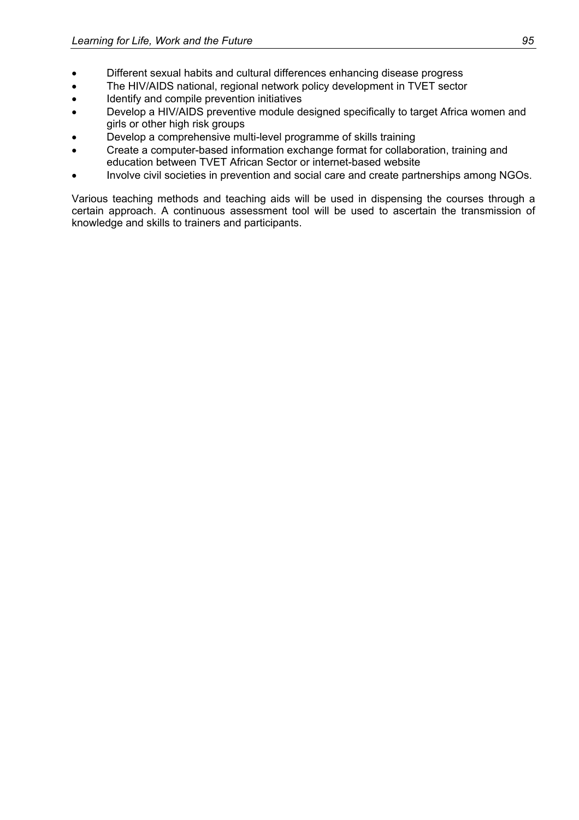- Different sexual habits and cultural differences enhancing disease progress
- The HIV/AIDS national, regional network policy development in TVET sector
- Identify and compile prevention initiatives
- Develop a HIV/AIDS preventive module designed specifically to target Africa women and girls or other high risk groups
- Develop a comprehensive multi-level programme of skills training
- Create a computer-based information exchange format for collaboration, training and education between TVET African Sector or internet-based website
- Involve civil societies in prevention and social care and create partnerships among NGOs.

Various teaching methods and teaching aids will be used in dispensing the courses through a certain approach. A continuous assessment tool will be used to ascertain the transmission of knowledge and skills to trainers and participants.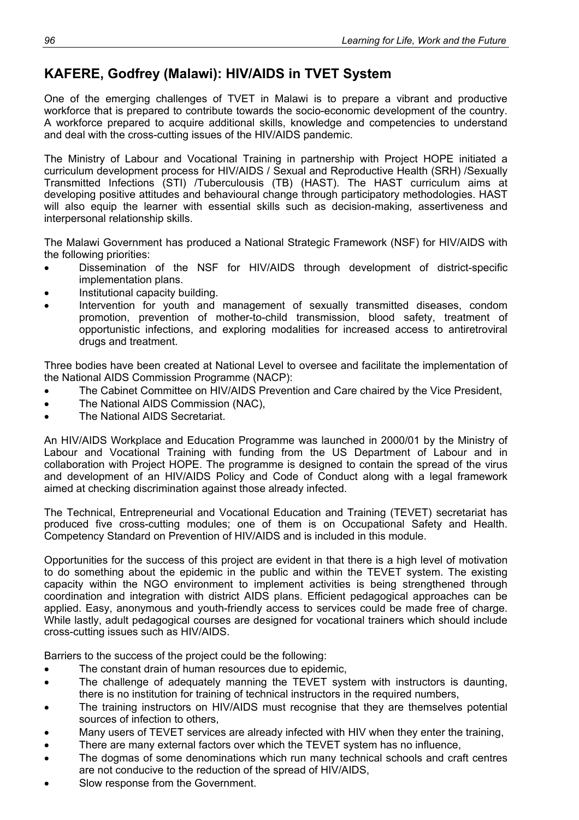# **KAFERE, Godfrey (Malawi): HIV/AIDS in TVET System**

One of the emerging challenges of TVET in Malawi is to prepare a vibrant and productive workforce that is prepared to contribute towards the socio-economic development of the country. A workforce prepared to acquire additional skills, knowledge and competencies to understand and deal with the cross-cutting issues of the HIV/AIDS pandemic.

The Ministry of Labour and Vocational Training in partnership with Project HOPE initiated a curriculum development process for HIV/AIDS / Sexual and Reproductive Health (SRH) /Sexually Transmitted Infections (STI) /Tuberculousis (TB) (HAST). The HAST curriculum aims at developing positive attitudes and behavioural change through participatory methodologies. HAST will also equip the learner with essential skills such as decision-making, assertiveness and interpersonal relationship skills.

The Malawi Government has produced a National Strategic Framework (NSF) for HIV/AIDS with the following priorities:

- Dissemination of the NSF for HIV/AIDS through development of district-specific implementation plans.
- Institutional capacity building.
- Intervention for youth and management of sexually transmitted diseases, condom promotion, prevention of mother-to-child transmission, blood safety, treatment of opportunistic infections, and exploring modalities for increased access to antiretroviral drugs and treatment.

Three bodies have been created at National Level to oversee and facilitate the implementation of the National AIDS Commission Programme (NACP):

- The Cabinet Committee on HIV/AIDS Prevention and Care chaired by the Vice President,
- The National AIDS Commission (NAC),
- The National AIDS Secretariat.

An HIV/AIDS Workplace and Education Programme was launched in 2000/01 by the Ministry of Labour and Vocational Training with funding from the US Department of Labour and in collaboration with Project HOPE. The programme is designed to contain the spread of the virus and development of an HIV/AIDS Policy and Code of Conduct along with a legal framework aimed at checking discrimination against those already infected.

The Technical, Entrepreneurial and Vocational Education and Training (TEVET) secretariat has produced five cross-cutting modules; one of them is on Occupational Safety and Health. Competency Standard on Prevention of HIV/AIDS and is included in this module.

Opportunities for the success of this project are evident in that there is a high level of motivation to do something about the epidemic in the public and within the TEVET system. The existing capacity within the NGO environment to implement activities is being strengthened through coordination and integration with district AIDS plans. Efficient pedagogical approaches can be applied. Easy, anonymous and youth-friendly access to services could be made free of charge. While lastly, adult pedagogical courses are designed for vocational trainers which should include cross-cutting issues such as HIV/AIDS.

Barriers to the success of the project could be the following:

- The constant drain of human resources due to epidemic,
- The challenge of adequately manning the TEVET system with instructors is daunting, there is no institution for training of technical instructors in the required numbers,
- The training instructors on HIV/AIDS must recognise that they are themselves potential sources of infection to others,
- Many users of TEVET services are already infected with HIV when they enter the training,
- There are many external factors over which the TEVET system has no influence,
- The dogmas of some denominations which run many technical schools and craft centres are not conducive to the reduction of the spread of HIV/AIDS,
- Slow response from the Government.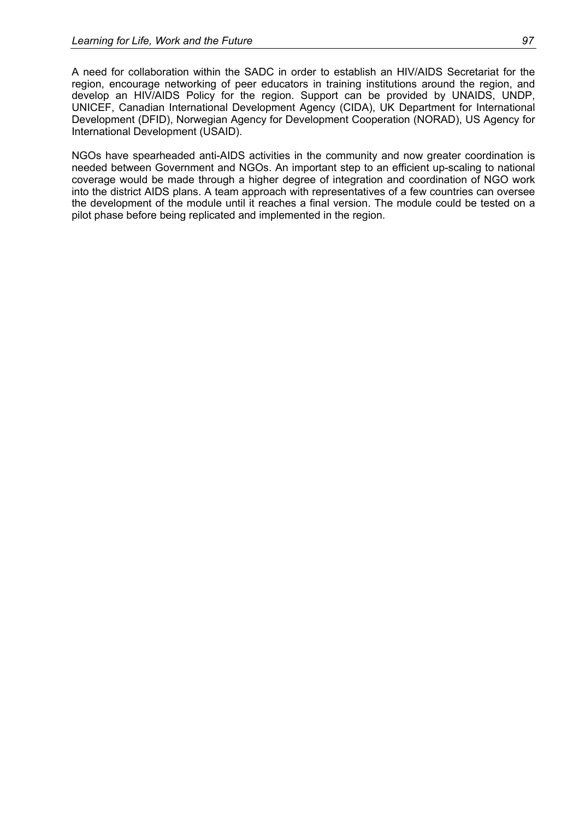A need for collaboration within the SADC in order to establish an HIV/AIDS Secretariat for the region, encourage networking of peer educators in training institutions around the region, and develop an HIV/AIDS Policy for the region. Support can be provided by UNAIDS, UNDP, UNICEF, Canadian International Development Agency (CIDA), UK Department for International Development (DFID), Norwegian Agency for Development Cooperation (NORAD), US Agency for International Development (USAID).

NGOs have spearheaded anti-AIDS activities in the community and now greater coordination is needed between Government and NGOs. An important step to an efficient up-scaling to national coverage would be made through a higher degree of integration and coordination of NGO work into the district AIDS plans. A team approach with representatives of a few countries can oversee the development of the module until it reaches a final version. The module could be tested on a pilot phase before being replicated and implemented in the region.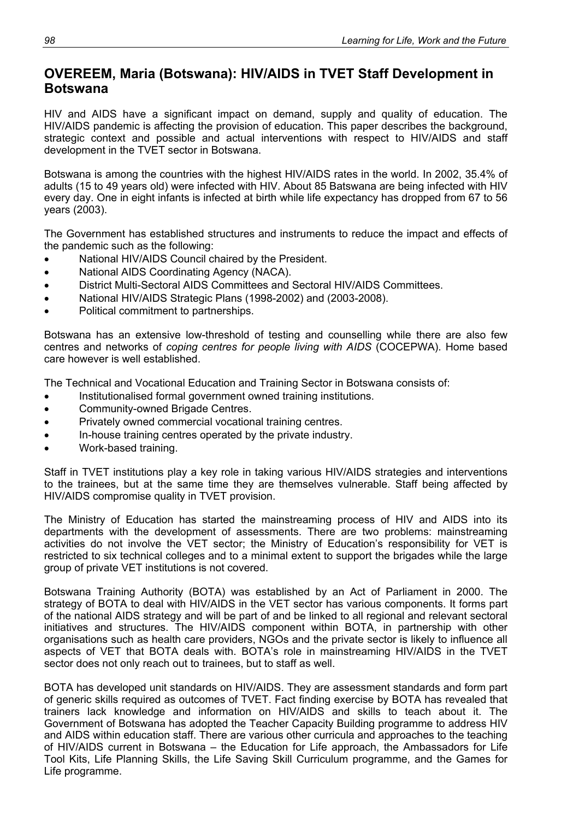# **OVEREEM, Maria (Botswana): HIV/AIDS in TVET Staff Development in Botswana**

HIV and AIDS have a significant impact on demand, supply and quality of education. The HIV/AIDS pandemic is affecting the provision of education. This paper describes the background, strategic context and possible and actual interventions with respect to HIV/AIDS and staff development in the TVET sector in Botswana.

Botswana is among the countries with the highest HIV/AIDS rates in the world. In 2002, 35.4% of adults (15 to 49 years old) were infected with HIV. About 85 Batswana are being infected with HIV every day. One in eight infants is infected at birth while life expectancy has dropped from 67 to 56 years (2003).

The Government has established structures and instruments to reduce the impact and effects of the pandemic such as the following:

- National HIV/AIDS Council chaired by the President.
- National AIDS Coordinating Agency (NACA).
- District Multi-Sectoral AIDS Committees and Sectoral HIV/AIDS Committees.
- National HIV/AIDS Strategic Plans (1998-2002) and (2003-2008).
- Political commitment to partnerships.

Botswana has an extensive low-threshold of testing and counselling while there are also few centres and networks of *coping centres for people living with AIDS* (COCEPWA). Home based care however is well established.

The Technical and Vocational Education and Training Sector in Botswana consists of:

- Institutionalised formal government owned training institutions.
- Community-owned Brigade Centres.
- Privately owned commercial vocational training centres.
- In-house training centres operated by the private industry.
- Work-based training.

Staff in TVET institutions play a key role in taking various HIV/AIDS strategies and interventions to the trainees, but at the same time they are themselves vulnerable. Staff being affected by HIV/AIDS compromise quality in TVET provision.

The Ministry of Education has started the mainstreaming process of HIV and AIDS into its departments with the development of assessments. There are two problems: mainstreaming activities do not involve the VET sector; the Ministry of Education's responsibility for VET is restricted to six technical colleges and to a minimal extent to support the brigades while the large group of private VET institutions is not covered.

Botswana Training Authority (BOTA) was established by an Act of Parliament in 2000. The strategy of BOTA to deal with HIV/AIDS in the VET sector has various components. It forms part of the national AIDS strategy and will be part of and be linked to all regional and relevant sectoral initiatives and structures. The HIV/AIDS component within BOTA, in partnership with other organisations such as health care providers, NGOs and the private sector is likely to influence all aspects of VET that BOTA deals with. BOTA's role in mainstreaming HIV/AIDS in the TVET sector does not only reach out to trainees, but to staff as well.

BOTA has developed unit standards on HIV/AIDS. They are assessment standards and form part of generic skills required as outcomes of TVET. Fact finding exercise by BOTA has revealed that trainers lack knowledge and information on HIV/AIDS and skills to teach about it. The Government of Botswana has adopted the Teacher Capacity Building programme to address HIV and AIDS within education staff. There are various other curricula and approaches to the teaching of HIV/AIDS current in Botswana – the Education for Life approach, the Ambassadors for Life Tool Kits, Life Planning Skills, the Life Saving Skill Curriculum programme, and the Games for Life programme.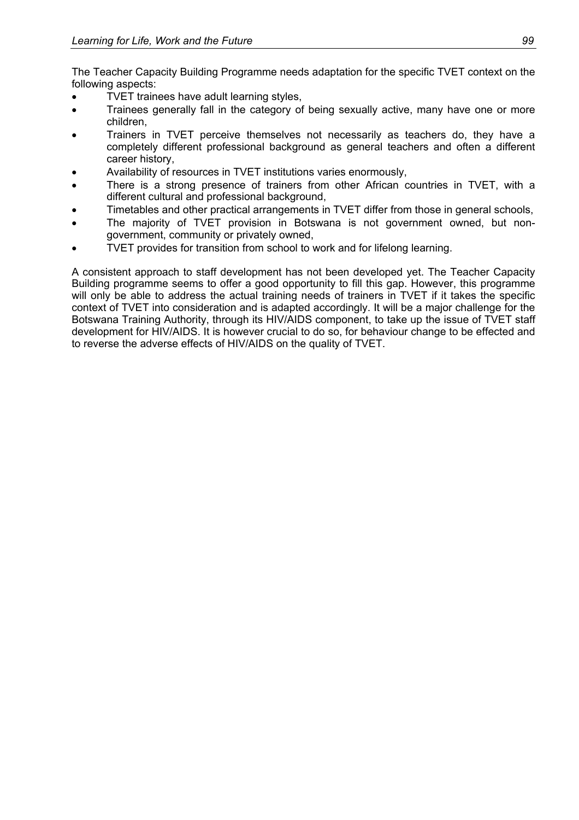The Teacher Capacity Building Programme needs adaptation for the specific TVET context on the following aspects:

- TVET trainees have adult learning styles,
- Trainees generally fall in the category of being sexually active, many have one or more children,
- Trainers in TVET perceive themselves not necessarily as teachers do, they have a completely different professional background as general teachers and often a different career history,
- Availability of resources in TVET institutions varies enormously,
- There is a strong presence of trainers from other African countries in TVET, with a different cultural and professional background,
- Timetables and other practical arrangements in TVET differ from those in general schools,
- The majority of TVET provision in Botswana is not government owned, but nongovernment, community or privately owned,
- TVET provides for transition from school to work and for lifelong learning.

A consistent approach to staff development has not been developed yet. The Teacher Capacity Building programme seems to offer a good opportunity to fill this gap. However, this programme will only be able to address the actual training needs of trainers in TVET if it takes the specific context of TVET into consideration and is adapted accordingly. It will be a major challenge for the Botswana Training Authority, through its HIV/AIDS component, to take up the issue of TVET staff development for HIV/AIDS. It is however crucial to do so, for behaviour change to be effected and to reverse the adverse effects of HIV/AIDS on the quality of TVET.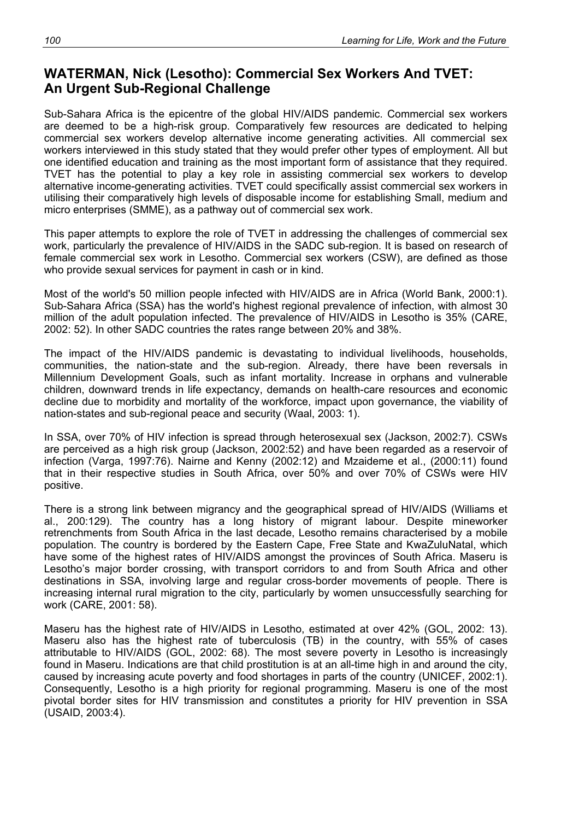# **WATERMAN, Nick (Lesotho): Commercial Sex Workers And TVET: An Urgent Sub-Regional Challenge**

Sub-Sahara Africa is the epicentre of the global HIV/AIDS pandemic. Commercial sex workers are deemed to be a high-risk group. Comparatively few resources are dedicated to helping commercial sex workers develop alternative income generating activities. All commercial sex workers interviewed in this study stated that they would prefer other types of employment. All but one identified education and training as the most important form of assistance that they required. TVET has the potential to play a key role in assisting commercial sex workers to develop alternative income-generating activities. TVET could specifically assist commercial sex workers in utilising their comparatively high levels of disposable income for establishing Small, medium and micro enterprises (SMME), as a pathway out of commercial sex work.

This paper attempts to explore the role of TVET in addressing the challenges of commercial sex work, particularly the prevalence of HIV/AIDS in the SADC sub-region. It is based on research of female commercial sex work in Lesotho. Commercial sex workers (CSW), are defined as those who provide sexual services for payment in cash or in kind.

Most of the world's 50 million people infected with HIV/AIDS are in Africa (World Bank, 2000:1). Sub-Sahara Africa (SSA) has the world's highest regional prevalence of infection, with almost 30 million of the adult population infected. The prevalence of HIV/AIDS in Lesotho is 35% (CARE, 2002: 52). In other SADC countries the rates range between 20% and 38%.

The impact of the HIV/AIDS pandemic is devastating to individual livelihoods, households, communities, the nation-state and the sub-region. Already, there have been reversals in Millennium Development Goals, such as infant mortality. Increase in orphans and vulnerable children, downward trends in life expectancy, demands on health-care resources and economic decline due to morbidity and mortality of the workforce, impact upon governance, the viability of nation-states and sub-regional peace and security (Waal, 2003: 1).

In SSA, over 70% of HIV infection is spread through heterosexual sex (Jackson, 2002:7). CSWs are perceived as a high risk group (Jackson, 2002:52) and have been regarded as a reservoir of infection (Varga, 1997:76). Nairne and Kenny (2002:12) and Mzaideme et al., (2000:11) found that in their respective studies in South Africa, over 50% and over 70% of CSWs were HIV positive.

There is a strong link between migrancy and the geographical spread of HIV/AIDS (Williams et al., 200:129). The country has a long history of migrant labour. Despite mineworker retrenchments from South Africa in the last decade, Lesotho remains characterised by a mobile population. The country is bordered by the Eastern Cape, Free State and KwaZuluNatal, which have some of the highest rates of HIV/AIDS amongst the provinces of South Africa. Maseru is Lesotho's major border crossing, with transport corridors to and from South Africa and other destinations in SSA, involving large and regular cross-border movements of people. There is increasing internal rural migration to the city, particularly by women unsuccessfully searching for work (CARE, 2001: 58).

Maseru has the highest rate of HIV/AIDS in Lesotho, estimated at over 42% (GOL, 2002: 13). Maseru also has the highest rate of tuberculosis (TB) in the country, with 55% of cases attributable to HIV/AIDS (GOL, 2002: 68). The most severe poverty in Lesotho is increasingly found in Maseru. Indications are that child prostitution is at an all-time high in and around the city, caused by increasing acute poverty and food shortages in parts of the country (UNICEF, 2002:1). Consequently, Lesotho is a high priority for regional programming. Maseru is one of the most pivotal border sites for HIV transmission and constitutes a priority for HIV prevention in SSA (USAID, 2003:4).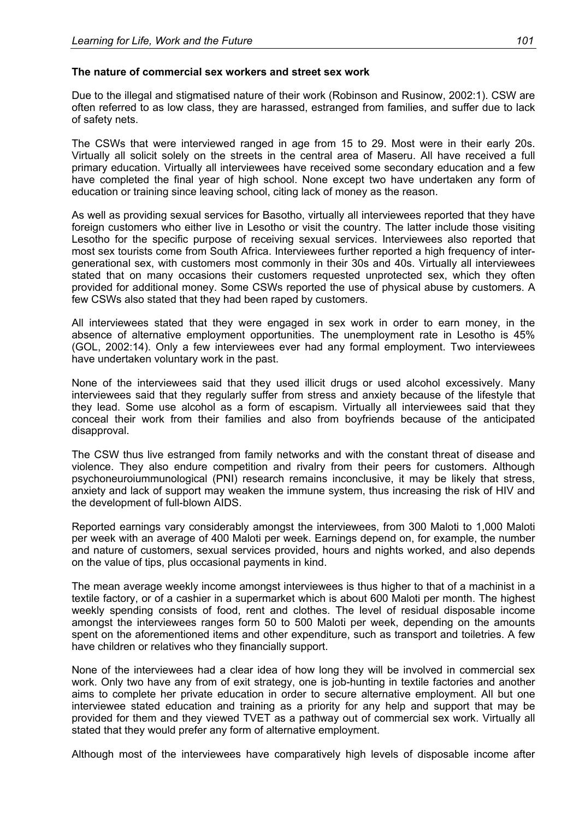#### **The nature of commercial sex workers and street sex work**

Due to the illegal and stigmatised nature of their work (Robinson and Rusinow, 2002:1). CSW are often referred to as low class, they are harassed, estranged from families, and suffer due to lack of safety nets.

The CSWs that were interviewed ranged in age from 15 to 29. Most were in their early 20s. Virtually all solicit solely on the streets in the central area of Maseru. All have received a full primary education. Virtually all interviewees have received some secondary education and a few have completed the final year of high school. None except two have undertaken any form of education or training since leaving school, citing lack of money as the reason.

As well as providing sexual services for Basotho, virtually all interviewees reported that they have foreign customers who either live in Lesotho or visit the country. The latter include those visiting Lesotho for the specific purpose of receiving sexual services. Interviewees also reported that most sex tourists come from South Africa. Interviewees further reported a high frequency of intergenerational sex, with customers most commonly in their 30s and 40s. Virtually all interviewees stated that on many occasions their customers requested unprotected sex, which they often provided for additional money. Some CSWs reported the use of physical abuse by customers. A few CSWs also stated that they had been raped by customers.

All interviewees stated that they were engaged in sex work in order to earn money, in the absence of alternative employment opportunities. The unemployment rate in Lesotho is 45% (GOL, 2002:14). Only a few interviewees ever had any formal employment. Two interviewees have undertaken voluntary work in the past.

None of the interviewees said that they used illicit drugs or used alcohol excessively. Many interviewees said that they regularly suffer from stress and anxiety because of the lifestyle that they lead. Some use alcohol as a form of escapism. Virtually all interviewees said that they conceal their work from their families and also from boyfriends because of the anticipated disapproval.

The CSW thus live estranged from family networks and with the constant threat of disease and violence. They also endure competition and rivalry from their peers for customers. Although psychoneuroiummunological (PNI) research remains inconclusive, it may be likely that stress, anxiety and lack of support may weaken the immune system, thus increasing the risk of HIV and the development of full-blown AIDS.

Reported earnings vary considerably amongst the interviewees, from 300 Maloti to 1,000 Maloti per week with an average of 400 Maloti per week. Earnings depend on, for example, the number and nature of customers, sexual services provided, hours and nights worked, and also depends on the value of tips, plus occasional payments in kind.

The mean average weekly income amongst interviewees is thus higher to that of a machinist in a textile factory, or of a cashier in a supermarket which is about 600 Maloti per month. The highest weekly spending consists of food, rent and clothes. The level of residual disposable income amongst the interviewees ranges form 50 to 500 Maloti per week, depending on the amounts spent on the aforementioned items and other expenditure, such as transport and toiletries. A few have children or relatives who they financially support.

None of the interviewees had a clear idea of how long they will be involved in commercial sex work. Only two have any from of exit strategy, one is job-hunting in textile factories and another aims to complete her private education in order to secure alternative employment. All but one interviewee stated education and training as a priority for any help and support that may be provided for them and they viewed TVET as a pathway out of commercial sex work. Virtually all stated that they would prefer any form of alternative employment.

Although most of the interviewees have comparatively high levels of disposable income after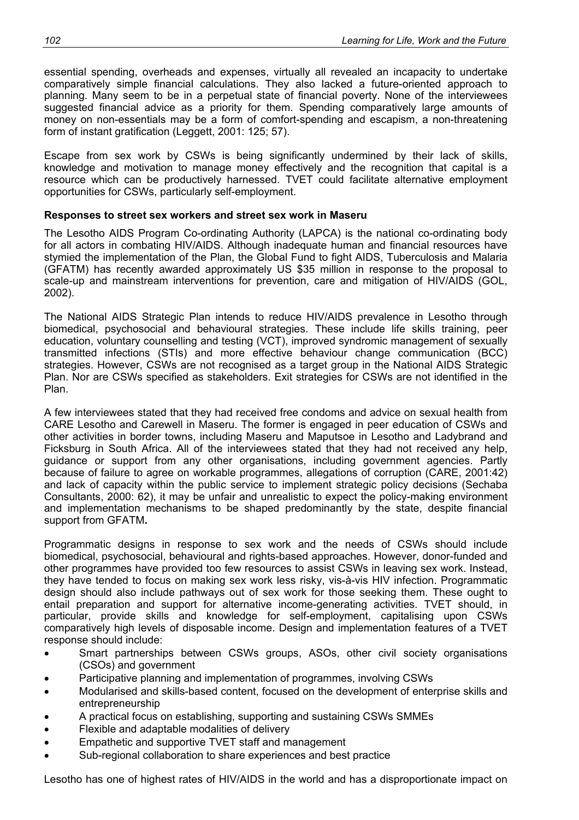essential spending, overheads and expenses, virtually all revealed an incapacity to undertake comparatively simple financial calculations. They also lacked a future-oriented approach to planning. Many seem to be in a perpetual state of financial poverty. None of the interviewees suggested financial advice as a priority for them. Spending comparatively large amounts of money on non-essentials may be a form of comfort-spending and escapism, a non-threatening form of instant gratification (Leggett, 2001: 125; 57).

Escape from sex work by CSWs is being significantly undermined by their lack of skills, knowledge and motivation to manage money effectively and the recognition that capital is a resource which can be productively harnessed. TVET could facilitate alternative employment opportunities for CSWs, particularly self-employment.

### **Responses to street sex workers and street sex work in Maseru**

The Lesotho AIDS Program Co-ordinating Authority (LAPCA) is the national co-ordinating body for all actors in combating HIV/AIDS. Although inadequate human and financial resources have stymied the implementation of the Plan, the Global Fund to fight AIDS, Tuberculosis and Malaria (GFATM) has recently awarded approximately US \$35 million in response to the proposal to scale-up and mainstream interventions for prevention, care and mitigation of HIV/AIDS (GOL, 2002).

The National AIDS Strategic Plan intends to reduce HIV/AIDS prevalence in Lesotho through biomedical, psychosocial and behavioural strategies. These include life skills training, peer education, voluntary counselling and testing (VCT), improved syndromic management of sexually transmitted infections (STIs) and more effective behaviour change communication (BCC) strategies. However, CSWs are not recognised as a target group in the National AIDS Strategic Plan. Nor are CSWs specified as stakeholders. Exit strategies for CSWs are not identified in the Plan.

A few interviewees stated that they had received free condoms and advice on sexual health from CARE Lesotho and Carewell in Maseru. The former is engaged in peer education of CSWs and other activities in border towns, including Maseru and Maputsoe in Lesotho and Ladybrand and Ficksburg in South Africa. All of the interviewees stated that they had not received any help, guidance or support from any other organisations, including government agencies. Partly because of failure to agree on workable programmes, allegations of corruption (CARE, 2001:42) and lack of capacity within the public service to implement strategic policy decisions (Sechaba Consultants, 2000: 62), it may be unfair and unrealistic to expect the policy-making environment and implementation mechanisms to be shaped predominantly by the state, despite financial support from GFATM**.** 

Programmatic designs in response to sex work and the needs of CSWs should include biomedical, psychosocial, behavioural and rights-based approaches. However, donor-funded and other programmes have provided too few resources to assist CSWs in leaving sex work. Instead, they have tended to focus on making sex work less risky, vis-à-vis HIV infection. Programmatic design should also include pathways out of sex work for those seeking them. These ought to entail preparation and support for alternative income-generating activities. TVET should, in particular, provide skills and knowledge for self-employment, capitalising upon CSWs comparatively high levels of disposable income. Design and implementation features of a TVET response should include:

- Smart partnerships between CSWs groups, ASOs, other civil society organisations (CSOs) and government
- Participative planning and implementation of programmes, involving CSWs
- Modularised and skills-based content, focused on the development of enterprise skills and entrepreneurship
- A practical focus on establishing, supporting and sustaining CSWs SMMEs
- Flexible and adaptable modalities of delivery
- Empathetic and supportive TVET staff and management
- Sub-regional collaboration to share experiences and best practice

Lesotho has one of highest rates of HIV/AIDS in the world and has a disproportionate impact on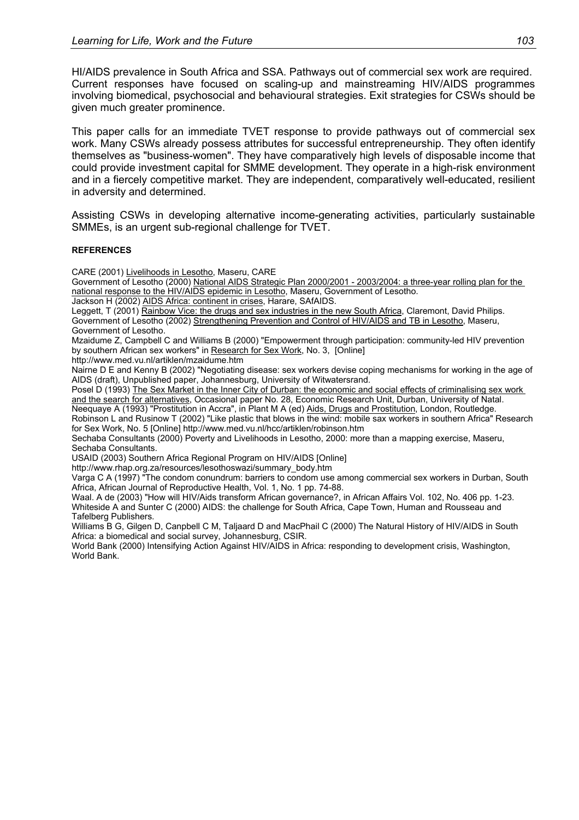HI/AIDS prevalence in South Africa and SSA. Pathways out of commercial sex work are required. Current responses have focused on scaling-up and mainstreaming HIV/AIDS programmes involving biomedical, psychosocial and behavioural strategies. Exit strategies for CSWs should be given much greater prominence.

This paper calls for an immediate TVET response to provide pathways out of commercial sex work. Many CSWs already possess attributes for successful entrepreneurship. They often identify themselves as "business-women". They have comparatively high levels of disposable income that could provide investment capital for SMME development. They operate in a high-risk environment and in a fiercely competitive market. They are independent, comparatively well-educated, resilient in adversity and determined.

Assisting CSWs in developing alternative income-generating activities, particularly sustainable SMMEs, is an urgent sub-regional challenge for TVET.

#### **REFERENCES**

CARE (2001) Livelihoods in Lesotho, Maseru, CARE

Government of Lesotho (2000) National AIDS Strategic Plan 2000/2001 - 2003/2004: a three-year rolling plan for the national response to the HIV/AIDS epidemic in Lesotho, Maseru, Government of Lesotho.

Jackson H (2002) AIDS Africa: continent in crises, Harare, SAfAIDS.

Leggett, T (2001) Rainbow Vice: the drugs and sex industries in the new South Africa, Claremont, David Philips. Government of Lesotho (2002) Strengthening Prevention and Control of HIV/AIDS and TB in Lesotho, Maseru, Government of Lesotho.

Mzaidume Z, Campbell C and Williams B (2000) "Empowerment through participation: community-led HIV prevention by southern African sex workers" in Research for Sex Work, No. 3, [Online]

http://www.med.vu.nl/artiklen/mzaidume.htm

Nairne D E and Kenny B (2002) "Negotiating disease: sex workers devise coping mechanisms for working in the age of AIDS (draft), Unpublished paper, Johannesburg, University of Witwatersrand.

Posel D (1993) The Sex Market in the Inner City of Durban: the economic and social effects of criminalising sex work and the search for alternatives, Occasional paper No. 28, Economic Research Unit, Durban, University of Natal. Neequaye A (1993) "Prostitution in Accra", in Plant M A (ed) Aids, Drugs and Prostitution, London, Routledge.

Robinson L and Rusinow T (2002) "Like plastic that blows in the wind: mobile sax workers in southern Africa" Research for Sex Work, No. 5 [Online] http://www.med.vu.nl/hcc/artiklen/robinson.htm

Sechaba Consultants (2000) Poverty and Livelihoods in Lesotho, 2000: more than a mapping exercise, Maseru, Sechaba Consultants.

USAID (2003) Southern Africa Regional Program on HIV/AIDS [Online]

http://www.rhap.org.za/resources/lesothoswazi/summary\_body.htm

Varga C A (1997) "The condom conundrum: barriers to condom use among commercial sex workers in Durban, South Africa, African Journal of Reproductive Health, Vol. 1, No. 1 pp. 74-88.

Waal. A de (2003) "How will HIV/Aids transform African governance?, in African Affairs Vol. 102, No. 406 pp. 1-23. Whiteside A and Sunter C (2000) AIDS: the challenge for South Africa, Cape Town, Human and Rousseau and Tafelberg Publishers.

Williams B G, Gilgen D, Canpbell C M, Taljaard D and MacPhail C (2000) The Natural History of HIV/AIDS in South Africa: a biomedical and social survey, Johannesburg, CSIR.

World Bank (2000) Intensifying Action Against HIV/AIDS in Africa: responding to development crisis, Washington, World Bank.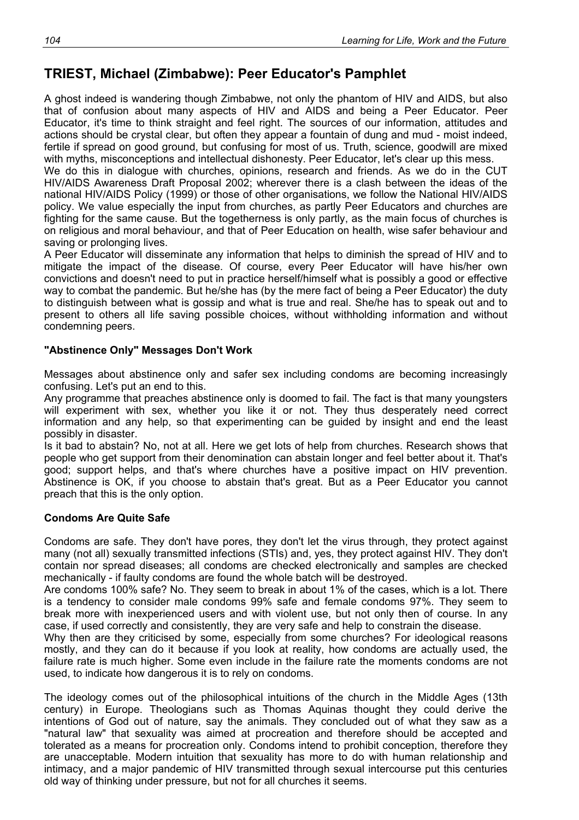## **TRIEST, Michael (Zimbabwe): Peer Educator's Pamphlet**

A ghost indeed is wandering though Zimbabwe, not only the phantom of HIV and AIDS, but also that of confusion about many aspects of HIV and AIDS and being a Peer Educator. Peer Educator, it's time to think straight and feel right. The sources of our information, attitudes and actions should be crystal clear, but often they appear a fountain of dung and mud - moist indeed, fertile if spread on good ground, but confusing for most of us. Truth, science, goodwill are mixed with myths, misconceptions and intellectual dishonesty. Peer Educator, let's clear up this mess.

We do this in dialogue with churches, opinions, research and friends. As we do in the CUT HIV/AIDS Awareness Draft Proposal 2002; wherever there is a clash between the ideas of the national HIV/AIDS Policy (1999) or those of other organisations, we follow the National HIV/AIDS policy. We value especially the input from churches, as partly Peer Educators and churches are fighting for the same cause. But the togetherness is only partly, as the main focus of churches is on religious and moral behaviour, and that of Peer Education on health, wise safer behaviour and saving or prolonging lives.

A Peer Educator will disseminate any information that helps to diminish the spread of HIV and to mitigate the impact of the disease. Of course, every Peer Educator will have his/her own convictions and doesn't need to put in practice herself/himself what is possibly a good or effective way to combat the pandemic. But he/she has (by the mere fact of being a Peer Educator) the duty to distinguish between what is gossip and what is true and real. She/he has to speak out and to present to others all life saving possible choices, without withholding information and without condemning peers.

#### **"Abstinence Only" Messages Don't Work**

Messages about abstinence only and safer sex including condoms are becoming increasingly confusing. Let's put an end to this.

Any programme that preaches abstinence only is doomed to fail. The fact is that many youngsters will experiment with sex, whether you like it or not. They thus desperately need correct information and any help, so that experimenting can be guided by insight and end the least possibly in disaster.

Is it bad to abstain? No, not at all. Here we get lots of help from churches. Research shows that people who get support from their denomination can abstain longer and feel better about it. That's good; support helps, and that's where churches have a positive impact on HIV prevention. Abstinence is OK, if you choose to abstain that's great. But as a Peer Educator you cannot preach that this is the only option.

#### **Condoms Are Quite Safe**

Condoms are safe. They don't have pores, they don't let the virus through, they protect against many (not all) sexually transmitted infections (STIs) and, yes, they protect against HIV. They don't contain nor spread diseases; all condoms are checked electronically and samples are checked mechanically - if faulty condoms are found the whole batch will be destroyed.

Are condoms 100% safe? No. They seem to break in about 1% of the cases, which is a lot. There is a tendency to consider male condoms 99% safe and female condoms 97%. They seem to break more with inexperienced users and with violent use, but not only then of course. In any case, if used correctly and consistently, they are very safe and help to constrain the disease.

Why then are they criticised by some, especially from some churches? For ideological reasons mostly, and they can do it because if you look at reality, how condoms are actually used, the failure rate is much higher. Some even include in the failure rate the moments condoms are not used, to indicate how dangerous it is to rely on condoms.

The ideology comes out of the philosophical intuitions of the church in the Middle Ages (13th century) in Europe. Theologians such as Thomas Aquinas thought they could derive the intentions of God out of nature, say the animals. They concluded out of what they saw as a "natural law" that sexuality was aimed at procreation and therefore should be accepted and tolerated as a means for procreation only. Condoms intend to prohibit conception, therefore they are unacceptable. Modern intuition that sexuality has more to do with human relationship and intimacy, and a major pandemic of HIV transmitted through sexual intercourse put this centuries old way of thinking under pressure, but not for all churches it seems.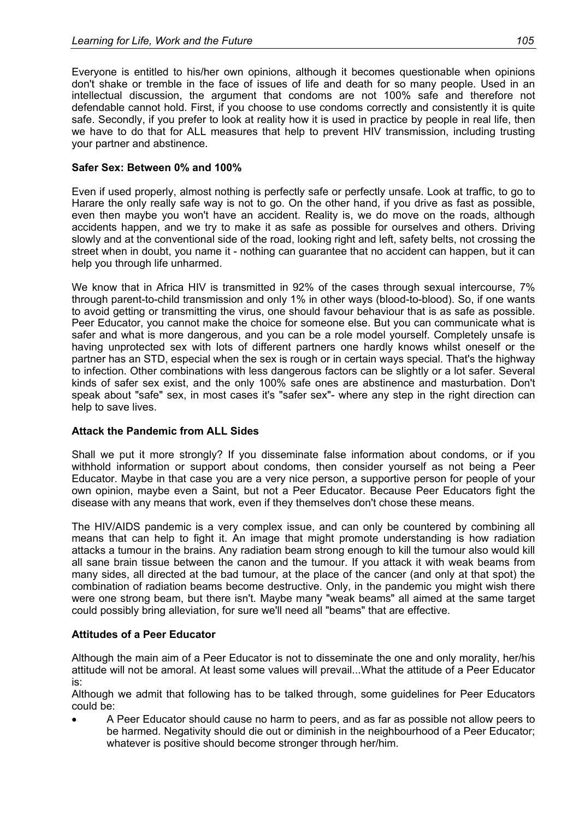Everyone is entitled to his/her own opinions, although it becomes questionable when opinions don't shake or tremble in the face of issues of life and death for so many people. Used in an intellectual discussion, the argument that condoms are not 100% safe and therefore not defendable cannot hold. First, if you choose to use condoms correctly and consistently it is quite safe. Secondly, if you prefer to look at reality how it is used in practice by people in real life, then we have to do that for ALL measures that help to prevent HIV transmission, including trusting your partner and abstinence.

#### **Safer Sex: Between 0% and 100%**

Even if used properly, almost nothing is perfectly safe or perfectly unsafe. Look at traffic, to go to Harare the only really safe way is not to go. On the other hand, if you drive as fast as possible, even then maybe you won't have an accident. Reality is, we do move on the roads, although accidents happen, and we try to make it as safe as possible for ourselves and others. Driving slowly and at the conventional side of the road, looking right and left, safety belts, not crossing the street when in doubt, you name it - nothing can guarantee that no accident can happen, but it can help you through life unharmed.

We know that in Africa HIV is transmitted in 92% of the cases through sexual intercourse, 7% through parent-to-child transmission and only 1% in other ways (blood-to-blood). So, if one wants to avoid getting or transmitting the virus, one should favour behaviour that is as safe as possible. Peer Educator, you cannot make the choice for someone else. But you can communicate what is safer and what is more dangerous, and you can be a role model yourself. Completely unsafe is having unprotected sex with lots of different partners one hardly knows whilst oneself or the partner has an STD, especial when the sex is rough or in certain ways special. That's the highway to infection. Other combinations with less dangerous factors can be slightly or a lot safer. Several kinds of safer sex exist, and the only 100% safe ones are abstinence and masturbation. Don't speak about "safe" sex, in most cases it's "safer sex"- where any step in the right direction can help to save lives.

#### **Attack the Pandemic from ALL Sides**

Shall we put it more strongly? If you disseminate false information about condoms, or if you withhold information or support about condoms, then consider yourself as not being a Peer Educator. Maybe in that case you are a very nice person, a supportive person for people of your own opinion, maybe even a Saint, but not a Peer Educator. Because Peer Educators fight the disease with any means that work, even if they themselves don't chose these means.

The HIV/AIDS pandemic is a very complex issue, and can only be countered by combining all means that can help to fight it. An image that might promote understanding is how radiation attacks a tumour in the brains. Any radiation beam strong enough to kill the tumour also would kill all sane brain tissue between the canon and the tumour. If you attack it with weak beams from many sides, all directed at the bad tumour, at the place of the cancer (and only at that spot) the combination of radiation beams become destructive. Only, in the pandemic you might wish there were one strong beam, but there isn't. Maybe many "weak beams" all aimed at the same target could possibly bring alleviation, for sure we'll need all "beams" that are effective.

#### **Attitudes of a Peer Educator**

Although the main aim of a Peer Educator is not to disseminate the one and only morality, her/his attitude will not be amoral. At least some values will prevail...What the attitude of a Peer Educator is:

Although we admit that following has to be talked through, some guidelines for Peer Educators could be:

• A Peer Educator should cause no harm to peers, and as far as possible not allow peers to be harmed. Negativity should die out or diminish in the neighbourhood of a Peer Educator; whatever is positive should become stronger through her/him.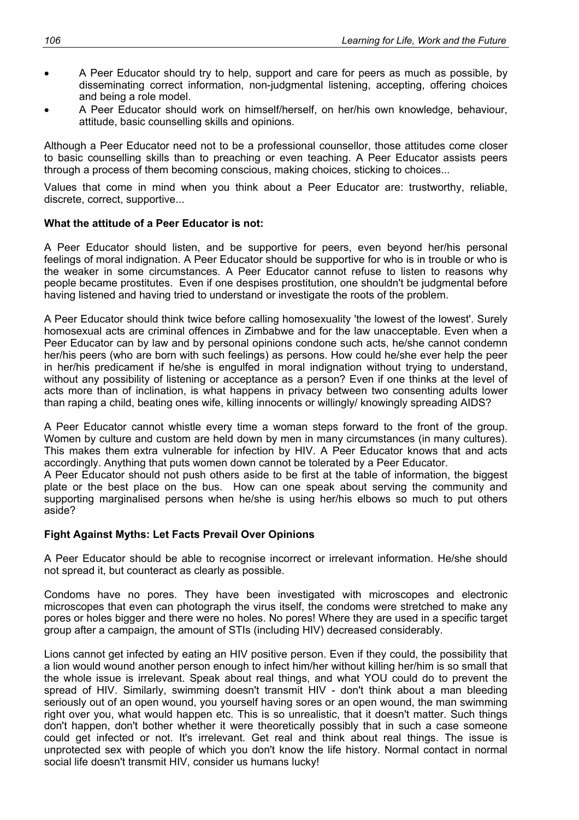- A Peer Educator should try to help, support and care for peers as much as possible, by disseminating correct information, non-judgmental listening, accepting, offering choices and being a role model.
- A Peer Educator should work on himself/herself, on her/his own knowledge, behaviour, attitude, basic counselling skills and opinions.

Although a Peer Educator need not to be a professional counsellor, those attitudes come closer to basic counselling skills than to preaching or even teaching. A Peer Educator assists peers through a process of them becoming conscious, making choices, sticking to choices...

Values that come in mind when you think about a Peer Educator are: trustworthy, reliable, discrete, correct, supportive...

#### **What the attitude of a Peer Educator is not:**

A Peer Educator should listen, and be supportive for peers, even beyond her/his personal feelings of moral indignation. A Peer Educator should be supportive for who is in trouble or who is the weaker in some circumstances. A Peer Educator cannot refuse to listen to reasons why people became prostitutes. Even if one despises prostitution, one shouldn't be judgmental before having listened and having tried to understand or investigate the roots of the problem.

A Peer Educator should think twice before calling homosexuality 'the lowest of the lowest'. Surely homosexual acts are criminal offences in Zimbabwe and for the law unacceptable. Even when a Peer Educator can by law and by personal opinions condone such acts, he/she cannot condemn her/his peers (who are born with such feelings) as persons. How could he/she ever help the peer in her/his predicament if he/she is engulfed in moral indignation without trying to understand, without any possibility of listening or acceptance as a person? Even if one thinks at the level of acts more than of inclination, is what happens in privacy between two consenting adults lower than raping a child, beating ones wife, killing innocents or willingly/ knowingly spreading AIDS?

A Peer Educator cannot whistle every time a woman steps forward to the front of the group. Women by culture and custom are held down by men in many circumstances (in many cultures). This makes them extra vulnerable for infection by HIV. A Peer Educator knows that and acts accordingly. Anything that puts women down cannot be tolerated by a Peer Educator.

A Peer Educator should not push others aside to be first at the table of information, the biggest plate or the best place on the bus. How can one speak about serving the community and supporting marginalised persons when he/she is using her/his elbows so much to put others aside?

#### **Fight Against Myths: Let Facts Prevail Over Opinions**

A Peer Educator should be able to recognise incorrect or irrelevant information. He/she should not spread it, but counteract as clearly as possible.

Condoms have no pores. They have been investigated with microscopes and electronic microscopes that even can photograph the virus itself, the condoms were stretched to make any pores or holes bigger and there were no holes. No pores! Where they are used in a specific target group after a campaign, the amount of STIs (including HIV) decreased considerably.

Lions cannot get infected by eating an HIV positive person. Even if they could, the possibility that a lion would wound another person enough to infect him/her without killing her/him is so small that the whole issue is irrelevant. Speak about real things, and what YOU could do to prevent the spread of HIV. Similarly, swimming doesn't transmit HIV - don't think about a man bleeding seriously out of an open wound, you yourself having sores or an open wound, the man swimming right over you, what would happen etc. This is so unrealistic, that it doesn't matter. Such things don't happen, don't bother whether it were theoretically possibly that in such a case someone could get infected or not. It's irrelevant. Get real and think about real things. The issue is unprotected sex with people of which you don't know the life history. Normal contact in normal social life doesn't transmit HIV, consider us humans lucky!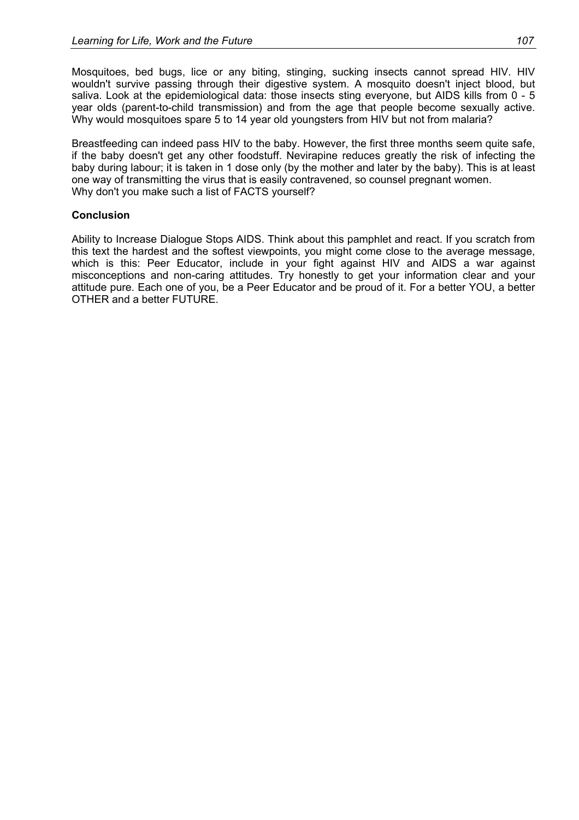Mosquitoes, bed bugs, lice or any biting, stinging, sucking insects cannot spread HIV. HIV wouldn't survive passing through their digestive system. A mosquito doesn't inject blood, but saliva. Look at the epidemiological data: those insects sting everyone, but AIDS kills from 0 - 5 year olds (parent-to-child transmission) and from the age that people become sexually active. Why would mosquitoes spare 5 to 14 year old youngsters from HIV but not from malaria?

Breastfeeding can indeed pass HIV to the baby. However, the first three months seem quite safe, if the baby doesn't get any other foodstuff. Nevirapine reduces greatly the risk of infecting the baby during labour; it is taken in 1 dose only (by the mother and later by the baby). This is at least one way of transmitting the virus that is easily contravened, so counsel pregnant women. Why don't you make such a list of FACTS yourself?

#### **Conclusion**

Ability to Increase Dialogue Stops AIDS. Think about this pamphlet and react. If you scratch from this text the hardest and the softest viewpoints, you might come close to the average message, which is this: Peer Educator, include in your fight against HIV and AIDS a war against misconceptions and non-caring attitudes. Try honestly to get your information clear and your attitude pure. Each one of you, be a Peer Educator and be proud of it. For a better YOU, a better OTHER and a better FUTURE.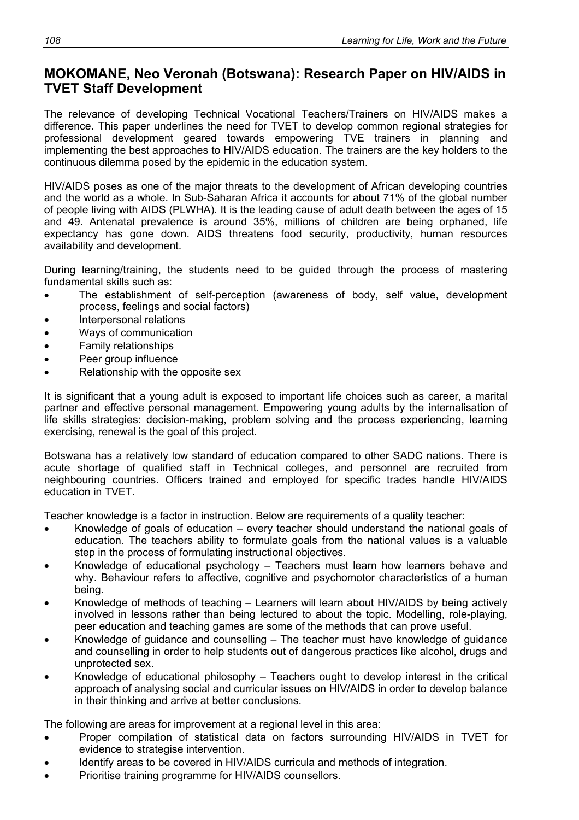### **MOKOMANE, Neo Veronah (Botswana): Research Paper on HIV/AIDS in TVET Staff Development**

The relevance of developing Technical Vocational Teachers/Trainers on HIV/AIDS makes a difference. This paper underlines the need for TVET to develop common regional strategies for professional development geared towards empowering TVE trainers in planning and implementing the best approaches to HIV/AIDS education. The trainers are the key holders to the continuous dilemma posed by the epidemic in the education system.

HIV/AIDS poses as one of the major threats to the development of African developing countries and the world as a whole. In Sub-Saharan Africa it accounts for about 71% of the global number of people living with AIDS (PLWHA). It is the leading cause of adult death between the ages of 15 and 49. Antenatal prevalence is around 35%, millions of children are being orphaned, life expectancy has gone down. AIDS threatens food security, productivity, human resources availability and development.

During learning/training, the students need to be guided through the process of mastering fundamental skills such as:

- The establishment of self-perception (awareness of body, self value, development process, feelings and social factors)
- Interpersonal relations
- Ways of communication
- Family relationships
- Peer group influence
- Relationship with the opposite sex

It is significant that a young adult is exposed to important life choices such as career, a marital partner and effective personal management. Empowering young adults by the internalisation of life skills strategies: decision-making, problem solving and the process experiencing, learning exercising, renewal is the goal of this project.

Botswana has a relatively low standard of education compared to other SADC nations. There is acute shortage of qualified staff in Technical colleges, and personnel are recruited from neighbouring countries. Officers trained and employed for specific trades handle HIV/AIDS education in TVET.

Teacher knowledge is a factor in instruction. Below are requirements of a quality teacher:

- Knowledge of goals of education every teacher should understand the national goals of education. The teachers ability to formulate goals from the national values is a valuable step in the process of formulating instructional objectives.
- Knowledge of educational psychology Teachers must learn how learners behave and why. Behaviour refers to affective, cognitive and psychomotor characteristics of a human being.
- Knowledge of methods of teaching Learners will learn about HIV/AIDS by being actively involved in lessons rather than being lectured to about the topic. Modelling, role-playing, peer education and teaching games are some of the methods that can prove useful.
- Knowledge of guidance and counselling The teacher must have knowledge of guidance and counselling in order to help students out of dangerous practices like alcohol, drugs and unprotected sex.
- Knowledge of educational philosophy Teachers ought to develop interest in the critical approach of analysing social and curricular issues on HIV/AIDS in order to develop balance in their thinking and arrive at better conclusions.

The following are areas for improvement at a regional level in this area:

- Proper compilation of statistical data on factors surrounding HIV/AIDS in TVET for evidence to strategise intervention.
- Identify areas to be covered in HIV/AIDS curricula and methods of integration.
- Prioritise training programme for HIV/AIDS counsellors.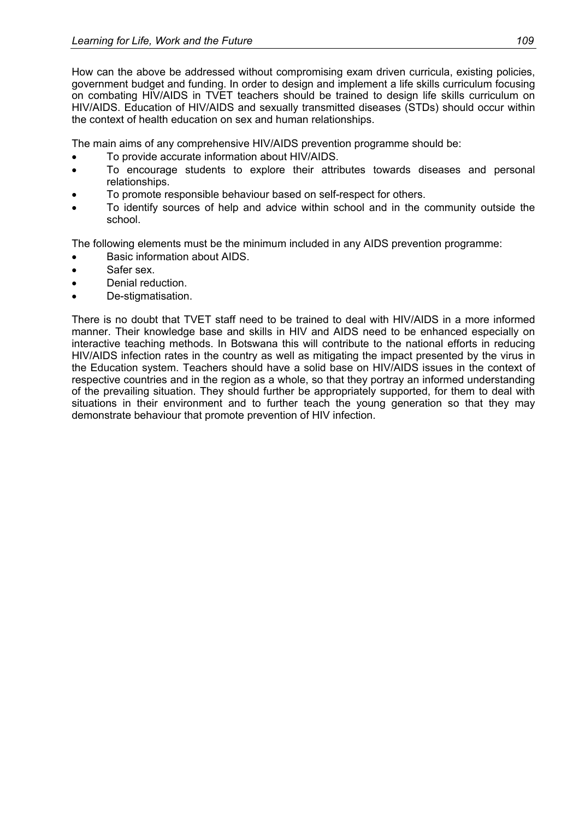How can the above be addressed without compromising exam driven curricula, existing policies, government budget and funding. In order to design and implement a life skills curriculum focusing on combating HIV/AIDS in TVET teachers should be trained to design life skills curriculum on HIV/AIDS. Education of HIV/AIDS and sexually transmitted diseases (STDs) should occur within the context of health education on sex and human relationships.

The main aims of any comprehensive HIV/AIDS prevention programme should be:

- To provide accurate information about HIV/AIDS.
- To encourage students to explore their attributes towards diseases and personal relationships.
- To promote responsible behaviour based on self-respect for others.
- To identify sources of help and advice within school and in the community outside the school.

The following elements must be the minimum included in any AIDS prevention programme:

- Basic information about AIDS.
- Safer sex.
- Denial reduction.
- De-stigmatisation.

There is no doubt that TVET staff need to be trained to deal with HIV/AIDS in a more informed manner. Their knowledge base and skills in HIV and AIDS need to be enhanced especially on interactive teaching methods. In Botswana this will contribute to the national efforts in reducing HIV/AIDS infection rates in the country as well as mitigating the impact presented by the virus in the Education system. Teachers should have a solid base on HIV/AIDS issues in the context of respective countries and in the region as a whole, so that they portray an informed understanding of the prevailing situation. They should further be appropriately supported, for them to deal with situations in their environment and to further teach the young generation so that they may demonstrate behaviour that promote prevention of HIV infection.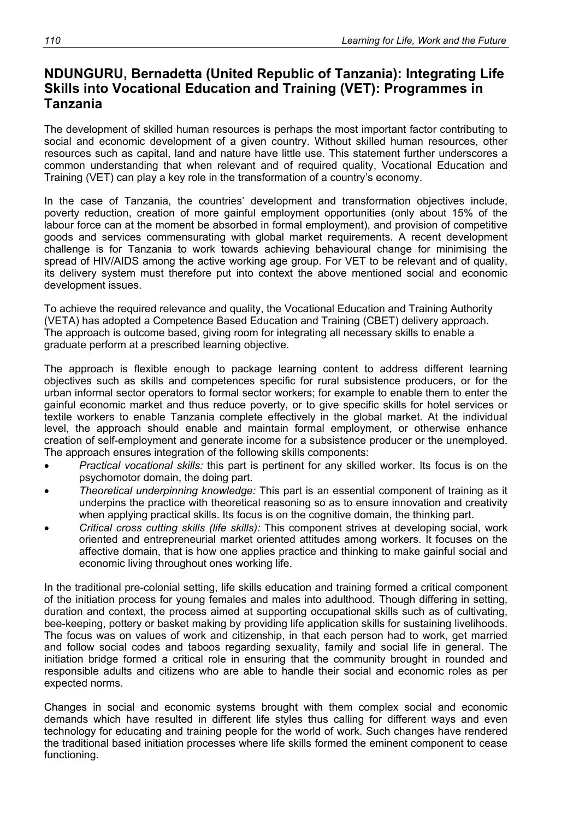### **NDUNGURU, Bernadetta (United Republic of Tanzania): Integrating Life Skills into Vocational Education and Training (VET): Programmes in Tanzania**

The development of skilled human resources is perhaps the most important factor contributing to social and economic development of a given country. Without skilled human resources, other resources such as capital, land and nature have little use. This statement further underscores a common understanding that when relevant and of required quality, Vocational Education and Training (VET) can play a key role in the transformation of a country's economy.

In the case of Tanzania, the countries' development and transformation objectives include, poverty reduction, creation of more gainful employment opportunities (only about 15% of the labour force can at the moment be absorbed in formal employment), and provision of competitive goods and services commensurating with global market requirements. A recent development challenge is for Tanzania to work towards achieving behavioural change for minimising the spread of HIV/AIDS among the active working age group. For VET to be relevant and of quality, its delivery system must therefore put into context the above mentioned social and economic development issues.

To achieve the required relevance and quality, the Vocational Education and Training Authority (VETA) has adopted a Competence Based Education and Training (CBET) delivery approach. The approach is outcome based, giving room for integrating all necessary skills to enable a graduate perform at a prescribed learning objective.

The approach is flexible enough to package learning content to address different learning objectives such as skills and competences specific for rural subsistence producers, or for the urban informal sector operators to formal sector workers; for example to enable them to enter the gainful economic market and thus reduce poverty, or to give specific skills for hotel services or textile workers to enable Tanzania complete effectively in the global market. At the individual level, the approach should enable and maintain formal employment, or otherwise enhance creation of self-employment and generate income for a subsistence producer or the unemployed. The approach ensures integration of the following skills components:

- *Practical vocational skills:* this part is pertinent for any skilled worker. Its focus is on the psychomotor domain, the doing part.
- *Theoretical underpinning knowledge:* This part is an essential component of training as it underpins the practice with theoretical reasoning so as to ensure innovation and creativity when applying practical skills. Its focus is on the cognitive domain, the thinking part.
- *Critical cross cutting skills (life skills):* This component strives at developing social, work oriented and entrepreneurial market oriented attitudes among workers. It focuses on the affective domain, that is how one applies practice and thinking to make gainful social and economic living throughout ones working life.

In the traditional pre-colonial setting, life skills education and training formed a critical component of the initiation process for young females and males into adulthood. Though differing in setting, duration and context, the process aimed at supporting occupational skills such as of cultivating, bee-keeping, pottery or basket making by providing life application skills for sustaining livelihoods. The focus was on values of work and citizenship, in that each person had to work, get married and follow social codes and taboos regarding sexuality, family and social life in general. The initiation bridge formed a critical role in ensuring that the community brought in rounded and responsible adults and citizens who are able to handle their social and economic roles as per expected norms.

Changes in social and economic systems brought with them complex social and economic demands which have resulted in different life styles thus calling for different ways and even technology for educating and training people for the world of work. Such changes have rendered the traditional based initiation processes where life skills formed the eminent component to cease functioning.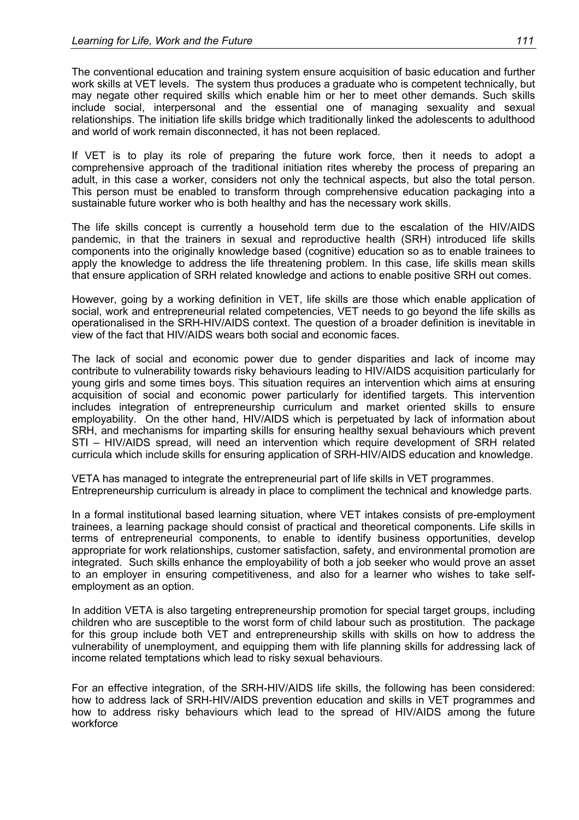The conventional education and training system ensure acquisition of basic education and further work skills at VET levels. The system thus produces a graduate who is competent technically, but may negate other required skills which enable him or her to meet other demands. Such skills include social, interpersonal and the essential one of managing sexuality and sexual relationships. The initiation life skills bridge which traditionally linked the adolescents to adulthood and world of work remain disconnected, it has not been replaced.

If VET is to play its role of preparing the future work force, then it needs to adopt a comprehensive approach of the traditional initiation rites whereby the process of preparing an adult, in this case a worker, considers not only the technical aspects, but also the total person. This person must be enabled to transform through comprehensive education packaging into a sustainable future worker who is both healthy and has the necessary work skills.

The life skills concept is currently a household term due to the escalation of the HIV/AIDS pandemic, in that the trainers in sexual and reproductive health (SRH) introduced life skills components into the originally knowledge based (cognitive) education so as to enable trainees to apply the knowledge to address the life threatening problem. In this case, life skills mean skills that ensure application of SRH related knowledge and actions to enable positive SRH out comes.

However, going by a working definition in VET, life skills are those which enable application of social, work and entrepreneurial related competencies, VET needs to go beyond the life skills as operationalised in the SRH-HIV/AIDS context. The question of a broader definition is inevitable in view of the fact that HIV/AIDS wears both social and economic faces.

The lack of social and economic power due to gender disparities and lack of income may contribute to vulnerability towards risky behaviours leading to HIV/AIDS acquisition particularly for young girls and some times boys. This situation requires an intervention which aims at ensuring acquisition of social and economic power particularly for identified targets. This intervention includes integration of entrepreneurship curriculum and market oriented skills to ensure employability. On the other hand, HIV/AIDS which is perpetuated by lack of information about SRH, and mechanisms for imparting skills for ensuring healthy sexual behaviours which prevent STI – HIV/AIDS spread, will need an intervention which require development of SRH related curricula which include skills for ensuring application of SRH-HIV/AIDS education and knowledge.

VETA has managed to integrate the entrepreneurial part of life skills in VET programmes. Entrepreneurship curriculum is already in place to compliment the technical and knowledge parts.

In a formal institutional based learning situation, where VET intakes consists of pre-employment trainees, a learning package should consist of practical and theoretical components. Life skills in terms of entrepreneurial components, to enable to identify business opportunities, develop appropriate for work relationships, customer satisfaction, safety, and environmental promotion are integrated. Such skills enhance the employability of both a job seeker who would prove an asset to an employer in ensuring competitiveness, and also for a learner who wishes to take selfemployment as an option.

In addition VETA is also targeting entrepreneurship promotion for special target groups, including children who are susceptible to the worst form of child labour such as prostitution. The package for this group include both VET and entrepreneurship skills with skills on how to address the vulnerability of unemployment, and equipping them with life planning skills for addressing lack of income related temptations which lead to risky sexual behaviours.

For an effective integration, of the SRH-HIV/AIDS life skills, the following has been considered: how to address lack of SRH-HIV/AIDS prevention education and skills in VET programmes and how to address risky behaviours which lead to the spread of HIV/AIDS among the future workforce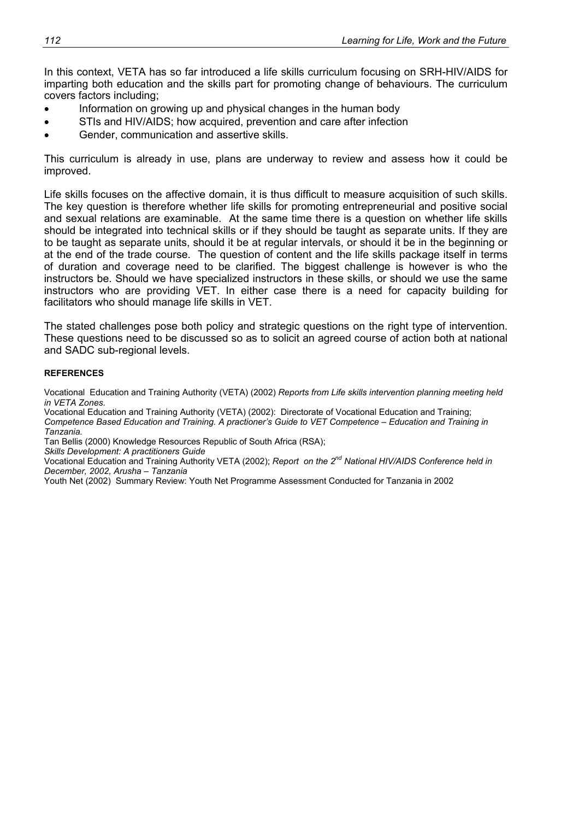In this context, VETA has so far introduced a life skills curriculum focusing on SRH-HIV/AIDS for imparting both education and the skills part for promoting change of behaviours. The curriculum covers factors including;

- Information on growing up and physical changes in the human body
- STIs and HIV/AIDS; how acquired, prevention and care after infection
- Gender, communication and assertive skills.

This curriculum is already in use, plans are underway to review and assess how it could be improved.

Life skills focuses on the affective domain, it is thus difficult to measure acquisition of such skills. The key question is therefore whether life skills for promoting entrepreneurial and positive social and sexual relations are examinable. At the same time there is a question on whether life skills should be integrated into technical skills or if they should be taught as separate units. If they are to be taught as separate units, should it be at regular intervals, or should it be in the beginning or at the end of the trade course. The question of content and the life skills package itself in terms of duration and coverage need to be clarified. The biggest challenge is however is who the instructors be. Should we have specialized instructors in these skills, or should we use the same instructors who are providing VET. In either case there is a need for capacity building for facilitators who should manage life skills in VET.

The stated challenges pose both policy and strategic questions on the right type of intervention. These questions need to be discussed so as to solicit an agreed course of action both at national and SADC sub-regional levels.

#### **REFERENCES**

Vocational Education and Training Authority (VETA) (2002) *Reports from Life skills intervention planning meeting held in VETA Zones.* 

Vocational Education and Training Authority (VETA) (2002): Directorate of Vocational Education and Training; *Competence Based Education and Training. A practioner's Guide to VET Competence – Education and Training in Tanzania.* 

Tan Bellis (2000) Knowledge Resources Republic of South Africa (RSA);

*Skills Development: A practitioners Guide* 

Vocational Education and Training Authority VETA (2002); *Report on the 2nd National HIV/AIDS Conference held in December, 2002, Arusha – Tanzania* 

Youth Net (2002) Summary Review: Youth Net Programme Assessment Conducted for Tanzania in 2002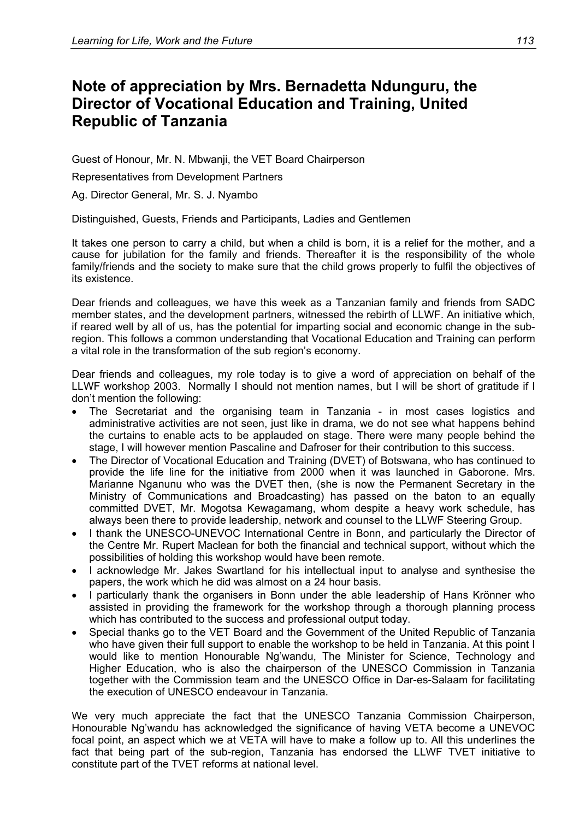# **Note of appreciation by Mrs. Bernadetta Ndunguru, the Director of Vocational Education and Training, United Republic of Tanzania**

Guest of Honour, Mr. N. Mbwanji, the VET Board Chairperson

Representatives from Development Partners

Ag. Director General, Mr. S. J. Nyambo

Distinguished, Guests, Friends and Participants, Ladies and Gentlemen

It takes one person to carry a child, but when a child is born, it is a relief for the mother, and a cause for jubilation for the family and friends. Thereafter it is the responsibility of the whole family/friends and the society to make sure that the child grows properly to fulfil the objectives of its existence.

Dear friends and colleagues, we have this week as a Tanzanian family and friends from SADC member states, and the development partners, witnessed the rebirth of LLWF. An initiative which, if reared well by all of us, has the potential for imparting social and economic change in the subregion. This follows a common understanding that Vocational Education and Training can perform a vital role in the transformation of the sub region's economy.

Dear friends and colleagues, my role today is to give a word of appreciation on behalf of the LLWF workshop 2003. Normally I should not mention names, but I will be short of gratitude if I don't mention the following:

- The Secretariat and the organising team in Tanzania in most cases logistics and administrative activities are not seen, just like in drama, we do not see what happens behind the curtains to enable acts to be applauded on stage. There were many people behind the stage, I will however mention Pascaline and Dafroser for their contribution to this success.
- The Director of Vocational Education and Training (DVET) of Botswana, who has continued to provide the life line for the initiative from 2000 when it was launched in Gaborone. Mrs. Marianne Nganunu who was the DVET then, (she is now the Permanent Secretary in the Ministry of Communications and Broadcasting) has passed on the baton to an equally committed DVET, Mr. Mogotsa Kewagamang, whom despite a heavy work schedule, has always been there to provide leadership, network and counsel to the LLWF Steering Group.
- I thank the UNESCO-UNEVOC International Centre in Bonn, and particularly the Director of the Centre Mr. Rupert Maclean for both the financial and technical support, without which the possibilities of holding this workshop would have been remote.
- I acknowledge Mr. Jakes Swartland for his intellectual input to analyse and synthesise the papers, the work which he did was almost on a 24 hour basis.
- I particularly thank the organisers in Bonn under the able leadership of Hans Krönner who assisted in providing the framework for the workshop through a thorough planning process which has contributed to the success and professional output today.
- Special thanks go to the VET Board and the Government of the United Republic of Tanzania who have given their full support to enable the workshop to be held in Tanzania. At this point I would like to mention Honourable Ng'wandu, The Minister for Science, Technology and Higher Education, who is also the chairperson of the UNESCO Commission in Tanzania together with the Commission team and the UNESCO Office in Dar-es-Salaam for facilitating the execution of UNESCO endeavour in Tanzania.

We very much appreciate the fact that the UNESCO Tanzania Commission Chairperson, Honourable Ng'wandu has acknowledged the significance of having VETA become a UNEVOC focal point, an aspect which we at VETA will have to make a follow up to. All this underlines the fact that being part of the sub-region, Tanzania has endorsed the LLWF TVET initiative to constitute part of the TVET reforms at national level.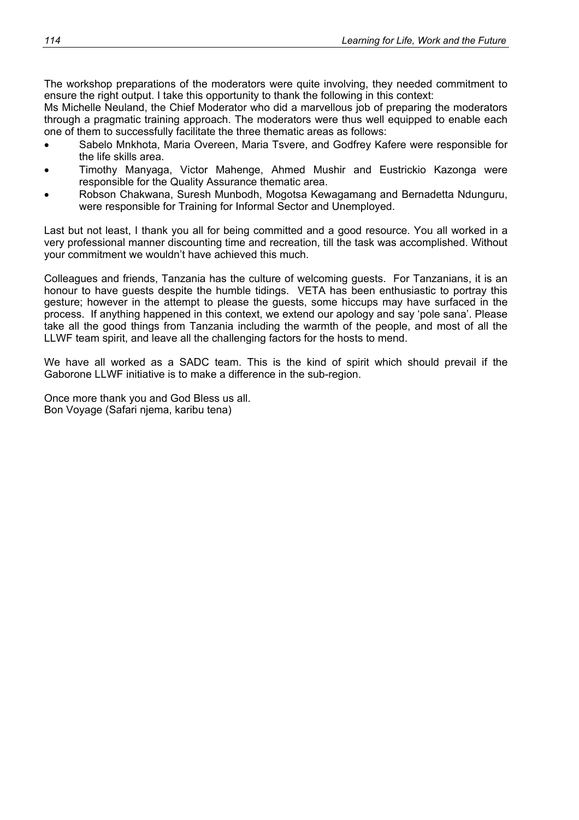The workshop preparations of the moderators were quite involving, they needed commitment to ensure the right output. I take this opportunity to thank the following in this context:

Ms Michelle Neuland, the Chief Moderator who did a marvellous job of preparing the moderators through a pragmatic training approach. The moderators were thus well equipped to enable each one of them to successfully facilitate the three thematic areas as follows:

- Sabelo Mnkhota, Maria Overeen, Maria Tsvere, and Godfrey Kafere were responsible for the life skills area.
- Timothy Manyaga, Victor Mahenge, Ahmed Mushir and Eustrickio Kazonga were responsible for the Quality Assurance thematic area.
- Robson Chakwana, Suresh Munbodh, Mogotsa Kewagamang and Bernadetta Ndunguru, were responsible for Training for Informal Sector and Unemployed.

Last but not least, I thank you all for being committed and a good resource. You all worked in a very professional manner discounting time and recreation, till the task was accomplished. Without your commitment we wouldn't have achieved this much.

Colleagues and friends, Tanzania has the culture of welcoming guests. For Tanzanians, it is an honour to have guests despite the humble tidings. VETA has been enthusiastic to portray this gesture; however in the attempt to please the guests, some hiccups may have surfaced in the process. If anything happened in this context, we extend our apology and say 'pole sana'. Please take all the good things from Tanzania including the warmth of the people, and most of all the LLWF team spirit, and leave all the challenging factors for the hosts to mend.

We have all worked as a SADC team. This is the kind of spirit which should prevail if the Gaborone LLWF initiative is to make a difference in the sub-region.

Once more thank you and God Bless us all. Bon Voyage (Safari njema, karibu tena)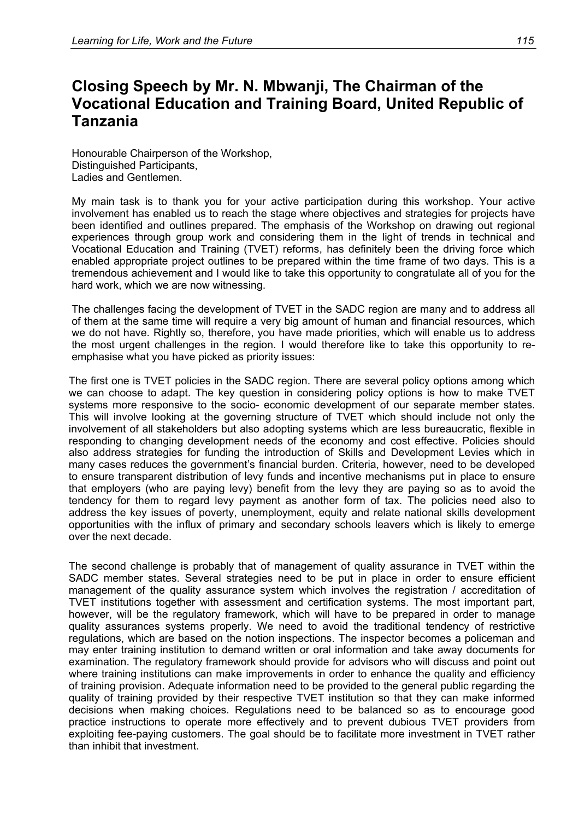# **Closing Speech by Mr. N. Mbwanji, The Chairman of the Vocational Education and Training Board, United Republic of Tanzania**

Honourable Chairperson of the Workshop, Distinguished Participants, Ladies and Gentlemen.

My main task is to thank you for your active participation during this workshop. Your active involvement has enabled us to reach the stage where objectives and strategies for projects have been identified and outlines prepared. The emphasis of the Workshop on drawing out regional experiences through group work and considering them in the light of trends in technical and Vocational Education and Training (TVET) reforms, has definitely been the driving force which enabled appropriate project outlines to be prepared within the time frame of two days. This is a tremendous achievement and I would like to take this opportunity to congratulate all of you for the hard work, which we are now witnessing.

The challenges facing the development of TVET in the SADC region are many and to address all of them at the same time will require a very big amount of human and financial resources, which we do not have. Rightly so, therefore, you have made priorities, which will enable us to address the most urgent challenges in the region. I would therefore like to take this opportunity to reemphasise what you have picked as priority issues:

The first one is TVET policies in the SADC region. There are several policy options among which we can choose to adapt. The key question in considering policy options is how to make TVET systems more responsive to the socio- economic development of our separate member states. This will involve looking at the governing structure of TVET which should include not only the involvement of all stakeholders but also adopting systems which are less bureaucratic, flexible in responding to changing development needs of the economy and cost effective. Policies should also address strategies for funding the introduction of Skills and Development Levies which in many cases reduces the government's financial burden. Criteria, however, need to be developed to ensure transparent distribution of levy funds and incentive mechanisms put in place to ensure that employers (who are paying levy) benefit from the levy they are paying so as to avoid the tendency for them to regard levy payment as another form of tax. The policies need also to address the key issues of poverty, unemployment, equity and relate national skills development opportunities with the influx of primary and secondary schools leavers which is likely to emerge over the next decade.

The second challenge is probably that of management of quality assurance in TVET within the SADC member states. Several strategies need to be put in place in order to ensure efficient management of the quality assurance system which involves the registration / accreditation of TVET institutions together with assessment and certification systems. The most important part, however, will be the regulatory framework, which will have to be prepared in order to manage quality assurances systems properly. We need to avoid the traditional tendency of restrictive regulations, which are based on the notion inspections. The inspector becomes a policeman and may enter training institution to demand written or oral information and take away documents for examination. The regulatory framework should provide for advisors who will discuss and point out where training institutions can make improvements in order to enhance the quality and efficiency of training provision. Adequate information need to be provided to the general public regarding the quality of training provided by their respective TVET institution so that they can make informed decisions when making choices. Regulations need to be balanced so as to encourage good practice instructions to operate more effectively and to prevent dubious TVET providers from exploiting fee-paying customers. The goal should be to facilitate more investment in TVET rather than inhibit that investment.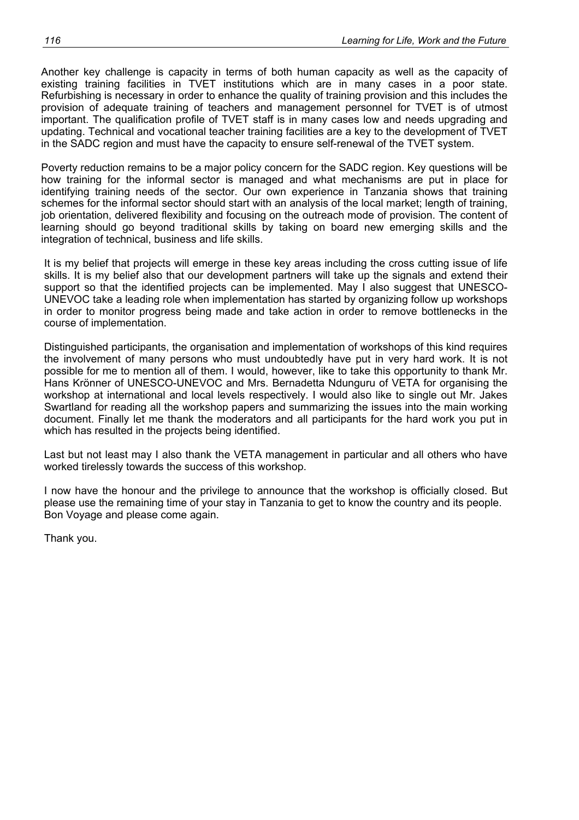Another key challenge is capacity in terms of both human capacity as well as the capacity of existing training facilities in TVET institutions which are in many cases in a poor state. Refurbishing is necessary in order to enhance the quality of training provision and this includes the provision of adequate training of teachers and management personnel for TVET is of utmost important. The qualification profile of TVET staff is in many cases low and needs upgrading and updating. Technical and vocational teacher training facilities are a key to the development of TVET in the SADC region and must have the capacity to ensure self-renewal of the TVET system.

Poverty reduction remains to be a major policy concern for the SADC region. Key questions will be how training for the informal sector is managed and what mechanisms are put in place for identifying training needs of the sector. Our own experience in Tanzania shows that training schemes for the informal sector should start with an analysis of the local market; length of training, job orientation, delivered flexibility and focusing on the outreach mode of provision. The content of learning should go beyond traditional skills by taking on board new emerging skills and the integration of technical, business and life skills.

It is my belief that projects will emerge in these key areas including the cross cutting issue of life skills. It is my belief also that our development partners will take up the signals and extend their support so that the identified projects can be implemented. May I also suggest that UNESCO-UNEVOC take a leading role when implementation has started by organizing follow up workshops in order to monitor progress being made and take action in order to remove bottlenecks in the course of implementation.

Distinguished participants, the organisation and implementation of workshops of this kind requires the involvement of many persons who must undoubtedly have put in very hard work. It is not possible for me to mention all of them. I would, however, like to take this opportunity to thank Mr. Hans Krönner of UNESCO-UNEVOC and Mrs. Bernadetta Ndunguru of VETA for organising the workshop at international and local levels respectively. I would also like to single out Mr. Jakes Swartland for reading all the workshop papers and summarizing the issues into the main working document. Finally let me thank the moderators and all participants for the hard work you put in which has resulted in the projects being identified.

Last but not least may I also thank the VETA management in particular and all others who have worked tirelessly towards the success of this workshop.

I now have the honour and the privilege to announce that the workshop is officially closed. But please use the remaining time of your stay in Tanzania to get to know the country and its people. Bon Voyage and please come again.

Thank you.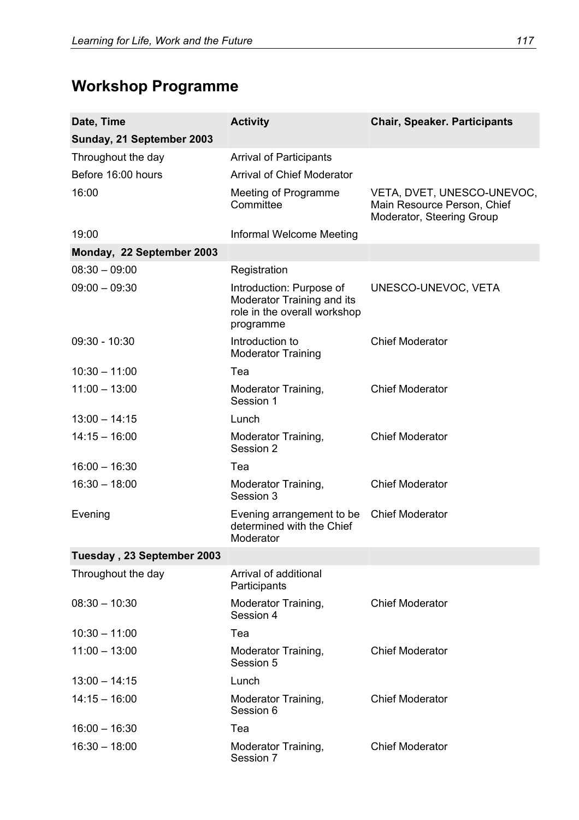# **Workshop Programme**

| Date, Time<br>Sunday, 21 September 2003 | <b>Activity</b>                                                                                     | <b>Chair, Speaker. Participants</b>                                                    |
|-----------------------------------------|-----------------------------------------------------------------------------------------------------|----------------------------------------------------------------------------------------|
| Throughout the day                      | <b>Arrival of Participants</b>                                                                      |                                                                                        |
| Before 16:00 hours                      | <b>Arrival of Chief Moderator</b>                                                                   |                                                                                        |
| 16:00                                   | Meeting of Programme<br>Committee                                                                   | VETA, DVET, UNESCO-UNEVOC,<br>Main Resource Person, Chief<br>Moderator, Steering Group |
| 19:00                                   | Informal Welcome Meeting                                                                            |                                                                                        |
| Monday, 22 September 2003               |                                                                                                     |                                                                                        |
| $08:30 - 09:00$                         | Registration                                                                                        |                                                                                        |
| $09:00 - 09:30$                         | Introduction: Purpose of<br>Moderator Training and its<br>role in the overall workshop<br>programme | UNESCO-UNEVOC, VETA                                                                    |
| $09:30 - 10:30$                         | Introduction to<br><b>Moderator Training</b>                                                        | <b>Chief Moderator</b>                                                                 |
| $10:30 - 11:00$                         | Tea                                                                                                 |                                                                                        |
| $11:00 - 13:00$                         | Moderator Training,<br>Session 1                                                                    | <b>Chief Moderator</b>                                                                 |
| $13:00 - 14:15$                         | Lunch                                                                                               |                                                                                        |
| $14:15 - 16:00$                         | Moderator Training,<br>Session 2                                                                    | <b>Chief Moderator</b>                                                                 |
| $16:00 - 16:30$                         | Tea                                                                                                 |                                                                                        |
| $16:30 - 18:00$                         | Moderator Training,<br>Session 3                                                                    | <b>Chief Moderator</b>                                                                 |
| Evening                                 | Evening arrangement to be<br>determined with the Chief<br>Moderator                                 | <b>Chief Moderator</b>                                                                 |
| Tuesday, 23 September 2003              |                                                                                                     |                                                                                        |
| Throughout the day                      | Arrival of additional<br>Participants                                                               |                                                                                        |
| $08:30 - 10:30$                         | Moderator Training,<br>Session 4                                                                    | <b>Chief Moderator</b>                                                                 |
| $10:30 - 11:00$                         | Tea                                                                                                 |                                                                                        |
| $11:00 - 13:00$                         | Moderator Training,<br>Session 5                                                                    | <b>Chief Moderator</b>                                                                 |
| $13:00 - 14:15$                         | Lunch                                                                                               |                                                                                        |
| $14:15 - 16:00$                         | Moderator Training,<br>Session 6                                                                    | <b>Chief Moderator</b>                                                                 |
| $16:00 - 16:30$                         | Tea                                                                                                 |                                                                                        |
| $16:30 - 18:00$                         | Moderator Training,<br>Session 7                                                                    | <b>Chief Moderator</b>                                                                 |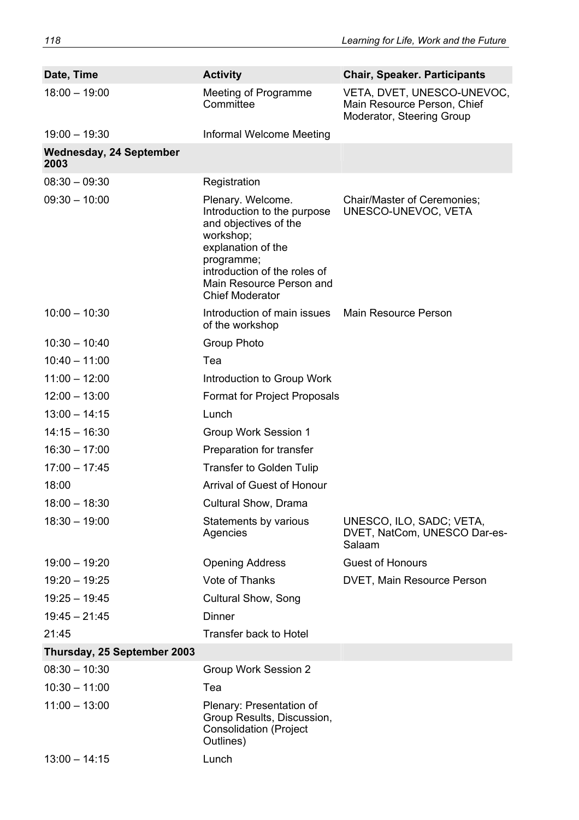| Date, Time                             | <b>Activity</b>                                                                                                                                                                                                  | <b>Chair, Speaker. Participants</b>                                                    |
|----------------------------------------|------------------------------------------------------------------------------------------------------------------------------------------------------------------------------------------------------------------|----------------------------------------------------------------------------------------|
| $18:00 - 19:00$                        | Meeting of Programme<br>Committee                                                                                                                                                                                | VETA, DVET, UNESCO-UNEVOC,<br>Main Resource Person, Chief<br>Moderator, Steering Group |
| $19:00 - 19:30$                        | Informal Welcome Meeting                                                                                                                                                                                         |                                                                                        |
| <b>Wednesday, 24 September</b><br>2003 |                                                                                                                                                                                                                  |                                                                                        |
| $08:30 - 09:30$                        | Registration                                                                                                                                                                                                     |                                                                                        |
| $09:30 - 10:00$                        | Plenary. Welcome.<br>Introduction to the purpose<br>and objectives of the<br>workshop;<br>explanation of the<br>programme;<br>introduction of the roles of<br>Main Resource Person and<br><b>Chief Moderator</b> | <b>Chair/Master of Ceremonies;</b><br>UNESCO-UNEVOC, VETA                              |
| $10:00 - 10:30$                        | Introduction of main issues<br>of the workshop                                                                                                                                                                   | Main Resource Person                                                                   |
| $10:30 - 10:40$                        | <b>Group Photo</b>                                                                                                                                                                                               |                                                                                        |
| $10:40 - 11:00$                        | Tea                                                                                                                                                                                                              |                                                                                        |
| $11:00 - 12:00$                        | Introduction to Group Work                                                                                                                                                                                       |                                                                                        |
| $12:00 - 13:00$                        | Format for Project Proposals                                                                                                                                                                                     |                                                                                        |
| $13:00 - 14:15$                        | Lunch                                                                                                                                                                                                            |                                                                                        |
| $14:15 - 16:30$                        | Group Work Session 1                                                                                                                                                                                             |                                                                                        |
| $16:30 - 17:00$                        | Preparation for transfer                                                                                                                                                                                         |                                                                                        |
| $17:00 - 17:45$                        | <b>Transfer to Golden Tulip</b>                                                                                                                                                                                  |                                                                                        |
| 18:00                                  | <b>Arrival of Guest of Honour</b>                                                                                                                                                                                |                                                                                        |
| $18:00 - 18:30$                        | Cultural Show, Drama                                                                                                                                                                                             |                                                                                        |
| $18:30 - 19:00$                        | Statements by various<br>Agencies                                                                                                                                                                                | UNESCO, ILO, SADC; VETA,<br>DVET, NatCom, UNESCO Dar-es-<br>Salaam                     |
| $19:00 - 19:20$                        | <b>Opening Address</b>                                                                                                                                                                                           | <b>Guest of Honours</b>                                                                |
| $19:20 - 19:25$                        | Vote of Thanks                                                                                                                                                                                                   | <b>DVET, Main Resource Person</b>                                                      |
| $19:25 - 19:45$                        | <b>Cultural Show, Song</b>                                                                                                                                                                                       |                                                                                        |
| $19:45 - 21:45$                        | <b>Dinner</b>                                                                                                                                                                                                    |                                                                                        |
| 21:45                                  | Transfer back to Hotel                                                                                                                                                                                           |                                                                                        |
| Thursday, 25 September 2003            |                                                                                                                                                                                                                  |                                                                                        |
| $08:30 - 10:30$                        | Group Work Session 2                                                                                                                                                                                             |                                                                                        |
| $10:30 - 11:00$                        | Tea                                                                                                                                                                                                              |                                                                                        |
| $11:00 - 13:00$                        | Plenary: Presentation of<br>Group Results, Discussion,<br><b>Consolidation (Project</b><br>Outlines)                                                                                                             |                                                                                        |
| $13:00 - 14:15$                        | Lunch                                                                                                                                                                                                            |                                                                                        |